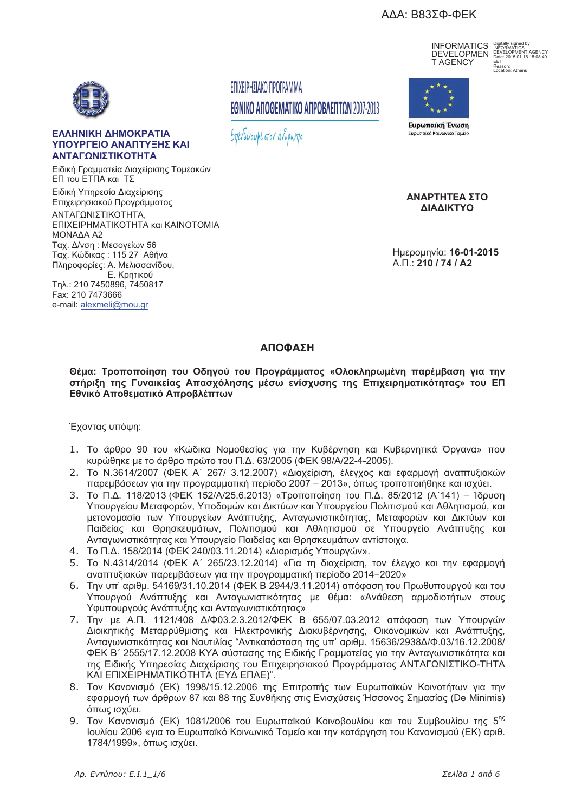# ΑΔΑ: Β83ΣΦ-ΦΕΚ



### ΕΛΛΗΝΙΚΗ ΔΗΜΟΚΡΑΤΙΑ ΥΠΟΥΡΓΕΙΟ ΑΝΑΠΤΥΞΗΣ ΚΑΙ ΑΝΤΑΓΩΝΙΣΤΙΚΟΤΗΤΑ

Ειδική Γραμματεία Διαχείρισης Τομεακών ΕΠ του ΕΤΠΑ και ΤΣ Ειδική Υπηρεσία Διαχείρισης Επιχειρησιακού Προγράμματος ΑΝΤΑΓΩΝΙΣΤΙΚΟΤΗΤΑ. ΕΠΙΧΕΙΡΗΜΑΤΙΚΟΤΗΤΑ και ΚΑΙΝΟΤΟΜΙΑ ΜΟΝΑΔΑ Α2 Ταχ. Δ/νση: Μεσογείων 56 Ταχ. Κώδικας: 115 27 Αθήνα Πληροφορίες: Α. Μελισσανίδου, Ε. Κοητικού Tn .: 210 7450896, 7450817 Fax: 210 7473666 e-mail: alexmeli@mou.gr

# ΕΠΙΧΕΙΡΗΣΙΑΚΟ ΠΡΟΓΡΑΜΜΑ ΕΘΝΙΚΟ ΑΠΟΘΕΜΑΤΙΚΟ ΑΠΡΟΒΛΕΠΤΩΝ 2007-2013

Επενδύουμε στον άνθρωπο

**INFORMATICS** Rigitally signed by<br>**DEVELOPMEN** BEVELOPMENT AGENCY<br> **TAGENCY** EET T AGFNCY

Reason:<br>Location: Athens



Ευρωπαϊκή Ένωση Ευρωπαϊκό Κοινωνικό Ταμείς

ΑΝΑΡΤΗΤΕΑ ΣΤΟ ΛΙΔΛΙΚΤΥΩ

Ημερομηνία: 16-01-2015  $A \Pi \cdot 210 / 74 / A2$ 

# ΑΠΟΦΑΣΗ

Θέμα: Τροποποίηση του Οδηγού του Προγράμματος «Ολοκληρωμένη παρέμβαση για την στήριξη της Γυναικείας Απασχόλησης μέσω ενίσχυσης της Επιχειρηματικότητας» του ΕΠ Εθνικό Αποθεματικό Απροβλέπτων

# Έχοντας υπόψη:

- 1. Το άρθρο 90 του «Κώδικα Νομοθεσίας για την Κυβέρνηση και Κυβερνητικά Όργανα» που κυρώθηκε με το άρθρο πρώτο του Π.Δ. 63/2005 (ΦΕΚ 98/Α/22-4-2005).
- 2. Το N.3614/2007 (ΦΕΚ Α' 267/ 3.12.2007) «Διαχείριση, έλεγχος και εφαρμογή αναπτυξιακών παρεμβάσεων για την προγραμματική περίοδο 2007 - 2013», όπως τροποποιήθηκε και ισχύει.
- 3. Το Π.Δ. 118/2013 (ΦΕΚ 152/Α/25.6.2013) «Τροποποίηση του Π.Δ. 85/2012 (Α'141) Ίδρυση Υπουρνείου Μεταφορών, Υποδομών και Δικτύων και Υπουρνείου Πολιτισμού και Αθλητισμού, και μετονομασία των Υπουργείων Ανάπτυξης, Ανταγωνιστικότητας, Μεταφορών και Δικτύων και Παιδείας και Θρησκευμάτων, Πολιτισμού και Αθλητισμού σε Υπουργείο Ανάπτυξης και Ανταγωνιστικότητας και Υπουργείο Παιδείας και Θρησκευμάτων αντίστοιχα.
- 4. Το Π.Δ. 158/2014 (ΦΕΚ 240/03.11.2014) «Διορισμός Υπουργών».
- 5. Το N.4314/2014 (ΦΕΚ Α΄ 265/23.12.2014) «Για τη διαχείριση, τον έλεγχο και την εφαρμογή αναπτυξιακών παρεμβάσεων για την προγραμματική περίοδο 2014-2020»
- 6. Την υπ' αριθμ. 54169/31.10.2014 (ΦΕΚ Β 2944/3.11.2014) απόφαση του Πρωθυπουργού και του Υπουργού Ανάπτυξης και Ανταγωνιστικότητας με θέμα: «Ανάθεση αρμοδιοτήτων στους Υφυπουργούς Ανάπτυξης και Ανταγωνιστικότητας»
- 7. Την με Α.Π. 1121/408 Δ/Φ03.2.3.2012/ΦΕΚ Β 655/07.03.2012 απόφαση των Υπουργών Διοικητικής Μεταρρύθμισης και Ηλεκτρονικής Διακυβέρνησης. Οικονομικών και Ανάπτυξης. Ανταγωνιστικότητας και Ναυτιλίας "Αντικατάσταση της υπ' αριθμ. 15636/2938Δ/Φ.03/16.12.2008/ ΦΕΚ Β΄ 2555/17.12.2008 ΚΥΑ σύστασης της Ειδικής Γραμματείας για την Ανταγωνιστικότητα και της Ειδικής Υπηρεσίας Διαχείρισης του Επιχειρησιακού Προγράμματος ΑΝΤΑΓΩΝΙΣΤΙΚΟ-ΤΗΤΑ ΚΑΙ ΕΠΙΧΕΙΡΗΜΑΤΙΚΟΤΗΤΑ (ΕΥΔ ΕΠΑΕ)".
- 8. Τον Κανονισμό (ΕΚ) 1998/15.12.2006 της Επιτροπής των Ευρωπαϊκών Κοινοτήτων για την εφαρμογή των άρθρων 87 και 88 της Συνθήκης στις Ενισχύσεις Ήσσονος Σημασίας (De Minimis) όπως ισχύει.
- 9. Τον Κανονισμό (ΕΚ) 1081/2006 του Ευρωπαϊκού Κοινοβουλίου και του Συμβουλίου της 5<sup>ης</sup> Ιουλίου 2006 «για το Ευρωπαϊκό Κοινωνικό Ταμείο και την κατάργηση του Κανονισμού (ΕΚ) αριθ. 1784/1999», όπως ισχύει.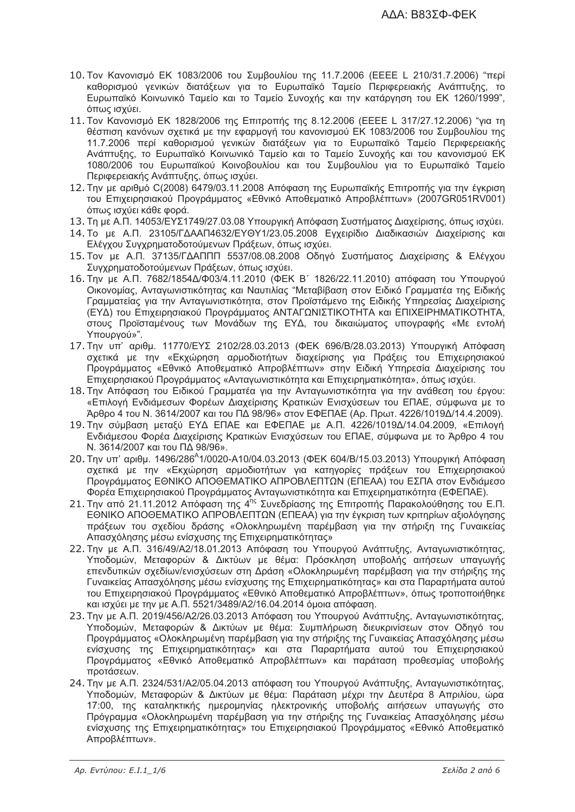- 10. Τον Κανονισμό ΕΚ 1083/2006 του Συμβουλίου της 11.7.2006 (ΕΕΕΕ L 210/31.7.2006) "περί καθορισμού γενικών διατάξεων για το Ευρωπαϊκό Ταμείο Περιφερειακής Ανάπτυξης, το Ευρωπαϊκό Κοινωνικό Ταμείο και το Ταμείο Συνοχής και την κατάργηση του ΕΚ 1260/1999", όπως ισχύει.
- 11. Τον Κανονισμό ΕΚ 1828/2006 της Επιτροπής της 8.12.2006 (ΕΕΕΕ L 317/27.12.2006) "για τη θέσπιση κανόνων σχετικά με την εφαρμογή του κανονισμού ΕΚ 1083/2006 του Συμβουλίου της 11.7.2006 περί καθορισμού γενικών διατάξεων για το Ευρωπαϊκό Ταμείο Περιφερειακής Ανάπτυξης, το Ευρωπαϊκό Κοινωνικό Ταμείο και το Ταμείο Συνοχής και του κανονισμού ΕΚ 1080/2006 του Ευρωπαϊκού Κοινοβουλίου και του Συμβουλίου για το Ευρωπαϊκό Ταμείο Περιφερειακής Ανάπτυξης, όπως ισχύει.
- 12. Την με αριθμό C(2008) 6479/03.11.2008 Απόφαση της Ευρωπαϊκής Επιτροπής για την έγκριση του Επιχειρησιακού Προγράμματος «Εθνικό Αποθεματικό Απροβλέπτων» (2007GR051RV001) όπως ισχύει κάθε φορά.
- 13. Τη με Α.Π. 14053/ΕΥΣ1749/27.03.08 Υπουργική Απόφαση Συστήματος Διαχείρισης, όπως ισχύει.
- 14. Το με Α.Π. 23105/ΓΔΑΑΠ4632/ΕΥΘΥ1/23.05.2008 Εγχειρίδιο Διαδικασιών Διαχείρισης και Ελέγχου Συγχρηματοδοτούμενων Πράξεων, όπως ισχύει.
- 15. Τον με Α.Π. 37135/ΓΔΑΠΠΠ 5537/08.08.2008 Οδηγό Συστήματος Διαχείρισης & Ελέγχου Συγχρηματοδοτούμενων Πράξεων, όπως ισχύει.
- 16. Την με Α.Π. 7682/1854Δ/Φ03/4.11.2010 (ΦΕΚ Β' 1826/22.11.2010) απόφαση του Υπουργού Οικονομίας, Ανταγωνιστικότητας και Ναυτιλίας "Μεταβίβαση στον Ειδικό Γραμματέα της Ειδικής Γραμματείας για την Αντανωνιστικότητα, στον Προϊστάμενο της Ειδικής Υπηρεσίας Διαχείρισης (ΕΥΔ) του Επιχειρησιακού Προγράμματος ΑΝΤΑΓΩΝΙΣΤΙΚΟΤΗΤΑ και ΕΠΙΧΕΙΡΗΜΑΤΙΚΟΤΗΤΑ, στους Προϊσταμένους των Μονάδων της ΕΥΔ, του δικαιώματος υπογραφής «Με εντολή Υπουρνού»".
- 17. Την υπ' αριθμ. 11770/ΕΥΣ 2102/28.03.2013 (ΦΕΚ 696/Β/28.03.2013) Υπουργική Απόφαση σχετικά με την «Εκχώρηση αρμοδιοτήτων διαχείρισης για Πράξεις του Επιχειρησιακού Προγράμματος «Εθνικό Αποθεματικό Απροβλέπτων» στην Ειδική Υπηρεσία Διαχείρισης του Επιχειρησιακού Προγράμματος «Ανταγωνιστικότητα και Επιχειρηματικότητα», όπως ισχύει.
- 18. Την Απόφαση του Ειδικού Γραμματέα για την Ανταγωνιστικότητα για την ανάθεση του έργου: «Επιλογή Ενδιάμεσων Φορέων Διαχείρισης Κρατικών Ενισχύσεων του ΕΠΑΕ, σύμφωνα με το Άρθρο 4 του Ν. 3614/2007 και του ΠΔ 98/96» στον ΕΦΕΠΑΕ (Αρ. Πρωτ. 4226/1019Δ/14.4.2009).
- 19. Την σύμβαση μεταξύ ΕΥΔ ΕΠΑΕ και ΕΦΕΠΑΕ με Α.Π. 4226/1019Δ/14.04.2009, «Επιλογή Ενδιάμεσου Φορέα Διαχείρισης Κρατικών Ενισχύσεων του ΕΠΑΕ, σύμφωνα με το Άρθρο 4 του Ν. 3614/2007 και του ΠΔ 98/96».
- 20. Την υπ' αριθμ. 1496/286<sup>^</sup>1/0020-A10/04.03.2013 (ΦΕΚ 604/Β/15.03.2013) Υπουργική Απόφαση σχετικά με την «Εκχώρηση αρμοδιοτήτων για κατηγορίες πράξεων του Επιχειρησιακού Προγράμματος ΕΘΝΙΚΟ ΑΠΟΘΕΜΑΤΙΚΟ ΑΠΡΟΒΛΕΠΤΩΝ (ΕΠΕΑΑ) του ΕΣΠΑ στον Ενδιάμεσο
- Φορέα Επιχειρησιακού Προγράμματος Ανταγωνιστικότητα και Επιχειρηματικότητα (ΕΦΕΠΑΕ).<br>21. Την από 21.11.2012 Απόφαση της 4<sup>ης</sup> Συνεδρίασης της Επιτροπής Παρακολούθησης του Ε.Π. ΕΘΝΙΚΟ ΑΠΟΘΕΜΑΤΙΚΟ ΑΠΡΟΒΛΕΠΤΩΝ (ΕΠΕΑΑ) για την έγκριση των κριτηρίων αξιολόγησης πράξεων του σχεδίου δράσης «Ολοκληρωμένη παρέμβαση για την στήριξη της Γυναικείας Απασχόλησης μέσω ενίσχυσης της Επιχειρηματικότητας»
- 22. Την με Α.Π. 316/49/Α2/18.01.2013 Απόφαση του Υπουργού Ανάπτυξης, Ανταγωνιστικότητας, Υποδομών, Μεταφορών & Δικτύων με θέμα: Πρόσκληση υποβολής αιτήσεων υπαγωγής επενδυτικών σχεδίων/ενισχύσεων στη Δράση «Ολοκληρωμένη παρέμβαση για την στήριξης της Γυναικείας Απασχόλησης μέσω ενίσχυσης της Επιχειρηματικότητας» και στα Παραρτήματα αυτού του Επιχειρησιακού Προγράμματος «Εθνικό Αποθεματικό Απροβλέπτων», όπως τροποποιήθηκε και ισχύει με την με Α.Π. 5521/3489/Α2/16.04.2014 όμοια απόφαση.
- 23. Την με Α.Π. 2019/456/Α2/26.03.2013 Απόφαση του Υπουργού Ανάπτυξης, Ανταγωνιστικότητας, Υποδομών, Μεταφορών & Δικτύων με θέμα: Συμπλήρωση διευκρινίσεων στον Οδηγό του Προγράμματος «Ολοκληρωμένη παρέμβαση για την στήριξης της Γυναικείας Απασχόλησης μέσω ενίσχυσης της Επιχειρηματικότητας» και στα Παραρτήματα αυτού του Επιχειρησιακού Προγράμματος «Εθνικό Αποθεματικό Απροβλέπτων» και παράταση προθεσμίας υποβολής προτάσεων.
- 24. Την με Α.Π. 2324/531/Α2/05.04.2013 απόφαση του Υπουργού Ανάπτυξης, Ανταγωνιστικότητας, Υποδομών, Μεταφορών & Δικτύων με θέμα: Παράταση μέχρι την Δευτέρα 8 Απριλίου, ώρα 17:00, της καταληκτικής ημερομηνίας ηλεκτρονικής υποβολής αιτήσεων υπαγωγής στο Πρόγραμμα «Ολοκληρωμένη παρέμβαση για την στήριξης της Γυναικείας Απασχόλησης μέσω ενίσχυσης της Επιχειρηματικότητας» του Επιχειρησιακού Προγράμματος «Εθνικό Αποθεματικό Απροβλέπτων».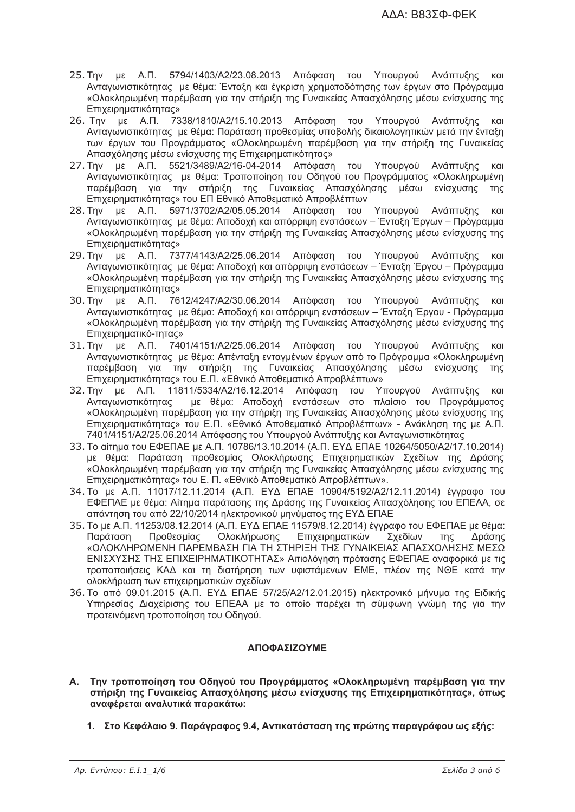- 25. Την με Α.Π. 5794/1403/Α2/23.08.2013 Απόφαση του Υπουργού Ανάπτυξης και Ανταγωνιστικότητας με θέμα: Ένταξη και έγκριση χρηματοδότησης των έργων στο Πρόγραμμα «Ολοκληρωμένη παρέμβαση για την στήριξη της Γυναικείας Απασχόλησης μέσω ενίσχυσης της Eπιχειρηματικότητας»
- 26. Την με Α.Π. 7338/1810/Α2/15.10.2013 Απόφαση του Υπουργού Ανάπτυξης και Ανταγωνιστικότητας με θέμα: Παράταση προθεσμίας υποβολής δικαιολογητικών μετά την ένταξη των έργων του Προγράμματος «Ολοκληρωμένη παρέμβαση για την στήριξη της Γυναικείας Απασχόλησης μέσω ενίσχυσης της Επιχειρηματικότητας»
- 27. Την με Α.Π. 5521/3489/Α2/16-04-2014 Απόφαση του Υπουργού Ανάπτυξης και Ανταγωνιστικότητας με θέμα: Τροποποίηση του Οδηγού του Προγράμματος «Ολοκληρωμένη παρέμβαση για την στήριξη της Γυναικείας Απασχόλησης μέσω ενίσχυσης της Επιχειρηματικότητας» του ΕΠ Εθνικό Αποθεματικό Απροβλέπτων
- 28. Την με Α.Π. 5971/3702/Α2/05.05.2014 Απόφαση του Υπουργού Ανάπτυξης και Ανταγωνιστικότητας με θέμα: Αποδοχή και απόρριψη ενστάσεων – Ένταξη Έργων – Πρόγραμμα «Ολοκληρωμένη παρέμβαση για την στήριξη της Γυναικείας Απασχόλησης μέσω ενίσχυσης της Eπιχειρηματικότητας»
- 29. Tnv με Α.Π. 7377/4143/Α2/25.06.2014 Απόφαση του Υπουργού Ανάπτυξης και Ανταγωνιστικότητας με θέμα: Αποδοχή και απόρριψη ενστάσεων – Ένταξη Έργου – Πρόγραμμα «Ολοκληρωμένη παρέμβαση για την στήριξη της Γυναικείας Απασχόλησης μέσω ενίσχυσης της Eπιχειρηματικότητας»
- 30. με Α.Π. 7612/4247/Α2/30.06.2014 Απόφαση του Υπουρνού Ανάπτυξης Ανταγωνιστικότητας με θέμα: Αποδοχή και απόρριψη ενστάσεων – Ένταξη Έργου - Πρόγραμμα «Ολοκληρωμένη παρέμβαση για την στήριξη της Γυναικείας Απασχόλησης μέσω ενίσχυσης της Επιχειρηματικό-τητας»
- 31. με Α.Π. 7401/4151/Α2/25.06.2014 Απόφαση του Υπουργού Ανάπτυξης και Ανταγωνιστικότητας με θέμα: Απένταξη ενταγμένων έργων από το Πρόγραμμα «Ολοκληρωμένη παρέμβαση για την στήριξη της Γυναικείας Απασχόλησης μέσω ενίσχυσης της Επιχειρηματικότητας» του Ε.Π. «Εθνικό Αποθεματικό Απροβλέπτων»
- 32. Την με Α.Π. 11811/5334/Α2/16.12.2014 Απόφαση του Υπουργού Ανάπτυξης και Ανταγωνιστικότητας ε θέμα: Αποδοχή ενστάσεων στο πλαίσιο του Προγράμματος «Ολοκληρωμένη παρέμβαση για την στήριξη της Γυναικείας Απασχόλησης μέσω ενίσχυσης της Επιχειρηματικότητας» του Ε.Π. «Εθνικό Αποθεματικό Απροβλέπτων» - Ανάκληση της με Α.Π. 7401/4151/Α2/25.06.2014 Απόφασης του Υπουργού Ανάπτυξης και Ανταγωνιστικότητας
- 33. Το αίτημα του ΕΦΕΠΑΕ με Α.Π. 10786/13.10.2014 (Α.Π. ΕΥΔ ΕΠΑΕ 10264/5050/Α2/17.10.2014) με θέμα: Παράταση προθεσμίας Ολοκλήρωσης Επιχειρηματικών Σχεδίων της Δράσης «Ολοκληρωμένη παρέμβαση για την στήριξη της Γυναικείας Απασχόλησης μέσω ενίσχυσης της Επιχειρηματικότητας» του Ε. Π. «Εθνικό Αποθεματικό Απροβλέπτων».
- 34. Το με Α.Π. 11017/12.11.2014 (Α.Π. ΕΥΔ ΕΠΑΕ 10904/5192/Α2/12.11.2014) έγγραφο του ΕΦΕΠΑΕ με θέμα: Αίτημα παράτασης της Δράσης της Γυναικείας Απασχόλησης του ΕΠΕΑΑ, σε απάντηση του από 22/10/2014 ηλεκτρονικού μηνύματος της ΕΥΔ ΕΠΑΕ
- 35. Το με Α.Π. 11253/08.12.2014 (Α.Π. ΕΥΔ ΕΠΑΕ 11579/8.12.2014) έγγραφο του ΕΦΕΠΑΕ με θέμα: Παράταση Προθεσμίας Ολοκλήρωσης Επιχειρηματικών Σχεδίων της Δράσης «ΟΛΟΚΛΗΡΩΜΕΝΗ ΠΑΡΕΜΒΑΣΗ ΓΙΑ ΤΗ ΣΤΗΡΙΞΗ ΤΗΣ ΓΥΝΑΙΚΕΙΑΣ ΑΠΑΣΧΟΛΗΣΗΣ ΜΕΣΩ ΕΝΙΣΧΥΣΗΣ ΤΗΣ ΕΠΙΧΕΙΡΗΜΑΤΙΚΟΤΗΤΑΣ» Αιτιολόγηση πρότασης ΕΦΕΠΑΕ αναφορικά με τις τροποποιήσεις ΚΑΔ και τη διατήρηση των υφιστάμενων ΕΜΕ, πλέον της ΝΘΕ κατά την ολοκλήρωση των επιχειρηματικών σχεδίων
- 36. Το από 09.01.2015 (Α.Π. ΕΥΔ ΕΠΑΕ 57/25/Α2/12.01.2015) ηλεκτρονικό μήνυμα της Ειδικής Υπηρεσίας Διαχείρισης του ΕΠΕΑΑ με το οποίο παρέχει τη σύμφωνη γνώμη της για την προτεινόμενη τροποποίηση του Οδηγού.

# **= -**

- Α. Την τροποποίηση του Οδηγού του Προγράμματος «Ολοκληρωμένη παρέμβαση για την στήριξη της Γυναικείας Απασχόλησης μέσω ενίσχυσης της Επιχειρηματικότητας», όπως **αναφέρεται αναλυτικά παρακάτω:** 
	- 1. Στο Κεφάλαιο 9. Παράνραφος 9.4. Αντικατάσταση της πρώτης παρανράφου ως εξής;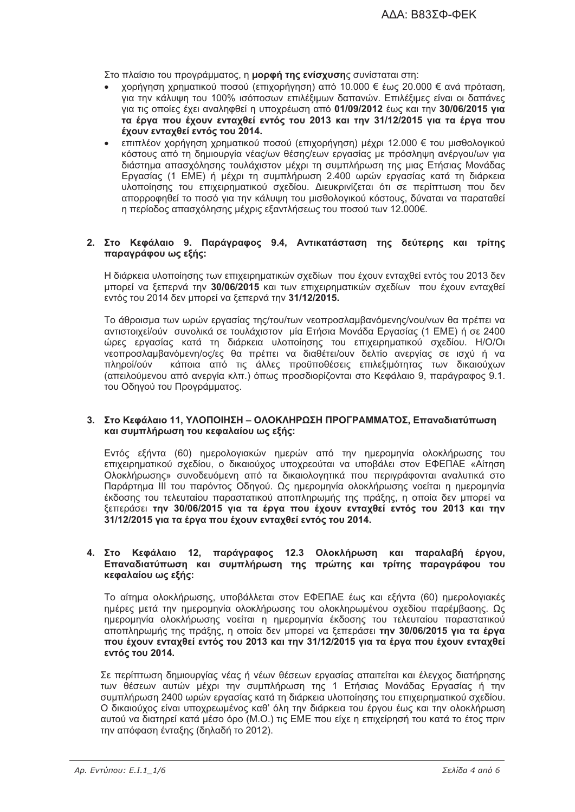Στο πλαίσιο του προγράμματος, η μορφή της ενίσχυσης συνίσταται στη:

- χορήγηση χρηματικού ποσού (επιχορήγηση) από 10.000 € έως 20.000 € ανά πρόταση, για την κάλυψη του 100% ισόποσων επιλέξιμων δαπανών. Επιλέξιμες είναι οι δαπάνες για τις οποίες έχει αναληφθεί η υποχρέωση από 01/09/2012 έως και την 30/06/2015 για τα έργα που έχουν ενταχθεί εντός του 2013 και την 31/12/2015 για τα έργα που έχουν ενταχθεί εντός του 2014.
- επιπλέον χορήγηση χρηματικού ποσού (επιχορήγηση) μέχρι 12.000 € του μισθολογικού κόστους από τη δημιουργία νέας/ων θέσης/εων εργασίας με πρόσληψη ανέργου/ων για διάστημα απασχόλησης τουλάχιστον μέχρι τη συμπλήρωση της μιας Ετήσιας Μονάδας Εργασίας (1 ΕΜΕ) ή μέχρι τη συμπλήρωση 2.400 ωρών εργασίας κατά τη διάρκεια υλοποίησης του επιχειρηματικού σχεδίου. Διευκρινίζεται ότι σε περίπτωση που δεν απορροφηθεί το ποσό για την κάλυψη του μισθολογικού κόστους, δύναται να παραταθεί η περίοδος απασχόλησης μέχρις εξαντλήσεως του ποσού των 12.000€.

# 2. Στο Κεφάλαιο 9. Παράγραφος 9.4, Αντικατάσταση της δεύτερης και τρίτης παραγράφου ως εξής:

Η διάρκεια υλοποίησης των επιχειρηματικών σχεδίων που έχουν ενταχθεί εντός του 2013 δεν μπορεί να ξεπερνά την 30/06/2015 και των επιχειρηματικών σχεδίων που έχουν ενταχθεί εντός του 2014 δεν μπορεί να ξεπερνά την 31/12/2015.

Το άθροισμα των ωρών εργασίας της/του/των νεοπροσλαμβανόμενης/νου/νων θα πρέπει να αντιστοιχεί/ούν συνολικά σε τουλάχιστον μία Ετήσια Μονάδα Εργασίας (1 ΕΜΕ) ή σε 2400 ώρες εργασίας κατά τη διάρκεια υλοποίησης του επιχειρηματικού σχεδίου. Η/Ο/Οι νεοπροσλαμβανόμενη/ος/ες θα πρέπει να διαθέτει/ουν δελτίο ανεργίας σε ισχύ ή να πληροί/ούν κάποια από τις άλλες προϋποθέσεις επιλεξιμότητας των δικαιούχων (απειλούμενου από ανεργία κλπ.) όπως προσδιορίζονται στο Κεφάλαιο 9, παράγραφος 9.1. του Οδηνού του Προνράμματος.

### 3. Στο Κεφάλαιο 11. ΥΛΟΠΟΙΗΣΗ – ΟΛΟΚΛΗΡΩΣΗ ΠΡΟΓΡΑΜΜΑΤΟΣ. Επαναδιατύπωση και συμπλήρωση του κεφαλαίου ως εξής:

Εντός εξήντα (60) ημερολογιακών ημερών από την ημερομηνία ολοκλήρωσης του επιχειρηματικού σχεδίου, ο δικαιούχος υποχρεούται να υποβάλει στον ΕΦΕΠΑΕ «Αίτηση Ολοκλήρωσης» συνοδευόμενη από τα δικαιολογητικά που περιγράφονται αναλυτικά στο Παράρτημα ΙΙΙ του παρόντος Οδηγού. Ως ημερομηνία ολοκλήρωσης νοείται η ημερομηνία έκδοσης του τελευταίου παραστατικού αποπληρωμής της πράξης, η οποία δεν μπορεί να ξεπεράσει την 30/06/2015 για τα έργα που έχουν ενταχθεί εντός του 2013 και την 31/12/2015 για τα έργα που έχουν ενταχθεί εντός του 2014.

### 4. Στο Κεφάλαιο 12, παράγραφος 12.3 Ολοκλήρωση και παραλαβή έργου, Επαναδιατύπωση και συμπλήρωση της πρώτης και τρίτης παραγράφου του κεφαλαίου ως εξής:

Το αίτημα ολοκλήρωσης, υποβάλλεται στον ΕΦΕΠΑΕ έως και εξήντα (60) ημερολογιακές ημέρες μετά την ημερομηνία ολοκλήρωσης του ολοκληρωμένου σχεδίου παρέμβασης. Ως ημερομηνία ολοκλήρωσης νοείται η ημερομηνία έκδοσης του τελευταίου παραστατικού αποπληρωμής της πράξης, η οποία δεν μπορεί να ξεπεράσει την 30/06/2015 νια τα έρνα που έχουν ενταχθεί εντός του 2013 και την 31/12/2015 για τα έργα που έχουν ενταχθεί εντός του 2014.

Σε περίπτωση δημιουργίας νέας ή νέων θέσεων εργασίας απαιτείται και έλεγχος διατήρησης των θέσεων αυτών μέχρι την συμπλήρωση της 1 Ετήσιας Μονάδας Εργασίας ή την συμπλήρωση 2400 ωρών εργασίας κατά τη διάρκεια υλοποίησης του επιχειρηματικού σχεδίου. Ο δικαιούχος είναι υποχρεωμένος καθ' όλη την διάρκεια του έργου έως και την ολοκλήρωση αυτού να διατηρεί κατά μέσο όρο (Μ.Ο.) τις ΕΜΕ που είχε η επιχείρησή του κατά το έτος πριν την απόφαση ένταξης (δηλαδή το 2012).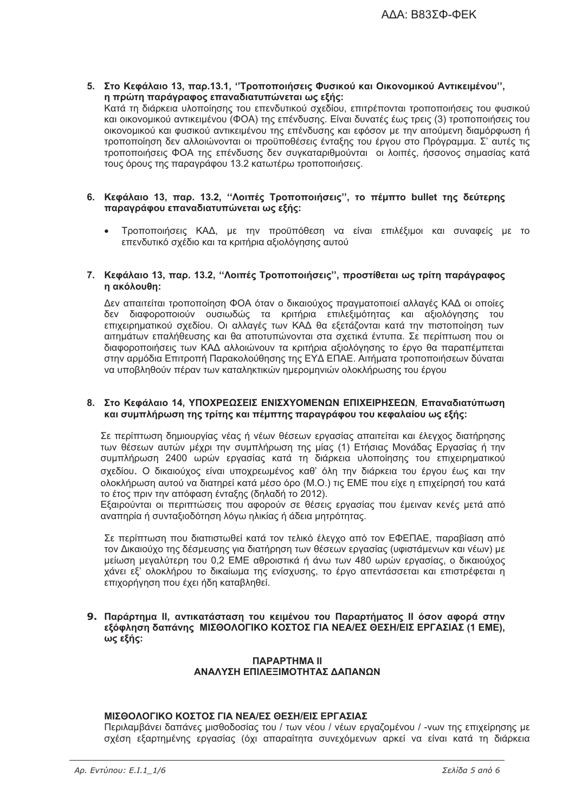5. Στο Κεφάλαιο 13, παρ.13.1, "Τροποποιήσεις Φυσικού και Οικονομικού Αντικειμένου", η πρώτη παράγραφος επαναδιατυπώνεται ως εξής: Κατά τη διάρκεια υλοποίησης του επενδυτικού σχεδίου, επιτρέπονται τροποποιήσεις του φυσικού και οικονομικού αντικειμένου (ΦΟΑ) της επένδυσης. Είναι δυνατές έως τρεις (3) τροποποιήσεις του οικονομικού και φυσικού αντικειμένου της επένδυσης και εφόσον με την αιτούμενη διαμόρφωση ή τροποποίηση δεν αλλοιώνονται οι προϋποθέσεις ένταξης του έργου στο Πρόγραμμα. Σ' αυτές τις τροποποιήσεις ΦΟΑ της επένδυσης δεν συγκαταριθμούνται οι λοιπές, ήσσονος σημασίας κατά

### 6. Κεφάλαιο 13, παρ. 13.2, "Λοιπές Τροποποιήσεις", το πέμπτο bullet της δεύτερης παρανράφου επαναδιατυπώνεται ως εξής:

τους όρους της παραγράφου 13.2 κατωτέρω τροποποιήσεις.

Τροποποιήσεις ΚΑΔ, με την προϋπόθεση να είναι επιλέξιμοι και συναφείς με το επενδυτικό σχέδιο και τα κριτήρια αξιολόνησης αυτού

# 7. Κεφάλαιο 13, παρ. 13.2, "Λοιπές Τροποποιήσεις", προστίθεται ως τρίτη παράγραφος η ακόλουθη:

Δεν απαιτείται τροποποίηση ΦΟΑ όταν ο δικαιούχος πραγματοποιεί αλλαγές ΚΑΔ οι οποίες δεν διαφοροποιούν ουσιωδώς τα κριτήρια επιλεξιμότητας και αξιολόγησης του επιχειρηματικού σχεδίου. Οι αλλαγές των ΚΑΔ θα εξετάζονται κατά την πιστοποίηση των αιτημάτων επαλήθευσης και θα αποτυπώνονται στα σχετικά έντυπα. Σε περίπτωση που οι διαφοροποιήσεις των ΚΑΔ αλλοιώνουν τα κριτήρια αξιολόγησης το έργο θα παραπέμπεται στην αρμόδια Επιτροπή Παρακολούθησης της ΕΥΔ ΕΠΑΕ. Αιτήματα τροποποιήσεων δύναται να υποβληθούν πέραν των καταληκτικών ημερομηνιών ολοκλήρωσης του έργου

### 8. Στο Κεφάλαιο 14, ΥΠΟΧΡΕΩΣΕΙΣ ΕΝΙΣΧΥΟΜΕΝΩΝ ΕΠΙΧΕΙΡΗΣΕΩΝ, Επαναδιατύπωση και συμπλήρωση της τρίτης και πέμπτης παραγράφου του κεφαλαίου ως εξής:

Σε περίπτωση δημιουργίας νέας ή νέων θέσεων εργασίας απαιτείται και έλεγχος διατήρησης των θέσεων αυτών μέχρι την συμπλήρωση της μίας (1) Ετήσιας Μονάδας Εργασίας ή την συμπλήρωση 2400 ωρών εργασίας κατά τη διάρκεια υλοποίησης του επιχειρηματικού σχεδίου. Ο δικαιούχος είναι υποχρεωμένος καθ' όλη την διάρκεια του έρνου έως και την ολοκλήρωση αυτού να διατηρεί κατά μέσο όρο (M.O.) τις ΕΜΕ που είχε η επιχείρησή του κατά το έτος πριν την απόφαση ένταξης (δηλαδή το 2012).

Εξαιρούνται οι περιπτώσεις που αφορούν σε θέσεις εργασίας που έμειναν κενές μετά από αναπηρία ή συνταξιοδότηση λόγω ηλικίας ή άδεια μητρότητας.

Σε περίπτωση που διαπιστωθεί κατά τον τελικό έλεγχο από τον ΕΦΕΠΑΕ, παραβίαση από τον Δικαιούχο της δέσμευσης για διατήρηση των θέσεων εργασίας (υφιστάμενων και γέων) με μείωση μεγαλύτερη του 0,2 ΕΜΕ αθροιστικά ή άνω των 480 ωρών εργασίας, ο δικαιούχος χάνει εξ' ολοκλήρου το δικαίωμα της ενίσχυσης, το έργο απεντάσσεται και επιστρέφεται η επιχορήγηση που έχει ήδη καταβληθεί.

# 9. Παράρτημα ΙΙ, αντικατάσταση του κειμένου του Παραρτήματος ΙΙ όσον αφορά στην εξόφληση δαπάνης ΜΙΣΘΟΛΟΓΙΚΟ ΚΟΣΤΟΣ ΓΙΑ ΝΕΑ/ΕΣ ΘΕΣΗ/ΕΙΣ ΕΡΓΑΣΙΑΣ (1 ΕΜΕ), ως εξής:

### **ПАРАРТНМА II** ΑΝΑΛΥΣΗ ΕΠΙΛΕΞΙΜΟΤΗΤΑΣ ΔΑΠΑΝΟΝ

# ΜΙΣΘΟΛΟΓΙΚΟ ΚΟΣΤΟΣ ΓΙΑ ΝΕΑ/ΕΣ ΘΕΣΗ/ΕΙΣ ΕΡΓΑΣΙΑΣ

Περιλαμβάνει δαπάνες μισθοδοσίας του / των νέου / νέων εργαζομένου / -νων της επιχείρησης με σχέση εξαρτημένης εργασίας (όχι απαραίτητα συνεχόμενων αρκεί να είναι κατά τη διάρκεια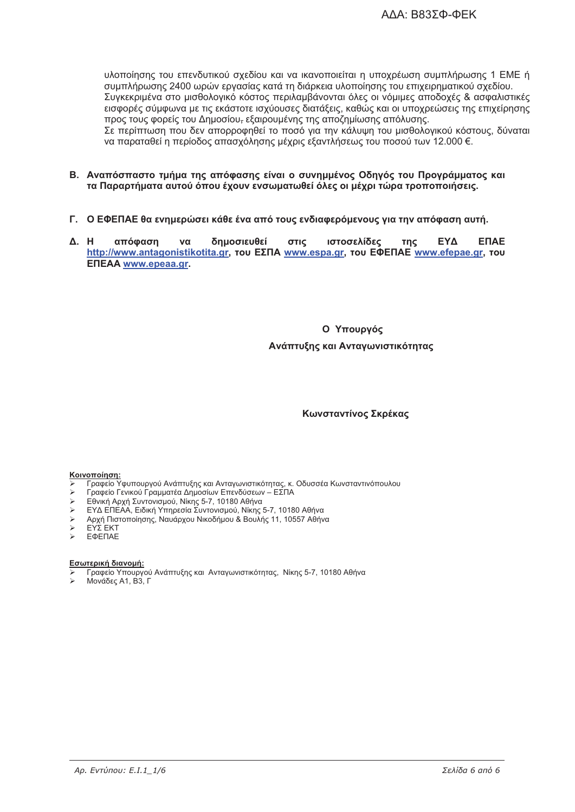υλοποίησης του επενδυτικού σχεδίου και να ικανοποιείται η υποχρέωση συμπλήρωσης 1 ΕΜΕ ή συμπλήρωσης 2400 ωρών εργασίας κατά τη διάρκεια υλοποίησης του επιχειρηματικού σχεδίου. Συγκεκριμένα στο μισθολογικό κόστος περιλαμβάνονται όλες οι νόμιμες αποδοχές & ασφαλιστικές εισφορές σύμφωνα με τις εκάστοτε ισχύουσες διατάξεις, καθώς και οι υποχρεώσεις της επιχείρησης προς τους φορείς του Δημοσίου<del>,</del> εξαιρουμένης της αποζημίωσης απόλυσης. Σε περίπτωση που δεν απορροφηθεί το ποσό για την κάλυψη του μισθολογικού κόστους, δύναται να παραταθεί η περίοδος απασχόλησης μέχρις εξαντλήσεως του ποσού των 12.000 €.

- Β. Αναπόσπαστο τμήμα της απόφασης είναι ο συνημμένος Οδηνός του Προνράμματος και τα Παραρτήματα αυτού όπου έχουν ενσωματωθεί όλες οι μέχρι τώρα τροποποιήσεις.
- Γ. Ο ΕΦΕΠΑΕ θα ενημερώσει κάθε ένα από τους ενδιαφερόμενους για την απόφαση αυτή.
- $\Delta$ . H απόφαση δημοσιευθεί  $\sigma$ TIC ιστοσελίδες ΕΥΔ **ENAE**  $\mathbf{v}$  $inc$ http://www.antagonistikotita.gr, Tou EXTIA www.espa.gr, Tou EQETIAE www.efepae.gr, Tou **ENEAA** www.epeaa.gr.

### Ο Υπουργός

### Ανάπτυξης και Αντανωνιστικότητας

# Κωνσταντίνος Σκρέκας

### Κοινοποίηση:

- Γραφείο Υφυπουργού Ανάπτυξης και Ανταγωνιστικότητας, κ. Οδυσσέα Κωνσταντινόπουλου
- Γραφείο Γενικού Γραμματέα Δημοσίων Επενδύσεων ΕΣΠΑ
- $\blacktriangleright$ Εθνική Αρχή Συντονισμού, Νίκης 5-7, 10180 Αθήνα
- ΕΥΔ ΕΠΕΑΑ, Ειδική Υπηρεσία Συντονισμού, Νίκης 5-7, 10180 Αθήνα
- Αρχή Πιστοποίησης, Ναυάρχου Νικοδήμου & Βουλής 11, 10557 Αθήνα
- EΥΣ EKT
- ЕФЕПАЕ

### Εσωτερική διανομή:

- τιτρική τιπιτριμή.<br>Γραφείο Υπουργού Ανάπτυξης και Ανταγωνιστικότητας, Νίκης 5-7, 10180 Αθήνα
- Μονάδες Α1, Β3, Γ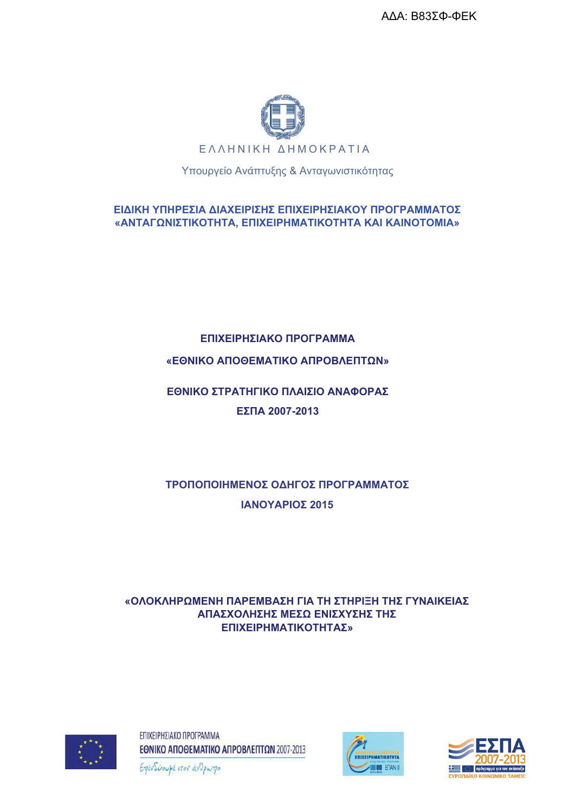ΑΔΑ: Β83ΣΦ-ΦΕΚ



Υπουργείο Ανάπτυξης & Ανταγωνιστικότητας

ΕΙΔΙΚΗ ΥΠΗΡΕΣΙΑ ΔΙΑΧΕΙΡΙΣΗΣ ΕΠΙΧΕΙΡΗΣΙΑΚΟΥ ΠΡΟΓΡΑΜΜΑΤΟΣ «ΑΝΤΑΓΩΝΙΣΤΙΚΟΤΗΤΑ, ΕΠΙΧΕΙΡΗΜΑΤΙΚΟΤΗΤΑ ΚΑΙ ΚΑΙΝΟΤΟΜΙΑ»

# ΕΠΙΧΕΙΡΗΣΙΑΚΟ ΠΡΟΓΡΑΜΜΑ

# «ΕΘΝΙΚΟ ΑΠΟΘΕΜΑΤΙΚΟ ΑΠΡΟΒΛΕΠΤΩΝ»

# ΕΘΝΙΚΟ ΣΤΡΑΤΗΓΙΚΟ ΠΛΑΙΣΙΟ ΑΝΑΦΟΡΑΣ ΕΣΠΑ 2007-2013

# ΤΡΟΠΟΠΟΙΗΜΕΝΟΣ ΟΔΗΓΟΣ ΠΡΟΓΡΑΜΜΑΤΟΣ ΙΑΝΟΥΑΡΙΟΣ 2015

# «ΟΛΟΚΛΗΡΩΜΕΝΗ ΠΑΡΕΜΒΑΣΗ ΓΙΑ ΤΗ ΣΤΗΡΙΞΗ ΤΗΣ ΓΥΝΑΙΚΕΙΑΣ ΑΠΑΣΧΟΛΗΣΗΣ ΜΕΣΩ ΕΝΙΣΧΥΣΗΣ ΤΗΣ ΕΠΙΧΕΙΡΗΜΑΤΙΚΟΤΗΤΑΣ»



ΕΠΙΧΕΙΡΗΣΙΑΚΟ ΠΡΟΓΡΑΜΜΑ ΕΘΝΙΚΟ ΑΠΟΘΕΜΑΤΙΚΟ ΑΠΡΟΒΛΕΠΤΩΝ 2007-2013





Επενδύουμε στον άνθρωπο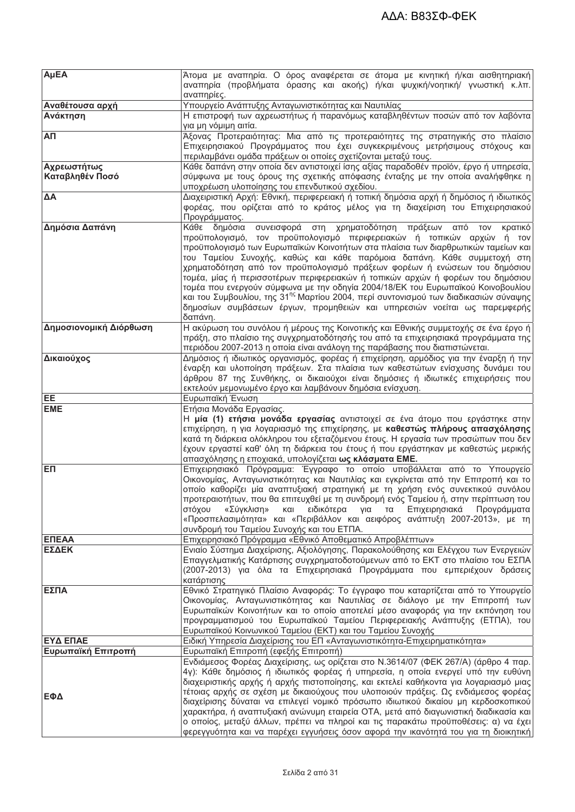| AµEA                           | Άτομα με αναπηρία. Ο όρος αναφέρεται σε άτομα με κινητική ή/και αισθητηριακή<br>αναπηρία (προβλήματα όρασης και ακοής) ή/και ψυχική/νοητική/ γνωστική κ.λπ.<br>αναπηρίες.                                                                                                                                                                                                                                                                                                                                                                                                                                                                                                                                                                                                  |  |  |
|--------------------------------|----------------------------------------------------------------------------------------------------------------------------------------------------------------------------------------------------------------------------------------------------------------------------------------------------------------------------------------------------------------------------------------------------------------------------------------------------------------------------------------------------------------------------------------------------------------------------------------------------------------------------------------------------------------------------------------------------------------------------------------------------------------------------|--|--|
| Αναθέτουσα αρχή                | Υπουργείο Ανάπτυξης Ανταγωνιστικότητας και Ναυτιλίας                                                                                                                                                                                                                                                                                                                                                                                                                                                                                                                                                                                                                                                                                                                       |  |  |
| Ανάκτηση                       | Η επιστροφή των αχρεωστήτως ή παρανόμως καταβληθέντων ποσών από τον λαβόντα<br>για μη νόμιμη αιτία.                                                                                                                                                                                                                                                                                                                                                                                                                                                                                                                                                                                                                                                                        |  |  |
| АП                             | Άξονας Προτεραιότητας: Μια από τις προτεραιότητες της στρατηγικής στο πλαίσιο<br>Επιχειρησιακού Προγράμματος που έχει συγκεκριμένους μετρήσιμους στόχους και<br>περιλαμβάνει ομάδα πράξεων οι οποίες σχετίζονται μεταξύ τους.                                                                                                                                                                                                                                                                                                                                                                                                                                                                                                                                              |  |  |
| Αχρεωστήτως<br>Καταβληθέν Ποσό | Κάθε δαπάνη στην οποία δεν αντιστοιχεί ίσης αξίας παραδοθέν προϊόν, έργο ή υπηρεσία,<br>σύμφωνα με τους όρους της σχετικής απόφασης ένταξης με την οποία αναλήφθηκε η<br>υποχρέωση υλοποίησης του επενδυτικού σχεδίου.                                                                                                                                                                                                                                                                                                                                                                                                                                                                                                                                                     |  |  |
| ΔΑ                             | Διαχειριστική Αρχή: Εθνική, περιφερειακή ή τοπική δημόσια αρχή ή δημόσιος ή ιδιωτικός<br>φορέας, που ορίζεται από το κράτος μέλος για τη διαχείριση του Επιχειρησιακού<br>Προγράμματος.                                                                                                                                                                                                                                                                                                                                                                                                                                                                                                                                                                                    |  |  |
| Δημόσια Δαπάνη                 | Κάθε δημόσια<br>συνεισφορά στη<br>χρηματοδότηση πράξεων<br>από<br>κρατικό<br><b>TOV</b><br>προϋπολογισμό, τον προϋπολογισμό περιφερειακών ή τοπικών αρχών ή τον<br>προϋπολογισμό των Ευρωπαϊκών Κοινοτήτων στα πλαίσια των διαρθρωτικών ταμείων και<br>του Ταμείου Συνοχής, καθώς και κάθε παρόμοια δαπάνη. Κάθε συμμετοχή στη<br>χρηματοδότηση από τον προϋπολογισμό πράξεων φορέων ή ενώσεων του δημόσιου<br>τομέα, μίας ή περισσοτέρων περιφερειακών ή τοπικών αρχών ή φορέων του δημόσιου<br>τομέα που ενεργούν σύμφωνα με την οδηγία 2004/18/ΕΚ του Ευρωπαϊκού Κοινοβουλίου<br>και του Συμβουλίου, της 31 <sup>ης</sup> Μαρτίου 2004, περί συντονισμού των διαδικασιών σύναψης<br>δημοσίων συμβάσεων έργων, προμηθειών και υπηρεσιών νοείται ως παρεμφερής<br>δαπάνη. |  |  |
| Δημοσιονομική Διόρθωση         | Η ακύρωση του συνόλου ή μέρους της Κοινοτικής και Εθνικής συμμετοχής σε ένα έργο ή<br>πράξη, στο πλαίσιο της συγχρηματοδότησής του από τα επιχειρησιακά προγράμματα της<br>περιόδου 2007-2013 η οποία είναι ανάλογη της παράβασης που διαπιστώνεται.                                                                                                                                                                                                                                                                                                                                                                                                                                                                                                                       |  |  |
| Δικαιούχος                     | Δημόσιος ή ιδιωτικός οργανισμός, φορέας ή επιχείρηση, αρμόδιος για την έναρξη ή την<br>έναρξη και υλοποίηση πράξεων. Στα πλαίσια των καθεστώτων ενίσχυσης δυνάμει του<br>άρθρου 87 της Συνθήκης, οι δικαιούχοι είναι δημόσιες ή ιδιωτικές επιχειρήσεις που<br>εκτελούν μεμονωμένο έργο και λαμβάνουν δημόσια ενίσχυση.                                                                                                                                                                                                                                                                                                                                                                                                                                                     |  |  |
| EE                             | Ευρωπαϊκή Ένωση                                                                                                                                                                                                                                                                                                                                                                                                                                                                                                                                                                                                                                                                                                                                                            |  |  |
| <b>EME</b>                     | Ετήσια Μονάδα Εργασίας.<br>Η <b>μία (1) ετήσια μονάδα εργασίας</b> αντιστοιχεί σε ένα άτομο που εργάστηκε στην                                                                                                                                                                                                                                                                                                                                                                                                                                                                                                                                                                                                                                                             |  |  |
|                                | επιχείρηση, η για λογαριασμό της επιχείρησης, με καθεστώς πλήρους απασχόλησης<br>κατά τη διάρκεια ολόκληρου του εξεταζόμενου έτους. Η εργασία των προσώπων που δεν<br>έχουν εργαστεί καθ' όλη τη διάρκεια του έτους ή που εργάστηκαν με καθεστώς μερικής<br>απασχόλησης η εποχιακά, υπολογίζεται <b>ως κλάσματα ΕΜΕ.</b>                                                                                                                                                                                                                                                                                                                                                                                                                                                   |  |  |
| EП                             | Επιχειρησιακό Πρόγραμμα: Έγγραφο το οποίο υποβάλλεται από το Υπουργείο<br>Οικονομίας, Ανταγωνιστικότητας και Ναυτιλίας και εγκρίνεται από την Επιτροπή και το<br>οποίο καθορίζει μία αναπτυξιακή στρατηγική με τη χρήση ενός συνεκτικού συνόλου<br>προτεραιοτήτων, που θα επιτευχθεί με τη συνδρομή ενός Ταμείου ή, στην περίπτωση του<br>και ειδικότερα για τα Επιχειρησιακά Προγράμματα<br>στόχου<br>«Σύγκλιση»<br>«Προσπελασιμότητα» και «Περιβάλλον και αειφόρος ανάπτυξη 2007-2013», με τη<br>συνδρομή του Ταμείου Συνοχής και του ΕΤΠΑ.                                                                                                                                                                                                                              |  |  |
| ΕΠΕΑΑ                          | Επιχειρησιακό Πρόγραμμα «Εθνικό Αποθεματικό Απροβλέπτων»                                                                                                                                                                                                                                                                                                                                                                                                                                                                                                                                                                                                                                                                                                                   |  |  |
| ΕΣΔΕΚ                          | Ενιαίο Σύστημα Διαχείρισης, Αξιολόγησης, Παρακολούθησης και Ελέγχου των Ενεργειών<br>Επαγγελματικής Κατάρτισης συγχρηματοδοτούμενων από το ΕΚΤ στο πλαίσιο του ΕΣΠΑ<br>(2007-2013) για όλα τα Επιχειρησιακά Προγράμματα που εμπεριέχουν δράσεις                                                                                                                                                                                                                                                                                                                                                                                                                                                                                                                            |  |  |
| ΕΣΠΑ                           | κατάρτισης<br>Εθνικό Στρατηγικό Πλαίσιο Αναφοράς: Το έγγραφο που καταρτίζεται από το Υπουργείο<br>Οικονομίας, Ανταγωνιστικότητας και Ναυτιλίας σε διάλογο με την Επιτροπή των<br>Ευρωπαϊκών Κοινοτήτων και το οποίο αποτελεί μέσο αναφοράς για την εκπόνηση του<br>προγραμματισμού του Ευρωπαϊκού Ταμείου Περιφερειακής Ανάπτυξης (ΕΤΠΑ), του<br>Ευρωπαϊκού Κοινωνικού Ταμείου (ΕΚΤ) και του Ταμείου Συνοχής                                                                                                                                                                                                                                                                                                                                                               |  |  |
| ΕΥΔ ΕΠΑΕ                       | Ειδική Υπηρεσία Διαχείρισης του ΕΠ «Ανταγωνιστικότητα-Επιχειρηματικότητα»                                                                                                                                                                                                                                                                                                                                                                                                                                                                                                                                                                                                                                                                                                  |  |  |
| Ευρωπαϊκή Επιτροπή             | Ευρωπαϊκή Επιτροπή (εφεξής Επιτροπή)                                                                                                                                                                                                                                                                                                                                                                                                                                                                                                                                                                                                                                                                                                                                       |  |  |
| ΕΦΔ                            | Ενδιάμεσος Φορέας Διαχείρισης, ως ορίζεται στο Ν.3614/07 (ΦΕΚ 267/Α) (άρθρο 4 παρ.<br>4γ): Κάθε δημόσιος ή ιδιωτικός φορέας ή υπηρεσία, η οποία ενεργεί υπό την ευθύνη<br>διαχειριστικής αρχής ή αρχής πιστοποίησης, και εκτελεί καθήκοντα για λογαριασμό μιας<br>τέτοιας αρχής σε σχέση με δικαιούχους που υλοποιούν πράξεις. Ως ενδιάμεσος φορέας<br>διαχείρισης δύναται να επιλεγεί νομικό πρόσωπο ιδιωτικού δικαίου μη κερδοσκοπικού<br>χαρακτήρα, ή αναπτυξιακή ανώνυμη εταιρεία ΟΤΑ, μετά από διαγωνιστική διαδικασία και<br>ο οποίος, μεταξύ άλλων, πρέπει να πληροί και τις παρακάτω προϋποθέσεις: α) να έχει                                                                                                                                                      |  |  |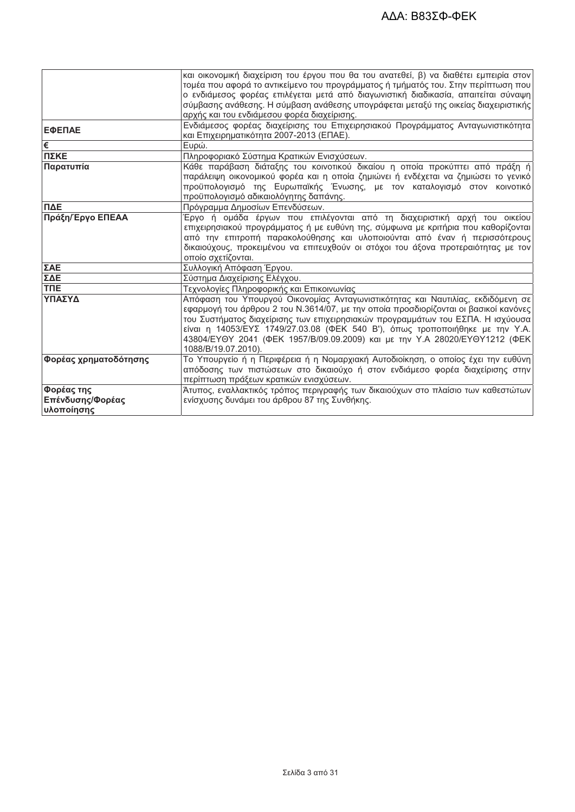|                       | ικαι οικονομική διαχείριση του έργου που θα του ανατεθεί, β) να διαθέτει εμπειρία στον |  |  |  |
|-----------------------|----------------------------------------------------------------------------------------|--|--|--|
|                       | τομέα που αφορά το αντικείμενο του προγράμματος ή τμήματός του. Στην περίπτωση που     |  |  |  |
|                       | ο ενδιάμεσος φορέας επιλέγεται μετά από διαγωνιστική διαδικασία, απαιτείται σύναψη     |  |  |  |
|                       | σύμβασης ανάθεσης. Η σύμβαση ανάθεσης υπογράφεται μεταξύ της οικείας διαχειριστικής    |  |  |  |
|                       | αρχής και του ενδιάμεσου φορέα διαχείρισης.                                            |  |  |  |
| ΕΦΕΠΑΕ                | Ενδιάμεσος φορέας διαχείρισης του Επιχειρησιακού Προγράμματος Ανταγωνιστικότητα        |  |  |  |
|                       | και Επιχειρηματικότητα 2007-2013 (ΕΠΑΕ).                                               |  |  |  |
| I€                    | Ευρώ.                                                                                  |  |  |  |
| ΠΣΚΕ                  | Πληροφοριακό Σύστημα Κρατικών Ενισχύσεων.                                              |  |  |  |
| Παρατυπία             | Κάθε παράβαση διάταξης του κοινοτικού δικαίου η οποία προκύπτει από πράξη ή            |  |  |  |
|                       | παράλειψη οικονομικού φορέα και η οποία ζημιώνει ή ενδέχεται να ζημιώσει το γενικό     |  |  |  |
|                       | προϋπολογισμό της Ευρωπαϊκής Ένωσης, με τον καταλογισμό στον κοινοτικό                 |  |  |  |
|                       | προϋπολογισμό αδικαιολόγητης δαπάνης.                                                  |  |  |  |
| ПДЕ                   | Πρόγραμμα Δημοσίων Επενδύσεων.                                                         |  |  |  |
| Πράξη/Έργο ΕΠΕΑΑ      | Έργο ή ομάδα έργων που επιλέγονται από τη διαχειριστική αρχή του οικείου               |  |  |  |
|                       | επιχειρησιακού προγράμματος ή με ευθύνη της, σύμφωνα με κριτήρια που καθορίζονται      |  |  |  |
|                       | από την επιτροπή παρακολούθησης και υλοποιούνται από έναν ή περισσότερους              |  |  |  |
|                       | δικαιούχους, προκειμένου να επιτευχθούν οι στόχοι του άξονα προτεραιότητας με τον      |  |  |  |
|                       | οποίο σχετίζονται.                                                                     |  |  |  |
| ΣΑΕ                   | Συλλογική Απόφαση Έργου.                                                               |  |  |  |
| ΣΔΕ                   | Σύστημα Διαχείρισης Ελέγχου.                                                           |  |  |  |
| <b>TNE</b>            | Τεχνολογίες Πληροφορικής και Επικοινωνίας                                              |  |  |  |
| ΥΠΑΣΥΔ                | Απόφαση του Υπουργού Οικονομίας Ανταγωνιστικότητας και Ναυτιλίας, εκδιδόμενη σε        |  |  |  |
|                       | εφαρμογή του άρθρου 2 του Ν.3614/07, με την οποία προσδιορίζονται οι βασικοί κανόνες   |  |  |  |
|                       | του Συστήματος διαχείρισης των επιχειρησιακών προγραμμάτων του ΕΣΠΑ. Η ισχύουσα        |  |  |  |
|                       | είναι η 14053/ΕΥΣ 1749/27.03.08 (ΦΕΚ 540 Β'), όπως τροποποιήθηκε με την Υ.Α.           |  |  |  |
|                       | 43804/ΕΥΘΥ 2041 (ΦΕΚ 1957/Β/09.09.2009) και με την Υ.Α 28020/ΕΥΘΥ1212 (ΦΕΚ             |  |  |  |
|                       | 1088/B/19.07.2010).                                                                    |  |  |  |
| Φορέας χρηματοδότησης | Το Υπουργείο ή η Περιφέρεια ή η Νομαρχιακή Αυτοδιοίκηση, ο οποίος έχει την ευθύνη      |  |  |  |
|                       | απόδοσης των πιστώσεων στο δικαιούχο ή στον ενδιάμεσο φορέα διαχείρισης στην           |  |  |  |
|                       | περίπτωση πράξεων κρατικών ενισχύσεων.                                                 |  |  |  |
| Φορέας της            | Άτυπος, εναλλακτικός τρόπος περιγραφής των δικαιούχων στο πλαίσιο των καθεστώτων       |  |  |  |
| Επένδυσης/Φορέας      | ενίσχυσης δυνάμει του άρθρου 87 της Συνθήκης.                                          |  |  |  |
| υλοποίησης            |                                                                                        |  |  |  |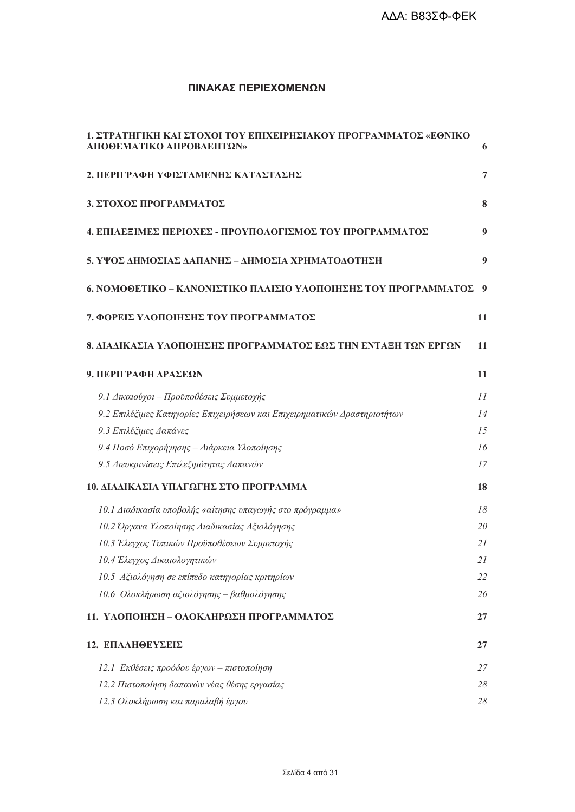# ΠΙΝΑΚΑΣ ΠΕΡΙΕΧΟΜΕΝΩΝ

| <u>1. ΣΤΡΑΤΗΓΙΚΗ ΚΑΙ ΣΤΟΧΟΙ ΤΟΥ ΕΠΙΧΕΙΡΗΣΙΑΚΟΥ ΠΡΟΓΡΑΜΜΑΤΟΣ «ΕΘΝΙΚΟ</u><br>ΑΠΟΘΕΜΑΤΙΚΟ ΑΠΡΟΒΛΕΠΤΩΝ» | 6                |
|-----------------------------------------------------------------------------------------------------|------------------|
| 2. ΠΕΡΙΓΡΑΦΗ ΥΦΙΣΤΑΜΕΝΗΣ ΚΑΤΑΣΤΑΣΗΣ                                                                 | 7                |
| 3. ΣΤΟΧΟΣ ΠΡΟΓΡΑΜΜΑΤΟΣ                                                                              | 8                |
| 4. ΕΠΙΛΕΞΙΜΕΣ ΠΕΡΙΟΧΕΣ - ΠΡΟΥΠΟΛΟΓΙΣΜΟΣ ΤΟΥ ΠΡΟΓΡΑΜΜΑΤΟΣ                                            | 9                |
| 5. ΥΨΟΣ ΔΗΜΟΣΙΑΣ ΔΑΠΑΝΗΣ – ΔΗΜΟΣΙΑ ΧΡΗΜΑΤΟΔΟΤΗΣΗ                                                    | $\boldsymbol{9}$ |
| 6. ΝΟΜΟΘΕΤΙΚΟ – ΚΑΝΟΝΙΣΤΙΚΟ ΠΛΑΙΣΙΟ ΥΛΟΠΟΙΗΣΗΣ ΤΟΥ ΠΡΟΓΡΑΜΜΑΤΟΣ                                     | - 9              |
| 7. ΦΟΡΕΙΣ ΥΛΟΠΟΙΗΣΗΣ ΤΟΥ ΠΡΟΓΡΑΜΜΑΤΟΣ                                                               | 11               |
| 8. ΔΙΑΔΙΚΑΣΙΑ ΥΛΟΠΟΙΗΣΗΣ ΠΡΟΓΡΑΜΜΑΤΟΣ ΕΩΣ ΤΗΝ ΕΝΤΑΞΗ ΤΩΝ ΕΡΓΩΝ                                      | 11               |
| 9. ΠΕΡΙΓΡΑΦΗ ΔΡΑΣΕΩΝ                                                                                | 11               |
| 9.1 Δικαιούχοι - Προϋποθέσεις Συμμετοχής                                                            | 11               |
| 9.2 Επιλέζιμες Κατηγορίες Επιχειρήσεων και Επιχειρηματικών Δραστηριοτήτων                           | 14               |
| 9.3 Επιλέξιμες Δαπάνες                                                                              | 15               |
| 9.4 Ποσό Επιχορήγησης - Διάρκεια Υλοποίησης                                                         | 16               |
| 9.5 Διευκρινίσεις Επιλεξιμότητας Δαπανών                                                            | 17               |
| 10. ΔΙΑΔΙΚΑΣΙΑ ΥΠΑΓΩΓΗΣ ΣΤΟ ΠΡΟΓΡΑΜΜΑ                                                               | 18               |
| 10.1 Διαδικασία υποβολής «αίτησης υπαγωγής στο πρόγραμμα»                                           | 18               |
| 10.2 Οργανα Υλοποίησης Διαδικασίας Αξιολόγησης                                                      | 20               |
| 10.3 Έλεγχος Τυπικών Προϋποθέσεων Συμμετοχής                                                        | 21               |
| 10.4 Έλεγχος Δικαιολογητικών                                                                        | 21               |
| 10.5 Αξιολόγηση σε επίπεδο κατηγορίας κριτηρίων                                                     | 22               |
| 10.6 Ολοκλήρωση αξιολόγησης – βαθμολόγησης                                                          | 26               |
| 11. ΥΛΟΠΟΙΗΣΗ - ΟΛΟΚΛΗΡΩΣΗ ΠΡΟΓΡΑΜΜΑΤΟΣ                                                             | 27               |
| 12. ΕΠΑΛΗΘΕΥΣΕΙΣ                                                                                    | 27               |
| 12.1 Εκθέσεις προόδου έργων – πιστοποίηση                                                           | 27               |
| 12.2 Πιστοποίηση δαπανών νέας θέσης εργασίας                                                        | 28               |
| 12.3 Ολοκλήρωση και παραλαβή έργου                                                                  | 28               |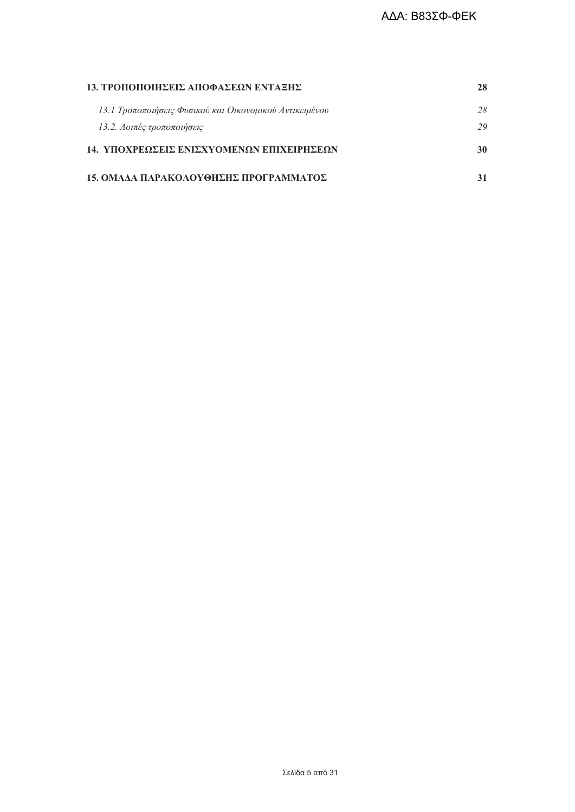| 13. ΤΡΟΠΟΠΟΙΗΣΕΙΣ ΑΠΟΦΑΣΕΩΝ ΕΝΤΑΞΗΣ                     | 28 |
|---------------------------------------------------------|----|
| 13.1 Τροποποιήσεις Φυσικού και Οικονομικού Αντικειμένου | 28 |
| 13.2. Λοιπές τροποποιήσεις                              | 29 |
| 14. ΥΠΟΧΡΕΩΣΕΙΣ ΕΝΙΣΧΥΟΜΕΝΩΝ ΕΠΙΧΕΙΡΗΣΕΩΝ               | 30 |
| 15. ΟΜΑΔΑ ΠΑΡΑΚΟΛΟΥΘΗΣΗΣ ΠΡΟΓΡΑΜΜΑΤΟΣ                   |    |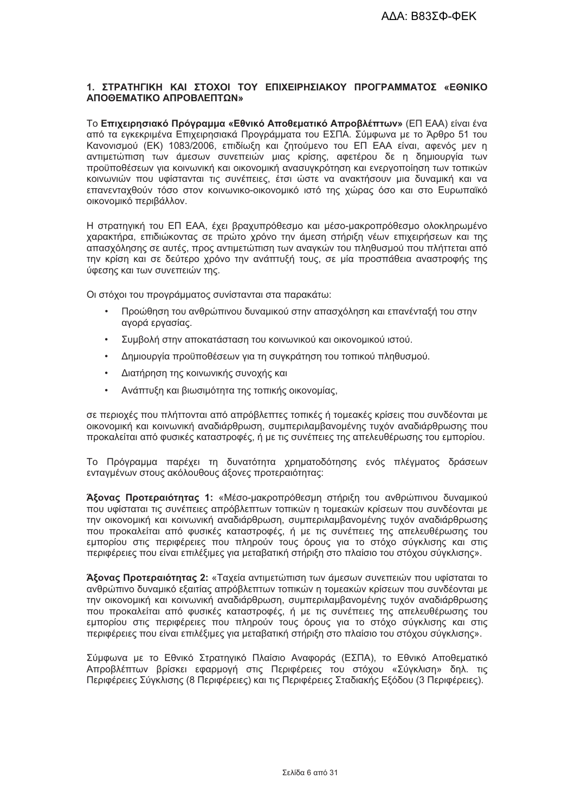# 1. ΣΤΡΑΤΗΓΙΚΗ ΚΑΙ ΣΤΟΧΟΙ ΤΟΥ ΕΠΙΧΕΙΡΗΣΙΑΚΟΥ ΠΡΟΓΡΑΜΜΑΤΟΣ «ΕΘΝΙΚΟ ΑΠΟΘΕΜΑΤΙΚΟ ΑΠΡΟΒΛΕΠΤΩΝ»

Το Επιχειρησιακό Πρόνραμμα «Εθνικό Αποθεματικό Απροβλέπτων» (ΕΠ ΕΑΑ) είναι ένα από τα εγκεκριμένα Επιχειρησιακά Προγράμματα του ΕΣΠΑ. Σύμφωνα με το Άρθρο 51 του Κανονισμού (ΕΚ) 1083/2006, επιδίωξη και ζητούμενο του ΕΠ ΕΑΑ είναι, αφενός μεν η αντιμετώπιση των άμεσων συνεπειών μιας κρίσης, αφετέρου δε η δημιουργία των προϋποθέσεων νια κοινωνική και οικονομική ανασυνκρότηση και ενερνοποίηση των τοπικών κοινωνιών που υφίστανται τις συνέπειες, έτσι ώστε να ανακτήσουν μια δυναμική και να επανενταχθούν τόσο στον κοινωνικο-οικονομικό ιστό της χώρας όσο και στο Ευρωπαϊκό οικονομικό περιβάλλον.

Η στρατηγική του ΕΠ ΕΑΑ, έχει βραχυπρόθεσμο και μέσο-μακροπρόθεσμο ολοκληρωμένο χαρακτήρα, επιδιώκοντας σε πρώτο χρόνο την άμεση στήριξη νέων επιχειρήσεων και της απασχόλησης σε αυτές, προς αντιμετώπιση των αναγκών του πληθυσμού που πλήττεται από την κρίση και σε δεύτερο χρόνο την ανάπτυξή τους, σε μία προσπάθεια αναστροφής της ύφεσης και των συνεπειών της.

Οι στόχοι του προγράμματος συνίστανται στα παρακάτω:

- Προώθηση του ανθρώπινου δυναμικού στην απασχόληση και επανένταξή του στην αγορά εργασίας.
- Συμβολή στην αποκατάσταση του κοινωνικού και οικονομικού ιστού.
- Δημιουργία προϋποθέσεων για τη συγκράτηση του τοπικού πληθυσμού.
- Διατήρηση της κοινωνικής συνοχής και  $\bullet$
- Ανάπτυξη και βιωσιμότητα της τοπικής οικονομίας,

σε περιοχές που πλήττονται από απρόβλεπτες τοπικές ή τομεακές κρίσεις που συνδέονται με οικονομική και κοινωνική αναδιάρθρωση, συμπεριλαμβανομένης τυχόν αναδιάρθρωσης που προκαλείται από φυσικές καταστροφές, ή με τις συνέπειες της απελευθέρωσης του εμπορίου.

Το Πρόγραμμα παρέχει τη δυνατότητα χρηματοδότησης ενός πλέγματος δράσεων ενταγμένων στους ακόλουθους άξονες προτεραιότητας:

Άξονας Προτεραιότητας 1: «Μέσο-μακροπρόθεσμη στήριξη του ανθρώπινου δυναμικού που υφίσταται τις συνέπειες απρόβλεπτων τοπικών η τομεακών κρίσεων που συνδέονται με την οικονομική και κοινωνική αναδιάρθρωση, συμπεριλαμβανομένης τυχόν αναδιάρθρωσης που προκαλείται από φυσικές καταστροφές, ή με τις συνέπειες της απελευθέρωσης του εμπορίου στις περιφέρειες που πληρούν τους όρους για το στόχο σύγκλισης και στις περιφέρειες που είναι επιλέξιμες για μεταβατική στήριξη στο πλαίσιο του στόχου σύγκλισης».

Άξονας Προτεραιότητας 2: «Ταχεία αντιμετώπιση των άμεσων συνεπειών που υφίσταται το ανθρώπινο δυναμικό εξαιτίας απρόβλεπτων τοπικών η τομεακών κρίσεων που συνδέονται με την οικονομική και κοινωνική αναδιάρθοωση, συμπεριλαμβανομένης τυχόν αναδιάρθοωσης που προκαλείται από φυσικές καταστροφές, ή με τις συνέπειες της απελευθέρωσης του εμπορίου στις περιφέρειες που πληρούν τους όρους για το στόχο σύγκλισης και στις περιφέρειες που είναι επιλέξιμες νια μεταβατική στήριξη στο πλαίσιο του στόχου σύνκλισης».

Σύμφωνα με το Εθνικό Στρατηγικό Πλαίσιο Αναφοράς (ΕΣΠΑ), το Εθνικό Αποθεματικό Απροβλέπτων βρίσκει εφαρμονή στις Περιφέρειες του στόχου «Σύγκλιση» δηλ. τις Περιφέρειες Σύγκλισης (8 Περιφέρειες) και τις Περιφέρειες Σταδιακής Εξόδου (3 Περιφέρειες).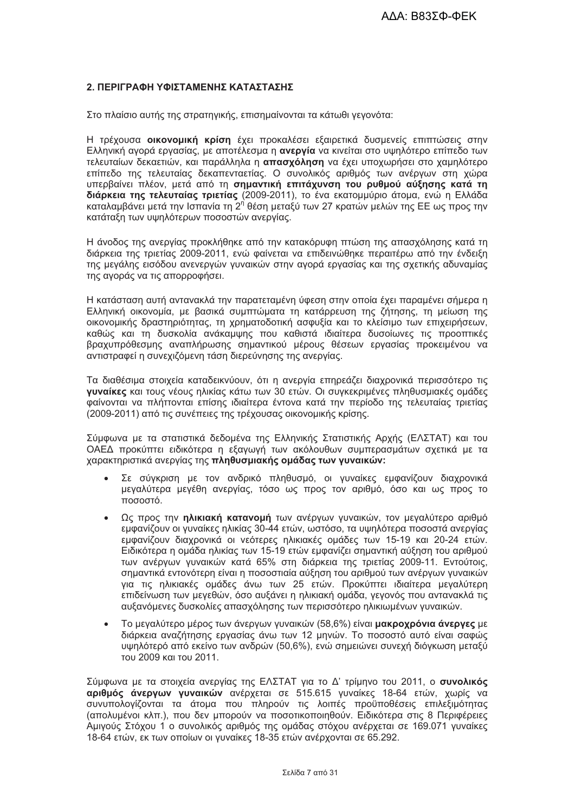# 2. ΠΕΡΙΓΡΑΦΗ ΥΦΙΣΤΑΜΕΝΗΣ ΚΑΤΑΣΤΑΣΗΣ

Στο πλαίσιο αυτής της στρατηγικής, επισημαίνονται τα κάτωθι γεγονότα:

Η τρέχουσα οικονομική κρίση έχει προκαλέσει εξαιρετικά δυσμενείς επιπτώσεις στην Ελληνική αγορά εργασίας, με αποτέλεσμα η ανεργία να κινείται στο υψηλότερο επίπεδο των τελευταίων δεκαετιών, και παράλληλα η απασχόληση να έχει υποχωρήσει στο χαμηλότερο επίπεδο της τελευταίας δεκαπενταετίας. Ο συνολικός αριθμός των ανέργων στη χώρα υπερβαίνει πλέον, μετά από τη σημαντική επιτάχυνση του ρυθμού αύξησης κατά τη διάρκεια της τελευταίας τριετίας (2009-2011), το ένα εκατομμύριο άτομα, ενώ η Ελλάδα καταλαμβάνει μετά την Ισπανία τη 2<sup>η</sup> θέση μεταξύ των 27 κρατών μελών της ΕΕ ως προς την κατάταξη των υψηλότερων ποσοστών ανεονίας.

Η άνοδος της ανεργίας προκλήθηκε από την κατακόρυφη πτώση της απασχόλησης κατά τη διάρκεια της τριετίας 2009-2011, ενώ φαίνεται να επιδεινώθηκε περαιτέρω από την ένδειξη της μεγάλης εισόδου ανενεργών γυναικών στην αγορά εργασίας και της σχετικής αδυναμίας της αγοράς να τις απορροφήσει.

Η κατάσταση αυτή αντανακλά την παρατεταμένη ύφεση στην οποία έχει παραμένει σήμερα η Ελληνική οικονομία, με βασικά συμπτώματα τη κατάρρευση της ζήτησης, τη μείωση της οικονομικής δραστηριότητας, τη χρηματοδοτική ασφυξία και το κλείσιμο των επιχειρήσεων, καθώς και τη δυσκολία ανάκαμψης που καθιστά ιδιαίτερα δυσοίωνες τις προοπτικές βραχυπρόθεσμης αναπλήρωσης σημαντικού μέρους θέσεων εργασίας προκειμένου να αντιστραφεί η συνεχιζόμενη τάση διερεύνησης της ανερνίας.

Τα διαθέσιμα στοιχεία καταδεικνύουν, ότι η ανεργία επηρεάζει διαχρονικά περισσότερο τις γυναίκες και τους νέους ηλικίας κάτω των 30 ετών. Οι συγκεκριμένες πληθυσμιακές ομάδες φαίνονται να πλήττονται επίσης ιδιαίτερα έντονα κατά την περίοδο της τελευταίας τριετίας (2009-2011) από τις συνέπειες της τρέχουσας οικονομικής κρίσης.

Σύμφωνα με τα στατιστικά δεδομένα της Ελληνικής Στατιστικής Αρχής (ΕΛΣΤΑΤ) και του ΟΑΕΔ προκύπτει ειδικότερα η εξαγωγή των ακόλουθων συμπερασμάτων σχετικά με τα χαρακτηριστικά ανεργίας της πληθυσμιακής ομάδας των γυναικών:

- Σε σύγκριση με τον ανδρικό πληθυσμό, οι γυναίκες εμφανίζουν διαχρονικά μεγαλύτερα μεγέθη ανεργίας, τόσο ως προς τον αριθμό, όσο και ως προς το ποσοστό.
- Ως προς την ηλικιακή κατανομή των ανέργων γυναικών, τον μεγαλύτερο αριθμό  $\bullet$ εμφανίζουν οι γυναίκες ηλικίας 30-44 ετών, ωστόσο, τα υψηλότερα ποσοστά ανεργίας εμφανίζουν διαχρονικά οι νεότερες ηλικιακές ομάδες των 15-19 και 20-24 ετών. Ειδικότερα η ομάδα ηλικίας των 15-19 ετών εμφανίζει σημαντική αύξηση του αριθμού των ανέργων γυναικών κατά 65% στη διάρκεια της τριετίας 2009-11. Εντούτοις, σημαντικά εντονότερη είναι η ποσοστιαία αύξηση του αριθμού των ανέργων γυναικών για τις ηλικιακές ομάδες άνω των 25 ετών. Προκύπτει ιδιαίτερα μεγαλύτερη επιδείνωση των μεγεθών, όσο αυξάνει η ηλικιακή ομάδα, γεγονός που αντανακλά τις αυξανόμενες δυσκολίες απασχόλησης των περισσότερο ηλικιωμένων νυναικών.
- Το μεγαλύτερο μέρος των άνεργων γυναικών (58,6%) είναι μακροχρόνια άνεργες με  $\bullet$ διάρκεια αναζήτησης εργασίας άνω των 12 μηνών. Το ποσοστό αυτό είναι σαφώς υψηλότερό από εκείνο των ανδρών (50,6%), ενώ σημειώνει συνεχή διόγκωση μεταξύ του 2009 και του 2011.

Σύμφωνα με τα στοιχεία ανερνίας της ΕΛΣΤΑΤ νια το Δ' τρίμηνο του 2011, ο συνολικός αριθμός άνεργων γυναικών ανέρχεται σε 515.615 γυναίκες 18-64 ετών, χωρίς να συνυπολογίζονται τα άτομα που πληρούν τις λοιπές προϋποθέσεις επιλεξιμότητας (απολυμένοι κλπ.), που δεν μπορούν να ποσοτικοποιηθούν. Ειδικότερα στις 8 Περιφέρειες Αμιγούς Στόχου 1 ο συνολικός αριθμός της ομάδας στόχου ανέρχεται σε 169.071 γυναίκες 18-64 ετών, εκ των οποίων οι γυναίκες 18-35 ετών ανέρχονται σε 65.292.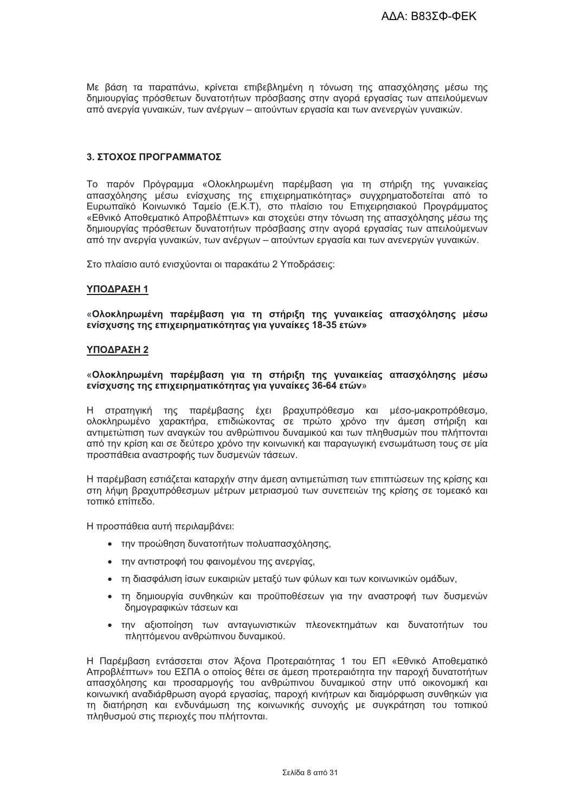Με βάση τα παραπάνω, κρίνεται επιβεβλημένη η τόνωση της απασχόλησης μέσω της δημιουργίας πρόσθετων δυνατοτήτων πρόσβασης στην αγορά εργασίας των απειλούμενων από ανεργία γυναικών, των ανέργων – αιτούντων εργασία και των ανενεργών γυναικών.

### 3. ΣΤΟΧΟΣ ΠΡΟΓΡΑΜΜΑΤΟΣ

Το παρόν Πρόγραμμα «Ολοκληρωμένη παρέμβαση για τη στήριξη της γυναικείας απασχόλησης μέσω ενίσχυσης της επιχειρηματικότητας» συγχρηματοδοτείται από το Ευρωπαϊκό Κοινωνικό Ταμείο (Ε.Κ.Τ), στο πλαίσιο του Επιχειρησιακού Προγράμματος «Εθνικό Αποθεματικό Απροβλέπτων» και στοχεύει στην τόνωση της απασχόλησης μέσω της δημιουργίας πρόσθετων δυνατοτήτων πρόσβασης στην αγορά εργασίας των απειλούμενων από την ανεργία γυναικών, των ανέργων – αιτούντων εργασία και των ανενεργών γυναικών.

Στο πλαίσιο αυτό ενισχύονται οι παρακάτω 2 Υποδράσεις:

### ΥΠΟΔΡΑΣΗ 1

«Ολοκληρωμένη παρέμβαση για τη στήριξη της γυναικείας απασχόλησης μέσω ενίσχυσης της επιχειρηματικότητας για γυναίκες 18-35 ετών»

### ΥΠΟΔΡΑΣΗ 2

### «Ολοκληρωμένη παρέμβαση για τη στήριξη της γυναικείας απασχόλησης μέσω ενίσχυσης της επιχειρηματικότητας για γυναίκες 36-64 ετών»

Η στρατηγική της παρέμβασης έχει βραχυπρόθεσμο και μέσο-μακροπρόθεσμο, ολοκληρωμένο χαρακτήρα, επιδιώκοντας σε πρώτο χρόνο την άμεση στήριξη και αντιμετώπιση των αναγκών του ανθρώπινου δυναμικού και των πληθυσμών που πλήττονται από την κρίση και σε δεύτερο χρόνο την κοινωνική και παραγωγική ενσωμάτωση τους σε μία προσπάθεια αναστροφής των δυσμενών τάσεων.

Η παρέμβαση εστιάζεται καταρχήν στην άμεση αντιμετώπιση των επιπτώσεων της κρίσης και στη λήψη βραχυπρόθεσμων μέτρων μετριασμού των συνεπειών της κρίσης σε τομεακό και τοπικό επίπεδο.

Η προσπάθεια αυτή περιλαμβάνει:

- την προώθηση δυνατοτήτων πολυαπασχόλησης,
- την αντιστροφή του φαινομένου της ανεργίας,
- τη διασφάλιση ίσων ευκαιριών μεταξύ των φύλων και των κοινωνικών ομάδων.
- τη δημιουργία συνθηκών και προϋποθέσεων για την αναστροφή των δυσμενών δημογραφικών τάσεων και
- την αξιοποίηση των ανταγωνιστικών πλεονεκτημάτων και δυνατοτήτων του πληττόμενου ανθρώπινου δυναμικού.

Η Παρέμβαση εντάσσεται στον Άξονα Προτεραιότητας 1 του ΕΠ «Εθνικό Αποθεματικό Απροβλέπτων» του ΕΣΠΑ ο οποίος θέτει σε άμεση προτεραιότητα την παροχή δυνατοτήτων απασχόλησης και προσαρμογής του ανθρώπινου δυναμικού στην υπό οικονομική και κοινωνική αναδιάρθρωση αγορά εργασίας, παροχή κινήτρων και διαμόρφωση συνθηκών για τη διατήρηση και ενδυνάμωση της κοινωνικής συνοχής με συγκράτηση του τοπικού πληθυσμού στις περιοχές που πλήττονται.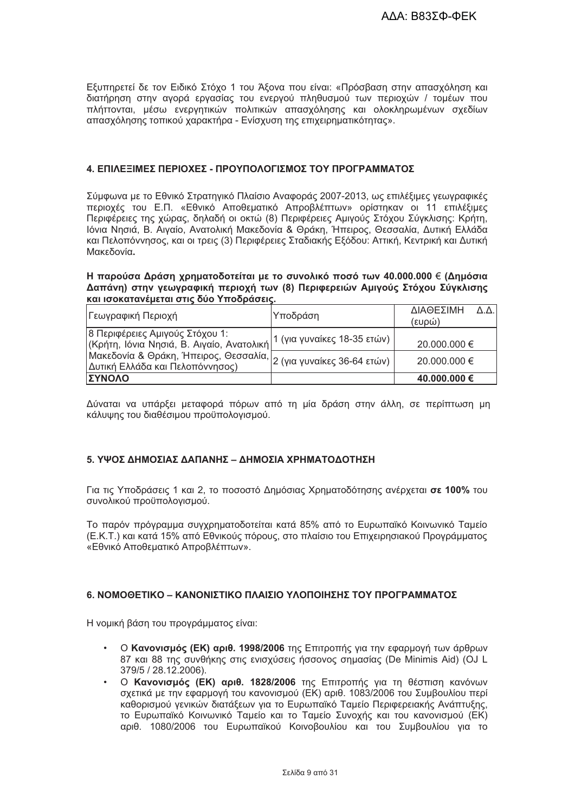Εξυπηρετεί δε τον Ειδικό Στόχο 1 του Άξονα που είναι: «Πρόσβαση στην απασχόληση και διατήρηση στην αγορά εργασίας του ενεργού πληθυσμού των περιοχών / τομέων που πλήττονται, μέσω ενεργητικών πολιτικών απασχόλησης και ολοκληρωμένων σχεδίων απασχόλησης τοπικού χαρακτήρα - Ενίσχυση της επιχειρηματικότητας».

### 4. ΕΠΙΛΕΞΙΜΕΣ ΠΕΡΙΟΧΕΣ - ΠΡΟΥΠΟΛΟΓΙΣΜΟΣ ΤΟΥ ΠΡΟΓΡΑΜΜΑΤΟΣ

Σύμφωνα με το Εθνικό Στρατηγικό Πλαίσιο Αναφοράς 2007-2013, ως επιλέξιμες γεωγραφικές περιοχές του Ε.Π. «Εθνικό Αποθεματικό Απροβλέπτων» ορίστηκαν οι 11 επιλέξιμες Περιφέρειες της χώρας, δηλαδή οι οκτώ (8) Περιφέρειες Αμιγούς Στόχου Σύγκλισης: Κρήτη, Ιόνια Νησιά, Β. Αιγαίο, Ανατολική Μακεδονία & Θράκη, Ήπειρος, Θεσσαλία, Δυτική Ελλάδα και Πελοπόννησος, και οι τρεις (3) Περιφέρειες Σταδιακής Εξόδου; Αττική, Κεντρική και Δυτική Μακεδονία.

### Η παρούσα Δράση χρηματοδοτείται με το συνολικό ποσό των 40.000.000 € (Δημόσια Δαπάνη) στην γεωγραφική περιοχή των (8) Περιφερειών Αμιγούς Στόχου Σύγκλισης και ισοκατανέμεται στις δύο Υποδράσεις.

| Γεωγραφική Περιοχή                                                                                                                      | Υποδράση                    | ΔΙΑΘΕΣΙΜΗ<br>$\Lambda \Lambda$ .<br>(ευρώ) |
|-----------------------------------------------------------------------------------------------------------------------------------------|-----------------------------|--------------------------------------------|
| 8 Περιφέρειες Αμιγούς Στόχου 1:<br>(Κρήτη, Ιόνια Νησιά, Β. Αιγαίο, Ανατολική)                                                           | 1 (για γυναίκες 18-35 ετών) | 20.000.000 €                               |
| ι κρητή, του του καταική.<br>Μακεδονία & Θράκη, Ήπειρος, Θεσσαλία, $ _2$ (για γυναίκες 36-64 ετών)  <br>Δυτική Ελλάδα και Πελοπόννησος) |                             | 20.000.000 €                               |
| ΙΣΥΝΟΛΟ                                                                                                                                 |                             | 40.000.000 €                               |

Δύναται να υπάρξει μεταφορά πόρων από τη μία δράση στην άλλη, σε περίπτωση μη κάλυψης του διαθέσιμου προϋπολογισμού.

# 5. ΥΨΟΣ ΔΗΜΟΣΙΑΣ ΔΑΠΑΝΗΣ – ΔΗΜΟΣΙΑ ΧΡΗΜΑΤΟΔΟΤΗΣΗ

Για τις Υποδράσεις 1 και 2, το ποσοστό Δημόσιας Χρηματοδότησης ανέρχεται σε 100% του συνολικού προϋπολογισμού.

Το παρόν πρόνραμμα συνχρηματοδοτείται κατά 85% από το Ευρωπαϊκό Κοινωνικό Ταμείο (Ε.Κ.Τ.) και κατά 15% από Εθνικούς πόρους, στο πλαίσιο του Επιχειρησιακού Προγράμματος «Εθνικό Αποθεματικό Απροβλέπτων».

# 6. ΝΟΜΟΘΕΤΙΚΟ – ΚΑΝΟΝΙΣΤΙΚΟ ΠΛΑΙΣΙΟ ΥΛΟΠΟΙΗΣΗΣ ΤΟΥ ΠΡΟΓΡΑΜΜΑΤΟΣ

Η νομική βάση του προγράμματος είναι:

- Ο Κανονισμός (ΕΚ) αριθ. 1998/2006 της Επιτροπής για την εφαρμογή των άρθρων 87 και 88 της συνθήκης στις ενισχύσεις ήσσονος σημασίας (De Minimis Aid) (OJ L 379/5 / 28.12.2006).
- Ο Κανονισμός (ΕΚ) αριθ. 1828/2006 της Επιτροπής για τη θέσπιση κανόνων σχετικά με την εφαρμονή του κανονισμού (ΕΚ) αριθ. 1083/2006 του Συμβουλίου περί καθορισμού νενικών διατάξεων για το Ευρωπαϊκό Ταμείο Περιφερειακής Ανάπτυξης, το Ευρωπαϊκό Κοινωνικό Ταμείο και το Ταμείο Συνοχής και του κανονισμού (ΕΚ) αριθ. 1080/2006 του Ευρωπαϊκού Κοινοβουλίου και του Συμβουλίου για το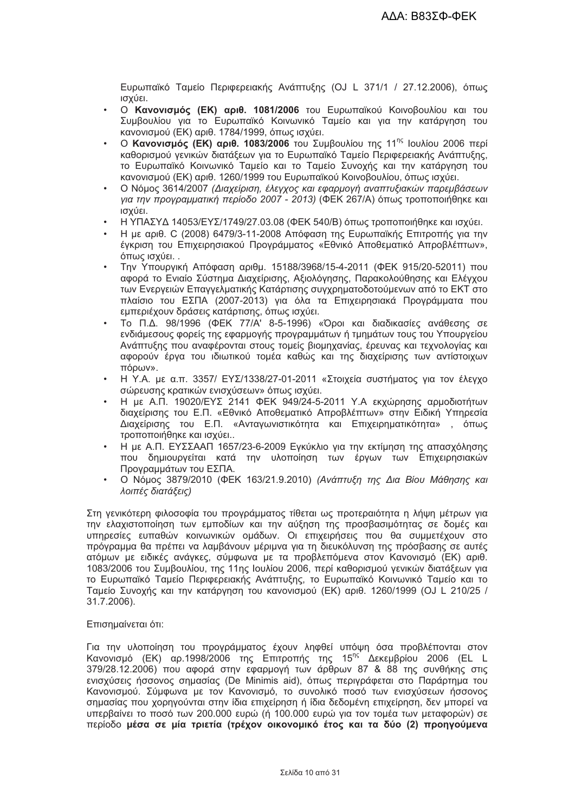Ευρωπαϊκό Ταμείο Περιφερειακής Ανάπτυξης (OJ L 371/1 / 27.12.2006), όπως ισχύει.

- Ο **Κανονισμός (ΕΚ) αριθ. 1081/2006** του Ευρωπαϊκού Κοινοβουλίου και του Συμβουλίου για το Ευρωπαϊκό Κοινωνικό Ταμείο και για την κατάργηση του κανονισμού (ΕΚ) αριθ. 1784/1999, όπως ισχύει.
- **Ο Κανονισμός (ΕΚ) αριθ. 1083/2006** του Συμβουλίου της 11<sup>ης</sup> Ιουλίου 2006 περί καθορισμού γενικών διατάξεων για το Ευρωπαϊκό Ταμείο Περιφερειακής Ανάπτυξης, το Ευρωπαϊκό Κοινωνικό Ταμείο και το Ταμείο Συνοχής και την κατάργηση του κανονισμού (ΕΚ) αριθ. 1260/1999 του Ευρωπαϊκού Κοινοβουλίου, όπως ισχύει.
- Ο Νόμος 3614/2007 (Διαχείριση, έλεγχος και εφαρμογή αναπτυξιακών παρεμβάσεων για *την προγραμματική περίοδο 2007 - 2013)* (ΦΕΚ 267/Α) όπως τροποποιήθηκε και ισχύει.
- Η ΥΠΑΣΥΔ 14053/ΕΥΣ/1749/27.03.08 (ΦΕΚ 540/Β) όπως τροποποιήθηκε και ισχύει.
- Η με αριθ. C (2008) 6479/3-11-2008 Απόφαση της Ευρωπαϊκής Επιτροπής για την έγκριση του Επιχειρησιακού Προγράμματος «Εθνικό Αποθεματικό Απροβλέπτων», όπως ισχύει..
- Την Υπουργική Απόφαση αριθμ. 15188/3968/15-4-2011 (ΦΕΚ 915/20-52011) που αφορά το Ενιαίο Σύστημα Διαχείρισης, Αξιολόγησης, Παρακολούθησης και Ελέγχου των Ενεργειών Επαγγελματικής Κατάρτισης συγχρηματοδοτούμενων από το ΕΚΤ στο πλαίσιο του ΕΣΠΑ (2007-2013) για όλα τα Επιχειρησιακά Προγράμματα που εμπεριέχουν δράσεις κατάρτισης, όπως ισχύει.
- Το Π.Δ. 98/1996 (ΦΕΚ 77/Α' 8-5-1996) «Όροι και διαδικασίες ανάθεσης σε ενδιάμεσους φορείς της εφαρμογής προγραμμάτων ή τμημάτων τους του Υπουργείου Ανάπτυξης που αναφέρονται στους τομείς βιομηχανίας, έρευνας και τεχνολογίας και αφορούν έργα του ιδιωτικού τομέα καθώς και της διαχείρισης των αντίστοιχων  $\pi$ όρων».
- Η Υ.Α. με α.π. 3357/ ΕΥΣ/1338/27-01-2011 «Στοιχεία συστήματος για τον έλεγχο σώρευσης κρατικών ενισχύσεων» όπως ισχύει.
- Η με Α.Π. 19020/ΕΥΣ 2141 ΦΕΚ 949/24-5-2011 Υ.Α εκχώρησης αρμοδιοτήτων διαχείρισης του Ε.Π. «Εθνικό Αποθεματικό Απροβλέπτων» στην Ειδική Υπηρεσία Διαχείρισης του Ε.Π. «Ανταγωνιστικότητα και Επιχειρηματικότητα» , όπως τροποποιήθηκε και ισχύει..
- Η με Α.Π. ΕΥΣΣΑΑΠ 1657/23-6-2009 Εγκύκλιο για την εκτίμηση της απασχόλησης που δημιουργείται κατά την υλοποίηση των έργων των Επιχειρησιακών Προγραμμάτων του ΕΣΠΑ.
- Ο Νόμος 3879/2010 (ΦΕΚ 163/21.9.2010) *(Ανάπτυξη της Δια Βίου Μάθησης και λοιπές διατάξεις)*

Στη γενικότερη φιλοσοφία του προγράμματος τίθεται ως προτεραιότητα η λήψη μέτρων για την ελαχιστοποίηση των εμποδίων και την αύξηση της προσβασιμότητας σε δομές και υπηρεσίες ευπαθών κοινωνικών ομάδων. Οι επιχειρήσεις που θα συμμετέχουν στο πρόγραμμα θα πρέπει να λαμβάνουν μέριμνα για τη διευκόλυνση της πρόσβασης σε αυτές ατόμων με ειδικές ανάγκες, σύμφωνα με τα προβλεπόμενα στον Κανονισμό (ΕΚ) αριθ. 1083/2006 του Συμβουλίου, της 11ης Ιουλίου 2006, περί καθορισμού γενικών διατάξεων για το Ευρωπαϊκό Ταμείο Περιφερειακής Ανάπτυξης, το Ευρωπαϊκό Κοινωνικό Ταμείο και το Ταμείο Συνοχής και την κατάργηση του κανονισμού (EK) αριθ. 1260/1999 (OJ L 210/25 / 31.7.2006).

### Επισημαίνεται ότι:

Για την υλοποίηση του προγράμματος έχουν ληφθεί υπόψη όσα προβλέπονται στον Κανονισμό (ΕΚ) αρ.1998/2006 της Επιτροπής της 15<sup>ης</sup> Δεκεμβρίου 2006 (EL L 379/28.12.2006) που αφορά στην εφαρμογή των άρθρων 87 & 88 της συνθήκης στις ενισχύσεις ήσσονος σημασίας (De Minimis aid), όπως περιγράφεται στο Παράρτημα του Κανονισμού. Σύμφωνα με τον Κανονισμό, το συνολικό ποσό των ενισχύσεων ήσσονος σημασίας που χορηγούνται στην ίδια επιχείρηση ή ίδια δεδομένη επιχείρηση, δεν μπορεί να υπερβαίνει το ποσό των 200.000 ευρώ (ή 100.000 ευρώ για τον τομέα των μεταφορών) σε περίοδο μέσα σε μία τριετία (τρέχον οικονομικό έτος και τα δύο (2) προηγούμενα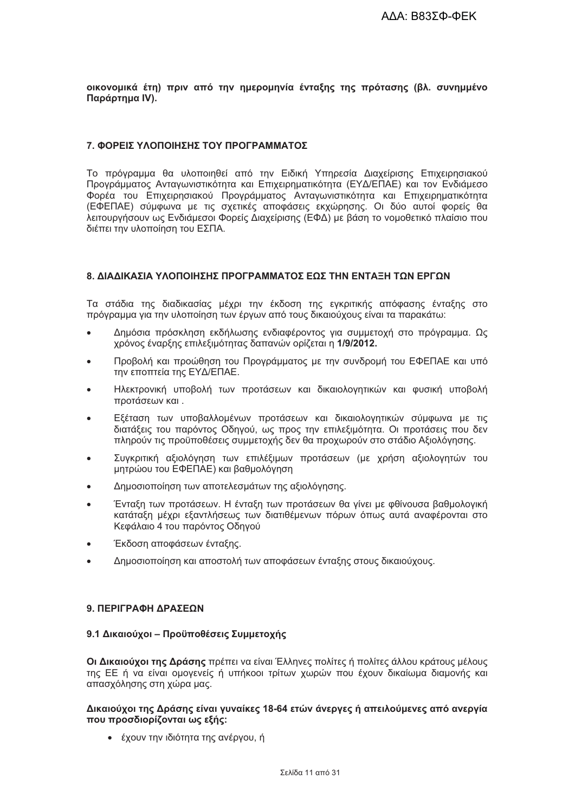οικονομικά έτη) πριν από την ημερομηνία ένταξης της πρότασης (βλ. συνημμένο Παράρτημα IV).

### 7. ΦΟΡΕΙΣ ΥΛΟΠΟΙΗΣΗΣ ΤΟΥ ΠΡΟΓΡΑΜΜΑΤΟΣ

Το πρόνραμμα θα υλοποιηθεί από την Ειδική Υπηρεσία Διαχείρισης Επιχειρησιακού Προγράμματος Ανταγωνιστικότητα και Επιχειρηματικότητα (ΕΥΔ/ΕΠΑΕ) και τον Ενδιάμεσο Φορέα του Επιχειρησιακού Προγράμματος Ανταγωνιστικότητα και Επιχειρηματικότητα (ΕΦΕΠΑΕ) σύμφωνα με τις σχετικές αποφάσεις εκχώρησης. Οι δύο αυτοί φορείς θα λειτουργήσουν ως Ενδιάμεσοι Φορείς Διαχείρισης (ΕΦΔ) με βάση το νομοθετικό πλαίσιο που διέπει την υλοποίηση του ΕΣΠΑ.

### 8. ΔΙΑΔΙΚΑΣΙΑ ΥΛΟΠΟΙΗΣΗΣ ΠΡΟΓΡΑΜΜΑΤΟΣ ΕΩΣ ΤΗΝ ΕΝΤΑΞΗ ΤΩΝ ΕΡΓΩΝ

Τα στάδια της διαδικασίας μέχρι την έκδοση της εγκριτικής απόφασης ένταξης στο πρόγραμμα για την υλοποίηση των έργων από τους δικαιούχους είναι τα παρακάτω:

- Δημόσια πρόσκληση εκδήλωσης ενδιαφέροντος για συμμετοχή στο πρόγραμμα. Ως  $\bullet$ χρόνος έναρξης επιλεξιμότητας δαπανών ορίζεται η 1/9/2012.
- Προβολή και προώθηση του Προγράμματος με την συνδρομή του ΕΦΕΠΑΕ και υπό την εποπτεία της ΕΥΔ/ΕΠΑΕ.
- Ηλεκτρονική υποβολή των προτάσεων και δικαιολονητικών και φυσική υποβολή προτάσεων και.
- Εξέταση των υποβαλλομένων προτάσεων και δικαιολογητικών σύμφωνα με τις διατάξεις του παρόντος Οδηγού, ως προς την επιλεξιμότητα. Οι προτάσεις που δεν πληρούν τις προϋποθέσεις συμμετοχής δεν θα προχωρούν στο στάδιο Αξιολόγησης.
- Συγκριτική αξιολόγηση των επιλέξιμων προτάσεων (με χρήση αξιολογητών του μητρώου του ΕΦΕΠΑΕ) και βαθμολόγηση
- Δημοσιοποίηση των αποτελεσμάτων της αξιολόνησης.
- Ένταξη των προτάσεων. Η ένταξη των προτάσεων θα γίνει με φθίνουσα βαθμολογική κατάταξη μέχρι εξαντλήσεως των διατιθέμενων πόρων όπως αυτά αναφέρονται στο Κεφάλαιο 4 του παρόντος Οδηνού
- Έκδοση αποφάσεων ένταξης.
- Δημοσιοποίηση και αποστολή των αποφάσεων ένταξης στους δικαιούχους.

### 9 ΠΕΡΙΓΡΑΦΗ ΛΡΑΣΕΩΝ

## 9.1 Δικαιούχοι - Προϋποθέσεις Συμμετοχής

Οι Δικαιούχοι της Δράσης πρέπει να είναι Έλληνες πολίτες ή πολίτες άλλου κράτους μέλους της ΕΕ ή να είναι ομογενείς ή υπήκοοι τρίτων χωρών που έχουν δικαίωμα διαμονής και απασχόλησης στη χώρα μας.

### Δικαιούχοι της Δράσης είναι γυναίκες 18-64 ετών άνεργες ή απειλούμενες από ανεργία που προσδιορίζονται ως εξής:

• έχουν την ιδιότητα της ανέργου, ή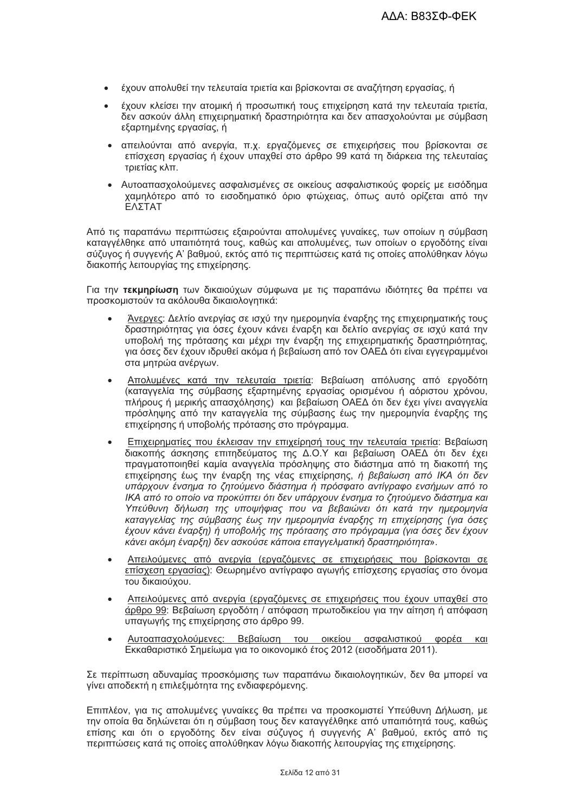- έχουν απολυθεί την τελευταία τριετία και βρίσκονται σε αναζήτηση εργασίας, ή
- έχουν κλείσει την ατομική ή προσωπική τους επιχείρηση κατά την τελευταία τριετία. δεν ασκούν άλλη επιχειρηματική δραστηριότητα και δεν απασχολούνται με σύμβαση εξαρτημένης εργασίας, ή
- απειλούνται από ανερνία. π.χ. ερναζόμενες σε επιχειρήσεις που βρίσκονται σε επίσχεση εργασίας ή έχουν υπαχθεί στο άρθρο 99 κατά τη διάρκεια της τελευταίας τοιετίας κλπ.
- · Αυτοαπασχολούμενες ασφαλισμένες σε οικείους ασφαλιστικούς φορείς με εισόδημα χαμηλότερο από το εισοδηματικό όριο φτώχειας, όπως αυτό ορίζεται από την ΕΛΣΤΑΤ

Από τις παραπάνω περιπτώσεις εξαιρούνται απολυμένες γυναίκες, των οποίων η σύμβαση καταγγέλθηκε από υπαιτιότητά τους, καθώς και απολυμένες, των οποίων ο εργοδότης είναι σύζυγος ή συγγενής Α' βαθμού, εκτός από τις περιπτώσεις κατά τις οποίες απολύθηκαν λόγω διακοπής λειτουργίας της επιχείρησης.

Για την τεκμηρίωση των δικαιούχων σύμφωνα με τις παραπάνω ιδιότητες θα πρέπει να προσκομιστούν τα ακόλουθα δικαιολογητικά:

- Άνεργες: Δελτίο ανεργίας σε ισχύ την ημερομηνία έναρξης της επιχειρηματικής τους δραστηριότητας για όσες έχουν κάνει έναρξη και δελτίο ανεργίας σε ισχύ κατά την υποβολή της πρότασης και μέχρι την έναρξη της επιχειρηματικής δραστηριότητας, για όσες δεν έχουν ιδρυθεί ακόμα ή βεβαίωση από τον ΟΑΕΔ ότι είναι εγγεγραμμένοι στα μητρώα ανέργων.
- Απολυμένες κατά την τελευταία τριετία: Βεβαίωση απόλυσης από εργοδότη (καταγγελία της σύμβασης εξαρτημένης εργασίας ορισμένου ή αόριστου χρόνου, πλήρους ή μερικής απασχόλησης) και βεβαίωση ΟΑΕΔ ότι δεν έχει γίνει αναγγελία πρόσληψης από την καταγγελία της σύμβασης έως την ημερομηνία έναρξης της επιχείρησης ή υποβολής πρότασης στο πρόγραμμα.
- Επιχειρηματίες που έκλεισαν την επιχείρησή τους την τελευταία τριετία: Βεβαίωση διακοπής άσκησης επιτηδεύματος της Δ.Ο.Υ και βεβαίωση ΟΑΕΔ ότι δεν έχει πραγματοποιηθεί καμία αναγγελία πρόσληψης στο διάστημα από τη διακοπή της επιχείρησης έως την έναρξη της νέας επιχείρησης, ή βεβαίωση από ΙΚΑ ότι δεν υπάρχουν ένσημα το ζητούμενο διάστημα ή πρόσφατο αντίγραφο ενσήμων από το ΙΚΑ από το οποίο να προκύπτει ότι δεν υπάρχουν ένσημα το ζητούμενο διάστημα και Υπεύθυνη δήλωση της υποψήφιας που να βεβαιώνει ότι κατά την ημερομηνία καταγγελίας της σύμβασης έως την ημερομηνία έναρξης τη επιχείρησης (για όσες έχουν κάνει έναρξη) ή υποβολής της πρότασης στο πρόγραμμα (για όσες δεν έχουν κάνει ακόμη έναρξη) δεν ασκούσε κάποια επαγγελματική δραστηριότητα».
- Απειλούμενες από ανεργία (εργαζόμενες σε επιχειρήσεις που βρίσκονται σε επίσχεση εργασίας): Θεωρημένο αντίγραφο αγωγής επίσχεσης εργασίας στο όνομα του δικαιούχου.
- Απειλούμενες από ανεργία (εργαζόμενες σε επιχειρήσεις που έχουν υπαχθεί στο άρθρο 99: Βεβαίωση εργοδότη / απόφαση πρωτοδικείου για την αίτηση ή απόφαση υπαγωγής της επιχείρησης στο άρθρο 99.
- Αυτοαπασχολούμενες: Βεβαίωση του οικείου ασφαλιστικού φορέα και Εκκαθαριστικό Σημείωμα για το οικονομικό έτος 2012 (εισοδήματα 2011).

Σε περίπτωση αδυναμίας προσκόμισης των παραπάνω δικαιολογητικών, δεν θα μπορεί να γίνει αποδεκτή η επιλεξιμότητα της ενδιαφερόμενης.

Επιπλέον, για τις απολυμένες γυναίκες θα πρέπει να προσκομιστεί Υπεύθυνη Δήλωση, με την οποία θα δηλώνεται ότι η σύμβαση τους δεν καταγγέλθηκε από υπαιτιότητά τους, καθώς επίσης και ότι ο εργοδότης δεν είναι σύζυγος ή συγγενής Α' βαθμού, εκτός από τις περιπτώσεις κατά τις οποίες απολύθηκαν λόγω διακοπής λειτουργίας της επιχείρησης.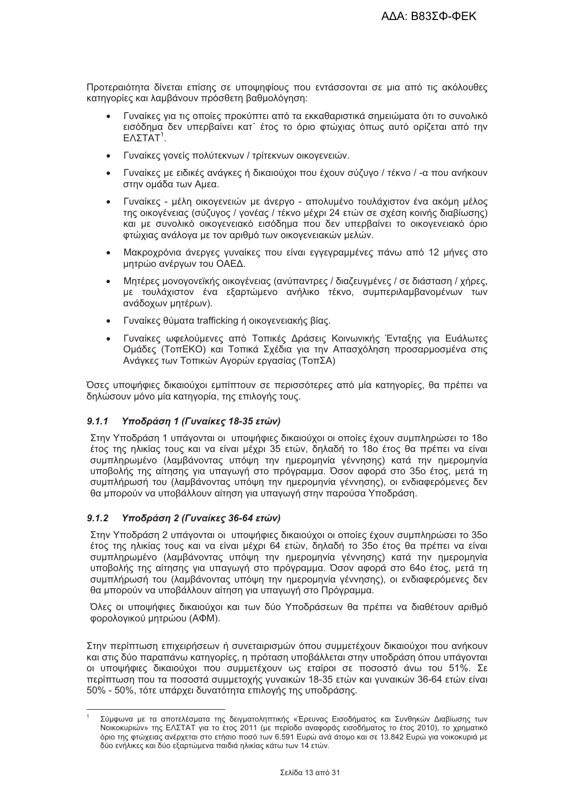Προτεραιότητα δίνεται επίσης σε υποψηφίους που εντάσσονται σε μια από τις ακόλουθες κατηγορίες και λαμβάνουν πρόσθετη βαθμολόγηση:

- Γυναίκες για τις οποίες προκύπτει από τα εκκαθαριστικά σημειώματα ότι το συνολικό εισόδημα δεν υπερβαίνει κατ΄ έτος το όριο φτώχιας όπως αυτό ορίζεται από την  $E$ ΛΣΤΑΤ<sup>1</sup>.
- · Γυναίκες γονείς πολύτεκνων / τρίτεκνων οικογενειών.
- Γυναίκες με ειδικές ανάγκες ή δικαιούχοι που έχουν σύζυγο / τέκνο / -α που ανήκουν στην ομάδα των Αμεα.
- Γυναίκες μέλη οικογενειών με άνεργο απολυμένο τουλάχιστον ένα ακόμη μέλος της οικογένειας (σύζυγος / γονέας / τέκνο μέχρι 24 ετών σε σχέση κοινής διαβίωσης) και με συνολικό οικογενειακό εισόδημα που δεν υπερβαίνει το οικογενειακό όριο φτώχιας ανάλογα με τον αριθμό των οικογενειακών μελών.
- Μακροχρόνια άνεργες γυναίκες που είναι εγγεγραμμένες πάνω από 12 μήνες στο μητρώο ανέργων του ΟΑΕΔ.
- Μητέρες μονογονεϊκής οικογένειας (ανύπαντρες / διαζευγμένες / σε διάσταση / χήρες, με τουλάχιστον ένα εξαρτώμενο ανήλικο τέκνο, συμπεριλαμβανομένων των ανάδοχων μητέρων).
- Γυναίκες θύματα trafficking ή οικογενειακής βίας.
- Γυναίκες ωφελούμενες από Τοπικές Δράσεις Κοινωνικής Ένταξης νια Ευάλωτες Ομάδες (ΤοπΕΚΟ) και Τοπικά Σχέδια για την Απασχόληση προσαρμοσμένα στις Ανάγκες των Τοπικών Αγορών εργασίας (ΤοπΣΑ)

Όσες υποψήφιες δικαιούχοι εμπίπτουν σε περισσότερες από μία κατηνορίες. θα πρέπει να δηλώσουν μόνο μία κατηγορία, της επιλογής τους.

#### $9.1.1$ Υποδράση 1 (Γυναίκες 18-35 ετών)

Στην Υποδράση 1 υπάγονται οι υποψήφιες δικαιούχοι οι οποίες έχουν συμπληρώσει το 18ο έτος της ηλικίας τους και να είναι μέχρι 35 ετών, δηλαδή το 18ο έτος θα πρέπει να είναι συμπληρωμένο (λαμβάνοντας υπόψη την ημερομηνία γέννησης) κατά την ημερομηνία υποβολής της αίτησης για υπαγωγή στο πρόγραμμα. Όσον αφορά στο 35ο έτος, μετά τη συμπλήρωσή του (λαμβάνοντας υπόψη την ημερομηνία γέννησης), οι ενδιαφερόμενες δεν θα μπορούν να υποβάλλουν αίτηση για υπαγωγή στην παρούσα Υποδράση.

#### Υποδράση 2 (Γυναίκες 36-64 ετών)  $9.1.2$

Στην Υποδράση 2 υπάνονται οι υποψήφιες δικαιούχοι οι οποίες έχουν συμπληρώσει το 35ο έτος της ηλικίας τους και να είναι μέχρι 64 ετών, δηλαδή το 35ο έτος θα πρέπει να είναι συμπληρωμένο (λαμβάνοντας υπόψη την ημερομηνία γέννησης) κατά την ημερομηνία υποβολής της αίτησης για υπανωνή στο πρόνραμμα. Όσον αφορά στο 64ο έτος, μετά τη συμπλήρωσή του (λαμβάνοντας υπόψη την ημερομηνία γέννησης), οι ενδιαφερόμενες δεν θα μπορούν να υποβάλλουν αίτηση για υπαγωγή στο Πρόγραμμα.

Όλες οι υποψήφιες δικαιούχοι και των δύο Υποδράσεων θα πρέπει να διαθέτουν αριθμό φορολογικού μητρώου (ΑΦΜ).

Στην περίπτωση επιχειρήσεων ή συνεταιρισμών όπου συμμετέχουν δικαιούχοι που ανήκουν και στις δύο παραπάνω κατηγορίες, η πρόταση υποβάλλεται στην υποδράση όπου υπάγονται οι υποψήφιες δικαιούχοι που συμμετέχουν ως εταίροι σε ποσοστό άνω του 51%. Σε περίπτωση που τα ποσοστά συμμετοχής γυναικών 18-35 ετών και γυναικών 36-64 ετών είναι 50% - 50%, τότε υπάρχει δυνατότητα επιλογής της υποδράσης.

Σύμφωνα με τα αποτελέσματα της δειγματοληπτικής «Έρευνας Εισοδήματος και Συνθηκών Διαβίωσης των Νοικοκυριών» της ΕΛΣΤΑΤ για το έτος 2011 (με περίοδο αναφοράς εισοδήματος το έτος 2010), το χρηματικό όριο της φτώχειας ανέρχεται στο ετήσιο ποσό των 6.591 Ευρώ ανά άτομο και σε 13.842 Ευρώ για νοικοκυριά με δύο ενήλικες και δύο εξαρτώμενα παιδιά ηλικίας κάτω των 14 ετών.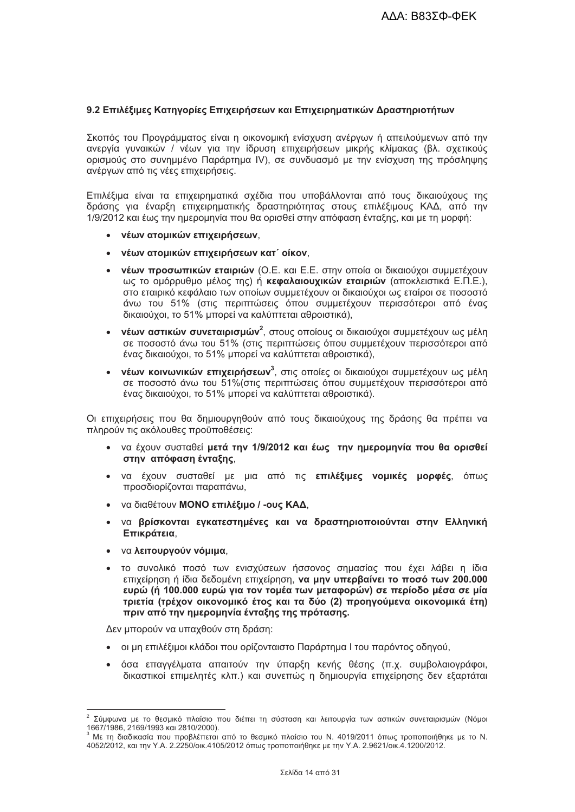# 9.2 Επιλέξιμες Κατηγορίες Επιχειρήσεων και Επιχειρηματικών Δραστηριοτήτων

Σκοπός του Προγράμματος είναι η οικονομική ενίσχυση ανέργων ή απειλούμενων από την ανεργία γυναικών / νέων για την ίδρυση επιχειρήσεων μικρής κλίμακας (βλ. σχετικούς ορισμούς στο συνημμένο Παράρτημα IV), σε συνδυασμό με την ενίσχυση της πρόσληψης ανέργων από τις νέες επιχειρήσεις.

Επιλέξιμα είναι τα επιχειρηματικά σχέδια που υποβάλλονται από τους δικαιούχους της δράσης για έναρξη επιχειρηματικής δραστηριότητας στους επιλέξιμους ΚΑΔ, από την 1/9/2012 και έως την ημερομηνία που θα ορισθεί στην απόφαση ένταξης, και με τη μορφή:

- νέων ατομικών επιχειρήσεων.
- νέων ατομικών επιχειρήσεων κατ΄ οίκον.
- νέων προσωπικών εταιριών (Ο.Ε. και Ε.Ε. στην οποία οι δικαιούχοι συμμετέχουν ως το ομόρρυθμο μέλος της) ή κεφαλαιουχικών εταιριών (αποκλειστικά Ε.Π.Ε.). στο εταιρικό κεφάλαιο των οποίων συμμετέχουν οι δικαιούχοι ως εταίροι σε ποσοστό άνω του 51% (στις περιπτώσεις όπου συμμετέχουν περισσότεροι από ένας δικαιούχοι, το 51% μπορεί να καλύπτεται αθροιστικά).
- νέων αστικών συνεταιρισμών<sup>2</sup>, στους οποίους οι δικαιούχοι συμμετέχουν ως μέλη  $\bullet$ σε ποσοστό άνω του 51% (στις περιπτώσεις όπου συμμετέχουν περισσότεροι από ένας δικαιούχοι, το 51% μπορεί να καλύπτεται αθροιστικά).
- νέων κοινωνικών επιχειρήσεων<sup>3</sup>, στις οποίες οι δικαιούχοι συμμετέχουν ως μέλη σε ποσοστό άνω του 51% (στις περιπτώσεις όπου συμμετέχουν περισσότεροι από ένας δικαιούχοι, το 51% μπορεί να καλύπτεται αθροιστικά).

Οι επιχειρήσεις που θα δημιουργηθούν από τους δικαιούχους της δράσης θα πρέπει να πληρούν τις ακόλουθες προϋποθέσεις:

- να έχουν συσταθεί μετά την 1/9/2012 και έως την ημερομηνία που θα ορισθεί στην απόφαση ένταξης,
- · να έχουν συσταθεί με μια από τις επιλέξιμες νομικές μορφές, όπως προσδιορίζονται παραπάνω,
- να διαθέτουν ΜΟΝΟ επιλέξιμο / -ους ΚΑΔ.
- να βρίσκονται εγκατεστημένες και να δραστηριοποιούνται στην Ελληνική Επικράτεια.
- να λειτουργούν νόμιμα,
- το συνολικό ποσό των ενισχύσεων ήσσονος σημασίας που έχει λάβει η ίδια επιχείρηση ή ίδια δεδομένη επιχείρηση, να μην υπερβαίνει το ποσό των 200.000 ευρώ (ή 100.000 ευρώ για τον τομέα των μεταφορών) σε περίοδο μέσα σε μία τριετία (τρέχον οικονομικό έτος και τα δύο (2) προηνούμενα οικονομικά έτη) πριν από την ημερομηνία ένταξης της πρότασης.

Δεν μπορούν να υπαχθούν στη δράση:

- οι μη επιλέξιμοι κλάδοι που ορίζονταιστο Παράρτημα Ι του παρόντος οδηνού.
- · όσα επαγγέλματα απαιτούν την ύπαρξη κενής θέσης (π.χ. συμβολαιογράφοι, δικαστικοί επιμελητές κλπ.) και συνεπώς η δημιουργία επιχείρησης δεν εξαρτάται

<sup>&</sup>lt;sup>2</sup> Σύμφωνα με το θεσμικό πλαίσιο που διέπει τη σύσταση και λειτουργία των αστικών συνεταιρισμών (Νόμοι 1667/1986, 2169/1993 και 2810/2000).

Με τη διαδικασία που προβλέπεται από το θεσμικό πλαίσιο του Ν. 4019/2011 όπως τροποποιήθηκε με το Ν. 4052/2012, και την Υ.Α. 2.2250/οικ.4105/2012 όπως τροποποιήθηκε με την Υ.Α. 2.9621/οικ.4.1200/2012.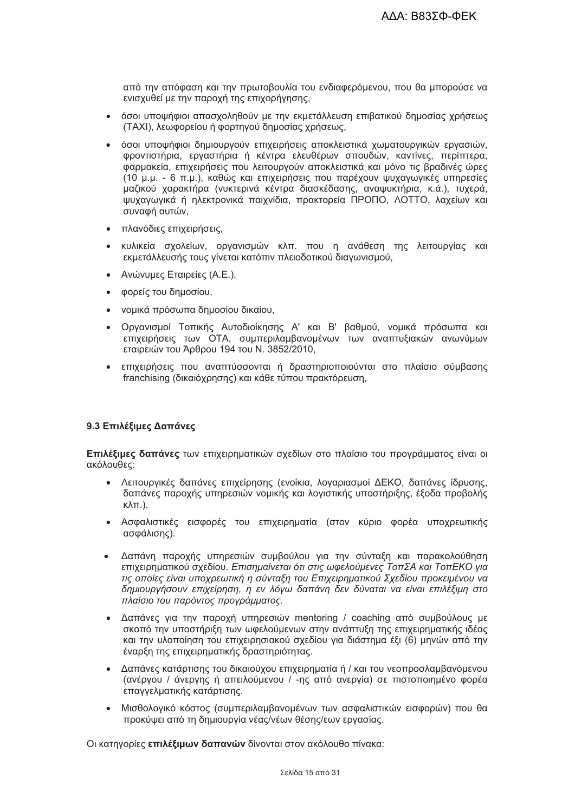από την απόφαση και την πρωτοβουλία του ενδιαφερόμενου, που θα μπορούσε να ενισχυθεί με την παροχή της επιχορήγησης,

- όσοι υποψήφιοι απασχοληθούν με την εκμετάλλευση επιβατικού δημοσίας χρήσεως (TAXI), λεωφορείου ή φορτηγού δημοσίας χρήσεως,
- όσοι υποψήφιοι δημιουργούν επιχειρήσεις αποκλειστικά χωματουργικών εργασιών. φροντιστήρια, εργαστήρια ή κέντρα ελευθέρων σπουδών, καντίνες, περίπτερα, φαρμακεία, επιχειρήσεις που λειτουργούν αποκλειστικά και μόνο τις βραδινές ώρες (10 μ.μ. - 6 π.μ.), καθώς και επιχειρήσεις που παρέχουν ψυχανωνικές υπηρεσίες μαζικού χαρακτήρα (νυκτερινά κέντρα διασκέδασης, αναψυκτήρια, κ.ά.), τυχερά, ψυχαγωγικά ή ηλεκτρονικά παιχνίδια, πρακτορεία ΠΡΟΠΟ, ΛΟΤΤΟ, λαχείων και συναφή αυτών.
- πλανόδιες επιχειρήσεις,
- κυλικεία σχολείων, οργανισμών κλπ. που η ανάθεση της λειτουργίας και εκμετάλλευσής τους γίνεται κατόπιν πλειοδοτικού διαγωνισμού,
- Ανώνυμες Εταιρείες (Α.Ε.).
- φορείς του δημοσίου,
- νομικά πρόσωπα δημοσίου δικαίου,
- Οργανισμοί Τοπικής Αυτοδιοίκησης Α' και Β' βαθμού, νομικά πρόσωπα και επιχειρήσεις των ΟΤΑ, συμπεριλαμβανομένων των αναπτυξιακών ανωνύμων εταιρειών του Άρθρου 194 του Ν. 3852/2010,
- επιχειρήσεις που αναπτύσσονται ή δραστηριοποιούνται στο πλαίσιο σύμβασης franchising (δικαιόχρησης) και κάθε τύπου πρακτόρευση,

# 9.3 Επιλέξιμες Δαπάνες

Επιλέξιμες δαπάνες των επιχειρηματικών σχεδίων στο πλαίσιο του προγράμματος είναι οι ακόλουθες:

- Λειτουργικές δαπάνες επιχείρησης (ενοίκια, λογαριασμοί ΔΕΚΟ, δαπάνες ίδρυσης, δαπάνες παροχής υπηρεσιών νομικής και λογιστικής υποστήριξης, έξοδα προβολής  $\kappa\lambda\pi$ .).
- Ασφαλιστικές εισφορές του επιχειρηματία (στον κύριο φορέα υποχρεωτικής ασφάλισης).
- Δαπάνη παροχής υπηρεσιών συμβούλου για την σύνταξη και παρακολούθηση  $\bullet$ επιχειρηματικού σχεδίου. Επισημαίνεται ότι στις ωφελούμενες ΤοπΣΑ και ΤοπΕΚΟ για τις οποίες είναι υποχρεωτική η σύνταξη του Επιχειρηματικού Σχεδίου προκειμένου να δημιουργήσουν επιχείρηση, η εν λόγω δαπάνη δεν δύναται να είναι επιλέξιμη στο πλαίσιο του παρόντος προγράμματος.
- Δαπάνες για την παροχή υπηρεσιών mentoring / coaching από συμβούλους με σκοπό την υποστήριξη των ωφελούμενων στην ανάπτυξη της επιχειρηματικής ιδέας και την υλοποίηση του επιχειρησιακού σχεδίου για διάστημα έξι (6) μηνών από την έναρξη της επιχειρηματικής δραστηριότητας.
- Δαπάνες κατάρτισης του δικαιούχου επιχειρηματία ή / και του νεοπροσλαμβανόμενου (ανέργου / άνεργης ή απειλούμενου / -ης από ανεργία) σε πιστοποιημένο φορέα επαγγελματικής κατάρτισης.
- Μισθολογικό κόστος (συμπεριλαμβανομένων των ασφαλιστικών εισφορών) που θα προκύψει από τη δημιουργία νέας/νέων θέσης/εων εργασίας.

Οι κατηγορίες επιλέξιμων δαπανών δίνονται στον ακόλουθο πίνακα: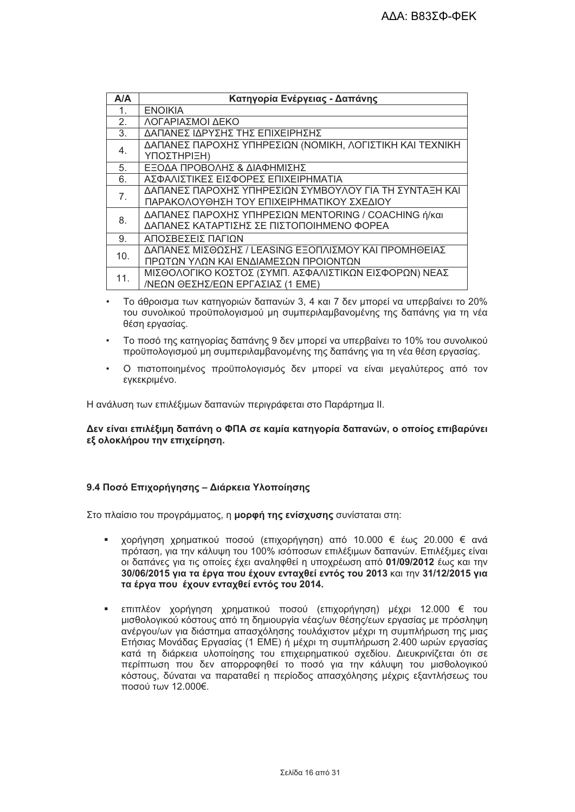| A/A             | Κατηγορία Ενέργειας - Δαπάνης                            |
|-----------------|----------------------------------------------------------|
| $\mathbf{1}$ .  | <b>ENOIKIA</b>                                           |
| 2.              | ΛΟΓΑΡΙΑΣΜΟΙ ΔΕΚΟ                                         |
| 3.              | ΔΑΠΑΝΕΣ ΙΔΡΥΣΗΣ ΤΗΣ ΕΠΙΧΕΙΡΗΣΗΣ                          |
| 4.              | ΔΑΠΑΝΕΣ ΠΑΡΟΧΗΣ ΥΠΗΡΕΣΙΩΝ (ΝΟΜΙΚΗ, ΛΟΓΙΣΤΙΚΗ ΚΑΙ ΤΕΧΝΙΚΗ |
|                 | ΥΠΟΣΤΗΡΙΞΗ)                                              |
| 5.              | ΕΞΟΔΑ ΠΡΟΒΟΛΗΣ & ΔΙΑΦΗΜΙΣΗΣ                              |
| 6.              | ΑΣΦΑΛΙΣΤΙΚΕΣ ΕΙΣΦΟΡΕΣ ΕΠΙΧΕΙΡΗΜΑΤΙΑ                      |
| 7 <sub>1</sub>  | ΔΑΠΑΝΕΣ ΠΑΡΟΧΗΣ ΥΠΗΡΕΣΙΩΝ ΣΥΜΒΟΥΛΟΥ ΓΙΑ ΤΗ ΣΥΝΤΑΞΗ ΚΑΙ   |
|                 | ΠΑΡΑΚΟΛΟΥΘΗΣΗ ΤΟΥ ΕΠΙΧΕΙΡΗΜΑΤΙΚΟΥ ΣΧΕΔΙΟΥ                |
| 8.              | ΔΑΠΑΝΕΣ ΠΑΡΟΧΗΣ ΥΠΗΡΕΣΙΩΝ ΜΕΝΤΟRING / COACHING ή/και     |
|                 | ΔΑΠΑΝΕΣ ΚΑΤΑΡΤΙΣΗΣ ΣΕ ΠΙΣΤΟΠΟΙΗΜΕΝΟ ΦΟΡΕΑ                |
| 9.              | ΑΠΟΣΒΕΣΕΙΣ ΠΑΓΙΩΝ                                        |
| 10 <sub>1</sub> | ΔΑΠΑΝΕΣ ΜΙΣΘΩΣΗΣ / LEASING ΕΞΟΠΛΙΣΜΟΥ ΚΑΙ ΠΡΟΜΗΘΕΙΑΣ     |
|                 | ΠΡΩΤΩΝ ΥΛΩΝ ΚΑΙ ΕΝΔΙΑΜΕΣΩΝ ΠΡΟΙΟΝΤΩΝ                     |
| 11.             | ΜΙΣΘΟΛΟΓΙΚΟ ΚΟΣΤΟΣ (ΣΥΜΠ. ΑΣΦΑΛΙΣΤΙΚΩΝ ΕΙΣΦΟΡΩΝ) ΝΕΑΣ    |
|                 | /ΝΕΩΝ ΘΕΣΗΣ/ΕΩΝ ΕΡΓΑΣΙΑΣ (1 ΕΜΕ)                         |

- Το άθροισμα των κατηγοριών δαπανών 3, 4 και 7 δεν μπορεί να υπερβαίνει το 20% του συνολικού προϋπολογισμού μη συμπεριλαμβανομένης της δαπάνης για τη νέα θέση ερνασίας.
- Το ποσό της κατηγορίας δαπάνης 9 δεν μπορεί να υπερβαίνει το 10% του συνολικού προϋπολογισμού μη συμπεριλαμβανομένης της δαπάνης για τη νέα θέση εργασίας.
- Ο πιστοποιημένος προϋπολονισμός δεν μπορεί να είναι μεναλύτερος από τον εγκεκριμένο.

Η ανάλυση των επιλέξιμων δαπανών περιγράφεται στο Παράρτημα ΙΙ.

Δεν είναι επιλέξιμη δαπάνη ο ΦΠΑ σε καμία κατηγορία δαπανών, ο οποίος επιβαρύνει εξ ολοκλήρου την επιχείρηση.

# 9.4 Ποσό Επιχορήνησης – Διάρκεια Υλοποίησης

Στο πλαίσιο του προγράμματος, η μορφή της ενίσχυσης συνίσταται στη:

- χορήγηση χρηματικού ποσού (επιχορήγηση) από 10.000 € έως 20.000 € ανά πρόταση, για την κάλυψη του 100% ισόποσων επιλέξιμων δαπανών. Επιλέξιμες είναι οι δαπάνες για τις οποίες έχει αναληφθεί η υποχρέωση από 01/09/2012 έως και την 30/06/2015 για τα έργα που έχουν ενταχθεί εντός του 2013 και την 31/12/2015 για τα έργα που έχουν ενταχθεί εντός του 2014.
- επιπλέον χορήγηση χρηματικού ποσού (επιχορήγηση) μέχρι 12.000 € του  $\mathbf{u}$  . μισθολογικού κόστους από τη δημιουργία νέας/ων θέσης/εων εργασίας με πρόσληψη ανέργου/ων για διάστημα απασχόλησης τουλάχιστον μέχρι τη συμπλήρωση της μιας Ετήσιας Μονάδας Εργασίας (1 ΕΜΕ) ή μέχρι τη συμπλήρωση 2.400 ωρών εργασίας κατά τη διάρκεια υλοποίησης του επιχειρηματικού σχεδίου. Διευκρινίζεται ότι σε περίπτωση που δεν απορροφηθεί το ποσό για την κάλυψη του μισθολογικού κόστους, δύναται να παραταθεί η περίοδος απασχόλησης μέχρις εξαντλήσεως του ποσού των 12.000€.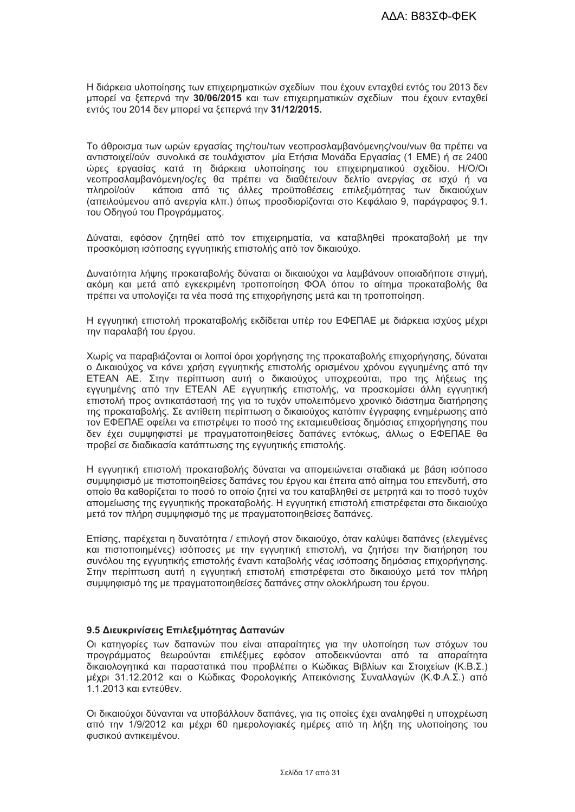Η διάρκεια υλοποίησης των επιχειρηματικών σχεδίων που έχουν ενταχθεί εντός του 2013 δεν μπορεί να ξεπερνά την 30/06/2015 και των επιχειρηματικών σχεδίων που έχουν ενταχθεί εντός του 2014 δεν μπορεί να ξεπερνά την 31/12/2015.

Το άθροισμα των ωρών ερνασίας της/του/των νεοπροσλαμβανόμενης/νου/νων θα πρέπει να αντιστοιχεί/ούν συνολικά σε τουλάχιστον μία Ετήσια Μονάδα Εργασίας (1 ΕΜΕ) ή σε 2400 ώρες εργασίας κατά τη διάρκεια υλοποίησης του επιχειρηματικού σχεδίου. Η/Ο/Οι νεοπροσλαμβανόμενη/ος/ες θα πρέπει να διαθέτει/ουν δελτίο ανεργίας σε ισχύ ή να πληροί/ούν κάποια από τις άλλες προϋποθέσεις επιλεξιμότητας των δικαιούχων (απειλούμενου από ανεργία κλπ.) όπως προσδιορίζονται στο Κεφάλαιο 9, παράγραφος 9.1. του Οδηγού του Προγράμματος.

Δύναται, εφόσον ζητηθεί από τον επιχειρηματία, να καταβληθεί προκαταβολή με την προσκόμιση ισόποσης εγγυητικής επιστολής από τον δικαιούχο.

Δυνατότητα λήψης προκαταβολής δύναται οι δικαιούχοι να λαμβάνουν οποιαδήποτε στιγμή, ακόμη και μετά από εγκεκριμένη τροποποίηση ΦΟΑ όπου το αίτημα προκαταβολής θα πρέπει να υπολογίζει τα νέα ποσά της επιχορήγησης μετά και τη τροποποίηση.

Η εγγυητική επιστολή προκαταβολής εκδίδεται υπέρ του ΕΦΕΠΑΕ με διάρκεια ισχύος μέχρι την παραλαβή του έργου.

Χωρίς να παραβιάζονται οι λοιποί όροι χορήγησης της προκαταβολής επιχορήγησης, δύναται ο Δικαιούχος να κάνει χρήση εγγυητικής επιστολής ορισμένου χρόνου εγγυημένης από την ΕΤΕΑΝ ΑΕ. Στην περίπτωση αυτή ο δικαιούχος υποχρεούται, προ της λήξεως της εγγυημένης από την ΕΤΕΑΝ ΑΕ εγγυητικής επιστολής, να προσκομίσει άλλη εγγυητική επιστολή προς αντικατάστασή της για το τυχόν υπολειπόμενο χρονικό διάστημα διατήρησης της προκαταβολής. Σε αντίθετη περίπτωση ο δικαιούχος κατόπιν έγγραφης ενημέρωσης από τον ΕΦΕΠΑΕ οφείλει να επιστρέψει το ποσό της εκταμιευθείσας δημόσιας επιχορήγησης που δεν έχει συμψηφιστεί με πραγματοποιηθείσες δαπάνες εντόκως, άλλως ο ΕΦΕΠΑΕ θα προβεί σε διαδικασία κατάπτωσης της εγγυητικής επιστολής.

Η εγγυητική επιστολή προκαταβολής δύναται να απομειώνεται σταδιακά με βάση ισόποσο συμψηφισμό με πιστοποιηθείσες δαπάνες του έργου και έπειτα από αίτημα του επενδυτή, στο οποίο θα καθορίζεται το ποσό το οποίο ζητεί να του καταβληθεί σε μετρητά και το ποσό τυχόν απομείωσης της εγγυητικής προκαταβολής. Η εγγυητική επιστολή επιστρέφεται στο δικαιούχο μετά τον πλήρη συμψηφισμό της με πραγματοποιηθείσες δαπάνες.

Επίσης, παρέχεται η δυνατότητα / επιλογή στον δικαιούχο, όταν καλύψει δαπάνες (ελεγμένες και πιστοποιημένες) ισόποσες με την εγγυητική επιστολή, να ζητήσει την διατήρηση του συνόλου της εγγυητικής επιστολής έναντι καταβολής νέας ισόποσης δημόσιας επιχορήγησης. Στην περίπτωση αυτή η εγγυητική επιστολή επιστρέφεται στο δικαιούχο μετά τον πλήρη συμψηφισμό της με πραγματοποιηθείσες δαπάνες στην ολοκλήρωση του έργου.

### 9.5 Διευκρινίσεις Επιλεξιμότητας Δαπανών

Οι κατηγορίες των δαπανών που είναι απαραίτητες για την υλοποίηση των στόχων του προγράμματος θεωρούνται επιλέξιμες εφόσον αποδεικνύονται από τα απαραίτητα δικαιολονητικά και παραστατικά που προβλέπει ο Κώδικας Βιβλίων και Στοιχείων (Κ.Β.Σ.) μέχρι 31.12.2012 και ο Κώδικας Φορολογικής Απεικόνισης Συναλλαγών (Κ.Φ.Α.Σ.) από  $1.1$ 2013 και εντεύθεν

Οι δικαιούχοι δύνανται να υποβάλλουν δαπάνες, νια τις οποίες έχει αναληφθεί η υποχρέωση από την 1/9/2012 και μέχρι 60 ημερολογιακές ημέρες από τη λήξη της υλοποίησης του φυσικού αντικειμένου.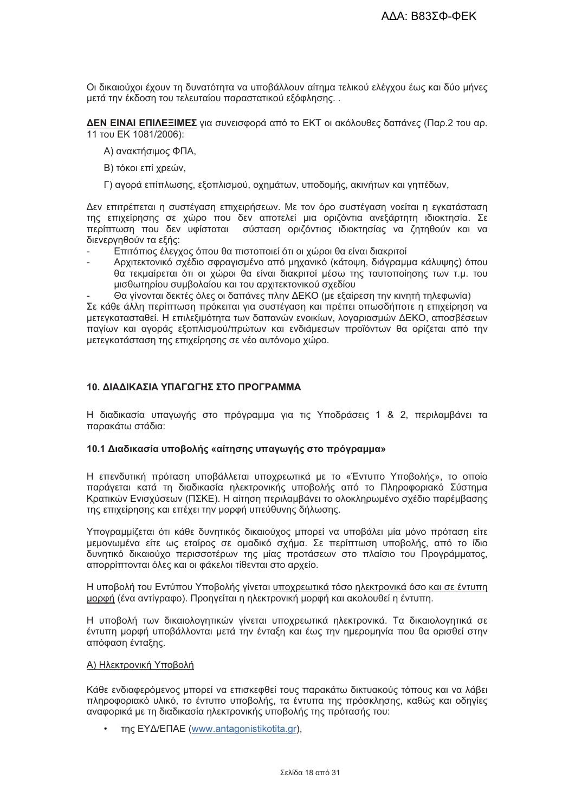Οι δικαιούχοι έχουν τη δυνατότητα να υποβάλλουν αίτημα τελικού ελέγχου έως και δύο μήνες μετά την έκδοση του τελευταίου παραστατικού εξόφλησης..

ΔΕΝ ΕΙΝΑΙ ΕΠΙΛΕΞΙΜΕΣ για συνεισφορά από το ΕΚΤ οι ακόλουθες δαπάνες (Παρ.2 του αρ. 11 тои ЕК 1081/2006):

- Α) ανακτήσιμος ΦΠΑ,
- Β) τόκοι επί χρεών,
- Γ) αγορά επίπλωσης, εξοπλισμού, οχημάτων, υποδομής, ακινήτων και γηπέδων,

Δεν επιτρέπεται η συστέγαση επιχειρήσεων. Με τον όρο συστέγαση νοείται η εγκατάσταση της επιχείρησης σε χώρο που δεν αποτελεί μια οριζόντια ανεξάρτητη ιδιοκτησία. Σε περίπτωση που δεν υφίσταται σύσταση οριζόντιας ιδιοκτησίας να ζητηθούν και να διενεργηθούν τα εξής:

- Επιτόπιος έλεγχος όπου θα πιστοποιεί ότι οι χώροι θα είναι διακριτοί
- Αρχιτεκτονικό σχέδιο σφραγισμένο από μηχανικό (κάτοψη, διάγραμμα κάλυψης) όπου θα τεκμαίρεται ότι οι χώροι θα είναι διακριτοί μέσω της ταυτοποίησης των τ.μ. του μισθωτηρίου συμβολαίου και του αρχιτεκτονικού σχεδίου

Θα γίνονται δεκτές όλες οι δαπάνες πλην ΔΕΚΟ (με εξαίρεση την κινητή τηλεφωνία) Σε κάθε άλλη περίπτωση πρόκειται για συστέγαση και πρέπει οπωσδήποτε η επιχείρηση να μετεγκατασταθεί. Η επιλεξιμότητα των δαπανών ενοικίων, λογαριασμών ΔΕΚΟ, αποσβέσεων παγίων και αγοράς εξοπλισμού/πρώτων και ενδιάμεσων προϊόντων θα ορίζεται από την μετεγκατάσταση της επιχείρησης σε νέο αυτόνομο χώρο.

### 10 ΛΙΑΛΙΚΑΣΙΑ ΥΠΑΓΟΓΗΣ ΣΤΟ ΠΡΟΓΡΑΜΜΑ

Η διαδικασία υπαγωγής στο πρόγραμμα για τις Υποδράσεις 1 & 2, περιλαμβάνει τα παρακάτω στάδια:

### 10.1 Διαδικασία υποβολής «αίτησης υπαγωγής στο πρόγραμμα»

Η επενδυτική πρόταση υποβάλλεται υποχρεωτικά με το «Έντυπο Υποβολής», το οποίο παράγεται κατά τη διαδικασία ηλεκτρονικής υποβολής από το Πληροφοριακό Σύστημα Κρατικών Ενισχύσεων (ΠΣΚΕ). Η αίτηση περιλαμβάνει το ολοκληρωμένο σχέδιο παρέμβασης της επιχείρησης και επέχει την μορφή υπεύθυνης δήλωσης.

Υπογραμμίζεται ότι κάθε δυνητικός δικαιούχος μπορεί να υποβάλει μία μόνο πρόταση είτε μεμονωμένα είτε ως εταίρος σε ομαδικό σχήμα. Σε περίπτωση υποβολής, από το ίδιο δυνητικό δικαιούχο περισσοτέρων της μίας προτάσεων στο πλαίσιο του Προγράμματος, απορρίπτονται όλες και οι φάκελοι τίθενται στο αρχείο.

Η υποβολή του Εντύπου Υποβολής γίνεται υποχρεωτικά τόσο ηλεκτρονικά όσο και σε έντυπη μορφή (ένα αντίγραφο). Προηγείται η ηλεκτρονική μορφή και ακολουθεί η έντυπη.

Η υποβολή των δικαιολογητικών γίνεται υποχρεωτικά ηλεκτρονικά. Τα δικαιολογητικά σε έντυπη μορφή υποβάλλονται μετά την ένταξη και έως την ημερομηνία που θα ορισθεί στην απόφαση ένταξης.

### Α) Ηλεκτρονική Υποβολή

Κάθε ενδιαφερόμενος μπορεί να επισκεφθεί τους παρακάτω δικτυακούς τόπους και να λάβει πληροφοριακό υλικό, το έντυπο υποβολής, τα έντυπα της πρόσκλησης, καθώς και οδηγίες αναφορικά με τη διαδικασία ηλεκτρονικής υποβολής της πρότασής του:

της ΕΥΔ/ΕΠΑΕ (www.antagonistikotita.gr),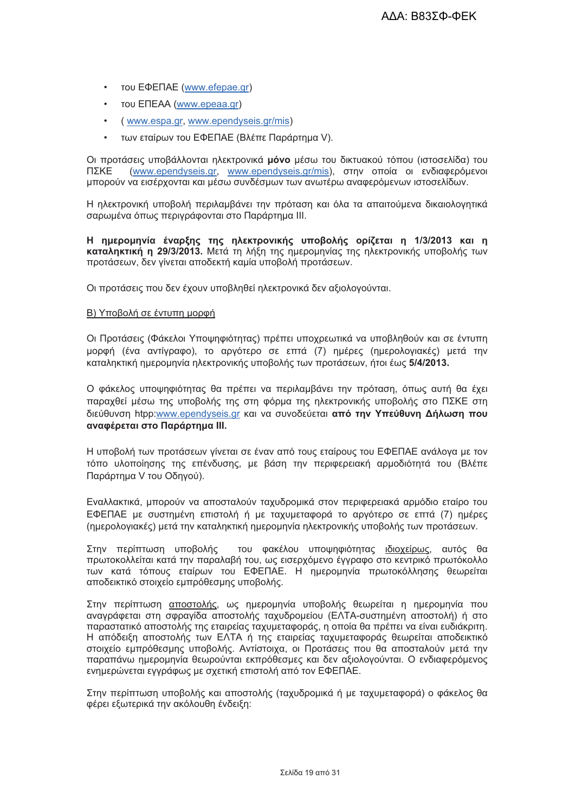- тои ЕФЕПАЕ (www.efepae.gr)  $\bullet$
- $\bullet$ του ΕΠΕΑΑ (www.epeaa.gr)
- (www.espa.gr, www.ependyseis.gr/mis)  $\bullet$
- των εταίρων του ΕΦΕΠΑΕ (Βλέπε Παράρτημα V).  $\blacksquare$

Οι προτάσεις υποβάλλονται ηλεκτρονικά μόνο μέσω του δικτυακού τόπου (ιστοσελίδα) του (www.ependyseis.gr, www.ependyseis.gr/mis), στην οποία οι ενδιαφερόμενοι ΠΣΚΕ μπορούν να εισέρχονται και μέσω συνδέσμων των ανωτέρω αναφερόμενων ιστοσελίδων.

Η ηλεκτρονική υποβολή περιλαμβάνει την πρόταση και όλα τα απαιτούμενα δικαιολογητικά σαρωμένα όπως περιγράφονται στο Παράρτημα ΙΙΙ.

Η ημερομηνία έναρξης της ηλεκτρονικής υποβολής ορίζεται η 1/3/2013 και η καταληκτική η 29/3/2013. Μετά τη λήξη της ημερομηνίας της ηλεκτρονικής υποβολής των προτάσεων, δεν γίνεται αποδεκτή καμία υποβολή προτάσεων.

Οι προτάσεις που δεν έχουν υποβληθεί ηλεκτρονικά δεν αξιολογούνται.

### Β) Υποβολή σε έντυπη μορφή

Οι Προτάσεις (Φάκελοι Υποψηφιότητας) πρέπει υποχρεωτικά να υποβληθούν και σε έντυπη μορφή (ένα αντίγραφο), το αργότερο σε επτά (7) ημέρες (ημερολογιακές) μετά την καταληκτική ημερομηνία ηλεκτρονικής υποβολής των προτάσεων, ήτοι έως 5/4/2013.

Ο φάκελος υποψηφιότητας θα πρέπει να περιλαμβάνει την πρόταση, όπως αυτή θα έχει παραχθεί μέσω της υποβολής της στη φόρμα της ηλεκτρονικής υποβολής στο ΠΣΚΕ στη διεύθυνση htpp:www.ependyseis.ar και να συνοδεύεται από την Υπεύθυνη Δήλωση που αναφέρεται στο Παράρτημα III.

Η υποβολή των προτάσεων γίνεται σε έναν από τους εταίρους του ΕΦΕΠΑΕ ανάλογα με τον τόπο υλοποίησης της επένδυσης, με βάση την περιφερειακή αρμοδιότητά του (Βλέπε Παράρτημα V του Οδηγού).

Εναλλακτικά, μπορούν να αποσταλούν ταχυδρομικά στον περιφερειακά αρμόδιο εταίρο του ΕΦΕΠΑΕ με συστημένη επιστολή ή με ταχυμεταφορά το αργότερο σε επτά (7) ημέρες (ημερολογιακές) μετά την καταληκτική ημερομηνία ηλεκτρονικής υποβολής των προτάσεων.

Στην περίπτωση υποβολής του φακέλου υποψηφιότητας ιδιοχείρως, αυτός θα πρωτοκολλείται κατά την παραλαβή του, ως εισερχόμενο έγγραφο στο κεντρικό πρωτόκολλο των κατά τόπους εταίρων του ΕΦΕΠΑΕ. Η ημερομηνία πρωτοκόλλησης θεωρείται αποδεικτικό στοιχείο εμπρόθεσμης υποβολής.

Στην περίπτωση αποστολής, ως ημερομηνία υποβολής θεωρείται η ημερομηνία που αναγράφεται στη σφραγίδα αποστολής ταχυδρομείου (ΕΛΤΑ-συστημένη αποστολή) ή στο παραστατικό αποστολής της εταιρείας ταχυμεταφοράς, η οποία θα πρέπει να είναι ευδιάκριτη. Η απόδειξη αποστολής των ΕΛΤΑ ή της εταιρείας ταχυμεταφοράς θεωρείται αποδεικτικό στοιχείο εμπρόθεσμης υποβολής. Αντίστοιχα, οι Προτάσεις που θα αποσταλούν μετά την παραπάνω ημερομηνία θεωρούνται εκπρόθεσμες και δεν αξιολογούνται. Ο ενδιαφερόμενος ενημερώνεται εννοάφως με σχετική επιστολή από τον ΕΦΕΠΑΕ.

Στην περίπτωση υποβολής και αποστολής (ταχυδρομικά ή με ταχυμεταφορά) ο φάκελος θα φέρει εξωτερικά την ακόλουθη ένδειξη: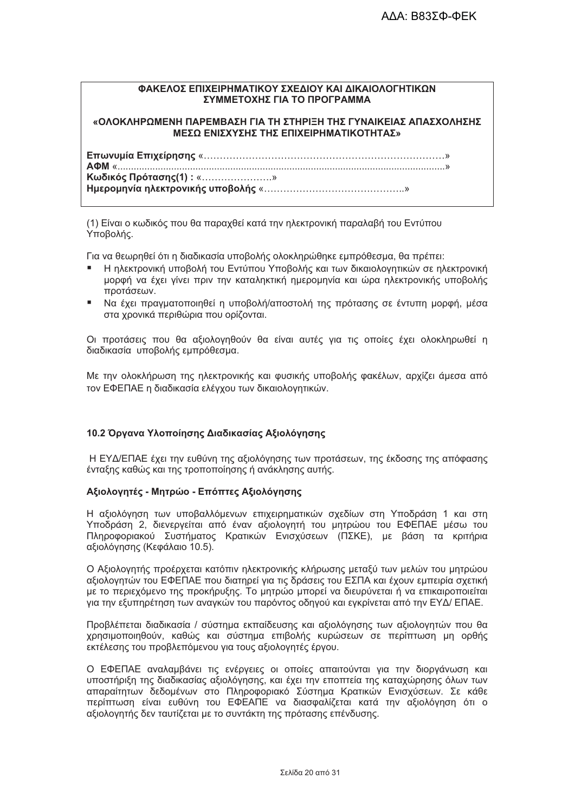# ΦΑΚΕΛΟΣ ΕΠΙΧΕΙΡΗΜΑΤΙΚΟΥ ΣΧΕΔΙΟΥ ΚΑΙ ΔΙΚΑΙΟΛΟΓΗΤΙΚΩΝ ΣΥΜΜΕΤΟΧΗΣ ΓΙΑ ΤΟ ΠΡΟΓΡΑΜΜΑ

## «ΟΛΟΚΛΗΡΩΜΕΝΗ ΠΑΡΕΜΒΑΣΗ ΓΙΑ ΤΗ ΣΤΗΡΙΞΗ ΤΗΣ ΓΥΝΑΙΚΕΙΑΣ ΑΠΑΣΧΟΛΗΣΗΣ ΜΕΣΩ ΕΝΙΣΧΥΣΗΣ ΤΗΣ ΕΠΙΧΕΙΡΗΜΑΤΙΚΟΤΗΤΑΣ»

Κωδικός Πρότασης(1): «.....................» 

(1) Είναι ο κωδικός που θα παραχθεί κατά την ηλεκτρονική παραλαβή του Εντύπου Υποβολής.

Για να θεωρηθεί ότι η διαδικασία υποβολής ολοκληρώθηκε εμπρόθεσμα, θα πρέπει:

- Η ηλεκτρονική υποβολή του Εντύπου Υποβολής και των δικαιολογητικών σε ηλεκτρονική μορφή να έχει γίνει πριν την καταληκτική ημερομηνία και ώρα ηλεκτρονικής υποβολής προτάσεων.
- Να έχει πρανματοποιηθεί η υποβολή/αποστολή της πρότασης σε έντυπη μορφή, μέσα στα χρονικά περιθώρια που ορίζονται.

Οι προτάσεις που θα αξιολογηθούν θα είναι αυτές για τις οποίες έχει ολοκληρωθεί η διαδικασία υποβολής εμπρόθεσμα.

Με την ολοκλήρωση της ηλεκτρονικής και φυσικής υποβολής φακέλων, αρχίζει άμεσα από τον ΕΦΕΠΑΕ η διαδικασία ελέγχου των δικαιολογητικών.

# 10.2 Όργανα Υλοποίησης Διαδικασίας Αξιολόγησης

Η ΕΥΔ/ΕΠΑΕ έχει την ευθύνη της αξιολόγησης των προτάσεων, της έκδοσης της απόφασης ένταξης καθώς και της τροποποίησης ή ανάκλησης αυτής.

### Αξιολογητές - Μητρώο - Επόπτες Αξιολόγησης

Η αξιολόνηση των υποβαλλόμενων επιχειρηματικών σχεδίων στη Υποδράση 1 και στη Υποδράση 2. διενεργείται από έναν αξιολογητή του μητρώου του ΕΦΕΠΑΕ μέσω του Πληροφοριακού Συστήματος Κρατικών Ενισχύσεων (ΠΣΚΕ), με βάση τα κριτήρια αξιολόνησης (Κεφάλαιο 10.5).

Ο Αξιολογητής προέρχεται κατόπιν ηλεκτρονικής κλήρωσης μεταξύ των μελών του μητρώου αξιολογητών του ΕΦΕΠΑΕ που διατηρεί για τις δράσεις του ΕΣΠΑ και έχουν εμπειρία σχετική με το περιεχόμενο της προκήρυξης. Το μητρώο μπορεί να διευρύνεται ή να επικαιροποιείται για την εξυπηρέτηση των αναγκών του παρόντος οδηγού και εγκρίνεται από την ΕΥΔ/ ΕΠΑΕ.

Προβλέπεται διαδικασία / σύστημα εκπαίδευσης και αξιολόγησης των αξιολογητών που θα χρησιμοποιηθούν, καθώς και σύστημα επιβολής κυρώσεων σε περίπτωση μη ορθής εκτέλεσης του προβλεπόμενου για τους αξιολονητές έρνου.

Ο ΕΦΕΠΑΕ αναλαμβάνει τις ενέρνειες οι οποίες απαιτούνται για την διοργάνωση και υποστήριξη της διαδικασίας αξιολόγησης, και έχει την εποπτεία της καταχώρησης όλων των απαραίτητων δεδομένων στο Πληροφοριακό Σύστημα Κρατικών Ενισχύσεων. Σε κάθε περίπτωση είναι ευθύνη του ΕΦΕΑΠΕ να διασφαλίζεται κατά την αξιολόγηση ότι ο αξιολονητής δεν ταυτίζεται με το συντάκτη της πρότασης επένδυσης.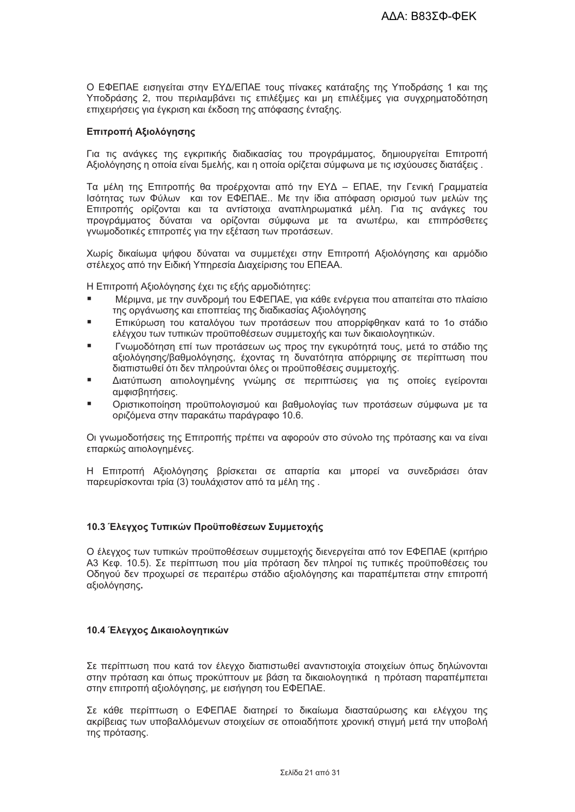Ο ΕΦΕΠΑΕ εισηνείται στην ΕΥΔ/ΕΠΑΕ τους πίνακες κατάταξης της Υποδράσης 1 και της Υποδράσης 2, που περιλαμβάνει τις επιλέξιμες και μη επιλέξιμες για συγχρηματοδότηση επιχειρήσεις για έγκριση και έκδοση της απόφασης ένταξης.

# Επιτροπή Αξιολόγησης

Για τις ανάγκες της εγκριτικής διαδικασίας του προγράμματος, δημιουργείται Επιτροπή Αξιολόνησης η οποία είναι 5μελής, και η οποία ορίζεται σύμφωνα με τις ισχύουσες διατάξεις,

Τα μέλη της Επιτροπής θα προέρχονται από την ΕΥΔ - ΕΠΑΕ, την Γενική Γραμματεία Ισότητας των Φύλων και τον ΕΦΕΠΑΕ.. Με την ίδια απόφαση ορισμού των μελών της Επιτροπής ορίζονται και τα αντίστοιχα αναπληρωματικά μέλη. Για τις ανάγκες του προγράμματος δύναται να ορίζονται σύμφωνα με τα ανωτέρω, και επιπρόσθετες γνωμοδοτικές επιτροπές για την εξέταση των προτάσεων.

Χωρίς δικαίωμα ψήφου δύναται να συμμετέχει στην Επιτροπή Αξιολόγησης και αρμόδιο στέλεχος από την Ειδική Υπηρεσία Διαχείρισης του ΕΠΕΑΑ.

Η Επιτροπή Αξιολόγησης έχει τις εξής αρμοδιότητες:

- Μέριμνα, με την συνδρομή του ΕΦΕΠΑΕ, για κάθε ενέργεια που απαιτείται στο πλαίσιο της οργάνωσης και εποπτείας της διαδικασίας Αξιολόγησης
- Επικύρωση του καταλόγου των προτάσεων που απορρίφθηκαν κατά το 1ο στάδιο ελέγχου των τυπικών προϋποθέσεων συμμετοχής και των δικαιολογητικών.
- Γνωμοδότηση επί των προτάσεων ως προς την ενκυρότητά τους, μετά το στάδιο της  $\blacksquare$ αξιολόγησης/βαθμολόγησης, έχοντας τη δυνατότητα απόρριψης σε περίπτωση που διαπιστωθεί ότι δεν πληρούνται όλες οι προϋποθέσεις συμμετοχής.
- Διατύπωση αιτιολογημένης γνώμης σε περιπτώσεις για τις οποίες εγείρονται  $\blacksquare$ αμφισβητήσεις.
- Οριστικοποίηση προϋπολογισμού και βαθμολογίας των προτάσεων σύμφωνα με τα οριζόμενα στην παρακάτω παράγραφο 10.6.

Οι γνωμοδοτήσεις της Επιτροπής πρέπει να αφορούν στο σύνολο της πρότασης και να είναι επαρκώς αιτιολογημένες.

Η Επιτροπή Αξιολόγησης βρίσκεται σε απαρτία και μπορεί να συνεδριάσει όταν παρευρίσκονται τρία (3) τουλάχιστον από τα μέλη της.

### 10.3 Έλεγχος Τυπικών Προϋποθέσεων Συμμετοχής

Ο έλεγχος των τυπικών προϋποθέσεων συμμετοχής διενεργείται από τον ΕΦΕΠΑΕ (κριτήριο Α3 Κεφ. 10.5). Σε περίπτωση που μία πρόταση δεν πληροί τις τυπικές προϋποθέσεις του Οδηγού δεν προχωρεί σε περαιτέρω στάδιο αξιολόγησης και παραπέμπεται στην επιτροπή αξιολόγησης.

### 10.4 Έλεγχος Δικαιολογητικών

Σε περίπτωση που κατά τον έλεγχο διαπιστωθεί αναντιστοιχία στοιχείων όπως δηλώνονται στην πρόταση και όπως προκύπτουν με βάση τα δικαιολογητικά η πρόταση παραπέμπεται στην επιτροπή αξιολόγησης, με εισήγηση του ΕΦΕΠΑΕ.

Σε κάθε περίπτωση ο ΕΦΕΠΑΕ διατηρεί το δικαίωμα διασταύρωσης και ελέγχου της ακρίβειας των υποβαλλόμενων στοιχείων σε οποιαδήποτε χρονική στιγμή μετά την υποβολή της πρότασης.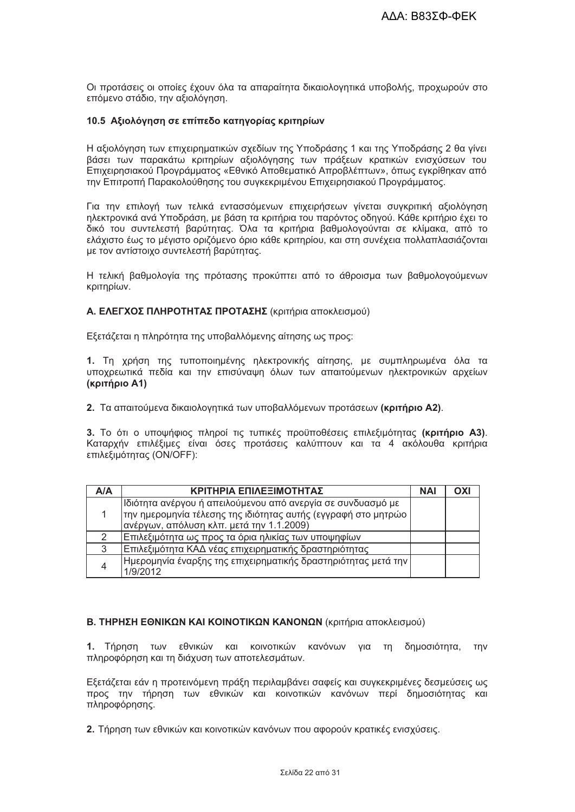Οι προτάσεις οι οποίες έχουν όλα τα απαραίτητα δικαιολονητικά υποβολής, προχωρούν στο επόμενο στάδιο, την αξιολόγηση.

### 10.5 Αξιολόγηση σε επίπεδο κατηγορίας κριτηρίων

Η αξιολόγηση των επιχειρηματικών σχεδίων της Υποδράσης 1 και της Υποδράσης 2 θα γίνει βάσει των παρακάτω κριτηρίων αξιολόγησης των πράξεων κρατικών ενισχύσεων του Επιχειρησιακού Προγράμματος «Εθνικό Αποθεματικό Απροβλέπτων», όπως εγκρίθηκαν από την Επιτροπή Παρακολούθησης του συγκεκριμένου Επιχειρησιακού Προγράμματος.

Για την επιλονή των τελικά εντασσόμενων επιχειρήσεων νίνεται συνκριτική αξιολόνηση ηλεκτρονικά ανά Υποδράση, με βάση τα κριτήρια του παρόντος οδηγού. Κάθε κριτήριο έχει το δικό του συντελεστή βαρύτητας. Όλα τα κριτήρια βαθμολογούνται σε κλίμακα, από το ελάχιστο έως το μέγιστο οριζόμενο όριο κάθε κριτηρίου, και στη συνέχεια πολλαπλασιάζονται με τον αντίστοιχο συντελεστή βαρύτητας.

Η τελική βαθμολογία της πρότασης προκύπτει από το άθροισμα των βαθμολογούμενων κριτηρίων.

Α. ΕΛΕΓΧΟΣ ΠΛΗΡΟΤΗΤΑΣ ΠΡΟΤΑΣΗΣ (κριτήρια αποκλεισμού)

Εξετάζεται η πληρότητα της υποβαλλόμενης αίτησης ως προς:

1. Τη χρήση της τυποποιημένης ηλεκτρονικής αίτησης, με συμπληρωμένα όλα τα υποχρεωτικά πεδία και την επισύναψη όλων των απαιτούμενων ηλεκτρονικών αρχείων (κριτήριο Α1)

2. Τα απαιτούμενα δικαιολογητικά των υποβαλλόμενων προτάσεων (κριτήριο Α2).

3. Το ότι ο υποψήφιος πληροί τις τυπικές προϋποθέσεις επιλεξιμότητας (κριτήριο Α3). Καταρχήν επιλέξιμες είναι όσες προτάσεις καλύπτουν και τα 4 ακόλουθα κριτήρια επιλεξιμότητας (ON/OFF):

| A/A | ΚΡΙΤΗΡΙΑ ΕΠΙΛΕΞΙΜΟΤΗΤΑΣ                                                                                                                                                     | <b>NAI</b> | OXI |
|-----|-----------------------------------------------------------------------------------------------------------------------------------------------------------------------------|------------|-----|
|     | Ιδιότητα ανέργου ή απειλούμενου από ανεργία σε συνδυασμό με<br> την ημερομηνία τέλεσης της ιδιότητας αυτής (εγγραφή στο μητρώο<br> ανέργων, απόλυση κλπ. μετά την 1.1.2009) |            |     |
|     | Επιλεξιμότητα ως προς τα όρια ηλικίας των υποψηφίων                                                                                                                         |            |     |
| 3   | Επιλεξιμότητα ΚΑΔ νέας επιχειρηματικής δραστηριότητας                                                                                                                       |            |     |
|     | Ημερομηνία έναρξης της επιχειρηματικής δραστηριότητας μετά την  <br>1/9/2012                                                                                                |            |     |

# Β. ΤΗΡΗΣΗ ΕΘΝΙΚΩΝ ΚΑΙ ΚΟΙΝΟΤΙΚΩΝ ΚΑΝΟΝΩΝ (κριτήρια αποκλεισμού)

1. Τήρηση των εθνικών και κοινοτικών κανόνων για τη δημοσιότητα, την πληροφόρηση και τη διάχυση των αποτελεσμάτων.

Εξετάζεται εάν η προτεινόμενη πράξη περιλαμβάνει σαφείς και συγκεκριμένες δεσμεύσεις ως προς την τήρηση των εθνικών και κοινοτικών κανόνων περί δημοσιότητας και πληροφόρησης.

2. Τήρηση των εθνικών και κοινοτικών κανόνων που αφορούν κρατικές ενισχύσεις.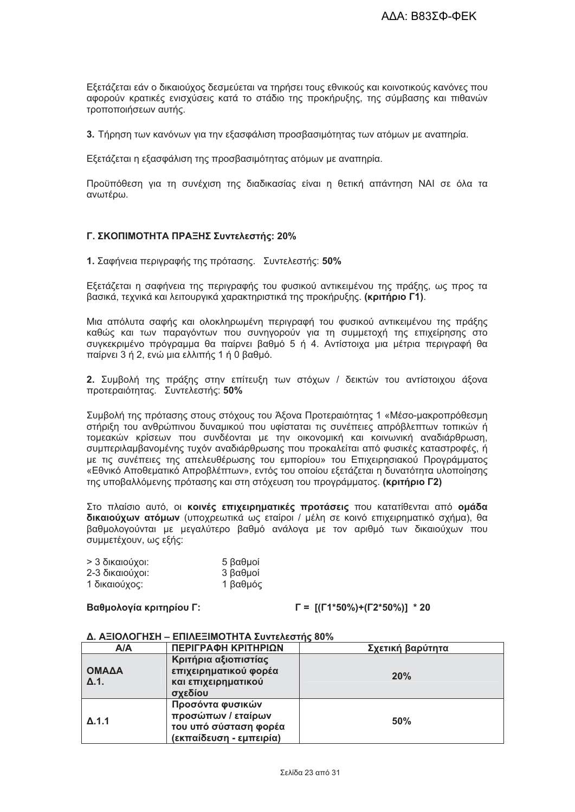Εξετάζεται εάν ο δικαιούχος δεσμεύεται να τηρήσει τους εθνικούς και κοινοτικούς κανόνες που αφορούν κρατικές ενισχύσεις κατά το στάδιο της προκήρυξης, της σύμβασης και πιθανών τροποποιήσεων αυτής.

3. Τήρηση των κανόνων για την εξασφάλιση προσβασιμότητας των ατόμων με αναπηρία.

Εξετάζεται η εξασφάλιση της προσβασιμότητας ατόμων με αναπηρία.

Προϋπόθεση για τη συνέχιση της διαδικασίας είναι η θετική απάντηση ΝΑΙ σε όλα τα ανωτέρω.

# Γ. ΣΚΟΠΙΜΟΤΗΤΑ ΠΡΑΞΗΣ Συντελεστής: 20%

1. Σαφήνεια περιγραφής της πρότασης. Συντελεστής: 50%

Εξετάζεται η σαφήνεια της περιγραφής του φυσικού αντικειμένου της πράξης, ως προς τα βασικά, τεχνικά και λειτουργικά χαρακτηριστικά της προκήρυξης. (κριτήριο Γ1).

Μια απόλυτα σαφής και ολοκληρωμένη περιγραφή του φυσικού αντικειμένου της πράξης καθώς και των παραγόντων που συνηγορούν για τη συμμετοχή της επιχείρησης στο συγκεκριμένο πρόγραμμα θα παίρνει βαθμό 5 ή 4. Αντίστοιχα μια μέτρια περιγραφή θα παίρνει 3 ή 2, ενώ μια ελλιπής 1 ή 0 βαθμό.

2. Συμβολή της πράξης στην επίτευξη των στόχων / δεικτών του αντίστοιχου άξονα προτεραιότητας. Συντελεστής: 50%

Συμβολή της πρότασης στους στόχους του Άξονα Προτεραιότητας 1 «Μέσο-μακροπρόθεσμη στήριξη του ανθρώπινου δυναμικού που υφίσταται τις συνέπειες απρόβλεπτων τοπικών ή τομεακών κρίσεων που συνδέονται με την οικονομική και κοινωνική αναδιάρθρωση, συμπεριλαμβανομένης τυχόν αναδιάρθρωσης που προκαλείται από φυσικές καταστροφές, ή με τις συνέπειες της απελευθέρωσης του εμπορίου» του Επιχειρησιακού Προνράμματος «Εθνικό Αποθεματικό Απροβλέπτων», εντός του οποίου εξετάζεται η δυνατότητα υλοποίησης της υποβαλλόμενης πρότασης και στη στόχευση του προγράμματος. (κριτήριο Γ2)

Στο πλαίσιο αυτό, οι κοινές επιχειρηματικές προτάσεις που κατατίθενται από ομάδα δικαιούχων ατόμων (υποχρεωτικά ως εταίροι / μέλη σε κοινό επιχειρηματικό σχήμα), θα βαθμολογούνται με μεγαλύτερο βαθμό ανάλογα με τον αριθμό των δικαιούχων που συμμετέχουν, ως εξής:

| > 3 δικαιούχοι: | 5 βαθμοί |
|-----------------|----------|
| 2-3 δικαιούχοι: | 3 βαθμοί |
| 1 δικαιούχος:   | 1 βαθμός |

# Βαθμολογία κριτηρίου Γ:

 $\Gamma = \frac{\Gamma(\Gamma_1 * 50\%) + \Gamma_2 * 50\%}{1}$  \* 20

| A/A                   | ΠΕΡΙΓΡΑΦΗ ΚΡΙΤΗΡΙΩΝ                                                                        | Σχετική βαρύτητα |
|-----------------------|--------------------------------------------------------------------------------------------|------------------|
| ΟΜΑΔΑ<br>$\Delta$ .1. | Κριτήρια αξιοπιστίας<br>επιχειρηματικού φορέα<br>και επιχειρηματικού<br>σχεδίου            | 20%              |
| $\Delta$ .1.1         | Προσόντα φυσικών<br>προσώπων / εταίρων<br>του υπό σύσταση φορέα<br>(εκπαίδευση - εμπειρία) | 50%              |

### Δ. ΑΞΙΟΛΟΓΗΣΗ – ΕΠΙΛΕΞΙΜΟΤΗΤΑ Συντελεστής 80%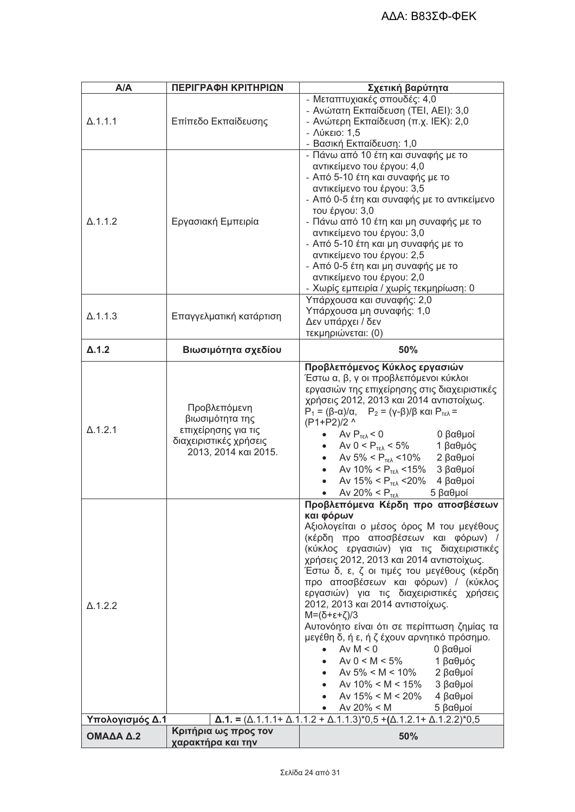| A/A             | ΠΕΡΙΓΡΑΦΗ ΚΡΙΤΗΡΙΩΝ                                                                                      | Σχετική βαρύτητα                                                                                                                                                                                                                                                                                                                                                                                                                                                                                                                                                                                                                                                                                |
|-----------------|----------------------------------------------------------------------------------------------------------|-------------------------------------------------------------------------------------------------------------------------------------------------------------------------------------------------------------------------------------------------------------------------------------------------------------------------------------------------------------------------------------------------------------------------------------------------------------------------------------------------------------------------------------------------------------------------------------------------------------------------------------------------------------------------------------------------|
| $\Delta$ .1.1.1 | Επίπεδο Εκπαίδευσης                                                                                      | - Μεταπτυχιακές σπουδές: 4,0<br>- Ανώτατη Εκπαίδευση (ΤΕΙ, ΑΕΙ): 3,0<br>- Ανώτερη Εκπαίδευση (π.χ. ΙΕΚ): 2,0<br>- Λύκειο: 1,5<br>- Βασική Εκπαίδευση: 1,0                                                                                                                                                                                                                                                                                                                                                                                                                                                                                                                                       |
| $\Delta$ .1.1.2 | Εργασιακή Εμπειρία                                                                                       | - Πάνω από 10 έτη και συναφής με το<br>αντικείμενο του έργου: 4,0<br>- Από 5-10 έτη και συναφής με το<br>αντικείμενο του έργου: 3,5<br>- Από 0-5 έτη και συναφής με το αντικείμενο<br>του έργου: 3,0<br>- Πάνω από 10 έτη και μη συναφής με το<br>αντικείμενο του έργου: 3,0<br>- Από 5-10 έτη και μη συναφής με το<br>αντικείμενο του έργου: 2,5<br>- Από 0-5 έτη και μη συναφής με το<br>αντικείμενο του έργου: 2,0<br>- Χωρίς εμπειρία / χωρίς τεκμηρίωση: 0                                                                                                                                                                                                                                 |
| $\Delta$ .1.1.3 | Επαγγελματική κατάρτιση                                                                                  | Υπάρχουσα και συναφής: 2,0<br>Υπάρχουσα μη συναφής: 1,0<br>Δεν υπάρχει / δεν<br>τεκμηριώνεται: (0)                                                                                                                                                                                                                                                                                                                                                                                                                                                                                                                                                                                              |
| $\Delta$ .1.2   | Βιωσιμότητα σχεδίου                                                                                      | 50%                                                                                                                                                                                                                                                                                                                                                                                                                                                                                                                                                                                                                                                                                             |
| $\Delta$ .1.2.1 | Προβλεπόμενη<br>βιωσιμότητα της<br>επιχείρησης για τις<br>διαχειριστικές χρήσεις<br>2013, 2014 και 2015. | Προβλεπόμενος Κύκλος εργασιών<br>Έστω α, β, γ οι προβλεπόμενοι κύκλοι<br>εργασιών της επιχείρησης στις διαχειριστικές<br>χρήσεις 2012, 2013 και 2014 αντιστοίχως.<br>$P_1 = (\beta - \alpha)/\alpha$ , $P_2 = (\gamma - \beta)/\beta$ και $P_{\tau \epsilon \lambda} =$<br>(P1+P2)/2 ^<br>0 βαθμοί<br>Av $P_{T\epsilon\lambda}$ < 0<br>Aν 0 < $P_{\text{TE}}$ < 5% 1 βαθμός<br>Aν 5% < $P_{\text{TE}}$ < 10% 2 βαθμοί<br>$\bullet$<br>Aν 10% < $P_{TEλ}$ < 15% 3 βαθμοί<br>$\bullet$<br>Av 15% < $P_{T_{E}}$ < 20%<br>4 βαθμοί<br>5 βαθμοί<br>Av 20% $<$ $P_{T\epsilon\lambda}$                                                                                                                 |
| $\Delta$ .1.2.2 |                                                                                                          | Προβλεπόμενα Κέρδη προ αποσβέσεων<br>και φόρων<br>Αξιολογείται ο μέσος όρος Μ του μεγέθους<br>(κέρδη προ αποσβέσεων και φόρων) /<br>(κύκλος εργασιών) για τις διαχειριστικές<br>χρήσεις 2012, 2013 και 2014 αντιστοίχως.<br>Έστω δ, ε, ζ οι τιμές του μεγέθους (κέρδη<br>προ αποσβέσεων και φόρων) / (κύκλος<br>εργασιών) για τις διαχειριστικές χρήσεις<br>2012, 2013 και 2014 αντιστοίχως.<br>$M=(\delta+\epsilon+\zeta)/3$<br>Αυτονόητο είναι ότι σε περίπτωση ζημίας τα<br>μεγέθη δ, ή ε, ή ζ έχουν αρνητικό πρόσημο.<br>Av $M < 0$<br>0 βαθμοί<br>$\bullet$<br>Av $0 < M < 5\%$<br>1 βαθμός<br>Aν 5% < M < 10% 2 βαθμοί<br>• Av 10% < M < 15%<br>3 βαθμοί<br>Av $15\% < M < 20\%$ 4 βαθμοί |
| Υπολογισμός Δ.1 |                                                                                                          | Av $20\% < M$<br>5 βαθμοί<br>$\bullet$<br>$\Delta$ .1. = ( $\Delta$ .1.1.1+ $\Delta$ .1.1.2 + $\Delta$ .1.1.3)*0,5 +( $\Delta$ .1.2.1+ $\Delta$ .1.2.2)*0,5                                                                                                                                                                                                                                                                                                                                                                                                                                                                                                                                     |
| ΟΜΑΔΑ Δ.2       | Κριτήρια ως προς τον<br>χαρακτήρα και την                                                                | 50%                                                                                                                                                                                                                                                                                                                                                                                                                                                                                                                                                                                                                                                                                             |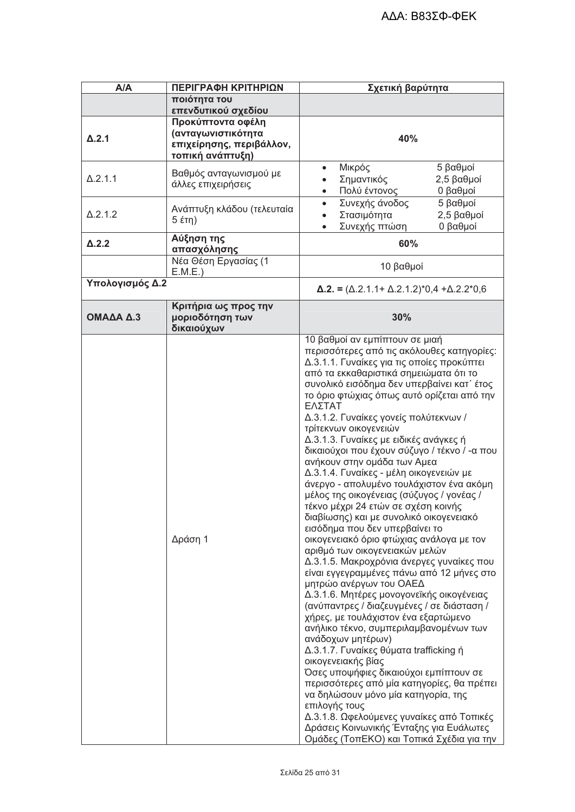| A/A             | ΠΕΡΙΓΡΑΦΗ ΚΡΙΤΗΡΙΩΝ                                                                             | Σχετική βαρύτητα                                                                                                                                                                                                                                                                                                                                                                                                                                                                                                                                                                                                                                                                                                                                                                                                                                                                                                                                                                                                                                                                                                                                                                                                                                                                                                                                                                                                                                                                         |
|-----------------|-------------------------------------------------------------------------------------------------|------------------------------------------------------------------------------------------------------------------------------------------------------------------------------------------------------------------------------------------------------------------------------------------------------------------------------------------------------------------------------------------------------------------------------------------------------------------------------------------------------------------------------------------------------------------------------------------------------------------------------------------------------------------------------------------------------------------------------------------------------------------------------------------------------------------------------------------------------------------------------------------------------------------------------------------------------------------------------------------------------------------------------------------------------------------------------------------------------------------------------------------------------------------------------------------------------------------------------------------------------------------------------------------------------------------------------------------------------------------------------------------------------------------------------------------------------------------------------------------|
|                 | ποιότητα του                                                                                    |                                                                                                                                                                                                                                                                                                                                                                                                                                                                                                                                                                                                                                                                                                                                                                                                                                                                                                                                                                                                                                                                                                                                                                                                                                                                                                                                                                                                                                                                                          |
|                 | επενδυτικού σχεδίου                                                                             |                                                                                                                                                                                                                                                                                                                                                                                                                                                                                                                                                                                                                                                                                                                                                                                                                                                                                                                                                                                                                                                                                                                                                                                                                                                                                                                                                                                                                                                                                          |
| $\Delta$ .2.1   | Προκύπτοντα οφέλη<br>(ανταγωνιστικότη <b>τα</b><br>επιχείρησης, περιβάλλον,<br>τοπική ανάπτυξη) | 40%                                                                                                                                                                                                                                                                                                                                                                                                                                                                                                                                                                                                                                                                                                                                                                                                                                                                                                                                                                                                                                                                                                                                                                                                                                                                                                                                                                                                                                                                                      |
| $\Delta$ .2.1.1 | Βαθμός ανταγωνισμού με<br>άλλες επιχειρήσεις                                                    | 5 βαθμοί<br>Μικρός<br>$\bullet$<br>Σημαντικός<br>2,5 βαθμοί<br>$\bullet$<br>Πολύ έντονος<br>0 βαθμοί<br>$\bullet$                                                                                                                                                                                                                                                                                                                                                                                                                                                                                                                                                                                                                                                                                                                                                                                                                                                                                                                                                                                                                                                                                                                                                                                                                                                                                                                                                                        |
| $\Delta$ .2.1.2 | Ανάπτυξη κλάδου (τελευταία                                                                      | Συνεχής άνοδος<br>5 βαθμοί<br>$\bullet$<br>Στασιμότητα<br>$2,5$ βαθμοί<br>$\bullet$<br>Συνεχής πτώση<br>0 βαθμοί<br>$\bullet$                                                                                                                                                                                                                                                                                                                                                                                                                                                                                                                                                                                                                                                                                                                                                                                                                                                                                                                                                                                                                                                                                                                                                                                                                                                                                                                                                            |
| $\Delta$ .2.2   | Αύξηση της<br>απασχόλησης                                                                       | 60%                                                                                                                                                                                                                                                                                                                                                                                                                                                                                                                                                                                                                                                                                                                                                                                                                                                                                                                                                                                                                                                                                                                                                                                                                                                                                                                                                                                                                                                                                      |
|                 | Νέα Θέση Εργασίας (1<br>E.M.E.)                                                                 | 10 βαθμοί                                                                                                                                                                                                                                                                                                                                                                                                                                                                                                                                                                                                                                                                                                                                                                                                                                                                                                                                                                                                                                                                                                                                                                                                                                                                                                                                                                                                                                                                                |
| Υπολογισμός Δ.2 |                                                                                                 | $\Delta$ .2. = ( $\Delta$ .2.1.1+ $\Delta$ .2.1.2)*0,4 + $\Delta$ .2.2*0,6                                                                                                                                                                                                                                                                                                                                                                                                                                                                                                                                                                                                                                                                                                                                                                                                                                                                                                                                                                                                                                                                                                                                                                                                                                                                                                                                                                                                               |
| ΟΜΑΔΑ Δ.3       | Κριτήρια ως προς την<br>μοριοδότηση των<br>δικαιούχων                                           | 30%                                                                                                                                                                                                                                                                                                                                                                                                                                                                                                                                                                                                                                                                                                                                                                                                                                                                                                                                                                                                                                                                                                                                                                                                                                                                                                                                                                                                                                                                                      |
|                 | Δράση 1                                                                                         | 10 βαθμοί αν εμπίπτουν σε μιαή<br>περισσότερες από τις ακόλουθες κατηγορίες:<br>Δ.3.1.1. Γυναίκες για τις οποίες προκύπτει<br>από τα εκκαθαριστικά σημειώματα ότι το<br>συνολικό εισόδημα δεν υπερβαίνει κατ΄ έτος<br>το όριο φτώχιας όπως αυτό ορίζεται από την<br>ΕΛΣΤΑΤ<br>Δ.3.1.2. Γυναίκες γονείς πολύτεκνων /<br>τρίτεκνων οικογενειών<br>Δ.3.1.3. Γυναίκες με ειδικές ανάγκες ή<br>δικαιούχοι που έχουν σύζυγο / τέκνο / - α που<br>ανήκουν στην ομάδα των Αμεα<br>Δ.3.1.4. Γυναίκες - μέλη οικογενειών με<br>άνεργο - απολυμένο τουλάχιστον ένα ακόμη<br>μέλος της οικογένειας (σύζυγος / γονέας /<br>τέκνο μέχρι 24 ετών σε σχέση κοινής<br>διαβίωσης) και με συνολικό οικογενειακό<br>εισόδημα που δεν υπερβαίνει το<br>οικογενειακό όριο φτώχιας ανάλογα με τον<br>αριθμό των οικογενειακών μελών<br>Δ.3.1.5. Μακροχρόνια άνεργες γυναίκες που<br>είναι εγγεγραμμένες πάνω από 12 μήνες στο<br>μητρώο ανέργων του ΟΑΕΔ<br>Δ.3.1.6. Μητέρες μονογονεϊκής οικογένειας<br>(ανύπαντρες / διαζευγμένες / σε διάσταση /<br>χήρες, με τουλάχιστον ένα εξαρτώμενο<br>ανήλικο τέκνο, συμπεριλαμβανομένων των<br>ανάδοχων μητέρων)<br>Δ.3.1.7. Γυναίκες θύματα trafficking ή<br>οικογενειακής βίας<br>Όσες υποψήφιες δικαιούχοι εμπίπτουν σε<br>περισσότερες από μία κατηγορίες, θα πρέπει<br>να δηλώσουν μόνο μία κατηγορία, της<br>επιλογής τους<br>Δ.3.1.8. Ωφελούμενες γυναίκες από Τοπικές<br>Δράσεις Κοινωνικής Ένταξης για Ευάλωτες<br>Ομάδες (ΤοπΕΚΟ) και Τοπικά Σχέδια για την |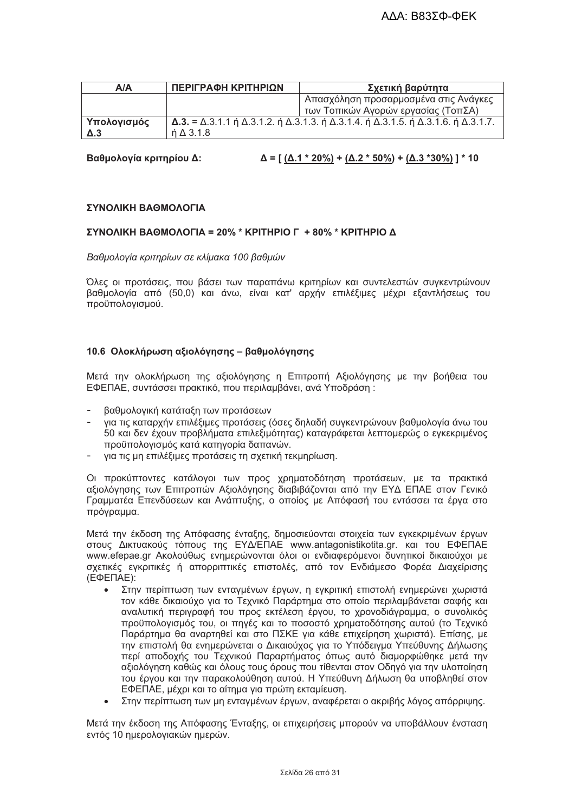| A/A         | ΠΕΡΙΓΡΑΦΗ ΚΡΙΤΗΡΙΩΝ | Σχετική βαρύτητα                                                                                                                                 |
|-------------|---------------------|--------------------------------------------------------------------------------------------------------------------------------------------------|
|             |                     | Απασχόληση προσαρμοσμένα στις Ανάγκες                                                                                                            |
|             |                     | των Τοπικών Αγορών εργασίας (ΤοπΣΑ)                                                                                                              |
| Υπολογισμός |                     | $\Delta$ .3. = $\Delta$ .3.1.1 ή $\Delta$ .3.1.2. ή $\Delta$ .3.1.3. ή $\Delta$ .3.1.4. ή $\Delta$ .3.1.5. ή $\Delta$ .3.1.6. ή $\Delta$ .3.1.7. |
| $\Delta$ .3 | $\angle$ 0 3.1.8    |                                                                                                                                                  |

Βαθμολογία κριτηρίου Δ:

### ΣΥΝΟΛΙΚΗ ΒΑΘΜΟΛΟΓΙΑ

### ΣΥΝΟΛΙΚΗ ΒΑΘΜΟΛΟΓΙΑ = 20% \* ΚΡΙΤΗΡΙΟ Γ + 80% \* ΚΡΙΤΗΡΙΟ Δ

Βαθμολογία κριτηρίων σε κλίμακα 100 βαθμών

Όλες οι προτάσεις, που βάσει των παραπάνω κριτηρίων και συντελεστών συγκεντρώνουν βαθμολογία από (50,0) και άνω, είναι κατ' αρχήν επιλέξιμες μέχρι εξαντλήσεως του προϋπολογισμού.

### 10.6 Ολοκλήρωση αξιολόγησης - βαθμολόγησης

Μετά την ολοκλήρωση της αξιολόγησης η Επιτροπή Αξιολόγησης με την βοήθεια του ΕΦΕΠΑΕ, συντάσσει πρακτικό, που περιλαμβάνει, ανά Υποδράση:

- βαθμολογική κατάταξη των προτάσεων
- νια τις καταρχήν επιλέξιμες προτάσεις (όσες δηλαδή συνκεντρώνουν βαθμολονία άνω του 50 και δεν έχουν προβλήματα επιλεξιμότητας) καταγράφεται λεπτομερώς ο εγκεκριμένος προϋπολογισμός κατά κατηγορία δαπανών.
- για τις μη επιλέξιμες προτάσεις τη σχετική τεκμηρίωση.

Οι προκύπτοντες κατάλογοι των προς χρηματοδότηση προτάσεων, με τα πρακτικά αξιολόγησης των Επιτροπών Αξιολόγησης διαβιβάζονται από την ΕΥΔ ΕΠΑΕ στον Γενικό Γραμματέα Επενδύσεων και Ανάπτυξης, ο οποίος με Απόφασή του εντάσσει τα έργα στο πρόγραμμα.

Μετά την έκδοση της Απόφασης ένταξης, δημοσιεύονται στοιχεία των εγκεκριμένων έργων στους Δικτυακούς τόπους της ΕΥΔ/ΕΠΑΕ www.antagonistikotita.gr. και του ΕΦΕΠΑΕ www.efepae.gr Ακολούθως ενημερώνονται όλοι οι ενδιαφερόμενοι δυνητικοί δικαιούχοι με σχετικές εγκριτικές ή απορριπτικές επιστολές, από τον Ενδιάμεσο Φορέα Διαχείρισης  $(E\Phi E\Pi AE)$ :

- Στην περίπτωση των ενταγμένων έργων, η εγκριτική επιστολή ενημερώνει χωριστά τον κάθε δικαιούχο νια το Τεχνικό Παράρτημα στο οποίο περιλαμβάνεται σαφής και αναλυτική περιγραφή του προς εκτέλεση έργου, το χρονοδιάγραμμα, ο συνολικός προϋπολογισμός του, οι πηγές και το ποσοστό χρηματοδότησης αυτού (το Τεχνικό Παράρτημα θα αναρτηθεί και στο ΠΣΚΕ για κάθε επιχείρηση χωριστά). Επίσης, με την επιστολή θα ενημερώνεται ο Δικαιούχος για το Υπόδειγμα Υπεύθυνης Δήλωσης περί αποδοχής του Τεχνικού Παραρτήματος όπως αυτό διαμορφώθηκε μετά την αξιολόγηση καθώς και όλους τους όρους που τίθενται στον Οδηγό για την υλοποίηση του έργου και την παρακολούθηση αυτού. Η Υπεύθυνη Δήλωση θα υποβληθεί στον ΕΦΕΠΑΕ, μέχρι και το αίτημα για πρώτη εκταμίευση.
- Στην περίπτωση των μη εντανμένων έρνων, αναφέρεται ο ακριβής λόνος απόρριψης.

Μετά την έκδοση της Απόφασης Ένταξης, οι επιχειρήσεις μπορούν να υποβάλλουν ένσταση εντός 10 ημερολογιακών ημερών.

 $\Delta = [ (\Delta.1 * 20\%) + (\Delta.2 * 50\%) + (\Delta.3 * 30\%) ] * 10$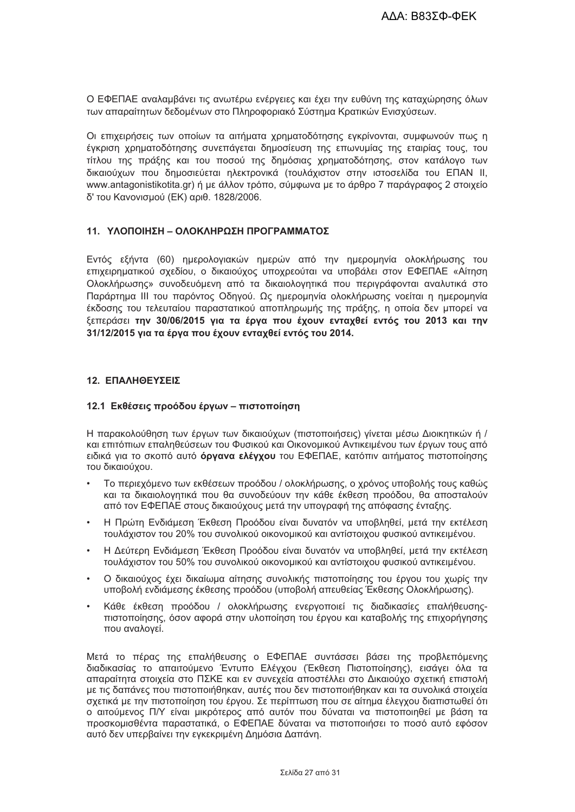Ο ΕΦΕΠΑΕ αναλαμβάνει τις ανωτέρω ενέργειες και έχει την ευθύνη της καταχώρησης όλων των απαραίτητων δεδομένων στο Πληροφοριακό Σύστημα Κρατικών Ενισχύσεων.

Οι επιχειρήσεις των οποίων τα αιτήματα χρηματοδότησης εγκρίνονται, συμφωνούν πως η έγκριση χρηματοδότησης συνεπάγεται δημοσίευση της επωνυμίας της εταιρίας τους, του τίτλου της πράξης και του ποσού της δημόσιας χρηματοδότησης, στον κατάλογο των δικαιούχων που δημοσιεύεται ηλεκτρονικά (τουλάχιστον στην ιστοσελίδα του ΕΠΑΝ ΙΙ, www.antagonistikotita.gr) ή με άλλον τρόπο, σύμφωνα με το άρθρο 7 παράγραφος 2 στοιχείο δ' του Κανονισμού (ΕΚ) αριθ. 1828/2006.

# 11 ΥΛΟΠΟΙΗΣΗ – ΟΛΟΚΛΗΡΟΣΗ ΠΡΟΓΡΑΜΜΑΤΟΣ

Εντός εξήντα (60) ημερολογιακών ημερών από την ημερομηνία ολοκλήρωσης του επιχειρηματικού σχεδίου, ο δικαιούχος υποχρεούται να υποβάλει στον ΕΦΕΠΑΕ «Αίτηση Ολοκλήρωσης» συνοδευόμενη από τα δικαιολογητικά που περιγράφονται αναλυτικά στο Παράρτημα ΙΙΙ του παρόντος Οδηγού. Ως ημερομηνία ολοκλήρωσης νοείται η ημερομηνία έκδοσης του τελευταίου παραστατικού αποπληρωμής της πράξης, η οποία δεν μπορεί να ξεπεράσει την 30/06/2015 για τα έργα που έχουν ενταχθεί εντός του 2013 και την 31/12/2015 για τα έργα που έχουν ενταχθεί εντός του 2014.

### 12. ΕΠΑΛΗΘΕΥΣΕΙΣ

### 12.1 Εκθέσεις προόδου έργων - πιστοποίηση

Η παρακολούθηση των έργων των δικαιούχων (πιστοποιήσεις) γίνεται μέσω Διοικητικών ή / και επιτόπιων επαληθεύσεων του Φυσικού και Οικονομικού Αντικειμένου των έργων τους από ειδικά για το σκοπό αυτό όργανα ελέγχου του ΕΦΕΠΑΕ, κατόπιν αιτήματος πιστοποίησης του δικαιούχου.

- Το περιεχόμενο των εκθέσεων προόδου / ολοκλήρωσης, ο χρόνος υποβολής τους καθώς και τα δικαιολογητικά που θα συνοδεύουν την κάθε έκθεση προόδου, θα αποσταλούν από τον ΕΦΕΠΑΕ στους δικαιούχους μετά την υπογραφή της απόφασης ένταξης.
- Η Πρώτη Ενδιάμεση Έκθεση Προόδου είναι δυνατόν να υποβληθεί, μετά την εκτέλεση τουλάχιστον του 20% του συνολικού οικονομικού και αντίστοιχου φυσικού αντικειμένου.
- Η Δεύτερη Ενδιάμεση Έκθεση Προόδου είναι δυνατόν να υποβληθεί, μετά την εκτέλεση τουλάχιστον του 50% του συνολικού οικονομικού και αντίστοιχου φυσικού αντικειμένου.
- Ο δικαιούχος έχει δικαίωμα αίτησης συνολικής πιστοποίησης του έργου του χωρίς την  $\bullet$ υποβολή ενδιάμεσης έκθεσης προόδου (υποβολή απευθείας Έκθεσης Ολοκλήρωσης).
- Κάθε έκθεση προόδου / ολοκλήρωσης ενεργοποιεί τις διαδικασίες επαλήθευσηςπιστοποίησης, όσον αφορά στην υλοποίηση του έργου και καταβολής της επιχορήγησης που αναλονεί.

Μετά το πέρας της επαλήθευσης ο ΕΦΕΠΑΕ συντάσσει βάσει της προβλεπόμενης διαδικασίας το απαιτούμενο Έντυπο Ελέγχου (Έκθεση Πιστοποίησης), εισάγει όλα τα απαραίτητα στοιχεία στο ΠΣΚΕ και εν συνεχεία αποστέλλει στο Δικαιούχο σχετική επιστολή με τις δαπάνες που πιστοποιήθηκαν, αυτές που δεν πιστοποιήθηκαν και τα συνολικά στοιχεία σχετικά με την πιστοποίηση του έργου. Σε περίπτωση που σε αίτημα έλεγχου διαπιστωθεί ότι ο αιτούμενος Π/Υ είναι μικρότερος από αυτόν που δύναται να πιστοποιηθεί με βάση τα προσκομισθέντα παραστατικά, ο ΕΦΕΠΑΕ δύναται να πιστοποιήσει το ποσό αυτό εφόσον αυτό δεν υπερβαίνει την ενκεκριμένη Δημόσια Δαπάνη.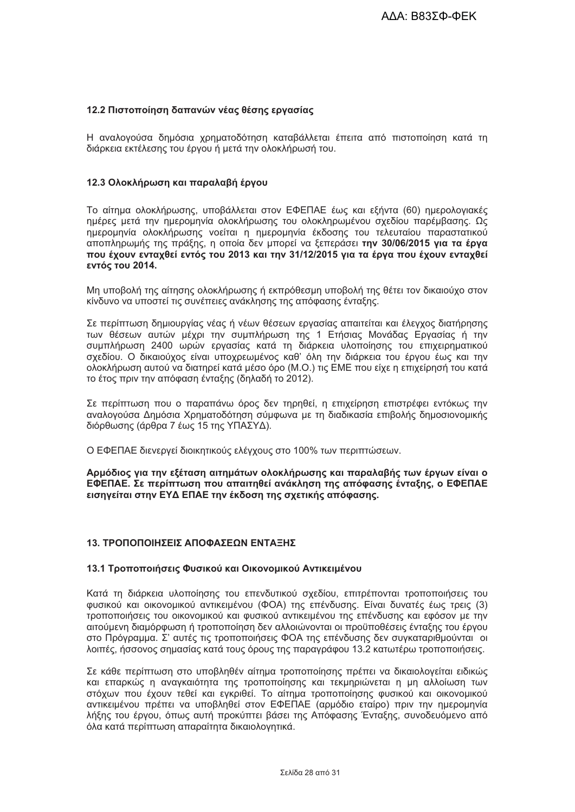# 12.2 Πιστοποίηση δαπανών νέας θέσης εργασίας

Η αναλογούσα δημόσια χρηματοδότηση καταβάλλεται έπειτα από πιστοποίηση κατά τη διάρκεια εκτέλεσης του έργου ή μετά την ολοκλήρωσή του.

### 12.3 Ολοκλήρωση και παραλαβή έργου

Το αίτημα ολοκλήρωσης, υποβάλλεται στον ΕΦΕΠΑΕ έως και εξήντα (60) ημερολογιακές ημέρες μετά την ημερομηνία ολοκλήρωσης του ολοκληρωμένου σχεδίου παρέμβασης. Ως ημερομηνία ολοκλήρωσης νοείται η ημερομηνία έκδοσης του τελευταίου παραστατικού αποπληρωμής της πράξης, η οποία δεν μπορεί να ξεπεράσει την 30/06/2015 για τα έργα που έχουν ενταχθεί εντός του 2013 και την 31/12/2015 νια τα έρνα που έχουν ενταχθεί εντός του 2014.

Μη υποβολή της αίτησης ολοκλήρωσης ή εκπρόθεσμη υποβολή της θέτει τον δικαιούχο στον κίνδυνο να υποστεί τις συνέπειες ανάκλησης της απόφασης ένταξης.

Σε περίπτωση δημιουργίας νέας ή νέων θέσεων εργασίας απαιτείται και έλεγχος διατήρησης των θέσεων αυτών μέχρι την συμπλήρωση της 1 Ετήσιας Μονάδας Εργασίας ή την συμπλήρωση 2400 ωρών εργασίας κατά τη διάρκεια υλοποίησης του επιχειρηματικού σχεδίου. Ο δικαιούχος είναι υποχρεωμένος καθ' όλη την διάρκεια του έργου έως και την ολοκλήρωση αυτού να διατηρεί κατά μέσο όρο (Μ.Ο.) τις ΕΜΕ που είχε η επιχείρησή του κατά το έτος πριν την απόφαση ένταξης (δηλαδή το 2012).

Σε περίπτωση που ο παραπάνω όρος δεν τηρηθεί, η επιχείρηση επιστρέφει εντόκως την αναλογούσα Δημόσια Χρηματοδότηση σύμφωνα με τη διαδικασία επιβολής δημοσιονομικής διόρθωσης (άρθρα 7 έως 15 της ΥΠΑΣΥΔ).

Ο ΕΦΕΠΑΕ διενεργεί διοικητικούς ελέγχους στο 100% των περιπτώσεων.

Αρμόδιος για την εξέταση αιτημάτων ολοκλήρωσης και παραλαβής των έργων είναι ο ΕΦΕΠΑΕ. Σε περίπτωση που απαιτηθεί ανάκληση της απόφασης ένταξης, ο ΕΦΕΠΑΕ εισηγείται στην ΕΥΔ ΕΠΑΕ την έκδοση της σχετικής απόφασης.

# 13. ΤΡΟΠΟΠΟΙΗΣΕΙΣ ΑΠΟΦΑΣΕΩΝ ΕΝΤΑΞΗΣ

### 13.1 Τροποποιήσεις Φυσικού και Οικονομικού Αντικειμένου

Κατά τη διάρκεια υλοποίησης του επενδυτικού σχεδίου, επιτρέπονται τροποποιήσεις του φυσικού και οικονομικού αντικειμένου (ΦΟΑ) της επένδυσης. Είναι δυνατές έως τρεις (3) τροποποιήσεις του οικονομικού και φυσικού αντικειμένου της επένδυσης και εφόσον με την αιτούμενη διαμόρφωση ή τροποποίηση δεν αλλοιώνονται οι προϋποθέσεις ένταξης του έργου στο Πρόγραμμα. Σ' αυτές τις τροποποιήσεις ΦΟΑ της επένδυσης δεν συγκαταριθμούνται οι λοιπές, ήσσονος σημασίας κατά τους όρους της παραγράφου 13.2 κατωτέρω τροποποιήσεις.

Σε κάθε περίπτωση στο υποβληθέν αίτημα τροποποίησης πρέπει να δικαιολονείται ειδικώς και επαρκώς η αναγκαιότητα της τροποποίησης και τεκμηριώνεται η μη αλλοίωση των στόχων που έχουν τεθεί και εγκριθεί. Το αίτημα τροποποίησης φυσικού και οικονομικού αντικειμένου πρέπει να υποβληθεί στον ΕΦΕΠΑΕ (αρμόδιο εταίρο) πριν την ημερομηνία λήξης του έργου, όπως αυτή προκύπτει βάσει της Απόφασης Ένταξης, συνοδευόμενο από όλα κατά περίπτωση απαραίτητα δικαιολογητικά.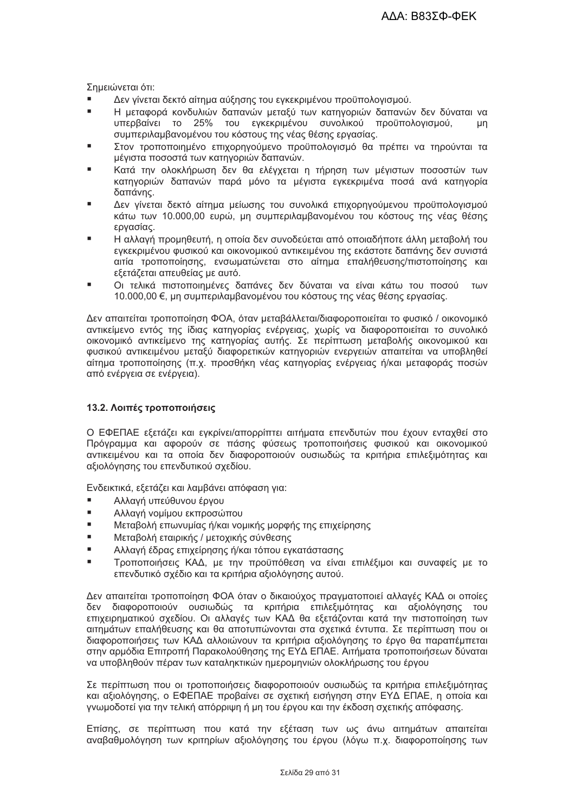Σημειώνεται ότι:

- Δεν γίνεται δεκτό αίτημα αύξησης του εγκεκριμένου προϋπολογισμού.
- Η μεταφορά κονδυλιών δαπανών μεταξύ των κατηνοριών δαπανών δεν δύναται να υπερβαίνει το 25% του εγκεκριμένου συνολικού προϋπολογισμού,  $\mu$ n συμπεριλαμβανομένου του κόστους της νέας θέσης εργασίας.
- Στον τροποποιημένο επιχορηγούμενο προϋπολογισμό θα πρέπει να τηρούνται τα μέγιστα ποσοστά των κατηγοριών δαπανών.
- Κατά την ολοκλήρωση δεν θα ελέγχεται η τήρηση των μέγιστων ποσοστών των κατηγοριών δαπανών παρά μόνο τα μέγιστα εγκεκριμένα ποσά ανά κατηγορία δαπάνης.
- Δεν γίνεται δεκτό αίτημα μείωσης του συνολικά επιχορηγούμενου προϋπολογισμού κάτω των 10.000,00 ευρώ, μη συμπεριλαμβανομένου του κόστους της νέας θέσης εργασίας.
- Η αλλαγή προμηθευτή, η οποία δεν συνοδεύεται από οποιαδήποτε άλλη μεταβολή του εγκεκριμένου φυσικού και οικονομικού αντικειμένου της εκάστοτε δαπάνης δεν συνιστά αιτία τροποποίησης, ενσωματώνεται στο αίτημα επαλήθευσης/πιστοποίησης και εξετάζεται απευθείας με αυτό.
- Οι τελικά πιστοποιημένες δαπάνες δεν δύναται να είναι κάτω του ποσού των 10.000,00 €, μη συμπεριλαμβανομένου του κόστους της νέας θέσης εργασίας.

Δεν απαιτείται τροποποίηση ΦΟΑ, όταν μεταβάλλεται/διαφοροποιείται το φυσικό / οικονομικό αντικείμενο εντός της ίδιας κατηγορίας ενέργειας, χωρίς να διαφοροποιείται το συνολικό οικονομικό αντικείμενο της κατηγορίας αυτής. Σε περίπτωση μεταβολής οικονομικού και φυσικού αντικειμένου μεταξύ διαφορετικών κατηγοριών ενεργειών απαιτείται να υποβληθεί αίτημα τροποποίησης (π.χ. προσθήκη νέας κατηγορίας ενέργειας ή/και μεταφοράς ποσών από ενέργεια σε ενέργεια).

# 13.2. Λοιπές τροποποιήσεις

Ο ΕΦΕΠΑΕ εξετάζει και εγκρίνει/απορρίπτει αιτήματα επενδυτών που έχουν ενταχθεί στο Πρόγραμμα και αφορούν σε πάσης φύσεως τροποποιήσεις φυσικού και οικονομικού αντικειμένου και τα οποία δεν διαφοροποιούν ουσιωδώς τα κριτήρια επιλεξιμότητας και αξιολόγησης του επενδυτικού σχεδίου.

Ενδεικτικά, εξετάζει και λαμβάνει απόφαση για:

- Αλλαγή υπεύθυνου έργου  $\blacksquare$
- Αλλαγή νομίμου εκπροσώπου
- i. Μεταβολή επωνυμίας ή/και νομικής μορφής της επιχείρησης
- $\blacksquare$ Μεταβολή εταιρικής / μετοχικής σύνθεσης
- Αλλαγή έδρας επιχείρησης ή/και τόπου εγκατάστασης
- Τροποποιήσεις ΚΑΔ, με την προϋπόθεση να είναι επιλέξιμοι και συναφείς με το επενδυτικό σχέδιο και τα κριτήρια αξιολόγησης αυτού.

Δεν απαιτείται τροποποίηση ΦΟΑ όταν ο δικαιούχος πραγματοποιεί αλλαγές ΚΑΔ οι οποίες δεν διαφοροποιούν ουσιωδώς τα κριτήρια επιλεξιμότητας και αξιολόγησης του επιχειρηματικού σχεδίου. Οι αλλαγές των ΚΑΔ θα εξετάζονται κατά την πιστοποίηση των αιτημάτων επαλήθευσης και θα αποτυπώνονται στα σχετικά έντυπα. Σε περίπτωση που οι διαφοροποιήσεις των ΚΑΔ αλλοιώνουν τα κριτήρια αξιολόνησης το έρνο θα παραπέμπεται στην αρμόδια Επιτροπή Παρακολούθησης της ΕΥΔ ΕΠΑΕ. Αιτήματα τροποποιήσεων δύναται να υποβληθούν πέραν των καταληκτικών ημερομηνιών ολοκλήρωσης του έργου

Σε περίπτωση που οι τροποποιήσεις διαφοροποιούν ουσιωδώς τα κριτήρια επιλεξιμότητας και αξιολόγησης, ο ΕΦΕΠΑΕ προβαίνει σε σχετική εισήγηση στην ΕΥΔ ΕΠΑΕ, η οποία και γνωμοδοτεί για την τελική απόρριψη ή μη του έργου και την έκδοση σχετικής απόφασης.

Επίσης, σε περίπτωση που κατά την εξέταση των ως άνω αιτημάτων απαιτείται αναβαθμολόγηση των κριτηρίων αξιολόγησης του έργου (λόγω π.χ. διαφοροποίησης των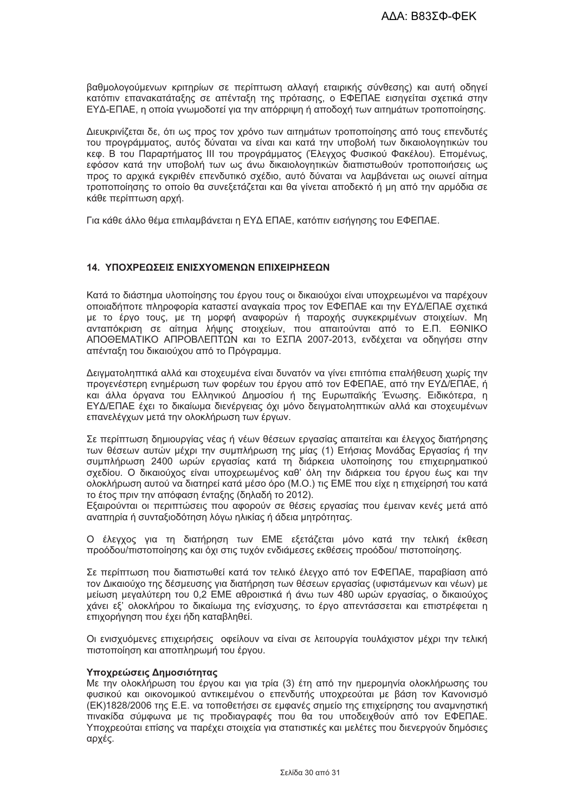βαθμολονούμενων κριτηρίων σε περίπτωση αλλαγή εταιρικής σύνθεσης) και αυτή οδηγεί κατόπιν επανακατάταξης σε απένταξη της πρότασης, ο ΕΦΕΠΑΕ εισηγείται σχετικά στην ΕΥΔ-ΕΠΑΕ, η οποία γνωμοδοτεί για την απόρριψη ή αποδοχή των αιτημάτων τροποποίησης.

Διευκρινίζεται δε, ότι ως προς τον χρόνο των αιτημάτων τροποποίησης από τους επενδυτές του προγράμματος, αυτός δύναται να είναι και κατά την υποβολή των δικαιολογητικών του κεφ. Β του Παραρτήματος ΙΙΙ του προγράμματος (Έλεγχος Φυσικού Φακέλου). Επομένως, εφόσον κατά την υποβολή των ως άνω δικαιολονητικών διαπιστωθούν τροποποιήσεις ως προς το αρχικά ενκριθέν επενδυτικό σχέδιο, αυτό δύναται να λαμβάνεται ως οιωνεί αίτημα τροποποίησης το οποίο θα συνεξετάζεται και θα γίνεται αποδεκτό ή μη από την αρμόδια σε κάθε περίπτωση αρχή.

Για κάθε άλλο θέμα επιλαμβάνεται η ΕΥΔ ΕΠΑΕ, κατόπιν εισήγησης του ΕΦΕΠΑΕ.

# 14. ΥΠΟΧΡΕΩΣΕΙΣ ΕΝΙΣΧΥΟΜΕΝΩΝ ΕΠΙΧΕΙΡΗΣΕΩΝ

Κατά το διάστημα υλοποίησης του έργου τους οι δικαιούχοι είναι υποχρεωμένοι να παρέχουν οποιαδήποτε πληροφορία καταστεί ανανκαία προς τον ΕΦΕΠΑΕ και την ΕΥΔ/ΕΠΑΕ σχετικά με το έργο τους, με τη μορφή αναφορών ή παροχής συγκεκριμένων στοιχείων. Μη ανταπόκριση σε αίτημα λήψης στοιχείων, που απαιτούνται από το Ε.Π. ΕΘΝΙΚΟ ΑΠΟΘΕΜΑΤΙΚΟ ΑΠΡΟΒΛΕΠΤΩΝ και το ΕΣΠΑ 2007-2013, ενδέχεται να οδηγήσει στην απένταξη του δικαιούχου από το Πρόγραμμα.

Δειγματοληπτικά αλλά και στοχευμένα είναι δυνατόν να γίνει επιτόπια επαλήθευση χωρίς την προγενέστερη ενημέρωση των φορέων του έργου από τον ΕΦΕΠΑΕ, από την ΕΥΔ/ΕΠΑΕ, ή και άλλα όργανα του Ελληνικού Δημοσίου ή της Ευρωπαϊκής Ένωσης. Ειδικότερα, η ΕΥΔ/ΕΠΑΕ έχει το δικαίωμα διενέργειας όχι μόνο δειγματοληπτικών αλλά και στοχευμένων επανελέγχων μετά την ολοκλήρωση των έργων.

Σε περίπτωση δημιουργίας γέας ή γέων θέσεων εργασίας απαιτείται και έλεγχος διατήρησης των θέσεων αυτών μέχρι την συμπλήρωση της μίας (1) Ετήσιας Μονάδας Εργασίας ή την συμπλήρωση 2400 ωρών εργασίας κατά τη διάρκεια υλοποίησης του επιχειρηματικού σχεδίου. Ο δικαιούχος είναι υποχρεωμένος καθ' όλη την διάρκεια του έργου έως και την ολοκλήρωση αυτού να διατηρεί κατά μέσο όρο (Μ.Ο.) τις ΕΜΕ που είχε η επιχείρησή του κατά το έτος πριν την απόφαση ένταξης (δηλαδή το 2012).

Εξαιρούνται οι περιπτώσεις που αφορούν σε θέσεις εργασίας που έμειναν κενές μετά από αναπηρία ή συνταξιοδότηση λόγω ηλικίας ή άδεια μητρότητας.

Ο έλεγχος για τη διατήρηση των ΕΜΕ εξετάζεται μόνο κατά την τελική έκθεση προόδου/πιστοποίησης και όχι στις τυχόν ενδιάμεσες εκθέσεις προόδου/ πιστοποίησης.

Σε περίπτωση που διαπιστωθεί κατά τον τελικό έλεγχο από τον ΕΦΕΠΑΕ, παραβίαση από τον Δικαιούχο της δέσμευσης για διατήρηση των θέσεων εργασίας (υφιστάμενων και νέων) με μείωση μεγαλύτερη του 0,2 ΕΜΕ αθροιστικά ή άνω των 480 ωρών εργασίας, ο δικαιούχος χάνει εξ' ολοκλήρου το δικαίωμα της ενίσχυσης, το έργο απεντάσσεται και επιστρέφεται η επιχορήγηση που έχει ήδη καταβληθεί.

Οι ενισχυόμενες επιχειρήσεις οφείλουν να είναι σε λειτουρνία τουλάχιστον μέχρι την τελική πιστοποίηση και αποπληρωμή του έργου.

# Υποχρεώσεις Δημοσιότητας

Με την ολοκλήρωση του έργου και για τρία (3) έτη από την ημερομηνία ολοκλήρωσης του φυσικού και οικονομικού αντικειμένου ο επενδυτής υποχρεούται με βάση τον Κανονισμό (ΕΚ)1828/2006 της Ε.Ε. να τοποθετήσει σε εμφανές σημείο της επιχείρησης του αναμνηστική πινακίδα σύμφωνα με τις προδιαγραφές που θα του υποδειχθούν από τον ΕΦΕΠΑΕ. Υποχρεούται επίσης να παρέχει στοιχεία για στατιστικές και μελέτες που διενεργούν δημόσιες αρχές.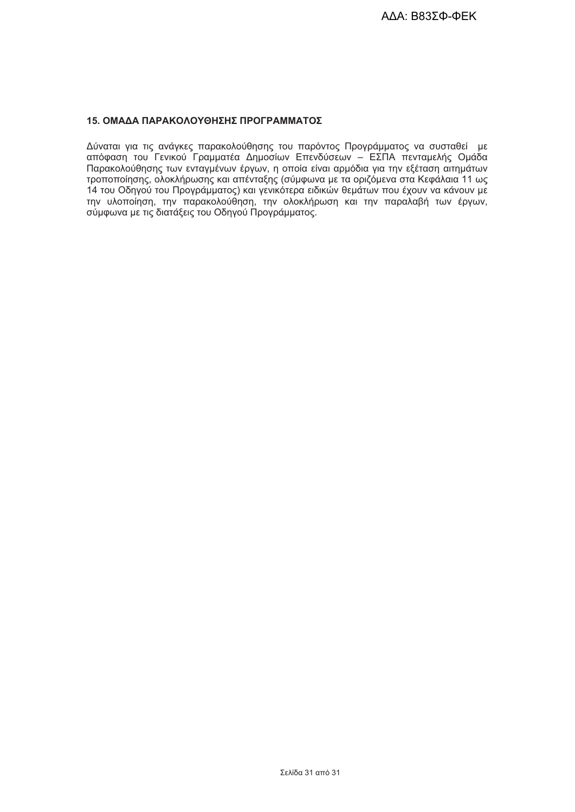#### 15. ΟΜΑΔΑ ΠΑΡΑΚΟΛΟΥΘΗΣΗΣ ΠΡΟΓΡΑΜΜΑΤΟΣ

Δύναται για τις ανάγκες παρακολούθησης του παρόντος Προγράμματος να συσταθεί με<br>απόφαση του Γενικού Γραμματέα Δημοσίων Επενδύσεων – ΕΣΠΑ πενταμελής Ομάδα<br>Παρακολούθησης των ενταγμένων έργων, η οποία είναι αρμόδια για την τροποποίησης, ολοκλήρωσης και απένταξης (σύμφωνα με τα οριζόμενα στα Κεφάλαια 11 ως 14 του Οδηγού του Προγράμματος) και γενικότερα ειδικών θεμάτων που έχουν να κάνουν με την υλοποίηση, την παρακολούθηση, την ολοκλήρωση και την παραλαβή των έργων, σύμφωνα με τις διατάξεις του Οδηγού Προγράμματος.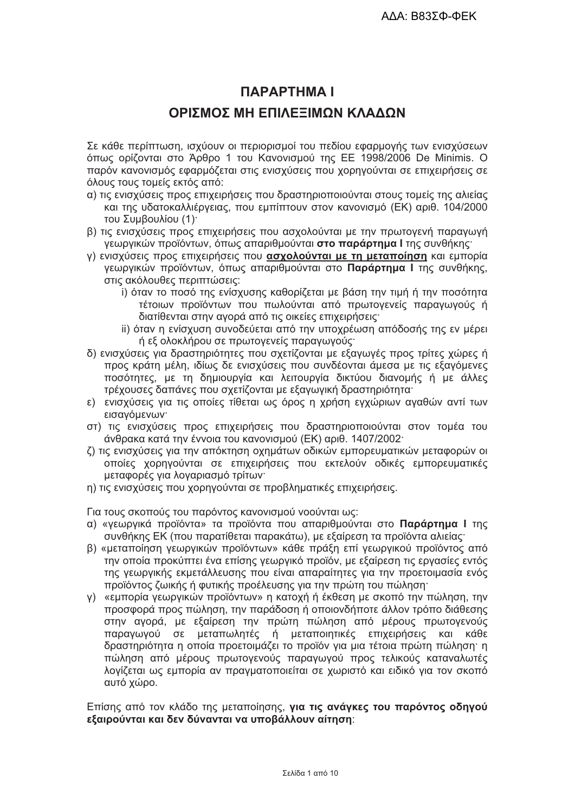# **ПАРАРТНМА І**

# ΟΡΙΣΜΟΣ ΜΗ ΕΠΙΛΕΞΙΜΟΝ ΚΛΑΛΟΝ

Σε κάθε περίπτωση, ισχύουν οι περιορισμοί του πεδίου εφαρμογής των ενισχύσεων όπως ορίζονται στο Άρθρο 1 του Κανονισμού της ΕΕ 1998/2006 De Minimis. Ο παρόν κανονισμός εφαρμόζεται στις ενισχύσεις που χορηγούνται σε επιχειρήσεις σε όλους τους τομείς εκτός από:

- α) τις ενισχύσεις προς επιχειρήσεις που δραστηριοποιούνται στους τομείς της αλιείας και της υδατοκαλλιέρνειας, που εμπίπτουν στον κανονισμό (ΕΚ) αριθ. 104/2000 του Συμβουλίου (1).
- β) τις ενισχύσεις προς επιχειρήσεις που ασχολούνται με την πρωτογενή παραγωγή γεωργικών προϊόντων, όπως απαριθμούνται στο παράρτημα Ι της συνθήκης:
- γ) ενισχύσεις προς επιχειρήσεις που ασχολούνται με τη μεταποίηση και εμπορία γεωργικών προϊόντων, όπως απαριθμούνται στο Παράρτημα Ι της συνθήκης, στις ακόλουθες περιπτώσεις:
	- i) όταν το ποσό της ενίσχυσης καθορίζεται με βάση την τιμή ή την ποσότητα τέτοιων προϊόντων που πωλούνται από πρωτογενείς παραγωγούς ή διατίθενται στην αγορά από τις οικείες επιχειρήσεις·
	- ii) όταν η ενίσχυση συνοδεύεται από την υποχρέωση απόδοσής της εν μέρει ή εξ ολοκλήρου σε πρωτογενείς παραγωγούς·
- δ) ενισχύσεις για δραστηριότητες που σχετίζονται με εξαγωγές προς τρίτες χώρες ή προς κράτη μέλη, ιδίως δε ενισχύσεις που συνδέονται άμεσα με τις εξαγόμενες ποσότητες, με τη δημιουργία και λειτουργία δικτύου διανομής ή με άλλες τρέχουσες δαπάνες που σχετίζονται με εξαγωγική δραστηριότητα:
- ε) ενισχύσεις για τις οποίες τίθεται ως όρος η χρήση εγχώριων αγαθών αντί των εισανόμενων·
- στ) τις ενισχύσεις προς επιχειρήσεις που δραστηριοποιούνται στον τομέα του άνθρακα κατά την έννοια του κανονισμού (ΕΚ) αριθ. 1407/2002·
- ζ) τις ενισχύσεις για την απόκτηση οχημάτων οδικών εμπορευματικών μεταφορών οι οποίες χορηνούνται σε επιχειρήσεις που εκτελούν οδικές εμπορευματικές μεταφορές για λοναριασμό τρίτων·
- η) τις ενισχύσεις που χορηγούνται σε προβληματικές επιχειρήσεις.

Για τους σκοπούς του παρόντος κανονισμού νοούνται ως:

- α) «γεωργικά προϊόντα» τα προϊόντα που απαριθμούνται στο Παράρτημα Ι της συνθήκης ΕΚ (που παρατίθεται παρακάτω), με εξαίρεση τα προϊόντα αλιείας:
- β) «μεταποίηση γεωργικών προϊόντων» κάθε πράξη επί γεωργικού προϊόντος από την οποία προκύπτει ένα επίσης γεωργικό προϊόν, με εξαίρεση τις εργασίες εντός της γεωργικής εκμετάλλευσης που είναι απαραίτητες για την προετοιμασία ενός προϊόντος ζωικής ή φυτικής προέλευσης για την πρώτη του πώληση·
- y) «εμπορία γεωργικών προϊόντων» η κατοχή ή έκθεση με σκοπό την πώληση, την προσφορά προς πώληση, την παράδοση ή οποιονδήποτε άλλον τρόπο διάθεσης στην αγορά, με εξαίρεση την πρώτη πώληση από μέρους πρωτογενούς παραγωγού σε μεταπωλητές ή μεταποιητικές επιχειρήσεις και κάθε δραστηριότητα η οποία προετοιμάζει το προϊόν για μια τέτοια πρώτη πώληση· η πώληση από μέρους πρωτογενούς παραγωγού προς τελικούς καταναλωτές λογίζεται ως εμπορία αν πραγματοποιείται σε χωριστό και ειδικό για τον σκοπό αυτό χώρο.

Επίσης από τον κλάδο της μεταποίησης, για τις ανάγκες του παρόντος οδηγού εξαιρούνται και δεν δύνανται να υποβάλλουν αίτηση: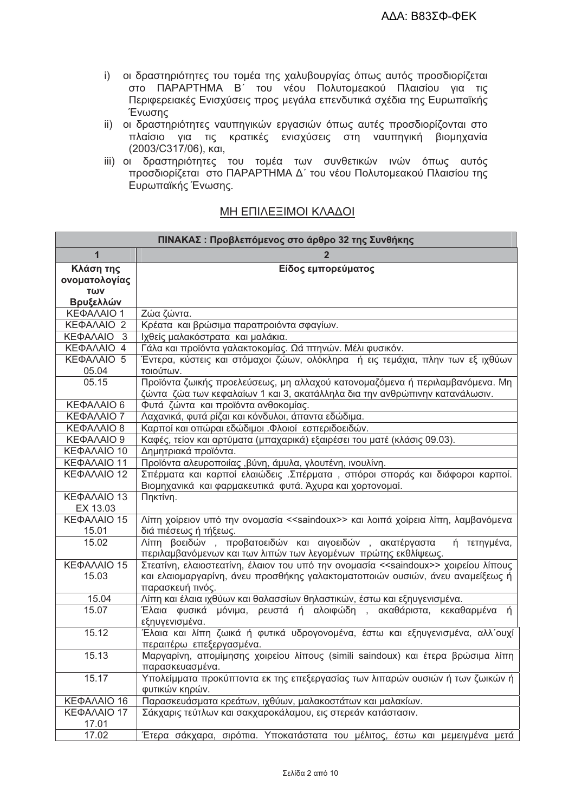- i) οι δραστηριότητες του τομέα της χαλυβουργίας όπως αυτός προσδιορίζεται στο ΠΑΡΑΡΤΗΜΑ Β΄ του νέου Πολυτομεακού Πλαισίου για τις Περιφερειακές Ενισχύσεις προς μεγάλα επενδυτικά σχέδια της Ευρωπαϊκής Ένωσης
- ii) οι δραστηριότητες ναυπηγικών εργασιών όπως αυτές προσδιορίζονται στο πλαίσιο για τις κρατικές ενισχύσεις στη ναυπηγική βιομηχανία (2003/С317/06), каі,
- iii) οι δραστηριότητες του τομέα των συνθετικών ινών όπως αυτός προσδιορίζεται στο ΠΑΡΑΡΤΗΜΑ Δ΄ του νέου Πολυτομεακού Πλαισίου της Ευρωπαϊκής Ένωσης.

| ΠΙΝΑΚΑΣ: Προβλεπόμενος στο άρθρο 32 της Συνθήκης |                                                                                                                                                                                                         |  |  |  |  |
|--------------------------------------------------|---------------------------------------------------------------------------------------------------------------------------------------------------------------------------------------------------------|--|--|--|--|
| 1                                                |                                                                                                                                                                                                         |  |  |  |  |
| Κλάση της<br>ονοματολογίας<br>TWV<br>Βρυξελλών   | Είδος εμπορεύματος                                                                                                                                                                                      |  |  |  |  |
| ΚΕΦΑΛΑΙΟ 1                                       | Ζώα ζώντα.                                                                                                                                                                                              |  |  |  |  |
| ΚΕΦΑΛΑΙΟ 2                                       | Κρέατα και βρώσιμα παραπροιόντα σφαγίων.                                                                                                                                                                |  |  |  |  |
| ΚΕΦΑΛΑΙΟ<br>- 3                                  | Ιχθείς μαλακόστρατα και μαλάκια.                                                                                                                                                                        |  |  |  |  |
| ΚΕΦΑΛΑΙΟ 4                                       | Γάλα και προϊόντα γαλακτοκομίας. Ωά πτηνών. Μέλι φυσικόν.                                                                                                                                               |  |  |  |  |
| ΚΕΦΑΛΑΙΟ 5<br>05.04                              | Έντερα, κύστεις και στόμαχοι ζώων, ολόκληρα ή εις τεμάχια, πλην των εξ ιχθύων<br>τοιούτων.                                                                                                              |  |  |  |  |
| 05.15                                            | Προϊόντα ζωικής προελεύσεως, μη αλλαχού κατονομαζόμενα ή περιλαμβανόμενα. Μη<br>ζώντα ζώα των κεφαλαίων 1 και 3, ακατάλληλα δια την ανθρώπινην κατανάλωσιν.                                             |  |  |  |  |
| ΚΕΦΑΛΑΙΟ 6                                       | Φυτά ζώντα και προϊόντα ανθοκομίας.                                                                                                                                                                     |  |  |  |  |
| ΚΕΦΑΛΑΙΟ 7                                       | Λαχανικά, φυτά ρίζαι και κόνδυλοι, άπαντα εδώδιμα.                                                                                                                                                      |  |  |  |  |
| ΚΕΦΑΛΑΙΟ 8                                       | Καρποί και οπώραι εδώδιμοι . Φλοιοί εσπεριδοειδών.                                                                                                                                                      |  |  |  |  |
| ΚΕΦΑΛΑΙΟ 9                                       | Καφές, τείον και αρτύματα (μπαχαρικά) εξαιρέσει του ματέ (κλάσις 09.03).                                                                                                                                |  |  |  |  |
| ΚΕΦΑΛΑΙΟ 10                                      | Δημητριακά προϊόντα.                                                                                                                                                                                    |  |  |  |  |
| ΚΕΦΑΛΑΙΟ 11                                      | Προϊόντα αλευροποιίας , βύνη, άμυλα, γλουτένη, ινουλίνη.                                                                                                                                                |  |  |  |  |
| ΚΕΦΑΛΑΙΟ 12                                      | Σπέρματα και καρποί ελαιώδεις. Σπέρματα, σπόροι σποράς και διάφοροι καρποί.<br>Βιομηχανικά και φαρμακευτικά φυτά. Άχυρα και χορτονομαί.                                                                 |  |  |  |  |
| ΚΕΦΑΛΑΙΟ 13                                      | Πηκτίνη.                                                                                                                                                                                                |  |  |  |  |
| EX 13.03                                         |                                                                                                                                                                                                         |  |  |  |  |
| ΚΕΦΑΛΑΙΟ 15<br>15.01                             | Λίπη χοίρειον υπό την ονομασία < <saindoux>&gt; και λοιπά χοίρεια λίπη, λαμβανόμενα<br/>διά πιέσεως ή τήξεως.</saindoux>                                                                                |  |  |  |  |
| 15.02                                            | Λίπη βοειδών, προβατοειδών και αιγοειδών, ακατέργαστα<br>ή τετηγμένα,<br>περιλαμβανόμενων και των λιπών των λεγομένων πρώτης εκθλίψεως.                                                                 |  |  |  |  |
| ΚΕΦΑΛΑΙΟ 15<br>15.03                             | Στεατίνη, ελαιοστεατίνη, έλαιον του υπό την ονομασία < <saindoux>&gt; χοιρείου λίπους<br/>και ελαιομαργαρίνη, άνευ προσθήκης γαλακτοματοποιών ουσιών, άνευ αναμείξεως ή<br/>παρασκευή τινός.</saindoux> |  |  |  |  |
| 15.04                                            | Λίπη και έλαια ιχθύων και θαλασσίων θηλαστικών, έστω και εξηυγενισμένα.                                                                                                                                 |  |  |  |  |
| 15.07                                            | Έλαια φυσικά μόνιμα, ρευστά ή αλοιφώδη , ακαθάριστα, κεκαθαρμένα ή<br>εξηυγενισμένα.                                                                                                                    |  |  |  |  |
| 15.12                                            | Έλαια και λίπη ζωικά ή φυτικά υδρογονομένα, έστω και εξηυγενισμένα, αλλ΄ουχί<br>περαιτέρω επεξεργασμένα.                                                                                                |  |  |  |  |
| 15.13                                            | Μαργαρίνη, απομίμησης χοιρείου λίπους (simili saindoux) και έτερα βρώσιμα λίπη<br>παρασκευασμένα.                                                                                                       |  |  |  |  |
| 15.17                                            | Υπολείμματα προκύπτοντα εκ της επεξεργασίας των λιπαρών ουσιών ή των ζωικών ή<br>φυτικών κηρών.                                                                                                         |  |  |  |  |
| KEΦAΛAIO 16                                      | Παρασκευάσματα κρεάτων, ιχθύων, μαλακοστάτων και μαλακίων.                                                                                                                                              |  |  |  |  |
| ΚΕΦΑΛΑΙΟ 17<br>17.01                             | Σάκχαρις τεύτλων και σακχαροκάλαμου, εις στερεάν κατάστασιν.                                                                                                                                            |  |  |  |  |
| 17.02                                            | Έτερα σάκχαρα, σιρόπια. Υποκατάστατα του μέλιτος, έστω και μεμειγμένα μετά                                                                                                                              |  |  |  |  |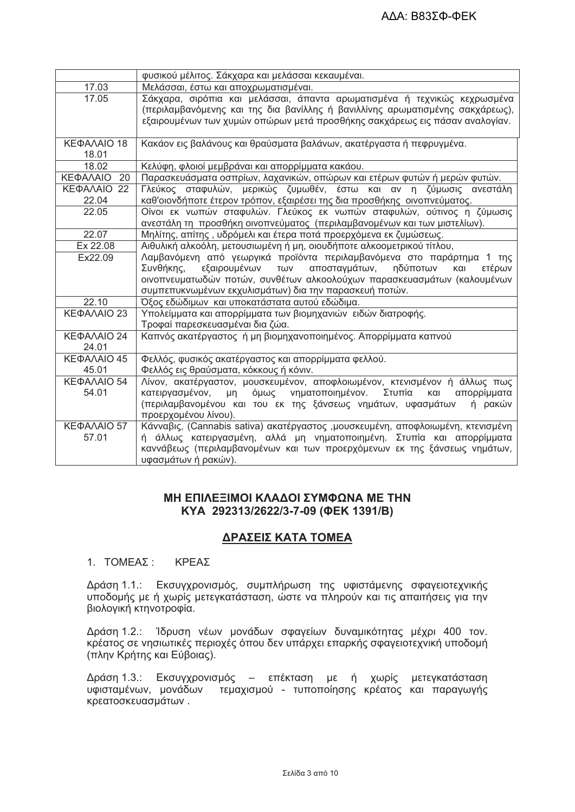|                          | φυσικού μέλιτος. Σάκχαρα και μελάσσαι κεκαυμέναι.                                                                                                         |  |  |  |  |
|--------------------------|-----------------------------------------------------------------------------------------------------------------------------------------------------------|--|--|--|--|
| 17.03                    | Μελάσσαι, έστω και αποχρωματισμέναι.                                                                                                                      |  |  |  |  |
| 17.05                    | Σάκχαρα, σιρόπια και μελάσσαι, άπαντα αρωματισμένα ή τεχνικώς κεχρωσμένα<br>(περιλαμβανόμενης και της δια βανίλλης ή βανιλλίνης αρωματισμένης σακχάρεως), |  |  |  |  |
|                          | εξαιρουμένων των χυμών οπώρων μετά προσθήκης σακχάρεως εις πάσαν αναλογίαν.                                                                               |  |  |  |  |
| ΚΕΦΑΛΑΙΟ 18<br>18.01     | Κακάον εις βαλάνους και θραύσματα βαλάνων, ακατέργαστα ή πεφρυγμένα.                                                                                      |  |  |  |  |
| 18.02                    | Κελύφη, φλοιοί μεμβράναι και απορρίμματα κακάου.                                                                                                          |  |  |  |  |
| ΚΕΦΑΛΑΙΟ<br>20           | Παρασκευάσματα οσπρίων, λαχανικών, οπώρων και ετέρων φυτών ή μερών φυτών.                                                                                 |  |  |  |  |
| ΚΕΦΑΛΑΙΟ 22<br>22.04     | Γλεύκος σταφυλών, μερικώς ζυμωθέν, έστω και αν η ζύμωσις ανεστάλη<br>καθ'οιονδήποτε έτερον τρόπον, εξαιρέσει της δια προσθήκης οινοπνεύματος.             |  |  |  |  |
| 22.05                    | Οίνοι εκ νωπών σταφυλών. Γλεύκος εκ νωπών σταφυλών, ούτινος η ζύμωσις<br>ανεστάλη τη προσθήκη οινοπνεύματος (περιλαμβανομένων και των μιστελίων).         |  |  |  |  |
| 22.07                    | Μηλίτης, απίτης, υδρόμελι και έτερα ποτά προερχόμενα εκ ζυμώσεως.                                                                                         |  |  |  |  |
| Ex 22.08                 | Αιθυλική αλκοόλη, μετουσιωμένη ή μη, οιουδήποτε αλκοομετρικού τίτλου,                                                                                     |  |  |  |  |
| Ex22.09                  | Λαμβανόμενη από γεωργικά προϊόντα περιλαμβανόμενα στο παράρτημα 1 της                                                                                     |  |  |  |  |
|                          | εξαιρουμένων<br>αποσταγμάτων, ηδύποτων<br>Συνθήκης,<br>TWV<br>ετέρων<br>και                                                                               |  |  |  |  |
|                          | οινοπνευματωδών ποτών, συνθέτων αλκοολούχων παρασκευασμάτων (καλουμένων                                                                                   |  |  |  |  |
|                          | συμπεπυκνωμένων εκχυλισμάτων) δια την παρασκευή ποτών.                                                                                                    |  |  |  |  |
| 22.10                    | Όξος εδώδιμων και υποκατάστατα αυτού εδώδιμα.                                                                                                             |  |  |  |  |
| ΚΕΦΑΛΑΙΟ 23              | Υπολείμματα και απορρίμματα των βιομηχανιών ειδών διατροφής.<br>Τροφαί παρεσκευασμέναι δια ζώα.                                                           |  |  |  |  |
| ΚΕΦΑΛΑΙΟ 24<br>24.01     | Καπνός ακατέργαστος ή μη βιομηχανοποιημένος. Απορρίμματα καπνού                                                                                           |  |  |  |  |
| KE <sub>Φ</sub> AΛΑΙΟ 45 | Φελλός, φυσικός ακατέργαστος και απορρίμματα φελλού.                                                                                                      |  |  |  |  |
| 45.01                    | Φελλός εις θραύσματα, κόκκους ή κόνιν.                                                                                                                    |  |  |  |  |
| ΚΕΦΑΛΑΙΟ 54              | Λίνον, ακατέργαστον, μουσκευμένον, αποφλοιωμένον, κτενισμένον ή άλλως πως                                                                                 |  |  |  |  |
| 54.01                    | όμως νηματοποιημένον. Στυπία<br>και<br>κατειργασμένον, μη<br>απορρίμματα                                                                                  |  |  |  |  |
|                          | (περιλαμβανομένου και του εκ της ξάνσεως νημάτων, υφασμάτων<br>ή ρακών<br>προερχομένου λίνου).                                                            |  |  |  |  |
| ΚΕΦΑΛΑΙΟ 57              | Κάνναβις, (Cannabis sativa) ακατέργαστος ,μουσκευμένη, αποφλοιωμένη, κτενισμένη                                                                           |  |  |  |  |
| 57.01                    | ή άλλως κατειργασμένη, αλλά μη νηματοποιημένη. Στυπία και απορρίμματα                                                                                     |  |  |  |  |
|                          | καννάβεως (περιλαμβανομένων και των προερχόμενων εκ της ξάνσεως νημάτων,                                                                                  |  |  |  |  |
|                          | υφασμάτων ή ρακών).                                                                                                                                       |  |  |  |  |

# ΜΗ ΕΠΙΛΕΞΙΜΟΙ ΚΛΑΔΟΙ ΣΥΜΦΩΝΑ ΜΕ ΤΗΝ KYA 292313/2622/3-7-09 (ΦΕΚ 1391/Β)

# ΔΡΑΣΕΙΣ ΚΑΤΑ ΤΟΜΕΑ

#### 1. TOMEAZ: ΚΡΕΑΣ

Δράση 1.1.: Εκσυγχρονισμός, συμπλήρωση της υφιστάμενης σφαγειοτεχνικής υποδομής με ή χωρίς μετεγκατάσταση, ώστε να πληρούν και τις απαιτήσεις για την βιολογική κτηνοτροφία.

Δράση 1.2.: Ίδρυση νέων μονάδων σφαγείων δυναμικότητας μέχρι 400 τον. κρέατος σε νησιωτικές περιοχές όπου δεν υπάρχει επαρκής σφαγειοτεχνική υποδομή (πλην Κρήτης και Εύβοιας).

Δράση 1.3.: Εκσυγχρονισμός – επέκταση με ή χωρίς μετεγκατάσταση υφισταμένων, μονάδων τεμαχισμού - τυποποίησης κρέατος και παραγωγής κρεατοσκευασμάτων.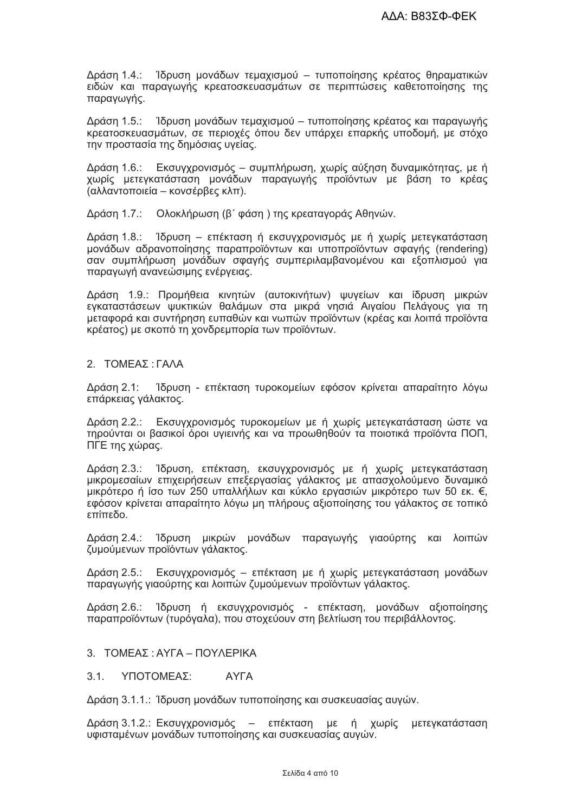Δράση 1.4.: 1δρυση μονάδων τεμαχισμού – τυποποίησης κρέατος θηραματικών ειδών και παραγωγής κρεατοσκευασμάτων σε περιπτώσεις καθετοποίησης της παραγωγής.

Δράση 1.5.: Ίδρυση μονάδων τεμαχισμού – τυποποίησης κρέατος και παραγωγής κρεατοσκευασμάτων, σε περιοχές όπου δεν υπάρχει επαρκής υποδομή, με στόχο την προστασία της δημόσιας υγείας.

Δράση 1.6.: Εκσυγχρονισμός - συμπλήρωση, χωρίς αύξηση δυναμικότητας, με ή χωρίς μετεγκατάσταση μονάδων παραγωγής προϊόντων με βάση το κρέας (αλλαντοποιεία – κονσέρβες κλπ).

Δράση 1.7.: Ολοκλήρωση (β' φάση) της κρεαταγοράς Αθηνών.

Δράση 1.8.: Ίδρυση – επέκταση ή εκσυγχρονισμός με ή χωρίς μετεγκατάσταση μονάδων αδρανοποίησης παραπροϊόντων και υποπροϊόντων σφαγής (rendering) σαν συμπλήρωση μονάδων σφαγής συμπεριλαμβανομένου και εξοπλισμού για παραγωγή ανανεώσιμης ενέργειας.

Δράση 1.9.: Προμήθεια κινητών (αυτοκινήτων) ψυγείων και ίδρυση μικρών εγκαταστάσεων ψυκτικών θαλάμων στα μικρά νησιά Αιγαίου Πελάγους για τη μεταφορά και συντήρηση ευπαθών και νωπών προϊόντων (κρέας και λοιπά προϊόντα κρέατος) με σκοπό τη χονδρεμπορία των προϊόντων.

#### 2. ΤΟΜΕΑΣ: ΓΑΛΑ

Δράση 2.1: Ίδρυση - επέκταση τυροκομείων εφόσον κρίνεται απαραίτητο λόγω επάρκειας γάλακτος.

Δράση 2.2.: Εκσυγχρονισμός τυροκομείων με ή χωρίς μετεγκατάσταση ώστε να τηρούνται οι βασικοί όροι υγιεινής και να προωθηθούν τα ποιοτικά προϊόντα ΠΟΠ, ΠΓΕ της χώρας.

Δράση 2.3.: Ίδρυση, επέκταση, εκσυγχρονισμός με ή χωρίς μετεγκατάσταση μικρομεσαίων επιχειρήσεων επεξεργασίας γάλακτος με απασχολούμενο δυναμικό μικρότερο ή ίσο των 250 υπαλλήλων και κύκλο εργασιών μικρότερο των 50 εκ. €, εφόσον κρίνεται απαραίτητο λόγω μη πλήρους αξιοποίησης του γάλακτος σε τοπικό οδεπίπε

Δράση 2.4.: Ίδρυση μικρών μονάδων παραγωγής γιαούρτης και λοιπών ζυμούμενων προϊόντων γάλακτος.

Δράση 2.5.: Εκσυγχρονισμός – επέκταση με ή χωρίς μετεγκατάσταση μονάδων παραγωγής γιαούρτης και λοιπών ζυμούμενων προϊόντων γάλακτος.

Δράση 2.6.: Ίδρυση ή εκσυγχρονισμός - επέκταση, μονάδων αξιοποίησης παραπροϊόντων (τυρόγαλα), που στοχεύουν στη βελτίωση του περιβάλλοντος.

#### 3. ΤΟΜΕΑΣ: ΑΥΓΑ - ΠΟΥΛΕΡΙΚΑ

**AYFA**  $3.1.$ ΥΠΟΤΟΜΕΑΣ:

Δράση 3.1.1.: Ίδρυση μονάδων τυποποίησης και συσκευασίας αυγών.

Δράση 3.1.2.: Εκσυγχρονισμός – επέκταση με ή χωρίς μετεγκατάσταση υφισταμένων μονάδων τυποποίησης και συσκευασίας αυγών.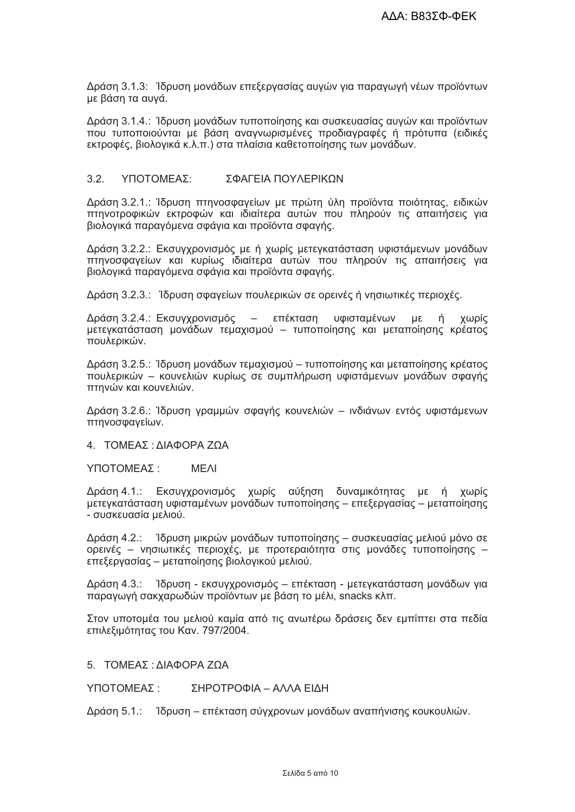Δράση 3.1.3: 1δρυση μονάδων επεξεργασίας αυγών για παραγωγή νέων προϊόντων με βάση τα αυγά.

Δράση 3.1.4.: Ίδρυση μονάδων τυποποίησης και συσκευασίας αυγών και προϊόντων που τυποποιούνται με βάση αναγνωρισμένες προδιαγραφές ή πρότυπα (ειδικές εκτροφές, βιολογικά κ.λ.π.) στα πλαίσια καθετοποίησης των μονάδων.

#### $32<sup>°</sup>$ ΥΠΟΤΟΜΕΑΣΩ ΣΦΑΓΕΙΑ ΠΟΥΛΕΡΙΚΟΝ

Δράση 3.2.1.: Ίδρυση πτηνοσφαγείων με πρώτη ύλη προϊόντα ποιότητας, ειδικών πτηνοτροφικών εκτροφών και ιδιαίτερα αυτών που πληρούν τις απαιτήσεις για βιολογικά παραγόμενα σφάγια και προϊόντα σφαγής.

Δράση 3.2.2.: Εκσυγχρονισμός με ή χωρίς μετεγκατάσταση υφιστάμενων μονάδων πτηνοσφαγείων και κυρίως ιδιαίτερα αυτών που πληρούν τις απαιτήσεις για βιολογικά παραγόμενα σφάγια και προϊόντα σφαγής.

Δράση 3.2.3.: Ίδρυση σφαγείων πουλερικών σε ορεινές ή νησιωτικές περιοχές.

Δράση 3.2.4.: Εκσυγχρονισμός - επέκταση υφισταμένων με ή χωρίς μετεγκατάσταση μονάδων τεμαχισμού – τυποποίησης και μεταποίησης κρέατος πουλερικών.

Δράση 3.2.5.: Ίδρυση μονάδων τεμαχισμού – τυποποίησης και μεταποίησης κρέατος πουλερικών – κουνελιών κυρίως σε συμπλήρωση υφιστάμενων μονάδων σφαγής πτηνών και κουνελιών.

Δράση 3.2.6.: Ίδρυση γραμμών σφαγής κουνελιών - ινδιάνων εντός υφιστάμενων πτηνοσφαγείων.

4. ΤΟΜΕΑΣ: ΔΙΑΦΟΡΑ ΖΩΑ

ΥΠΟΤΟΜΕΑΣ: **MFAI** 

Δράση 4.1.: Εκσυγχρονισμός χωρίς αύξηση δυναμικότητας με ή χωρίς μετεγκατάσταση υφισταμένων μονάδων τυποποίησης – επεξεργασίας – μεταποίησης - συσκευασία μελιού.

Δράση 4.2.: 1δρυση μικρών μονάδων τυποποίησης – συσκευασίας μελιού μόνο σε ορεινές - νησιωτικές περιοχές, με προτεραιότητα στις μονάδες τυποποίησης επεξεργασίας – μεταποίησης βιολογικού μελιού.

Δράση 4.3.: Ίδρυση - εκσυγχρονισμός - επέκταση - μετεγκατάσταση μονάδων νια παραγωγή σακχαρωδών προϊόντων με βάση το μέλι, snacks κλπ.

Στον υποτομέα του μελιού καμία από τις ανωτέρω δράσεις δεν εμπίπτει στα πεδία επιλεξιμότητας του Καν. 797/2004.

5. ΤΟΜΕΑΣ: ΔΙΑΦΟΡΑ ΖΩΑ

ΣΗΡΟΤΡΟΦΙΑ - ΑΛΛΑ ΕΙΔΗ ΥΠΟΤΟΜΕΑΣ ·

Δράση 5.1.: Ίδρυση – επέκταση σύγχρονων μονάδων αναπήνισης κουκουλιών.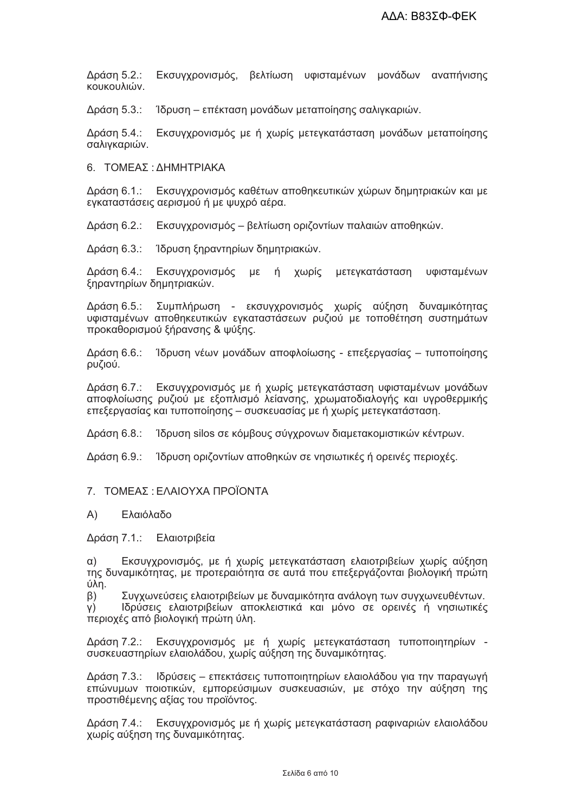Εκσυγχρονισμός, βελτίωση υφισταμένων μονάδων αναπήνισης Δράση 5.2.: κουκουλιών.

Δράση 5.3.: Ίδρυση – επέκταση μονάδων μεταποίησης σαλιγκαριών.

Δράση 5.4.: Εκσυγχρονισμός με ή χωρίς μετεγκατάσταση μονάδων μεταποίησης σαλιγκαριών.

6. ΤΟΜΕΑΣ: ΔΗΜΗΤΡΙΑΚΑ

Δράση 6.1.: Εκσυγχρονισμός καθέτων αποθηκευτικών χώρων δημητριακών και με εγκαταστάσεις αερισμού ή με ψυχρό αέρα.

Δράση 6.2.: Εκσυγχρονισμός – βελτίωση οριζοντίων παλαιών αποθηκών.

Δράση 6.3.: Ίδρυση ξηραντηρίων δημητριακών.

Δράση 6.4.: Εκσυγχρονισμός με ή χωρίς μετεγκατάσταση υφισταμένων ξηραντηρίων δημητριακών.

Δράση 6.5.: Συμπλήρωση - εκσυγχρονισμός χωρίς αύξηση δυναμικότητας υφισταμένων αποθηκευτικών εγκαταστάσεων ρυζιού με τοποθέτηση συστημάτων προκαθορισμού ξήρανσης & ψύξης.

Ίδρυση νέων μονάδων αποφλοίωσης - επεξεργασίας - τυποποίησης Δράση 6.6.: ρυζιού.

Δράση 6.7.: Εκσυγχρονισμός με ή χωρίς μετεγκατάσταση υφισταμένων μονάδων αποφλοίωσης ρυζιού με εξοπλισμό λείανσης, χρωματοδιαλογής και υγροθερμικής επεξεργασίας και τυποποίησης – συσκευασίας με ή χωρίς μετεγκατάσταση.

Ίδρυση silos σε κόμβους σύγχρονων διαμετακομιστικών κέντρων. Δράση 6.8.:

Δράση 6.9.: Ίδρυση οριζοντίων αποθηκών σε νησιωτικές ή ορεινές περιοχές.

#### 7. ΤΟΜΕΑΣ: ΕΛΑΙΟΥΧΑ ΠΡΟΪΟΝΤΑ

#### Ελαιόλαδο  $(A)$

Δράση 7.1.: Ελαιοτριβεία

Εκσυγχρονισμός, με ή χωρίς μετεγκατάσταση ελαιοτριβείων χωρίς αύξηση  $\alpha$ ) της δυναμικότητας, με προτεραιότητα σε αυτά που επεξεργάζονται βιολογική πρώτη úλη.

Συγχωνεύσεις ελαιοτριβείων με δυναμικότητα ανάλογη των συγχωνευθέντων.  $\beta$ ) Ιδρύσεις ελαιοτριβείων αποκλειστικά και μόνο σε ορεινές ή νησιωτικές Y) περιοχές από βιολογική πρώτη ύλη.

Δράση 7.2.: Εκσυγχρονισμός με ή χωρίς μετεγκατάσταση τυποποιητηρίων συσκευαστηρίων ελαιολάδου, χωρίς αύξηση της δυναμικότητας.

Δράση 7.3.: Ιδρύσεις - επεκτάσεις τυποποιητηρίων ελαιολάδου για την παραγωγή επώνυμων ποιοτικών, εμπορεύσιμων συσκευασιών, με στόχο την αύξηση της προστιθέμενης αξίας του προϊόντος.

Δράση 7.4.: Εκσυγχρονισμός με ή χωρίς μετεγκατάσταση ραφιναριών ελαιολάδου χωρίς αύξηση της δυναμικότητας.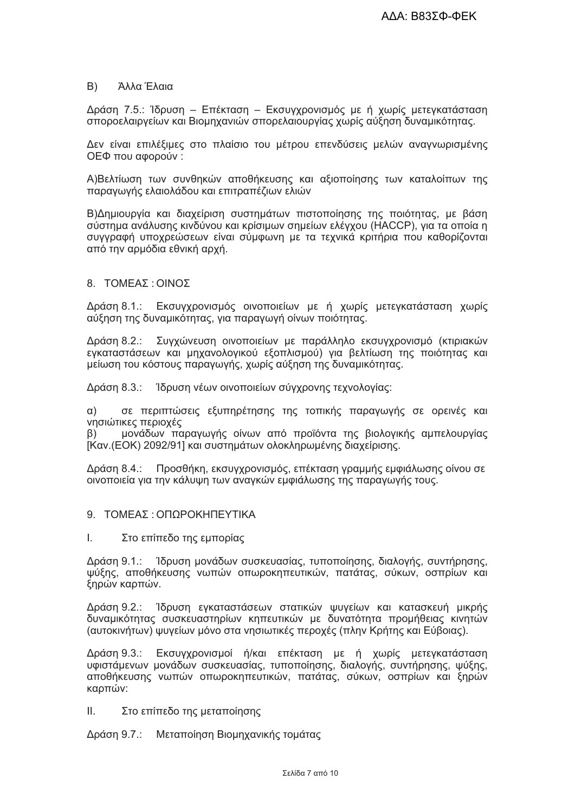#### B) Άλλα Έλαια

Δράση 7.5.: Ίδρυση - Επέκταση - Εκσυγχρονισμός με ή χωρίς μετεγκατάσταση σποροελαιργείων και Βιομηχανιών σπορελαιουργίας χωρίς αύξηση δυναμικότητας.

Δεν είναι επιλέξιμες στο πλαίσιο του μέτρου επενδύσεις μελών αναγνωρισμένης ΟΕΦ που αφορούν:

Α)Βελτίωση των συνθηκών αποθήκευσης και αξιοποίησης των καταλοίπων της παραγωγής ελαιολάδου και επιτραπέζιων ελιών

Β)Δημιουργία και διαχείριση συστημάτων πιστοποίησης της ποιότητας, με βάση σύστημα ανάλυσης κινδύνου και κρίσιμων σημείων ελέγχου (HACCP), για τα οποία η συγγραφή υποχρεώσεων είναι σύμφωνη με τα τεχνικά κριτήρια που καθορίζονται από την αρμόδια εθνική αρχή.

#### 8. ΤΟΜΕΑΣ: ΟΙΝΟΣ

Δράση 8.1.: Εκσυγχρονισμός οινοποιείων με ή χωρίς μετεγκατάσταση χωρίς αύξηση της δυναμικότητας, για παραγωγή οίνων ποιότητας.

Δράση 8.2.: Συγχώνευση οινοποιείων με παράλληλο εκσυγχρονισμό (κτιριακών εγκαταστάσεων και μηχανολογικού εξοπλισμού) για βελτίωση της ποιότητας και μείωση του κόστους παραγωγής, χωρίς αύξηση της δυναμικότητας.

Δράση 8.3.: Ίδρυση νέων οινοποιείων σύγχρονης τεχνολογίας:

 $\alpha$ ) σε περιπτώσεις εξυπηρέτησης της τοπικής παραγωγής σε ορεινές και νησιώτικες περιοχές

μονάδων παραγωγής οίνων από προϊόντα της βιολογικής αμπελουργίας  $\beta$ ) [Καν.(ΕΟΚ) 2092/91] και συστημάτων ολοκληρωμένης διαχείρισης.

Δράση 8.4.: Προσθήκη, εκσυγχρονισμός, επέκταση γραμμής εμφιάλωσης οίνου σε οινοποιεία για την κάλυψη των αναγκών εμφιάλωσης της παραγωγής τους.

- 9 ΤΟΜΕΑΣ ΟΠΟΡΟΚΗΠΕΥΤΙΚΑ
- I. Στο επίπεδο της εμπορίας

Δράση 9.1.: Ίδρυση μονάδων συσκευασίας, τυποποίησης, διαλογής, συντήρησης, ψύξης, αποθήκευσης νωπών οπωροκηπευτικών, πατάτας, σύκων, οσπρίων και ξηρών καρπών.

Δράση 9.2.: Ίδρυση εγκαταστάσεων στατικών ψυγείων και κατασκευή μικρής δυναμικότητας συσκευαστηρίων κηπευτικών με δυνατότητα προμήθειας κινητών (αυτοκινήτων) ψυγείων μόνο στα νησιωτικές περοχές (πλην Κρήτης και Εύβοιας).

Δράση 9.3.: Εκσυγχρονισμοί ή/και επέκταση με ή χωρίς μετεγκατάσταση υφιστάμενων μονάδων συσκευασίας, τυποποίησης, διαλογής, συντήρησης, ψύξης, αποθήκευσης νωπών οπωροκηπευτικών, πατάτας, σύκων, οσπρίων και ξηρών καρπών:

ΙΙ. Στο επίπεδο της μεταποίησης

Δράση 9.7.: Μεταποίηση Βιομηχανικής τομάτας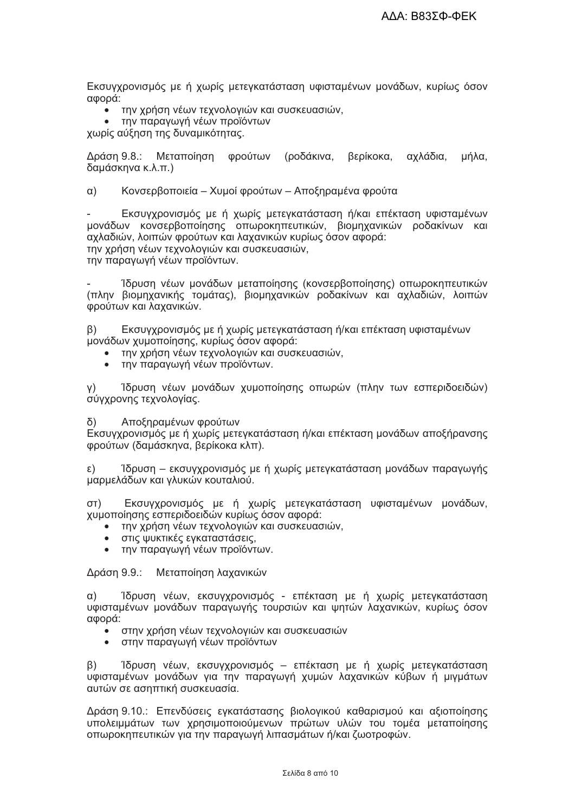Εκσυγχρονισμός με ή χωρίς μετεγκατάσταση υφισταμένων μονάδων, κυρίως όσον αφορά:

- την χρήση νέων τεχνολογιών και συσκευασιών,
- την παραγωγή νέων προϊόντων

χωρίς αύξηση της δυναμικότητας.

Δράση 9.8.: Μεταποίηση φρούτων (ροδάκινα, βερίκοκα, αχλάδια, μήλα. δαμάσκηνα κ.λ.π.)

 $\alpha$ ) Κονσερβοποιεία – Χυμοί φρούτων – Αποξηραμένα φρούτα

Εκσυγχρονισμός με ή χωρίς μετεγκατάσταση ή/και επέκταση υφισταμένων μονάδων κονσερβοποίησης οπωροκηπευτικών, βιομηχανικών ροδακίνων και αχλαδιών, λοιπών φρούτων και λαχανικών κυρίως όσον αφορά: την χρήση νέων τεχνολογιών και συσκευασιών,

την παραγωγή νέων προϊόντων.

Ίδρυση νέων μονάδων μεταποίησης (κονσερβοποίησης) οπωροκηπευτικών (πλην βιομηχανικής τομάτας), βιομηχανικών ροδακίνων και αχλαδιών, λοιπών φρούτων και λαχανικών.

 $\beta$ ) Εκσυγχρονισμός με ή χωρίς μετεγκατάσταση ή/και επέκταση υφισταμένων μονάδων χυμοποίησης, κυρίως όσον αφορά:

- την χρήση νέων τεχνολογιών και συσκευασιών,
- την παραγωγή νέων προϊόντων.

Ίδρυση νέων μονάδων χυμοποίησης οπωρών (πλην των εσπεριδοειδών)  $Y)$ σύγχρονης τεχνολογίας.

 $\delta$ Αποξηραμένων φρούτων

Εκσυγχρονισμός με ή χωρίς μετεγκατάσταση ή/και επέκταση μονάδων αποξήρανσης φρούτων (δαμάσκηνα, βερίκοκα κλπ).

Ίδρυση – εκσυγχρονισμός με ή χωρίς μετεγκατάσταση μονάδων παραγωγής ε) μαρμελάδων και γλυκών κουταλιού.

Εκσυγχρονισμός με ή χωρίς μετεγκατάσταση υφισταμένων μονάδων,  $(T<sub>D</sub>)$ χυμοποίησης εσπεριδοειδών κυρίως όσον αφορά:

- την χρήση νέων τεχνολογιών και συσκευασιών,
- στις ψυκτικές εγκαταστάσεις.
- την παραγωγή νέων προϊόντων.  $\bullet$

Δράση 9.9.: Μεταποίηση λαχανικών

 $\alpha$ ) Ίδρυση νέων, εκσυγχρονισμός - επέκταση με ή χωρίς μετεγκατάσταση υφισταμένων μονάδων παραγωγής τουρσιών και ψητών λαχανικών, κυρίως όσον αφορά:

- στην χρήση νέων τεχνολογιών και συσκευασιών
- στην παραγωγή νέων προϊόντων

Ίδρυση νέων, εκσυγχρονισμός – επέκταση με ή χωρίς μετεγκατάσταση  $\beta$ ) υφισταμένων μονάδων για την παραγωγή χυμών λαχανικών κύβων ή μιγμάτων αυτών σε ασηπτική συσκευασία.

Δράση 9.10.: Επενδύσεις εγκατάστασης βιολογικού καθαρισμού και αξιοποίησης υπολειμμάτων των χρησιμοποιούμενων πρώτων υλών του τομέα μεταποίησης οπωροκηπευτικών για την παραγωγή λιπασμάτων ή/και ζωοτροφών.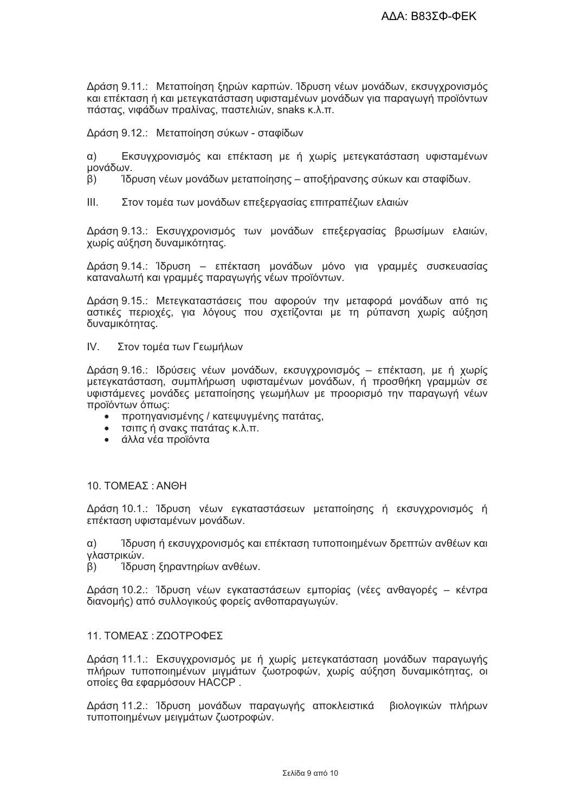Δράση 9.11.: Μεταποίηση ξηρών καρπών. Ίδρυση νέων μονάδων, εκσυγχρονισμός και επέκταση ή και μετεγκατάσταση υφισταμένων μονάδων για παραγωγή προϊόντων πάστας, νιφάδων πραλίνας, παστελιών, snaks κ.λ.π.

Δράση 9.12.: Μεταποίηση σύκων - σταφίδων

Εκσυγχρονισμός και επέκταση με ή χωρίς μετεγκατάσταση υφισταμένων  $\alpha$ ) μονάδων.

Ίδρυση νέων μονάδων μεταποίησης - αποξήρανσης σύκων και σταφίδων.  $\beta$ )

 $III.$ Στον τομέα των μονάδων επεξεργασίας επιτραπέζιων ελαιών

Δράση 9.13.: Εκσυγχρονισμός των μονάδων επεξεργασίας βρωσίμων ελαιών, χωρίς αύξηση δυναμικότητας.

Δράση 9.14.: Ίδρυση – επέκταση μονάδων μόνο για γραμμές συσκευασίας καταναλωτή και γραμμές παραγωγής νέων προϊόντων.

Δράση 9.15.: Μετεγκαταστάσεις που αφορούν την μεταφορά μονάδων από τις αστικές περιοχές, για λόγους που σχετίζονται με τη ρύπανση χωρίς αύξηση δυναμικότητας.

 $IV$ Στον τομέα των Γεωμήλων

Δράση 9.16.: Ιδρύσεις νέων μονάδων, εκσυγχρονισμός – επέκταση, με ή χωρίς μετεγκατάσταση, συμπλήρωση υφισταμένων μονάδων, ή προσθήκη γραμμών σε υφιστάμενες μονάδες μεταποίησης γεωμήλων με προορισμό την παραγωγή νέων προϊόντων όπως:

- προτηγανισμένης / κατεψυγμένης πατάτας,
- τσιπς ή σνακς πατάτας κ.λ.π.
- άλλα νέα προϊόντα  $\bullet$

#### 10. ΤΟΜΕΑΣ: ANΘH

Δράση 10.1.: Ίδρυση νέων εγκαταστάσεων μεταποίησης ή εκσυγχρονισμός ή επέκταση υφισταμένων μονάδων.

Ίδρυση ή εκσυγχρονισμός και επέκταση τυποποιημένων δρεπτών ανθέων και  $\alpha$ ) γλαστρικών.

Ίδρυση ξηραντηρίων ανθέων.  $\beta$ )

Δράση 10.2.: Ίδρυση νέων εγκαταστάσεων εμπορίας (νέες ανθαγορές – κέντρα διανομής) από συλλογικούς φορείς ανθοπαραγωγών.

#### 11. ΤΟΜΕΑΣ: ΖΩΟΤΡΟΦΕΣ

Δράση 11.1.: Εκσυγχρονισμός με ή χωρίς μετεγκατάσταση μονάδων παραγωγής πλήρων τυποποιημένων μιγμάτων ζωοτροφών, χωρίς αύξηση δυναμικότητας, οι οποίες θα εφαρμόσουν ΗΑCCP.

Δράση 11.2.: Ίδρυση μονάδων παραγωγής αποκλειστικά βιολογικών πλήρων τυποποιημένων μειγμάτων ζωοτροφών.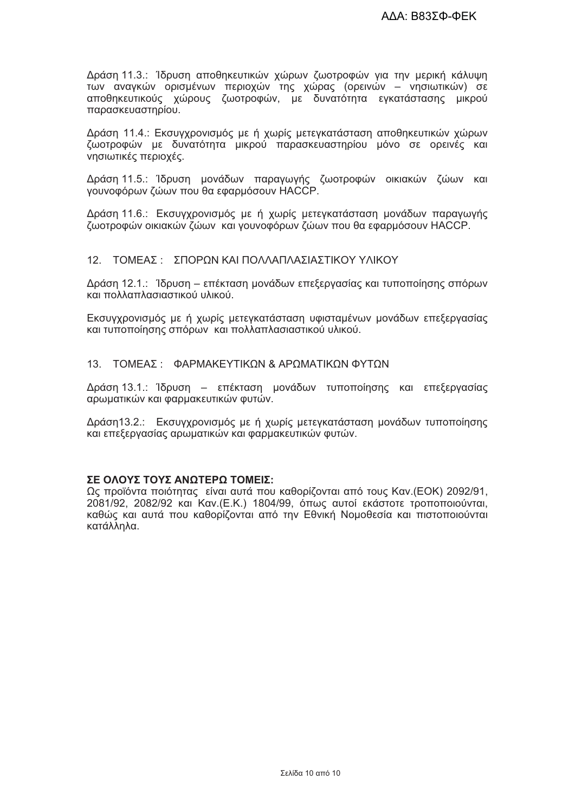Δράση 11.3.: Ίδρυση αποθηκευτικών χώρων ζωοτροφών για την μερική κάλυψη των αναγκών ορισμένων περιοχών της χώρας (ορεινών - νησιωτικών) σε αποθηκευτικούς χώρους ζωοτροφών, με δυνατότητα εγκατάστασης μικρού παρασκευαστηρίου.

Δράση 11.4.: Εκσυγχρονισμός με ή χωρίς μετεγκατάσταση αποθηκευτικών χώρων ζωοτροφών με δυνατότητα μικρού παρασκευαστηρίου μόνο σε ορεινές και νησιωτικές περιοχές.

Δράση 11.5.: Ίδρυση μονάδων παραγωγής ζωοτροφών οικιακών ζώων και γουνοφόρων ζώων που θα εφαρμόσουν ΗΑCCP.

Δράση 11.6.: Εκσυγχρονισμός με ή χωρίς μετεγκατάσταση μονάδων παραγωγής ζωοτροφών οικιακών ζώων και γουνοφόρων ζώων που θα εφαρμόσουν ΗΑCCP.

#### 12 ΤΟΜΕΑΣ · ΣΠΟΡΟΝ ΚΑΙ ΠΟΛΛΑΠΛΑΣΙΑΣΤΙΚΟΥ ΥΛΙΚΟΥ

Δράση 12.1.: Ίδρυση – επέκταση μονάδων επεξεργασίας και τυποποίησης σπόρων και πολλαπλασιαστικού υλικού.

Εκσυγχρονισμός με ή χωρίς μετεγκατάσταση υφισταμένων μονάδων επεξεργασίας και τυποποίησης σπόρων και πολλαπλασιαστικού υλικού.

#### 13. ΤΟΜΕΑΣ: ΦΑΡΜΑΚΕΥΤΙΚΩΝ & ΑΡΩΜΑΤΙΚΩΝ ΦΥΤΩΝ

Δράση 13.1.: Ίδρυση – επέκταση μονάδων τυποποίησης και επεξεργασίας αρωματικών και φαρμακευτικών φυτών.

Δράση13.2.: Εκσυγχρονισμός με ή χωρίς μετεγκατάσταση μονάδων τυποποίησης και επεξεργασίας αρωματικών και φαρμακευτικών φυτών.

#### ΣΕ ΟΛΟΥΣ ΤΟΥΣ ΑΝΩΤΕΡΩ ΤΟΜΕΙΣ:

Ως προϊόντα ποιότητας είναι αυτά που καθορίζονται από τους Καν. (ΕΟΚ) 2092/91. 2081/92, 2082/92 και Καν. (Ε.Κ.) 1804/99, όπως αυτοί εκάστοτε τροποποιούνται. καθώς και αυτά που καθορίζονται από την Εθνική Νομοθεσία και πιστοποιούνται κατάλληλα.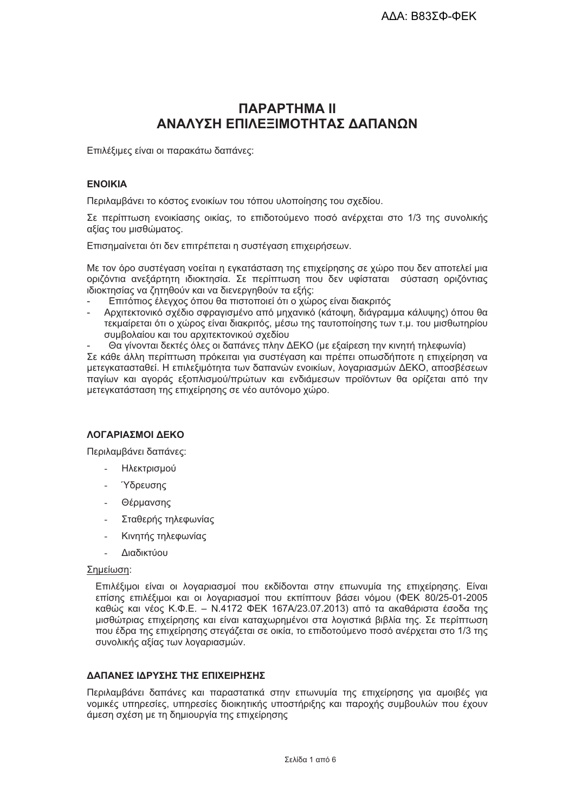# **ПАРАРТНМА II** ΑΝΑΛΥΣΗ ΕΠΙΛΕΞΙΜΟΤΗΤΑΣ ΛΑΠΑΝΟΝ

Επιλέξιμες είναι οι παρακάτω δαπάνες:

#### **ENOIKIA**

Περιλαμβάνει το κόστος ενοικίων του τόπου υλοποίησης του σχεδίου.

Σε περίπτωση ενοικίασης οικίας, το επιδοτούμενο ποσό ανέρχεται στο 1/3 της συνολικής αξίας του μισθώματος.

Επισημαίνεται ότι δεν επιτρέπεται η συστέγαση επιχειρήσεων.

Με τον όρο συστέναση νοείται η ενκατάσταση της επιχείρησης σε χώρο που δεν αποτελεί μια οριζόντια ανεξάρτητη ιδιοκτησία. Σε περίπτωση που δεν υφίσταται σύσταση οριζόντιας ιδιοκτησίας να ζητηθούν και να διενεργηθούν τα εξής:

- Επιτόπιος έλενχος όπου θα πιστοποιεί ότι ο χώρος είναι διακριτός
- Αρχιτεκτονικό σχέδιο σφραγισμένο από μηχανικό (κάτοψη, διάγραμμα κάλυψης) όπου θα τεκμαίρεται ότι ο χώρος είναι διακριτός, μέσω της ταυτοποίησης των τ.μ. του μισθωτηρίου συμβολαίου και του αρχιτεκτονικού σχεδίου
- Θα γίνονται δεκτές όλες οι δαπάνες πλην ΔΕΚΟ (με εξαίρεση την κινητή τηλεφωνία)

Σε κάθε άλλη περίπτωση πρόκειται για συστέγαση και πρέπει οπωσδήποτε η επιχείρηση να μετενκατασταθεί. Η επιλεξιμότητα των δαπανών ενοικίων, λοναριασμών ΔΕΚΟ, αποσβέσεων πανίων και ανοράς εξοπλισμού/πρώτων και ενδιάμεσων προϊόντων θα ορίζεται από την μετεγκατάσταση της επιχείρησης σε νέο αυτόνομο χώρο.

## ΛΟΓΑΡΙΑΣΜΟΙ ΔΕΚΟ

Περιλαμβάνει δαπάνες:

- Ηλεκτρισμού
- **Υδρευσης**
- Θέρμανσης
- Σταθερής τηλεφωνίας
- Κινητής τηλεφωνίας
- Διαδικτύου

#### Σημείωση:

Επιλέξιμοι είναι οι λογαριασμοί που εκδίδονται στην επωνυμία της επιχείρησης. Είναι επίσης επιλέξιμοι και οι λοναριασμοί που εκπίπτουν βάσει νόμου (ΦΕΚ 80/25-01-2005 καθώς και νέος Κ.Φ.Ε. - Ν.4172 ΦΕΚ 167Α/23.07.2013) από τα ακαθάριστα έσοδα της μισθώτριας επιχείρησης και είναι καταχωρημένοι στα λονιστικά βιβλία της. Σε περίπτωση που έδρα της επιχείρησης στενάζεται σε οικία, το επιδοτούμενο ποσό ανέρχεται στο 1/3 της συνολικής αξίας των λογαριασμών.

#### ΛΔΠΔΝΕΣ ΙΛΡΥΣΗΣ ΤΗΣ ΕΠΙΧΕΙΡΗΣΗΣ

Περιλαμβάνει δαπάνες και παραστατικά στην επωνυμία της επιχείρησης νια αμοιβές νια νομικές υπηρεσίες, υπηρεσίες διοικητικής υποστήριξης και παροχής συμβουλών που έχουν άμεση σχέση με τη δημιουργία της επιχείρησης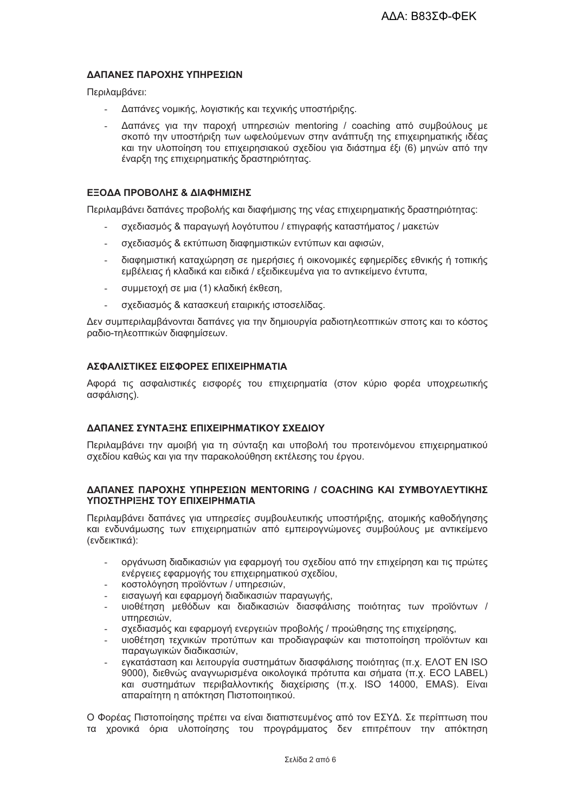#### ΛΔΠΔΝΕΣ ΠΔΡΟΧΗΣ ΥΠΗΡΕΣΙΟΝ

Περιλαμβάνει:

- Δαπάνες νομικής, λογιστικής και τεχνικής υποστήριξης.
- Δαπάνες για την παροχή υπηρεσιών mentoring / coaching από συμβούλους με σκοπό την υποστήριξη των ωφελούμενων στην ανάπτυξη της επιχειρηματικής ιδέας και την υλοποίηση του επιχειρησιακού σχεδίου για διάστημα έξι (6) μηνών από την έναρξη της επιχειρηματικής δραστηριότητας.

#### ΕΞΟΔΑ ΠΡΟΒΟΛΗΣ & ΔΙΑΦΗΜΙΣΗΣ

Περιλαμβάνει δαπάνες προβολής και διαφήμισης της νέας επιχειρηματικής δραστηριότητας:

- σχεδιασμός & παραγωγή λογότυπου / επιγραφής καταστήματος / μακετών
- σχεδιασμός & εκτύπωση διαφημιστικών εντύπων και αφισών,
- διαφημιστική καταχώρηση σε ημερήσιες ή οικονομικές εφημερίδες εθνικής ή τοπικής εμβέλειας ή κλαδικά και ειδικά / εξειδικευμένα για το αντικείμενο έντυπα.
- συμμετοχή σε μια (1) κλαδική έκθεση,  $\mathbf{r}$
- σχεδιασμός & κατασκευή εταιρικής ιστοσελίδας.

Δεν συμπεριλαμβάνονται δαπάνες για την δημιουργία ραδιοτηλεοπτικών σποτς και το κόστος ραδιο-τηλεοπτικών διαφημίσεων.

#### ΔΣΦΑΛΙΣΤΙΚΕΣ ΕΙΣΦΟΡΕΣ ΕΠΙΧΕΙΡΗΜΑΤΙΑ

Αφορά τις ασφαλιστικές εισφορές του επιχειρηματία (στον κύριο φορέα υποχρεωτικής ασφάλισης).

#### ΔΑΠΑΝΕΣ ΣΥΝΤΑΞΗΣ ΕΠΙΧΕΙΡΗΜΑΤΙΚΟΥ ΣΧΕΔΙΟΥ

Περιλαμβάνει την αμοιβή για τη σύνταξη και υποβολή του προτεινόμενου επιχειρηματικού σχεδίου καθώς και για την παρακολούθηση εκτέλεσης του έργου.

#### **ΔΑΠΑΝΕΣ ΠΑΡΟΧΗΣ ΥΠΗΡΕΣΙΩΝ ΜΕΝΤΟRING / COACHING ΚΑΙ ΣΥΜΒΟΥΛΕΥΤΙΚΗΣ** ΥΠΟΣΤΗΡΙΞΗΣ ΤΟΥ ΕΠΙΧΕΙΡΗΜΑΤΙΑ

Περιλαμβάνει δαπάνες για υπηρεσίες συμβουλευτικής υποστήριξης, ατομικής καθοδήγησης και ενδυνάμωσης των επιχειρηματιών από εμπειρογνώμονες συμβούλους με αντικείμενο (ενδεικτικά):

- οργάνωση διαδικασιών για εφαρμογή του σχεδίου από την επιχείρηση και τις πρώτες ενέργειες εφαρμογής του επιχειρηματικού σχεδίου,
- κοστολόγηση προϊόντων / υπηρεσιών,
- εισανωνή και εφαρμονή διαδικασιών παρανωνής.
- υιοθέτηση μεθόδων και διαδικασιών διασφάλισης ποιότητας των προϊόντων / υπηρεσιών.
- σχεδιασμός και εφαρμονή ενεργειών προβολής / προώθησης της επιχείρησης.
- υιοθέτηση τεχνικών προτύπων και προδιαγραφών και πιστοποίηση προϊόντων και παρανωνικών διαδικασιών.
- ενκατάσταση και λειτουργία συστημάτων διασφάλισης ποιότητας (π.χ. ΕΛΟΤ EN ISO L. 9000), διεθνώς αναγνωρισμένα οικολογικά πρότυπα και σήματα (π.χ. ECO LABEL) και συστημάτων περιβαλλοντικής διαχείρισης (π.χ. ISO 14000, EMAS). Είναι απαραίτητη η απόκτηση Πιστοποιητικού.

Ο Φορέας Πιστοποίησης πρέπει να είναι διαπιστευμένος από τον ΕΣΥΔ. Σε περίπτωση που τα χρονικά όρια υλοποίησης του προνράμματος δεν επιτρέπουν την απόκτηση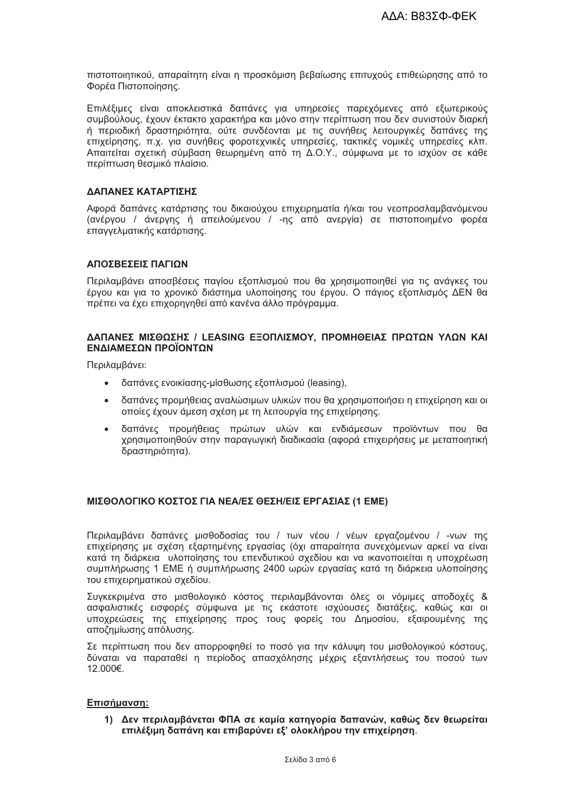πιστοποιητικού, απαραίτητη είναι η προσκόμιση βεβαίωσης επιτυχούς επιθεώρησης από το Φορέα Πιστοποίησης.

Επιλέξιμες είναι αποκλειστικά δαπάνες για υπηρεσίες παρεχόμενες από εξωτερικούς συμβούλους, έχουν έκτακτο χαρακτήρα και μόνο στην περίπτωση που δεν συνιστούν διαρκή ή περιοδική δραστηριότητα, ούτε συνδέονται με τις συνήθεις λειτουργικές δαπάνες της επιχείρησης, π.χ. για συνήθεις φοροτεχνικές υπηρεσίες, τακτικές νομικές υπηρεσίες κλπ. Απαιτείται σχετική σύμβαση θεωρημένη από τη Δ.Ο.Υ., σύμφωνα με το ισχύον σε κάθε περίπτωση θεσμικό πλαίσιο.

#### ΔΑΠΑΝΕΣ ΚΑΤΑΡΤΙΣΗΣ

Αφορά δαπάνες κατάρτισης του δικαιούχου επιχειρηματία ή/και του νεοπροσλαμβανόμενου (ανέργου / άνεργης ή απειλούμενου / -nc από ανεργία) σε πιστοποιημένο φορέα επαννελματικής κατάρτισης.

#### ΑΠΟΣΒΕΣΕΙΣ ΠΑΓΙΟΝ

Περιλαμβάνει αποσβέσεις παγίου εξοπλισμού που θα χρησιμοποιηθεί για τις ανάγκες του έρνου και νια το χρονικό διάστημα υλοποίησης του έρνου. Ο πάνιος εξοπλισμός ΔΕΝ θα πρέπει να έχει επιχορηνηθεί από κανένα άλλο πρόνραμμα.

#### ΔΑΠΑΝΕΣ ΜΙΣΘΩΣΗΣ / LEASING ΕΞΟΠΛΙΣΜΟΥ, ΠΡΟΜΗΘΕΙΑΣ ΠΡΩΤΩΝ ΥΛΩΝ ΚΑΙ ΕΝΛΙΑΜΕΣΟΝ ΠΡΟΪΟΝΤΟΝ

Περιλαμβάνει:

- $\bullet$ δαπάνες ενοικίασης-μίσθωσης εξοπλισμού (leasing),
- δαπάνες προμήθειας αναλώσιμων υλικών που θα χρησιμοποιήσει η επιχείρηση και οι οποίες έχουν άμεση σχέση με τη λειτουργία της επιχείρησης.
- δαπάνες προμήθειας πρώτων υλών και ενδιάμεσων προϊόντων που θα  $\bullet$ χρησιμοποιηθούν στην παραγωγική διαδικασία (αφορά επιχειρήσεις με μεταποιητική δραστηριότητα).

#### ΜΙΣΘΟΛΟΓΙΚΟ ΚΟΣΤΟΣ ΓΙΑ ΝΕΑ/ΕΣ ΘΕΣΗ/ΕΙΣ ΕΡΓΑΣΙΑΣ (1 ΕΜΕ)

Περιλαμβάνει δαπάνες μισθοδοσίας του / των νέου / νέων εργαζομένου / -νων της επιχείρησης με σχέση εξαρτημένης εργασίας (όχι απαραίτητα συνεχόμενων αρκεί να είναι κατά τη διάρκεια υλοποίησης του επενδυτικού σχεδίου και να ικανοποιείται η υποχρέωση συμπλήρωσης 1 ΕΜΕ ή συμπλήρωσης 2400 ωρών εργασίας κατά τη διάρκεια υλοποίησης του επιχειρηματικού σχεδίου.

Συγκεκριμένα στο μισθολογικό κόστος περιλαμβάνονται όλες οι νόμιμες αποδοχές & ασφαλιστικές εισφορές σύμφωνα με τις εκάστοτε ισχύουσες διατάξεις, καθώς και οι υποχρεώσεις της επιχείρησης προς τους φορείς του Δημοσίου, εξαιρουμένης της αποζημίωσης απόλυσης.

Σε περίπτωση που δεν απορροφηθεί το ποσό για την κάλυψη του μισθολογικού κόστους, δύναται να παραταθεί η περίοδος απασχόλησης μέχρις εξαντλήσεως του ποσού των 12.000€.

#### Επισήμανση:

1) Δεν περιλαμβάνεται ΦΠΑ σε καμία κατηγορία δαπανών, καθώς δεν θεωρείται επιλέξιμη δαπάνη και επιβαρύνει εξ' ολοκλήρου την επιχείρηση.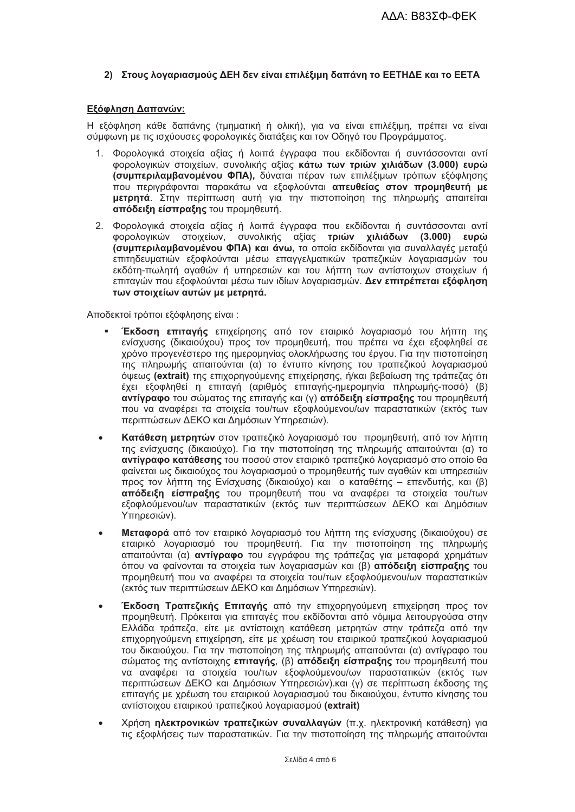#### 2) Στους λογαριασμούς ΔΕΗ δεν είναι επιλέξιμη δαπάνη το ΕΕΤΗΔΕ και το ΕΕΤΑ

#### Εξόφληση Δαπανών:

Η εξόφληση κάθε δαπάνης (τμηματική ή ολική), για να είναι επιλέξιμη, πρέπει να είναι σύμφωνη με τις ισχύουσες φορολογικές διατάξεις και τον Οδηγό του Προγράμματος.

- 1. Φορολογικά στοιχεία αξίας ή λοιπά έγγραφα που εκδίδονται ή συντάσσονται αντί ΦΟρολονικών στοιχείων, συνολικής αξίας κάτω των τριών χιλιάδων (3.000) ευρώ (συμπεριλαμβανομένου ΦΠΑ). δύναται πέραν των επιλέξιμων τρόπων εξόφλησης που περινράφονται παρακάτω να εξοφλούνται απευθείας στον προμηθευτή με μετρητά. Στην περίπτωση αυτή για την πιστοποίηση της πληρωμής απαιτείται απόδειξη είσπραξης του προμηθευτή.
- 2. Φορολογικά στοιχεία αξίας ή λοιπά έγγραφα που εκδίδονται ή συντάσσονται αντί φορολογικών στοιχείων, συνολικής αξίας τριών χιλιάδων (3.000) ευρώ (συμπεριλαμβανομένου ΦΠΑ) και άνω, τα οποία εκδίδονται για συναλλαγές μεταξύ επιτηδευματιών εξοφλούνται μέσω επαγγελματικών τραπεζικών λογαριασμών του εκδότη-πωλητή αναθών ή υπηρεσιών και του λήπτη των αντίστοιχων στοιχείων ή επιταγών που εξοφλούνται μέσω των ιδίων λογαριασμών. Δεν επιτρέπεται εξόφληση των στοιχείων αυτών με μετοητά.

Αποδεκτοί τρόποι εξόφλησης είναι:

- Έκδοση επιταγής επιχείρησης από τον εταιρικό λογαριασμό του λήπτη της ενίσχυσης (δικαιούχου) προς τον προμηθευτή, που πρέπει να έχει εξοφληθεί σε χρόνο προγενέστερο της ημερομηνίας ολοκλήρωσης του έργου. Για την πιστοποίηση της πληρωμής απαιτούνται (α) το έντυπο κίνησης του τραπεζικού λογαριασμού όψεως (extrait) της επιχορηγούμενης επιχείρησης, ή/και βεβαίωση της τράπεζας ότι έχει εξοφληθεί η επιτανή (αριθμός επιτανής-ημερομηνία πληρωμής-ποσό) (β) αντίγραφο του σώματος της επιταγής και (γ) απόδειξη είσπραξης του προμηθευτή που να αναφέρει τα στοιχεία του/των εξοφλούμενου/ων παραστατικών (εκτός των περιπτώσεων ΔΕΚΟ και Δημόσιων Υπηρέσιών).
- Κατάθεση μετρητών στον τραπεζικό λογαριασμό του προμηθευτή, από τον λήπτη της ενίσχυσης (δικαιούχο). Για την πιστοποίηση της πληρωμής απαιτούνται (α) το αντίνραφο κατάθεσης του ποσού στον εταιρικό τραπεζικό λοναριασμό στο οποίο θα φαίνεται ως δικαιούχος του λοναριασμού ο προμηθευτής των αναθών και υπηρεσιών προς τον λήπτη της Ενίσχυσης (δικαιούχο) και ο καταθέτης – επενδυτής, και (β) απόδειξη είσπραξης του προμηθευτή που να αναφέρει τα στοιχεία του/των εξοφλούμενου/ων παραστατικών (εκτός των περιπτώσεων ΔΕΚΟ και Δημόσιων Υπηρεσιών).
- Μεταφορά από τον εταιρικό λογαριασμό του λήπτη της ενίσχυσης (δικαιούχου) σε εταιρικό λογαριασμό του προμηθευτή. Για την πιστοποίηση της πληρωμής απαιτούνται (α) **αντίνραφο** του εννράφου της τράπεζας νια μεταφορά χρημάτων όπου να φαίνονται τα στοιχεία των λογαριασμών και (β) απόδειξη είσπραξης του προμηθευτή που να αναφέρει τα στοιχεία του/των εξοφλούμενου/ων παραστατικών (εκτός των περιπτώσεων ΔΕΚΟ και Δημόσιων Υπηρεσιών).
- Έκδοση Τραπεζικής Επιταγής από την επιχορηγούμενη επιχείρηση προς τον προμηθευτή. Πρόκειται για επιταγές που εκδίδονται από νόμιμα λειτουργούσα στην Ελλάδα τράπεζα, είτε με αντίστοιχη κατάθεση μετρητών στην τράπεζα από την επιχορηνούμενη επιχείρηση, είτε με χρέωση του εταιρικού τραπεζικού λοναριασμού του δικαιούχου. Για την πιστοποίηση της πληρωμής απαιτούνται (α) αντίγραφο του σώματος της αντίστοιχης επιταγής, (β) απόδειξη είσπραξης του προμηθευτή που να αναφέρει τα στοιχεία του/των εξοφλούμενου/ων παραστατικών (εκτός των περιπτώσεων ΔΕΚΟ και Δημόσιων Υπηρεσιών) και (γ) σε περίπτωση έκδοσης της επιταγής με χρέωση του εταιρικού λογαριασμού του δικαιούχου, έντυπο κίνησης του αντίστοιχου εταιρικού τραπεζικού λοναριασμού (extrait)
- Χρήση ηλεκτρονικών τραπεζικών συναλλαγών (π.χ. ηλεκτρονική κατάθεση) για τις εξοφλήσεις των παραστατικών. Για την πιστοποίηση της πληρωμής απαιτούνται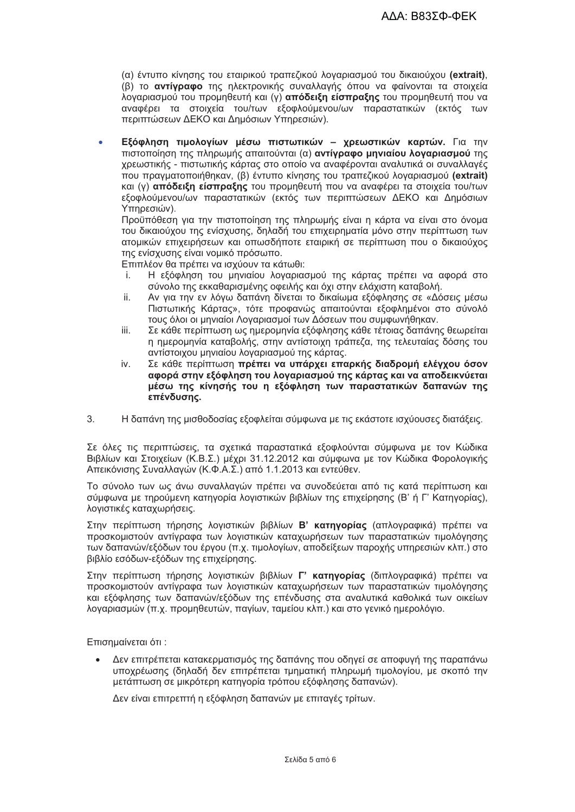(α) έντυπο κίνησης του εταιρικού τραπεζικού λογαριασμού του δικαιούχου (extrait), (β) το αντίγραφο της ηλεκτρονικής συναλλαγής όπου να φαίνονται τα στοιχεία λογαριασμού του προμηθευτή και (γ) απόδειξη είσπραξης του προμηθευτή που να αναφέρει τα στοιχεία του/των εξοφλούμενου/ων παραστατικών (εκτός των περιπτώσεων ΔΕΚΟ και Δημόσιων Υπηρεσιών).

Εξόφληση τιμολογίων μέσω πιστωτικών - χρεωστικών καρτών. Για την  $\ddot{\phantom{a}}$ πιστοποίηση της πληρωμής απαιτούνται (α) αντίγραφο μηνιαίου λογαριασμού της χρεωστικής - πιστωτικής κάρτας στο οποίο να αναφέρονται αναλυτικά οι συναλλαγές που πρανματοποιήθηκαν. (β) έντυπο κίνησης του τραπεζικού λοναριασμού (extrait) και (γ) απόδειξη είσπραξης του προμηθευτή που να αναφέρει τα στοιχεία του/των εξοφλούμενου/ων παραστατικών (εκτός των περιπτώσεων ΔΕΚΟ και Δημόσιων Υπηρεσιών).

Προϋπόθεση για την πιστοποίηση της πληρωμής είναι η κάρτα να είναι στο όνομα του δικαιούχου της ενίσχυσης, δηλαδή του επιχειρηματία μόνο στην περίπτωση των ατομικών επιχειρήσεων και οπωσδήποτε εταιρική σε περίπτωση που ο δικαιούχος της ενίσχυσης είναι νομικό πρόσωπο.

Επιπλέον θα πρέπει να ισχύουν τα κάτωθι:

- Η εξόφληση του μηνιαίου λογαριασμού της κάρτας πρέπει να αφορά στο i. σύνολο της εκκαθαρισμένης οφειλής και όχι στην ελάχιστη καταβολή.
- ii. Αν για την εν λόγω δαπάνη δίνεται το δικαίωμα εξόφλησης σε «Δόσεις μέσω Πιστωτικής Κάρτας», τότε προφανώς απαιτούνται εξοφλημένοι στο σύνολό τους όλοι οι μηνιαίοι Λοναριασμοί των Δόσεων που συμφωνήθηκαν.
- iii. Σε κάθε περίπτωση ως ημερομηνία εξόφλησης κάθε τέτοιας δαπάνης θεωρείται η ημερομηνία καταβολής, στην αντίστοιχη τράπεζα, της τελευταίας δόσης του αντίστοιχου μηνιαίου λογαριασμού της κάρτας.
- Σε κάθε περίπτωση πρέπει να υπάρχει επαρκής διαδρομή ελέγχου όσον iv. αφορά στην εξόφληση του λογαριασμού της κάρτας και να αποδεικνύεται μέσω της κίνησής του η εξόφληση των παραστατικών δαπανών της επένδυσης.
- $3.$ Η δαπάνη της μισθοδοσίας εξοφλείται σύμφωνα με τις εκάστοτε ισχύουσες διατάξεις.

Σε όλες τις περιπτώσεις, τα σχετικά παραστατικά εξοφλούνται σύμφωνα με τον Κώδικα Βιβλίων και Στοιχείων (Κ.Β.Σ.) μέχρι 31.12.2012 και σύμφωνα με τον Κώδικα Φορολογικής Απεικόνισης Συναλλαγών (Κ.Φ.Α.Σ.) από 1.1.2013 και εντεύθεν.

Το σύνολο των ως άνω συναλλαγών πρέπει να συνοδεύεται από τις κατά περίπτωση και σύμφωνα με τηρούμενη κατηγορία λογιστικών βιβλίων της επιχείρησης (Β' ή Γ' Κατηγορίας), λογιστικές καταχωρήσεις.

Στην περίπτωση τήρησης λονιστικών βιβλίων Β' κατηνορίας (απλονραφικά) πρέπει να προσκομιστούν αντίγραφα των λογιστικών καταχωρήσεων των παραστατικών τιμολόγησης των δαπανών/εξόδων του έργου (π.χ. τιμολογίων, αποδείξεων παροχής υπηρεσιών κλπ.) στο βιβλίο εσόδων-εξόδων της επιχείρησης.

Στην περίπτωση τήρησης λογιστικών βιβλίων Γ' κατηγορίας (διπλογραφικά) πρέπει να προσκομιστούν αντίγραφα των λογιστικών καταχωρήσεων των παραστατικών τιμολόγησης και εξόφλησης των δαπανών/εξόδων της επένδυσης στα αναλυτικά καθολικά των οικείων λογαριασμών (π.χ. προμηθευτών, παγίων, ταμείου κλπ.) και στο γενικό ημερολόγιο.

Επισημαίνεται ότι:

Δεν επιτρέπεται κατακερματισμός της δαπάνης που οδηγεί σε αποφυγή της παραπάνω υποχρέωσης (δηλαδή δεν επιτρέπεται τμηματική πληρωμή τιμολογίου, με σκοπό την μετάπτωση σε μικρότερη κατηνορία τρόπου εξόφλησης δαπανών).

Δεν είναι επιτρεπτή η εξόφληση δαπανών με επιταγές τρίτων.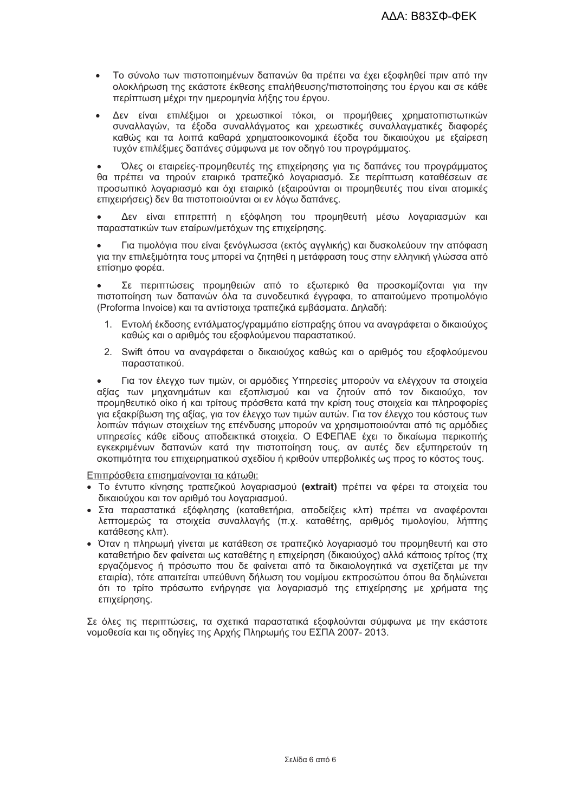- Το σύνολο των πιστοποιημένων δαπανών θα πρέπει να έχει εξοφληθεί πριν από την ολοκλήρωση της εκάστοτε έκθεσης επαλήθευσης/πιστοποίησης του έργου και σε κάθε περίπτωση μέχρι την ημερομηνία λήξης του έργου.
- Δεν είναι επιλέξιμοι οι χρεωστικοί τόκοι, οι προμήθειες χρηματοπιστωτικών  $\bullet$ συναλλαγών, τα έξοδα συναλλάγματος και χρεωστικές συναλλαγματικές διαφορές καθώς και τα λοιπά καθαρά χρηματοοικονομικά έξοδα του δικαιούχου με εξαίρεση τυχόν επιλέξιμες δαπάνες σύμφωνα με τον οδηγό του προγράμματος.

Όλες οι εταιρείες-προμηθευτές της επιχείρησης για τις δαπάνες του προνράμματος θα πρέπει να τηρούν εταιρικό τραπεζικό λογαριασμό. Σε περίπτωση καταθέσεων σε προσωπικό λογαριασμό και όχι εταιρικό (εξαιρούνται οι προμηθευτές που είναι ατομικές επιχειρήσεις) δεν θα πιστοποιούνται οι εν λόνω δαπάνες.

Δεν είναι επιτρεπτή η εξόφληση του προμηθευτή μέσω λογαριασμών και παραστατικών των εταίρων/μετόχων της επιχείρησης.

Για τιμολόγια που είναι ξενόγλωσσα (εκτός αγγλικής) και δυσκολεύουν την απόφαση για την επιλεξιμότητα τους μπορεί να ζητηθεί η μετάφραση τους στην ελληνική γλώσσα από επίσημο φορέα.

Σε περιπτώσεις προμηθειών από το εξωτερικό θα προσκομίζονται για την πιστοποίηση των δαπανών όλα τα συνοδευτικά έγγραφα, το απαιτούμενο προτιμολόγιο (Proforma Invoice) και τα αντίστοιχα τραπεζικά εμβάσματα. Δηλαδή:

- Εντολή έκδοσης εντάλματος/γραμμάτιο είσπραξης όπου να αναγράφεται ο δικαιούχος  $1$ καθώς και ο αριθμός του εξοφλούμενου παραστατικού.
- 2. Swift όπου να αναγράφεται ο δικαιούχος καθώς και ο αριθμός του εξοφλούμενου παραστατικού.

Για τον έλεγχο των τιμών, οι αρμόδιες Υπηρεσίες μπορούν να ελέγχουν τα στοιχεία αξίας των μηχανημάτων και εξοπλισμού και να ζητούν από τον δικαιούχο, τον προμηθευτικό οίκο ή και τρίτους πρόσθετα κατά την κρίση τους στοιχεία και πληροφορίες για εξακρίβωση της αξίας, για τον έλεγχο των τιμών αυτών. Για τον έλεγχο του κόστους των λοιπών πάγιων στοιχείων της επένδυσης μπορούν να χρησιμοποιούνται από τις αρμόδιες υπηρεσίες κάθε είδους αποδεικτικά στοιχεία. Ο ΕΦΕΠΑΕ έχει το δικαίωμα περικοπής εγκεκριμένων δαπανών κατά την πιστοποίηση τους, αν αυτές δεν εξυπηρετούν τη σκοπιμότητα του επιχειρηματικού σχεδίου ή κριθούν υπερβολικές ως προς το κόστος τους.

Επιπρόσθετα επισημαίνονται τα κάτωθι:

- · Το έντυπο κίνησης τραπεζικού λογαριασμού (extrait) πρέπει να φέρει τα στοιχεία του δικαιούχου και τον αριθμό του λογαριασμού.
- Στα παραστατικά εξόφλησης (καταθετήρια, αποδείξεις κλπ) πρέπει να αναφέρονται λεπτομερώς τα στοιχεία συναλλαγής (π.χ. καταθέτης, αριθμός τιμολογίου, λήπτης κατάθεσης κλπ).
- Όταν η πληρωμή γίνεται με κατάθεση σε τραπεζικό λογαριασμό του προμηθευτή και στο καταθετήριο δεν φαίνεται ως καταθέτης η επιχείρηση (δικαιούχος) αλλά κάποιος τρίτος (πχ εργαζόμενος ή πρόσωπο που δε φαίνεται από τα δικαιολογητικά να σχετίζεται με την εταιρία), τότε απαιτείται υπεύθυνη δήλωση του νομίμου εκπροσώπου όπου θα δηλώνεται ότι το τρίτο πρόσωπο ενήργησε για λογαριασμό της επιχείρησης με χρήματα της επιχείρησης.

Σε όλες τις περιπτώσεις, τα σχετικά παραστατικά εξοφλούνται σύμφωνα με την εκάστοτε νομοθεσία και τις οδηγίες της Αρχής Πληρωμής του ΕΣΠΑ 2007-2013.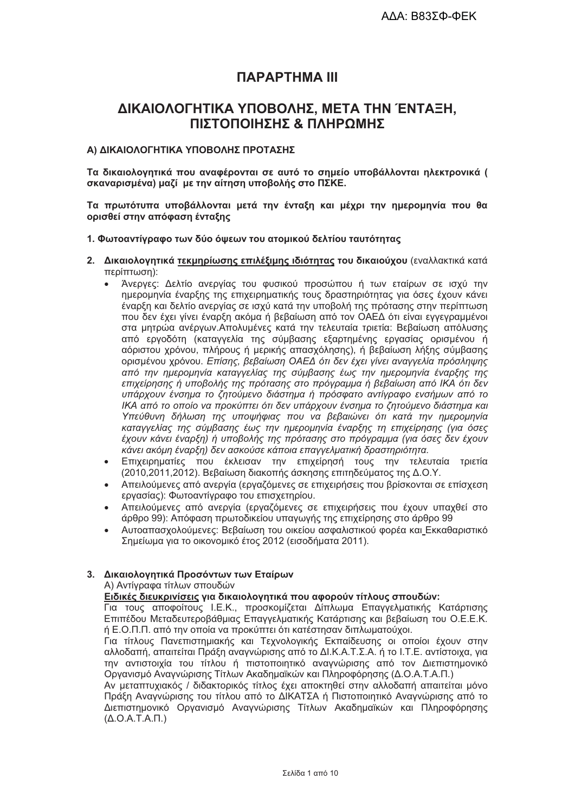# *<u>ПАРАРТНМА III</u>*

# ΔΙΚΑΙΟΛΟΓΗΤΙΚΑ ΥΠΟΒΟΛΗΣ, ΜΕΤΑ ΤΗΝ ΈΝΤΑΞΗ, ΠΙΣΤΟΠΟΙΗΣΗΣ & ΠΛΗΡΩΜΗΣ

#### Α) ΔΙΚΑΙΟΛΟΓΗΤΙΚΑ ΥΠΟΒΟΛΗΣ ΠΡΟΤΑΣΗΣ

Τα δικαιολογητικά που αναφέρονται σε αυτό το σημείο υποβάλλονται ηλεκτρονικά ( σκαναρισμένα) μαζί με την αίτηση υποβολής στο ΠΣΚΕ.

Τα πρωτότυπα υποβάλλονται μετά την ένταξη και μέχρι την ημερομηνία που θα ορισθεί στην απόφαση ένταξης

#### 1. Φωτοαντίγραφο των δύο όψεων του ατομικού δελτίου ταυτότητας

- 2. Δικαιολονητικά τεκμηρίωσης επιλέξιμης ιδιότητας του δικαιούχου (εναλλακτικά κατά περίπτωση):
	- Άνεργες: Δελτίο ανεργίας του φυσικού προσώπου ή των εταίρων σε ισχύ την ημερομηνία έναρξης της επιχειρηματικής τους δραστηριότητας για όσες έχουν κάνει έναρξη και δελτίο ανερνίας σε ισχύ κατά την υποβολή της πρότασης στην περίπτωση που δεν έχει γίνει έναρξη ακόμα ή βεβαίωση από τον ΟΑΕΔ ότι είναι εγγεγραμμένοι στα μητρώα ανέργων. Απολυμένες κατά την τελευταία τριετία: Βεβαίωση απόλυσης από εργοδότη (καταγγελία της σύμβασης εξαρτημένης εργασίας ορισμένου ή αόριστου χρόνου, πλήρους ή μερικής απασχόλησης), ή βεβαίωση λήξης σύμβασης ορισμένου χρόνου. Επίσης, βεβαίωση ΟΑΕΔ ότι δεν έχει γίνει αναγγελία πρόσληψης από την ημερομηνία καταγγελίας της σύμβασης έως την ημερομηνία έναρξης της επιχείρησης ή υποβολής της πρότασης στο πρόγραμμα ή βεβαίωση από ΙΚΑ ότι δεν υπάρχουν ένσημα το ζητούμενο διάστημα ή πρόσφατο αντίγραφο ενσήμων από το ΙΚΑ από το οποίο να προκύπτει ότι δεν υπάρχουν ένσημα το ζητούμενο διάστημα και Υπεύθυνη δήλωση της υποψήφιας που να βεβαιώνει ότι κατά την ημερομηνία καταγγελίας της σύμβασης έως την ημερομηνία έναρξης τη επιχείρησης (για όσες έχουν κάνει έναρξη) ή υποβολής της πρότασης στο πρόγραμμα (για όσες δεν έχουν κάνει ακόμη έναρξη) δεν ασκούσε κάποια επαγγελματική δραστηριότητα.
	- Επιχειρηματίες που έκλεισαν την επιχείρησή τους την τελευταία τριετία (2010.2011.2012). Βεβαίωση διακοπής άσκησης επιτηδεύματος της Δ.Ο.Υ.
	- Απειλούμενες από ανεργία (εργαζόμενες σε επιχειρήσεις που βρίσκονται σε επίσχεση εργασίας): Φωτοαντίγραφο του επισχετηρίου.
	- Απειλούμενες από ανεργία (εργαζόμενες σε επιχειρήσεις που έχουν υπαχθεί στο άρθρο 99): Απόφαση πρωτοδικείου υπαγωγής της επιχείρησης στο άρθρο 99
	- Αυτοαπασχολούμενες: Βεβαίωση του οικείου ασφαλιστικού φορέα και Εκκαθαριστικό Σημείωμα για το οικονομικό έτος 2012 (εισοδήματα 2011).

#### 3. Δικαιολογητικά Προσόντων των Εταίρων

Α) Αντίνραφα τίτλων σπουδών

#### Ειδικές διευκρινίσεις για δικαιολογητικά που αφορούν τίτλους σπουδών:

Για τους αποφοίτους Ι.Ε.Κ., προσκομίζεται Δίπλωμα Επαγγελματικής Κατάρτισης Επιπέδου Μεταδευτεροβάθμιας Επαγγελματικής Κατάρτισης και βεβαίωση του Ο.Ε.Ε.Κ. ή Ε.Ο.Π.Π. από την οποία να προκύπτει ότι κατέστησαν διπλωματούχοι.

Για τίτλους Πανεπιστημιακής και Τεχνολογικής Εκπαίδευσης οι οποίοι έχουν στην αλλοδαπή, απαιτείται Πράξη αναννώρισης από το ΔΙ.Κ.Α.Τ.Σ.Α, ή το Ι.Τ.Ε, αντίστοιχα, νια την αντιστοιχία του τίτλου ή πιστοποιητικό αναγνώρισης από τον Διεπιστημονικό Οργανισμό Αναγνώρισης Τίτλων Ακαδημαϊκών και Πληροφόρησης (Δ.Ο.Α.Τ.Α.Π.)

Αν μεταπτυχιακός / διδακτορικός τίτλος έχει αποκτηθεί στην αλλοδαπή απαιτείται μόνο Πράξη Αναγνώρισης του τίτλου από το ΔΙΚΑΤΣΑ ή Πιστοποιητικό Αναγνώρισης από το Διεπιστημονικό Οργανισμό Αναγνώρισης Τίτλων Ακαδημαϊκών και Πληροφόρησης  $(A.O.A.T.A.\Pi.)$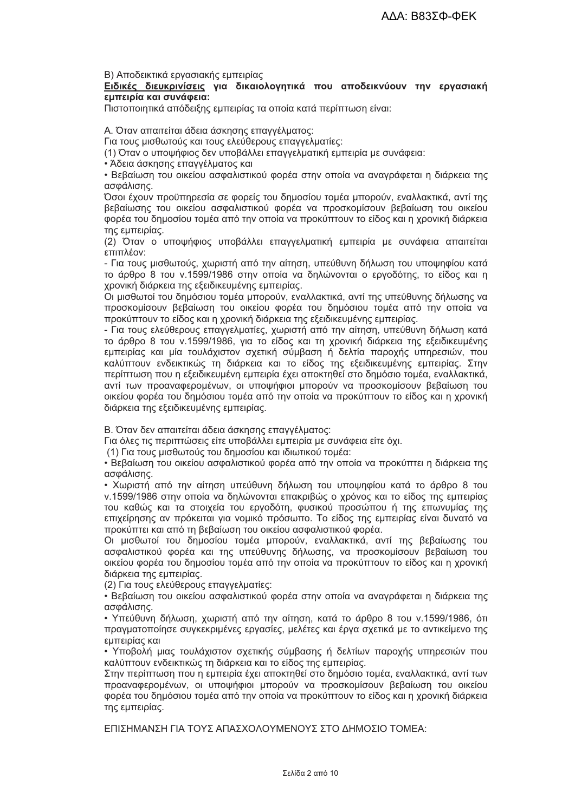Β) Αποδεικτικά εργασιακής εμπειρίας

Ειδικές διευκρινίσεις για δικαιολογητικά που αποδεικνύουν την εργασιακή εμπειρία και συνάφεια:

Πιστοποιητικά απόδειξης εμπειρίας τα οποία κατά περίπτωση είναι:

Α. Όταν απαιτείται άδεια άσκησης επαγγέλματος:

Για τους μισθωτούς και τους ελεύθερους επαγγελματίες:

(1) Όταν ο υποψήφιος δεν υποβάλλει επαγγελματική εμπειρία με συνάφεια:

• Άδεια άσκησης επαγγέλματος και

• Βεβαίωση του οικείου ασφαλιστικού φορέα στην οποία να ανανράφεται η διάρκεια της ασφάλισης.

Όσοι έχουν προϋπηρεσία σε φορείς του δημοσίου τομέα μπορούν, εναλλακτικά, αντί της βεβαίωσης του οικείου ασφαλιστικού φορέα να προσκομίσουν βεβαίωση του οικείου φορέα του δημοσίου τομέα από την οποία να προκύπτουν το είδος και η χρονική διάρκεια της εμπειρίας.

(2) Όταν ο υποψήφιος υποβάλλει επαννελματική εμπειρία με συνάφεια απαιτείται επιπλέον:

- Για τους μισθωτούς, χωριστή από την αίτηση, υπεύθυνη δήλωση του υποψηφίου κατά το άρθρο 8 του ν.1599/1986 στην οποία να δηλώνονται ο εργοδότης, το είδος και η χρονική διάρκεια της εξειδικευμένης εμπειρίας.

Οι μισθωτοί του δημόσιου τομέα μπορούν, εναλλακτικά, αντί της υπεύθυνης δήλωσης να προσκομίσουν βεβαίωση του οικείου φορέα του δημόσιου τομέα από την οποία να προκύπτουν το είδος και η χρονική διάρκεια της εξειδικευμένης εμπειρίας.

- Για τους ελεύθερους επαγγελματίες, χωριστή από την αίτηση, υπεύθυνη δήλωση κατά το άρθρο 8 του ν.1599/1986, για το είδος και τη χρονική διάρκεια της εξειδικευμένης εμπειρίας και μία τουλάχιστον σχετική σύμβαση ή δελτία παροχής υπηρεσιών, που καλύπτουν ενδεικτικώς τη διάρκεια και το είδος της εξειδικευμένης εμπειρίας. Στην περίπτωση που η εξειδικευμένη εμπειρία έχει αποκτηθεί στο δημόσιο τομέα, εναλλακτικά, αντί των προαναφερομένων, οι υποψήφιοι μπορούν να προσκομίσουν βεβαίωση του οικείου φορέα του δημόσιου τομέα από την οποία να προκύπτουν το είδος και η χρονική διάρκεια της εξειδικευμένης εμπειρίας.

Β. Όταν δεν απαιτείται άδεια άσκησης επαγγέλματος:

Για όλες τις περιπτώσεις είτε υποβάλλει εμπειρία με συνάφεια είτε όχι.

(1) Για τους μισθωτούς του δημοσίου και ιδιωτικού τομέα:

• Βεβαίωση του οικείου ασφαλιστικού φορέα από την οποία να προκύπτει η διάρκεια της ασφάλισης.

• Χωριστή από την αίτηση υπεύθυνη δήλωση του υποψηφίου κατά το άρθρο 8 του ν.1599/1986 στην οποία να δηλώνονται επακριβώς ο χρόνος και το είδος της εμπειρίας του καθώς και τα στοιχεία του εργοδότη, φυσικού προσώπου ή της επωνυμίας της επιχείρησης αν πρόκειται για νομικό πρόσωπο. Το είδος της εμπειρίας είναι δυνατό να προκύπτει και από τη βεβαίωση του οικείου ασφαλιστικού φορέα.

Οι μισθωτοί του δημοσίου τομέα μπορούν, εναλλακτικά, αντί της βεβαίωσης του ασφαλιστικού φορέα και της υπεύθυνης δήλωσης, να προσκομίσουν βεβαίωση του οικείου φορέα του δημοσίου τομέα από την οποία να προκύπτουν το είδος και η χρονική διάρκεια της εμπειρίας.

(2) Για τους ελεύθερους επαγγελματίες:

• Βεβαίωση του οικείου ασφαλιστικού φορέα στην οποία να αναγράφεται η διάρκεια της ασφάλισης.

• Υπεύθυνη δήλωση, χωριστή από την αίτηση, κατά το άρθρο 8 του ν.1599/1986, ότι πραγματοποίησε συγκεκριμένες εργασίες, μελέτες και έργα σχετικά με το αντικείμενο της εμπειρίας και

• Υποβολή μιας τουλάχιστον σχετικής σύμβασης ή δελτίων παροχής υπηρεσιών που καλύπτουν ενδεικτικώς τη διάρκεια και το είδος της εμπειρίας.

Στην περίπτωση που η εμπειρία έχει αποκτηθεί στο δημόσιο τομέα, εναλλακτικά, αντί των προαναφερομένων, οι υποψήφιοι μπορούν να προσκομίσουν βεβαίωση του οικείου φορέα του δημόσιου τομέα από την οποία να προκύπτουν το είδος και η χρονική διάρκεια της εμπειρίας.

ΕΠΙΣΗΜΑΝΣΗ ΓΙΑ ΤΟΥΣ ΑΠΑΣΧΟΛΟΥΜΕΝΟΥΣ ΣΤΟ ΛΗΜΟΣΙΟ ΤΟΜΕΑ: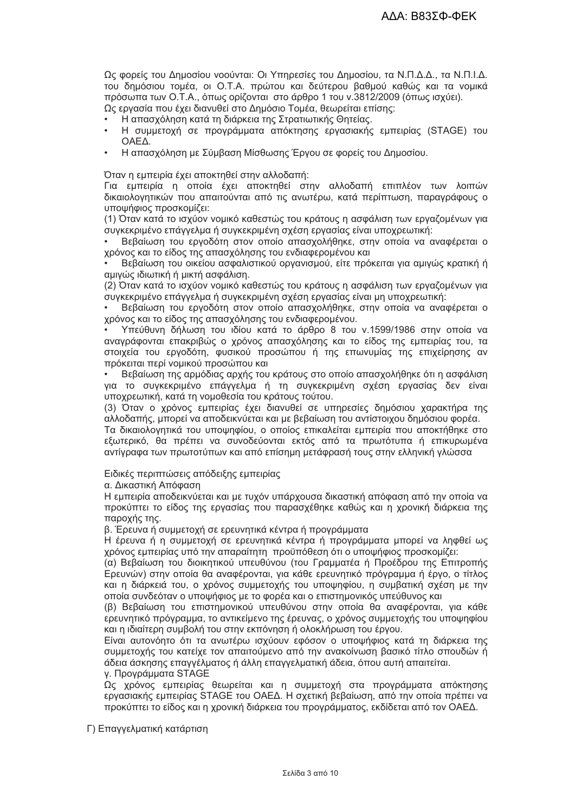Ως φορείς του Δημοσίου νοούνται: Οι Υπηρεσίες του Δημοσίου, τα Ν.Π.Δ.Δ., τα Ν.Π.Ι.Δ. του δημόσιου τομέα, οι Ο.Τ.Α. πρώτου και δεύτερου βαθμού καθώς και τα νομικά πρόσωπα των Ο.Τ.Α., όπως ορίζονται στο άρθρο 1 του ν.3812/2009 (όπως ισχύει). Ως εργασία που έχει διανυθεί στο Δημόσιο Τομέα, θεωρείται επίσης:

- Η απασχόληση κατά τη διάρκεια της Στρατιωτικής Θητείας.
- Η συμμετοχή σε προγράμματα απόκτησης εργασιακής εμπειρίας (STAGE) του OAEA.
- Η απασχόληση με Σύμβαση Μίσθωσης Έργου σε φορείς του Δημοσίου.

Όταν η εμπειρία έχει αποκτηθεί στην αλλοδαπή:

Για εμπειρία η οποία έχει αποκτηθεί στην αλλοδαπή επιπλέον των λοιπών δικαιολογητικών που απαιτούνται από τις ανωτέρω, κατά περίπτωση, παραγράφους ο υποψήφιος προσκομίζει:

(1) Όταν κατά το ισχύον νομικό καθεστώς του κράτους η ασφάλιση των ερναζομένων νια συνκεκριμένο επάννελμα ή συνκεκριμένη σχέση ερνασίας είναι υποχρεωτική:

Βεβαίωση του εργοδότη στον οποίο απασχολήθηκε, στην οποία να αναφέρεται ο χρόνος και το είδος της απασχόλησης του ενδιαφερομένου και

Βεβαίωση του οικείου ασφαλιστικού οργανισμού, είτε πρόκειται για αμιγώς κρατική ή αμιγώς ιδιωτική ή μικτή ασφάλιση.

(2) Όταν κατά το ισχύον νομικό καθεστώς του κράτους η ασφάλιση των εργαζομένων για συγκεκριμένο επάγγελμα ή συγκεκριμένη σχέση εργασίας είναι μη υποχρεωτική:

Βεβαίωση του εργοδότη στον οποίο απασχολήθηκε, στην οποία να αναφέρεται ο χρόνος και το είδος της απασχόλησης του ενδιαφερομένου.

Υπεύθυνη δήλωση του ιδίου κατά το άρθρο 8 του ν.1599/1986 στην οποία να αναγράφονται επακριβώς ο χρόνος απασχόλησης και το είδος της εμπειρίας του, τα στοιχεία του εργοδότη, φυσικού προσώπου ή της επωνυμίας της επιχείρησης αν πρόκειται περί νομικού προσώπου και

Βεβαίωση της αρμόδιας αρχής του κράτους στο οποίο απασχολήθηκε ότι η ασφάλιση για το συγκεκριμένο επάγγελμα ή τη συγκεκριμένη σχέση εργασίας δεν είναι υποχρεωτική, κατά τη νομοθεσία του κράτους τούτου.

(3) Όταν ο χρόνος εμπειρίας έχει διανυθεί σε υπηρεσίες δημόσιου χαρακτήρα της αλλοδαπής, μπορεί να αποδεικνύεται και με βεβαίωση του αντίστοιχου δημόσιου φορέα.

Τα δικαιολογητικά του υποψηφίου, ο οποίος επικαλείται εμπειρία που αποκτήθηκε στο εξωτερικό. θα πρέπει να συνοδεύονται εκτός από τα πρωτότυπα ή επικυρωμένα αντίγραφα των πρωτοτύπων και από επίσημη μετάφρασή τους στην ελληνική γλώσσα

Ειδικές περιπτώσεις απόδειξης εμπειρίας

α. Δικαστική Απόφαση

Η εμπειρία αποδεικνύεται και με τυχόν υπάρχουσα δικαστική απόφαση από την οποία να προκύπτει το είδος της εργασίας που παρασχέθηκε καθώς και η χρονική διάρκεια της παροχής της.

β. Έρευνα ή συμμετοχή σε ερευνητικά κέντρα ή προγράμματα

Η έρευνα ή η συμμετοχή σε ερευνητικά κέντρα ή προγράμματα μπορεί να ληφθεί ως χρόνος εμπειρίας υπό την απαραίτητη προϋπόθεση ότι ο υποψήφιος προσκομίζει:

(α) Βεβαίωση του διοικητικού υπευθύνου (του Γραμματέα ή Προέδρου της Επιτροπής Ερευνών) στην οποία θα αναφέρονται, για κάθε ερευνητικό πρόγραμμα ή έργο, ο τίτλος και η διάρκειά του, ο χρόνος συμμετοχής του υποψηφίου, η συμβατική σχέση με την οποία συνδεόταν ο υποψήφιος με το φορέα και ο επιστημονικός υπεύθυνος και

(β) Βεβαίωση του επιστημονικού υπευθύνου στην οποία θα αναφέρονται, νια κάθε ερευνητικό πρόγραμμα, το αντικείμενο της έρευνας, ο χρόνος συμμετοχής του υποψηφίου και η ιδιαίτερη συμβολή του στην εκπόνηση ή ολοκλήρωση του έργου.

Είναι αυτονόητο ότι τα ανωτέρω ισχύουν εφόσον ο υποψήφιος κατά τη διάρκεια της συμμετοχής του κατείχε τον απαιτούμενο από την ανακοίνωση βασικό τίτλο σπουδών ή άδεια άσκησης επαγγέλματος ή άλλη επαγγελματική άδεια, όπου αυτή απαιτείται. ν. Προνράμματα STAGE

Ως χρόνος εμπειρίας θεωρείται και η συμμετοχή στα προγράμματα απόκτησης εργασιακής εμπειρίας STAGE του ΟΑΕΔ. Η σχετική βεβαίωση, από την οποία πρέπει να προκύπτει το είδος και η χρονική διάρκεια του προγράμματος, εκδίδεται από τον ΟΑΕΔ.

Γ) Επαγγελματική κατάρτιση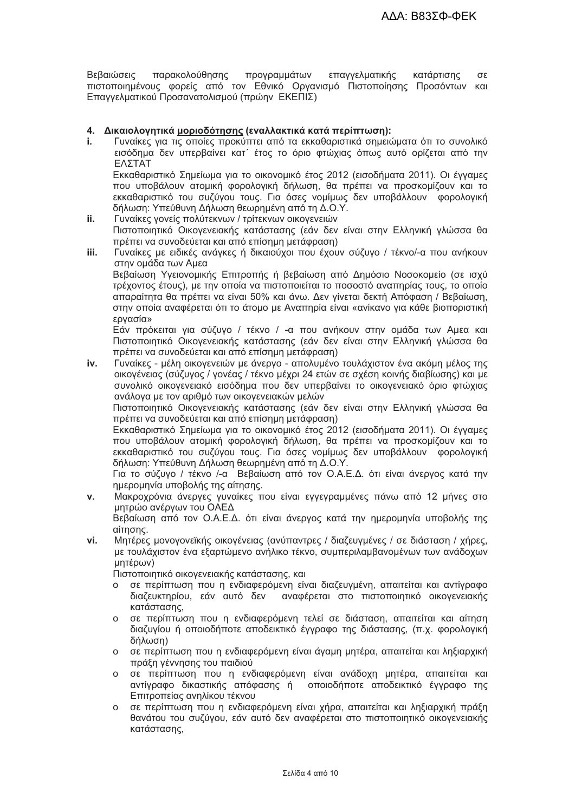παρακολούθησης Βεβαιώσεις προγραμμάτων επαννελματικής κατάρτισης  $\sigma$ πιστοποιημένους φορείς από τον Εθνικό Οργανισμό Πιστοποίησης Προσόντων και Επαγγελματικού Προσανατολισμού (πρώην ΕΚΕΠΙΣ)

#### 4. Δικαιολογητικά μοριοδότησης (εναλλακτικά κατά περίπτωση):

t. Γυναίκες για τις οποίες προκύπτει από τα εκκαθαριστικά σημειώματα ότι το συνολικό εισόδημα δεν υπερβαίνει κατ΄ έτος το όριο φτώχιας όπως αυτό ορίζεται από την ΕΛΣΤΑΤ

Εκκαθαριστικό Σημείωμα νια το οικονομικό έτος 2012 (εισοδήματα 2011). Οι ένναμες που υποβάλουν ατομική φορολογική δήλωση. θα πρέπει να προσκομίζουν και το εκκαθαριστικό του συζύγου τους. Για όσες νομίμως δεν υποβάλλουν φορολογική δήλωση: Υπεύθυνη Δήλωση θεωρημένη από τη Δ.Ο.Υ.

- ii. Γυναίκες νονείς πολύτεκνων / τρίτεκνων οικονενειών Πιστοποιητικό Οικογενειακής κατάστασης (εάν δεν είναι στην Ελληνική γλώσσα θα πρέπει να συνοδεύεται και από επίσημη μετάφραση)
- Γυναίκες με ειδικές ανάγκες ή δικαιούχοι που έχουν σύζυνο / τέκνο/-α που ανήκουν iii. στην ομάδα των Αμεα

Βεβαίωση Υγειονομικής Επιτροπής ή βεβαίωση από Δημόσιο Νοσοκομείο (σε ισχύ τρέχοντος έτους), με την οποία να πιστοποιείται το ποσοστό αναπηρίας τους, το οποίο απαραίτητα θα πρέπει να είναι 50% και άνω. Δεν γίνεται δεκτή Απόφαση / Βεβαίωση, στην οποία αναφέρεται ότι το άτομο με Αναπηρία είναι «ανίκανο για κάθε βιοποριστική ερνασία»

Εάν πρόκειται για σύζυγο / τέκνο / -α που ανήκουν στην ομάδα των Αμεα και Πιστοποιητικό Οικονενειακής κατάστασης (εάν δεν είναι στην Ελληνική νλώσσα θα πρέπει να συνοδεύεται και από επίσημη μετάφραση)

Γυναίκες - μέλη οικογενειών με άνεργο - απολυμένο τουλάχιστον ένα ακόμη μέλος της iv. οικογένειας (σύζυγος / γονέας / τέκνο μέχρι 24 ετών σε σχέση κοινής διαβίωσης) και με συνολικό οικογενειακό εισόδημα που δεν υπερβαίνει το οικογενειακό όριο φτώχιας ανάλογα με τον αριθμό των οικογενειακών μελών

Πιστοποιητικό Οικονενειακής κατάστασης (εάν δεν είναι στην Ελληνική νλώσσα θα πρέπει να συνοδεύεται και από επίσημη μετάφραση)

Εκκαθαριστικό Σημείωμα για το οικονομικό έτος 2012 (εισοδήματα 2011). Οι έγγαμες που υποβάλουν ατομική φορολονική δήλωση. θα πρέπει να προσκομίζουν και το εκκαθαριστικό του συζύνου τους. Για όσες νομίμως δεν υποβάλλουν φορολονική δήλωση: Υπεύθυνη Δήλωση θεωρημένη από τη Δ.Ο.Υ.

Για το σύζυνο / τέκνο /-α Βεβαίωση από τον Ο.Α.Ε.Δ. ότι είναι άνερνος κατά την ημερομηνία υποβολής της αίτησης.

Μακροχρόνια άνεργες γυναίκες που είναι εγγεγραμμένες πάνω από 12 μήνες στο  $\mathbf{v}$ . μητρώο ανέρνων του ΟΑΕΔ

Βεβαίωση από τον Ο.Α.Ε.Δ. ότι είναι άνεργος κατά την ημερομηνία υποβολής της αίτησης.

vi. Μητέρες μονογονεϊκής οικογένειας (ανύπαντρες / διαζευγμένες / σε διάσταση / χήρες, με τουλάχιστον ένα εξαρτώμενο ανήλικο τέκνο, συμπεριλαμβανομένων των ανάδοχων μητέρων)

Πιστοποιητικό οικονενειακής κατάστασης, και

- σε περίπτωση που η ενδιαφερόμενη είναι διαζευγμένη, απαιτείται και αντίγραφο  $\Omega$ διαζευκτηρίου, εάν αυτό δεν αναφέρεται στο πιστοποιητικό οικογενειακής κατάστασης.
- ο σε περίπτωση που η ενδιαφερόμενη τελεί σε διάσταση, απαιτείται και αίτηση διαζυγίου ή οποιοδήποτε αποδεικτικό έγγραφο της διάστασης, (π.χ. φορολογική δήλωση)
- ο σε περίπτωση που η ενδιαφερόμενη είναι άγαμη μητέρα, απαιτείται και ληξιαρχική πράξη γέννησης του παιδιού
- ο σε περίπτωση που η ενδιαφερόμενη είναι ανάδοχη μητέρα, απαιτείται και αντίγραφο δικαστικής απόφασης ή οποιοδήποτε αποδεικτικό έγγραφο της Επιτροπείας ανηλίκου τέκνου
- ο σε περίπτωση που η ενδιαφερόμενη είναι χήρα, απαιτείται και ληξιαρχική πράξη θανάτου του συζύγου, εάν αυτό δεν αναφέρεται στο πιστοποιητικό οικογενειακής κατάστασης,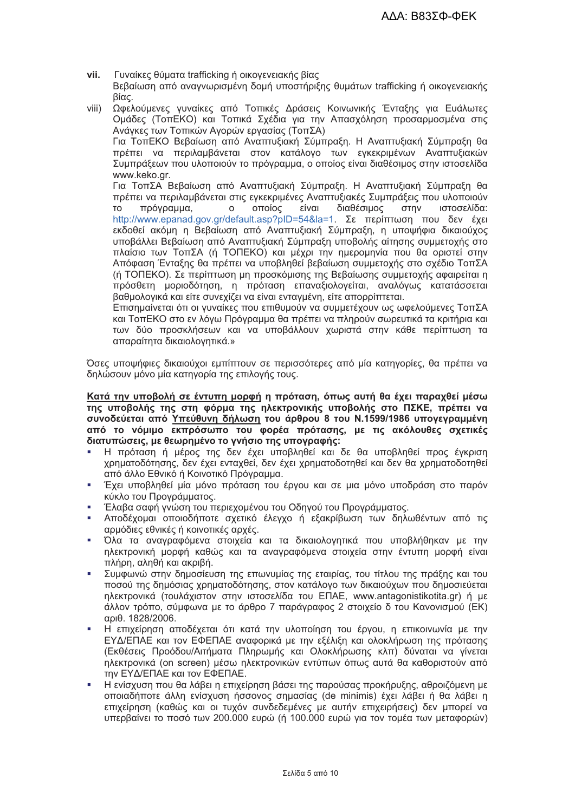- Γυναίκες θύματα trafficking ή οικογενειακής βίας vii. Βεβαίωση από αναγνωρισμένη δομή υποστήριξης θυμάτων trafficking ή οικογενειακής Bίας.
- .<br>Ωφελούμενες γυναίκες από Τοπικές Δράσεις Κοινωνικής Ένταξης για Ευάλωτες  $viii)$ Ομάδες (ΤοπΕΚΟ) και Τοπικά Σχέδια για την Απασχόληση προσαρμοσμένα στις Ανάγκες των Τοπικών Αγορών εργασίας (ΤοπΣΑ) Για ΤοπΕΚΟ Βεβαίωση από Αναπτυξιακή Σύμπραξη. Η Αναπτυξιακή Σύμπραξη θα πρέπει να περιλαμβάνεται στον κατάλογο των εγκεκριμένων Αναπτυξιακών Συμπράξεων που υλοποιούν το πρόγραμμα, ο οποίος είναι διαθέσιμος στην ιστοσελίδα www.keko.ar. Για ΤοπΣΑ Βεβαίωση από Αναπτυξιακή Σύμπραξη. Η Αναπτυξιακή Σύμπραξη θα πρέπει να περιλαμβάνεται στις εγκεκριμένες Αναπτυξιακές Συμπράξεις που υλοποιούν  $\overline{O}$   $\overline{O}$   $\overline{O}$   $\overline{O}$   $\overline{O}$   $\overline{O}$   $\overline{O}$   $\overline{O}$   $\overline{O}$   $\overline{O}$   $\overline{O}$   $\overline{O}$   $\overline{O}$   $\overline{O}$   $\overline{O}$   $\overline{O}$   $\overline{O}$   $\overline{O}$   $\overline{O}$   $\overline{O}$   $\overline{O}$   $\overline{O}$   $\overline{O}$   $\overline{O}$   $\overline{$ πρόνραμμα.  $\Omega$ είναι διαθέσιμος  $\sigma$ <sub>Tn</sub> $\sqrt{ }$ ιστοσελίδα:  $T<sub>O</sub>$ http://www.epanad.gov.gr/default.asp?pID=54&la=1. Σε περίπτωση που δεν έχει εκδοθεί ακόμη η Βεβαίωση από Αναπτυξιακή Σύμπραξη, η υποψήφια δικαιούχος υποβάλλει Βεβαίωση από Αναπτυξιακή Σύμπραξη υποβολής αίτησης συμμετοχής στο πλαίσιο των ΤοπΣΑ (ή ΤΟΠΕΚΟ) και μέχρι την ημερομηνία που θα οριστεί στην Απόφαση Ένταξης θα πρέπει να υποβληθεί βεβαίωση συμμετοχής στο σχέδιο ΤοπΣΑ (ή ΤΟΠΕΚΟ). Σε περίπτωση μη προσκόμισης της Βεβαίωσης συμμετοχής αφαιρείται η πρόσθετη μοριοδότηση, η πρόταση επαναξιολογείται, αναλόγως κατατάσσεται

βαθμολογικά και είτε συνεχίζει να είναι ενταγμένη, είτε απορρίπτεται. Επισημαίνεται ότι οι γυναίκες που επιθυμούν να συμμετέχουν ως ωφελούμενες ΤοπΣΑ

και ΤοπΕΚΟ στο εν λόγω Πρόγραμμα θα πρέπει να πληρούν σωρευτικά τα κριτήρια και των δύο προσκλήσεων και να υποβάλλουν χωριστά στην κάθε περίπτωση τα απαραίτητα δικαιολονητικά.»

Όσες υποψήφιες δικαιούχοι εμπίπτουν σε περισσότερες από μία κατηγορίες, θα πρέπει να δηλώσουν μόνο μία κατηγορία της επιλογής τους.

Κατά την υποβολή σε έντυπη μορφή η πρόταση, όπως αυτή θα έχει παραχθεί μέσω της υποβολής της στη φόρμα της ηλεκτρονικής υποβολής στο ΠΣΚΕ, πρέπει να συνοδεύεται από Υπεύθυνη δήλωση του άρθρου 8 του Ν.1599/1986 υπογεγραμμένη από το νόμιμο εκπρόσωπο του φορέα πρότασης, με τις ακόλουθες σχετικές διατυπώσεις, με θεωρημένο το ννήσιο της υπονραφής;

- Η πρόταση ή μέρος της δεν έχει υποβληθεί και δε θα υποβληθεί προς έγκριση χρηματοδότησης, δεν έχει ενταχθεί, δεν έχει χρηματοδοτηθεί και δεν θα χρηματοδοτηθεί από άλλο Εθνικό ή Κοινοτικό Πρόνραμμα.
- Έχει υποβληθεί μία μόνο πρόταση του έργου και σε μια μόνο υποδράση στο παρόν κύκλο του Προγράμματος.
- Έλαβα σαφή γνώση του περιεχομένου του Οδηγού του Προγράμματος. à.
- Αποδέχομαι οποιοδήποτε σχετικό έλεγχο ή εξακρίβωση των δηλωθέντων από τις αρμόδιες εθνικές ή κοινοτικές αρχές.
- Όλα τα αναγραφόμενα στοιχεία και τα δικαιολογητικά που υποβλήθηκαν με την ٠ ηλεκτρονική μορφή καθώς και τα αναγραφόμενα στοιχεία στην έντυπη μορφή είναι πλήρη, αληθή και ακριβή.
- Συμφωνώ στην δημοσίευση της επωνυμίας της εταιρίας, του τίτλου της πράξης και του ποσού της δημόσιας χρηματοδότησης, στον κατάλογο των δικαιούχων που δημοσιεύεται ηλεκτρονικά (τουλάχιστον στην ιστοσελίδα του ΕΠΑΕ, www.antagonistikotita.gr) ή με άλλον τρόπο, σύμφωνα με το άρθρο 7 παράγραφος 2 στοιχείο δ του Κανονισμού (ΕΚ) αριθ. 1828/2006.
- Η επιχείρηση αποδέχεται ότι κατά την υλοποίηση του έργου, η επικοινωνία με την ΕΥΔ/ΕΠΑΕ και τον ΕΦΕΠΑΕ αναφορικά με την εξέλιξη και ολοκλήρωση της πρότασης (Εκθέσεις Προόδου/Αιτήματα Πληρωμής και Ολοκλήρωσης κλπ) δύναται να γίνεται ηλεκτρονικά (on screen) μέσω ηλεκτρονικών εντύπων όπως αυτά θα καθοριστούν από την ΕΥΔ/ΕΠΑΕ και τον ΕΦΕΠΑΕ.
- Η ενίσχυση που θα λάβει η επιχείρηση βάσει της παρούσας προκήρυξης, αθροιζόμενη με οποιαδήποτε άλλη ενίσχυση ήσσονος σημασίας (de minimis) έχει λάβει ή θα λάβει η επιχείρηση (καθώς και οι τυχόν συνδεδεμένες με αυτήν επιχειρήσεις) δεν μπορεί να υπερβαίνει το ποσό των 200.000 ευρώ (ή 100.000 ευρώ για τον τομέα των μεταφορών)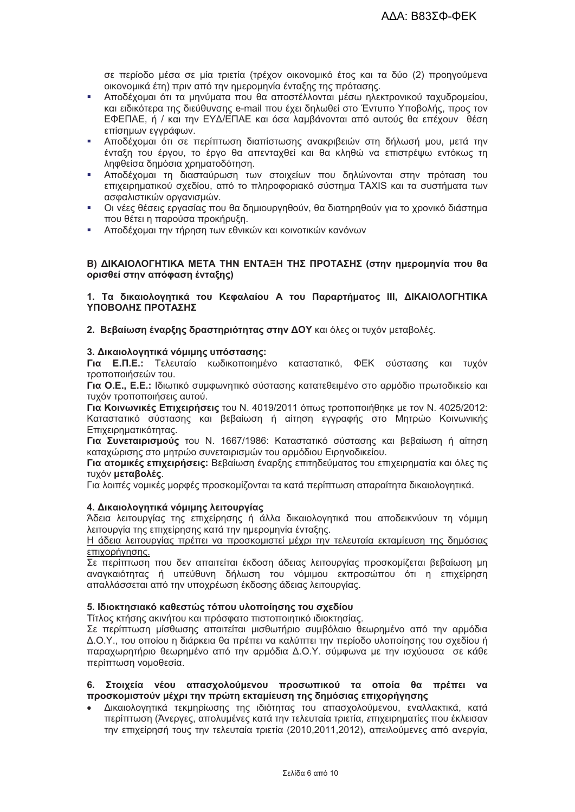σε περίοδο μέσα σε μία τριετία (τρέχον οικονομικό έτος και τα δύο (2) προηγούμενα οικονομικά έτη) πριν από την ημερομηνία ένταξης της πρότασης.

- Αποδέχομαι ότι τα μηνύματα που θα αποστέλλονται μέσω ηλεκτρονικού ταχυδρομείου, και ειδικότερα της διεύθυνσης e-mail που έχει δηλωθεί στο Έντυπο Υποβολής, προς τον ΕΦΕΠΑΕ, ή / και την ΕΥΔ/ΕΠΑΕ και όσα λαμβάνονται από αυτούς θα επέχουν θέση επίσημων εγγράφων.
- Αποδέχομαι ότι σε περίπτωση διαπίστωσης ανακριβειών στη δήλωσή μου, μετά την ένταξη του έργου, το έργο θα απενταχθεί και θα κληθώ να επιστρέψω εντόκως τη ληφθείσα δημόσια χρηματοδότηση.
- Αποδέχουαι τη διασταύρωση των στοιχείων που δηλώνονται στην πρόταση του à. επιχειρηματικού σχεδίου, από το πληροφοριακό σύστημα TAXIS και τα συστήματα των ασφαλιστικών ορνανισμών.
- Οι νέες θέσεις εργασίας που θα δημιουργηθούν, θα διατηρηθούν νια το χρονικό διάστημα  $\mathbf{r}$ που θέτει η παρούσα προκήρυξη.
- Αποδέχομαι την τήρηση των εθνικών και κοινοτικών κανόνων

#### Β) ΔΙΚΑΙΟΛΟΓΗΤΙΚΑ ΜΕΤΑ ΤΗΝ ΕΝΤΑΞΗ ΤΗΣ ΠΡΟΤΑΣΗΣ (στην ημερομηνία που θα ορισθεί στην απόφαση ένταξης)

#### 1. Τα δικαιολογητικά του Κεφαλαίου Α του Παραρτήματος ΙΙΙ, ΔΙΚΑΙΟΛΟΓΗΤΙΚΑ ΥΠΟΒΟΛΗΣ ΠΡΟΤΑΣΗΣ

2. Βεβαίωση έναρξης δραστηριότητας στην ΔΟΥ και όλες οι τυχόν μεταβολές.

#### 3. Δικαιολογητικά νόμιμης υπόστασης:

Για Ε.Π.Ε.: Τελευταίο κωδικοποιημένο καταστατικό, ΦΕΚ σύστασης και τυχόν τροποποιήσεών του.

Για Ο.Ε., Ε.Ε.: Ιδιωτικό συμφωνητικό σύστασης κατατεθειμένο στο αρμόδιο πρωτοδικείο και τυχόν τροποποιήσεις αυτού.

Για Κοινωνικές Επιχειρήσεις του Ν. 4019/2011 όπως τροποποιήθηκε με τον Ν. 4025/2012; Καταστατικό σύστασης και βεβαίωση ή αίτηση εγγραφής στο Μητρώο Κοινωνικής Επιχειρηματικότητας.

Για Συνεταιρισμούς του Ν. 1667/1986: Καταστατικό σύστασης και βεβαίωση ή αίτηση καταχώρισης στο μητρώο συνεταιρισμών του αρμόδιου Ειρηνοδικείου.

Για ατομικές επιχειρήσεις: Βεβαίωση έναρξης επιτηδεύματος του επιχειρηματία και όλες τις τυχόν μεταβολές.

Για λοιπές νομικές μορφές προσκομίζονται τα κατά περίπτωση απαραίτητα δικαιολογητικά.

#### 4. Δικαιολογητικά νόμιμης λειτουργίας

Άδεια λειτουργίας της επιχείρησης ή άλλα δικαιολογητικά που αποδεικνύουν τη νόμιμη λειτουργία της επιχείρησης κατά την ημερομηνία ένταξης.

Η άδεια λειτουργίας πρέπει να προσκομιστεί μέχρι την τελευταία εκταμίευση της δημόσιας επιχορήγησης.

Σε περίπτωση που δεν απαιτείται έκδοση άδειας λειτουργίας προσκομίζεται βεβαίωση μη αναγκαιότητας ή υπεύθυνη δήλωση του νόμιμου εκπροσώπου ότι η επιχείρηση απαλλάσσεται από την υποχρέωση έκδοσης άδειας λειτουργίας.

#### 5. Ιδιοκτησιακό καθεστώς τόπου υλοποίησης του σχεδίου

Τίτλος κτήσης ακινήτου και πρόσφατο πιστοποιητικό ιδιοκτησίας.

Σε περίπτωση μίσθωσης απαιτείται μισθωτήριο συμβόλαιο θεωρημένο από την αρμόδια Δ.Ο.Υ., του οποίου η διάρκεια θα πρέπει να καλύπτει την περίοδο υλοποίησης του σχεδίου ή παραχωρητήριο θεωρημένο από την αρμόδια Δ.Ο.Υ. σύμφωνα με την ισχύουσα σε κάθε περίπτωση νομοθεσία.

#### 6. Στοιχεία νέου απασχολούμενου προσωπικού τα οποία θα πρέπει να προσκομιστούν μέχρι την πρώτη εκταμίευση της δημόσιας επιχορήγησης

Δικαιολογητικά τεκμηρίωσης της ιδιότητας του απασχολούμενου, εναλλακτικά, κατά περίπτωση (Άνεργες, απολυμένες κατά την τελευταία τριετία, επιχειρηματίες που έκλεισαν την επιχείρησή τους την τελευταία τριετία (2010,2011,2012), απειλούμενες από ανεργία,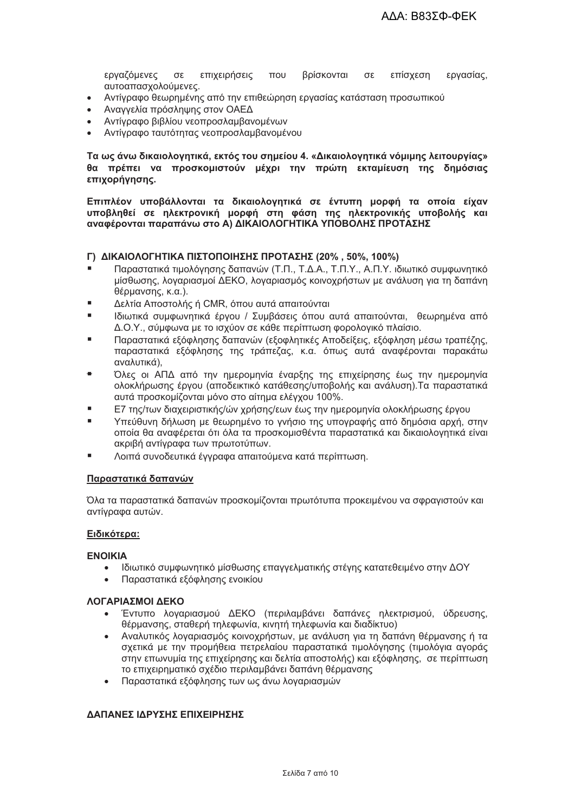εργαζόμενες σε επιχειρήσεις  $T[0]$ βρίσκονται  $\sigma$ ε επίσχεση εργασίας, αυτοαπασχολούμενες.

- Αντίγραφο θεωρημένης από την επιθεώρηση εργασίας κατάσταση προσωπικού  $\bullet$
- Αναγγελία πρόσληψης στον ΟΑΕΔ  $\bullet$
- Αντίγραφο βιβλίου νεοπροσλαμβανομένων
- Αντίνραφο ταυτότητας νεοπροσλαμβανομένου

Τα ως άνω δικαιολογητικά, εκτός του σημείου 4. «Δικαιολογητικά νόμιμης λειτουργίας» θα πρέπει να προσκομιστούν μέχρι την πρώτη εκταμίευση της δημόσιας επιχορήγησης.

Επιπλέον υποβάλλονται τα δικαιολογητικά σε έντυπη μορφή τα οποία είχαν υποβληθεί σε ηλεκτρονική μορφή στη φάση της ηλεκτρονικής υποβολής και αναφέρονται παραπάνω στο Α) ΔΙΚΑΙΟΛΟΓΗΤΙΚΑ ΥΠΟΒΟΛΗΣ ΠΡΟΤΑΣΗΣ

#### Γ) ΔΙΚΑΙΟΛΟΓΗΤΙΚΑ ΠΙΣΤΟΠΟΙΗΣΗΣ ΠΡΟΤΑΣΗΣ (20%, 50%, 100%)

- Παραστατικά τιμολόγησης δαπανών (Τ.Π., Τ.Δ.Α., Τ.Π.Υ., Α.Π.Υ. ιδιωτικό συμφωνητικό μίσθωσης, λοναριασμοί ΔΕΚΟ, λοναριασμός κοινοχρήστων με ανάλυση για τη δαπάνη θέρμανσης, κ.α.).
- Δελτία Αποστολής ή CMR, όπου αυτά απαιτούνται
- Ιδιωτικά συμφωνητικά έρνου / Συμβάσεις όπου αυτά απαιτούνται. Θεωρημένα από Δ.Ο.Υ., σύμφωνα με το ισχύον σε κάθε περίπτωση φορολογικό πλαίσιο.
- Παραστατικά εξόφλησης δαπανών (εξοφλητικές Αποδείξεις, εξόφληση μέσω τραπέζης, παραστατικά εξόφλησης της τράπεζας, κ.α. όπως αυτά αναφέρονται παρακάτω αναλυτικά).
- Όλες οι ΑΠΔ από την ημερομηνία έναρξης της επιχείρησης έως την ημερομηνία ολοκλήρωσης έργου (αποδεικτικό κατάθεσης/υποβολής και ανάλυση).Τα παραστατικά αυτά προσκομίζονται μόνο στο αίτημα ελέγχου 100%.
- Ε7 της/των διαχειριστικής/ών χρήσης/εων έως την ημερομηνία ολοκλήρωσης έργου
- Υπεύθυνη δήλωση με θεωρημένο το γνήσιο της υπογραφής από δημόσια αρχή, στην οποία θα αναφέρεται ότι όλα τα προσκομισθέντα παραστατικά και δικαιολογητικά είναι ακριβή αντίνραφα των πρωτοτύπων.
- Λοιπά συνοδευτικά έγγραφα απαιτούμενα κατά περίπτωση.

#### Παραστατικά δαπανών

Όλα τα παραστατικά δαπανών προσκομίζονται πρωτότυπα προκειμένου να σφραγιστούν και αντίγραφα αυτών.

#### Ειδικότερα:

#### **ENOIKIA**

- Ιδιωτικό συμφωνητικό μίσθωσης επαγγελματικής στένης κατατεθειμένο στην ΔΟΥ
- Παραστατικά εξόφλησης ενοικίου

#### ΛΟΓΑΡΙΑΣΜΟΙ ΛΕΚΟ

- Έντυπο λογαριασμού ΔΕΚΟ (περιλαμβάνει δαπάνες ηλεκτρισμού, ύδρευσης, θέρμανσης, σταθερή τηλεφωνία, κινητή τηλεφωνία και διαδίκτυο)
- Αναλυτικός λογαριασμός κοινοχρήστων, με ανάλυση για τη δαπάνη θέρμανσης ή τα σχετικά με την προμήθεια πετρελαίου παραστατικά τιμολόγησης (τιμολόγια αγοράς στην επωνυμία της επιχείρησης και δελτία αποστολής) και εξόφλησης, σε περίπτωση το επιχειρηματικό σχέδιο περιλαμβάνει δαπάνη θέρμανσης
- Παραστατικά εξόφλησης των ως άνω λογαριασμών

#### ΔΑΠΑΝΕΣ ΙΔΡΥΣΗΣ ΕΠΙΧΕΙΡΗΣΗΣ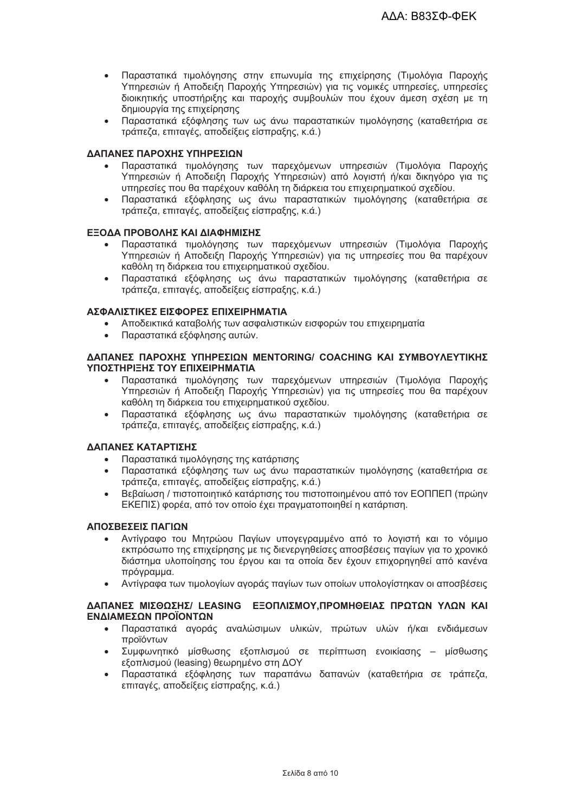- Παραστατικά τιμολόγησης στην επωνυμία της επιχείρησης (Τιμολόγια Παροχής Υπηρεσιών ή Αποδειξη Παροχής Υπηρεσιών) για τις νομικές υπηρεσίες, υπηρεσίες διοικητικής υποστήριξης και παροχής συμβουλών που έχουν άμεση σχέση με τη δημιουργία της επιχείρησης
- Παραστατικά εξόφλησης των ως άνω παραστατικών τιμολόγησης (καταθετήρια σε τράπεζα, επιταγές, αποδείξεις είσπραξης, κ.ά.)

#### ΔΑΠΑΝΕΣ ΠΑΡΟΧΗΣ ΥΠΗΡΕΣΙΩΝ

- Παραστατικά τιμολόγησης των παρεχόμενων υπηρεσιών (Τιμολόγια Παροχής Υπηρεσιών ή Αποδείξη Παροχής Υπηρεσιών) από λογιστή ή/και δικηγόρο για τις υπηρεσίες που θα παρέχουν καθόλη τη διάρκεια του επιχειρηματικού σχεδίου.
- Παραστατικά εξόφλησης ως άνω παραστατικών τιμολόγησης (καταθετήρια σε τράπεζα, επιταγές, αποδείξεις είσπραξης, κ.ά.)

#### ΕΞΟΔΑ ΠΡΟΒΟΛΗΣ ΚΑΙ ΔΙΑΦΗΜΙΣΗΣ

- Παραστατικά τιμολόγησης των παρεχόμενων υπηρεσιών (Τιμολόγια Παροχής Υπηρεσιών ή Αποδειξη Παροχής Υπηρεσιών) για τις υπηρεσίες που θα παρέχουν καθόλη τη διάρκεια του επιχειρηματικού σχεδίου.
- Παραστατικά εξόφλησης ως άνω παραστατικών τιμολόγησης (καταθετήρια σε τράπεζα, επιταγές, αποδείξεις είσπραξης, κ.ά.)

#### ΑΣΦΑΛΙΣΤΙΚΕΣ ΕΙΣΦΟΡΕΣ ΕΠΙΧΕΙΡΗΜΑΤΙΑ

- Αποδεικτικά καταβολής των ασφαλιστικών εισφορών του επιχειρηματία
- Παραστατικά εξόφλησης αυτών.

#### **ΛΑΠΑΝΕΣ ΠΑΡΟΧΗΣ ΥΠΗΡΕΣΙΟΝ ΜΕΝΤΟRING/ COACHING ΚΑΙ ΣΥΜΒΟΥΛΕΥΤΙΚΗΣ** ΥΠΟΣΤΗΡΙΞΗΣ ΤΟΥ ΕΠΙΧΕΙΡΗΜΑΤΙΑ

- Παραστατικά τιμολόγησης των παρεχόμενων υπηρεσιών (Τιμολόγια Παροχής Υπηρεσιών ή Αποδειξη Παροχής Υπηρεσιών) για τις υπηρεσίες που θα παρέχουν καθόλη τη διάρκεια του επιχειρηματικού σχεδίου.
- Παραστατικά εξόφλησης ως άνω παραστατικών τιμολόγησης (καταθετήρια σε τράπεζα, επιταγές, αποδείξεις είσπραξης, κ.ά.)

#### ΔΑΠΑΝΕΣ ΚΑΤΑΡΤΙΣΗΣ

- Παραστατικά τιμολόγησης της κατάρτισης  $\bullet$
- Παραστατικά εξόφλησης των ως άνω παραστατικών τιμολόγησης (καταθετήρια σε τράπεζα, επιταγές, αποδείξεις είσπραξης, κ.ά.)
- Βεβαίωση / πιστοποιητικό κατάρτισης του πιστοποιημένου από τον ΕΟΠΠΕΠ (πρώην ΕΚΕΠΙΣ) φορέα, από τον οποίο έχει πραγματοποιηθεί η κατάρτιση.

#### **ΑΠΟΣΒΕΣΕΙΣ ΠΑΓΙΟΝ**

- Αντίγραφο του Μητρώου Παγίων υπογεγραμμένο από το λογιστή και το νόμιμο εκπρόσωπο της επιχείρησης με τις διενεργηθείσες αποσβέσεις παγίων για το χρονικό διάστημα υλοποίησης του έργου και τα οποία δεν έχουν επιχορηγηθεί από κανένα πρόγραμμα.
- Αντίγραφα των τιμολογίων αγοράς παγίων των οποίων υπολογίστηκαν οι αποσβέσεις

#### ΔΑΠΑΝΕΣ ΜΙΣΘΩΣΗΣ/ LEASING ΕΞΟΠΛΙΣΜΟΥ, ΠΡΟΜΗΘΕΙΑΣ ΠΡΩΤΩΝ ΥΛΩΝ ΚΑΙ ΕΝΔΙΑΜΕΣΩΝ ΠΡΟΪΟΝΤΩΝ

- Παραστατικά αγοράς αναλώσιμων υλικών, πρώτων υλών ή/και ενδιάμεσων  $\bullet$ προϊόντων
- Συμφωνητικό μίσθωσης εξοπλισμού σε περίπτωση ενοικίασης μίσθωσης εξοπλισμού (leasing) θεωρημένο στη ΔΟΥ
- Παραστατικά εξόφλησης των παραπάνω δαπανών (καταθετήρια σε τράπεζα,  $\bullet$ επιτανές, αποδείξεις είσπραξης, κ.ά.)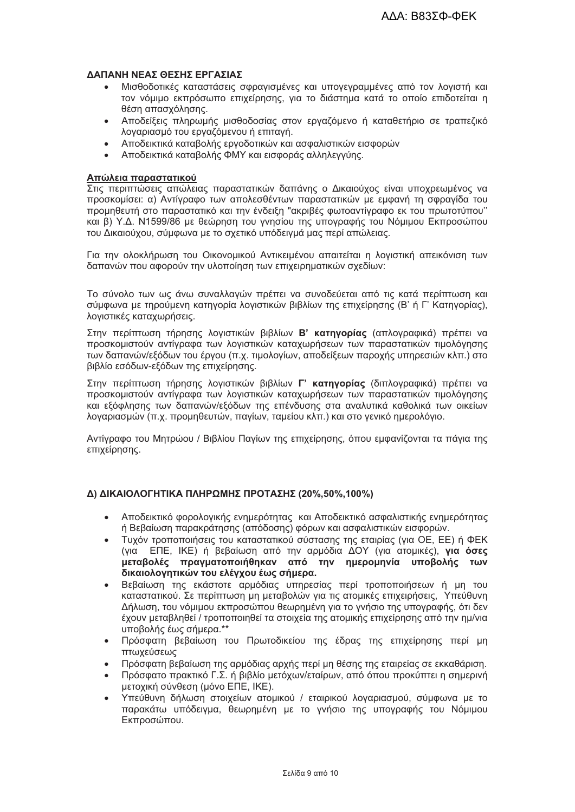#### ΛΑΠΑΝΗ ΝΕΑΣ ΘΕΣΗΣ ΕΡΓΑΣΙΑΣ

- Μισθοδοτικές καταστάσεις σφραγισμένες και υπογεγραμμένες από τον λογιστή και τον νόμιμο εκπρόσωπο επιχείρησης, για το διάστημα κατά το οποίο επιδοτείται η θέση απασχόλησης.
- Αποδείξεις πληρωμής μισθοδοσίας στον εργαζόμενο ή καταθετήριο σε τραπεζικό λογαριασμό του εργαζόμενου ή επιταγή.
- Αποδεικτικά καταβολής εργοδοτικών και ασφαλιστικών εισφορών
- Αποδεικτικά καταβολής ΦΜΥ και εισφοράς αλληλεννύης.

#### Απώλεια παραστατικού

Στις περιπτώσεις απώλειας παραστατικών δαπάνης ο Δικαιούχος είναι υποχρεωμένος να προσκομίσει: α) Αντίγραφο των απολεσθέντων παραστατικών με εμφανή τη σφραγίδα του προμηθευτή στο παραστατικό και την ένδειξη "ακριβές φωτοαντίγραφο εκ του πρωτοτύπου" και β) Υ.Δ. Ν1599/86 με θεώρηση του γνησίου της υπογραφής του Νόμιμου Εκπροσώπου του Δικαιούχου, σύμφωνα με το σχετικό υπόδεινμά μας περί απώλειας.

Για την ολοκλήρωση του Οικονομικού Αντικειμένου απαιτείται η λονιστική απεικόνιση των δαπανών που αφορούν την υλοποίηση των επιχειρηματικών σχεδίων:

Το σύνολο των ως άνω συναλλανών πρέπει να συνοδεύεται από τις κατά περίπτωση και σύμφωνα με τηρούμενη κατηγορία λογιστικών βιβλίων της επιχείρησης (Β' ή Γ' Κατηγορίας), λογιστικές καταχωρήσεις.

Στην περίπτωση τήρησης λονιστικών βιβλίων Β' κατηνορίας (απλονραφικά) πρέπει να προσκομιστούν αντίγραφα των λογιστικών καταχωρήσεων των παραστατικών τιμολόγησης των δαπανών/εξόδων του έργου (π.χ. τιμολογίων, αποδείξεων παροχής υπηρεσιών κλπ.) στο βιβλίο εσόδων-εξόδων της επιχείρησης.

Στην περίπτωση τήρησης λογιστικών βιβλίων Γ' κατηγορίας (διπλογραφικά) πρέπει να προσκομιστούν αντίγραφα των λογιστικών καταχωρήσεων των παραστατικών τιμολόγησης και εξόφλησης των δαπανών/εξόδων της επένδυσης στα αναλυτικά καθολικά των οικείων λογαριασμών (π.χ. προμηθευτών, παγίων, ταμείου κλπ.) και στο γενικό ημερολόγιο.

Αντίνραφο του Μητρώου / Βιβλίου Πανίων της επιχείρησης, όπου εμφανίζονται τα πάνια της επιχείρησης.

#### Δ) ΔΙΚΑΙΟΛΟΓΗΤΙΚΑ ΠΛΗΡΩΜΗΣ ΠΡΟΤΑΣΗΣ (20%,50%,100%)

- Αποδεικτικό φορολογικής ενημερότητας και Αποδεικτικό ασφαλιστικής ενημερότητας ή Βεβαίωση παρακράτησης (απόδοσης) φόρων και ασφαλιστικών εισφορών.
- Τυχόν τροποποιήσεις του καταστατικού σύστασης της εταιρίας (για ΟΕ, ΕΕ) ή ΦΕΚ  $\bullet$ (για ΕΠΕ, ΙΚΕ) ή βεβαίωση από την αρμόδια ΔΟΥ (για ατομικές), για όσες μεταβολές πραγματοποιήθηκαν από την ημερομηνία υποβολής των δικαιολογητικών του ελέγχου έως σήμερα.
- Βεβαίωση της εκάστοτε αρμόδιας υπηρεσίας περί τροποποιήσεων ή μη του καταστατικού. Σε περίπτωση μη μεταβολών για τις ατομικές επιχειρήσεις, Υπεύθυνη Δήλωση, του νόμιμου εκπροσώπου θεωρημένη για το γνήσιο της υπογραφής, ότι δεν έχουν μεταβληθεί / τροποποιηθεί τα στοιχεία της ατομικής επιχείρησης από την ημ/νια υποβολής έως σήμερα. \*\*
- Πρόσφατη βεβαίωση του Πρωτοδικείου της έδρας της επιχείρησης περί μη πτωχεύσεως
- Πρόσφατη βεβαίωση της αρμόδιας αρχής περί μη θέσης της εταιρείας σε εκκαθάριση.
- Πρόσφατο πρακτικό Γ.Σ. ή βιβλίο μετόχων/εταίρων, από όπου προκύπτει η σημερινή μετοχική σύνθεση (μόνο ΕΠΕ, ΙΚΕ).
- Υπεύθυνη δήλωση στοιχείων ατομικού / εταιρικού λογαριασμού, σύμφωνα με το παρακάτω υπόδειγμα, θεωρημένη με το γνήσιο της υπογραφής του Νόμιμου Εκπροσώπου.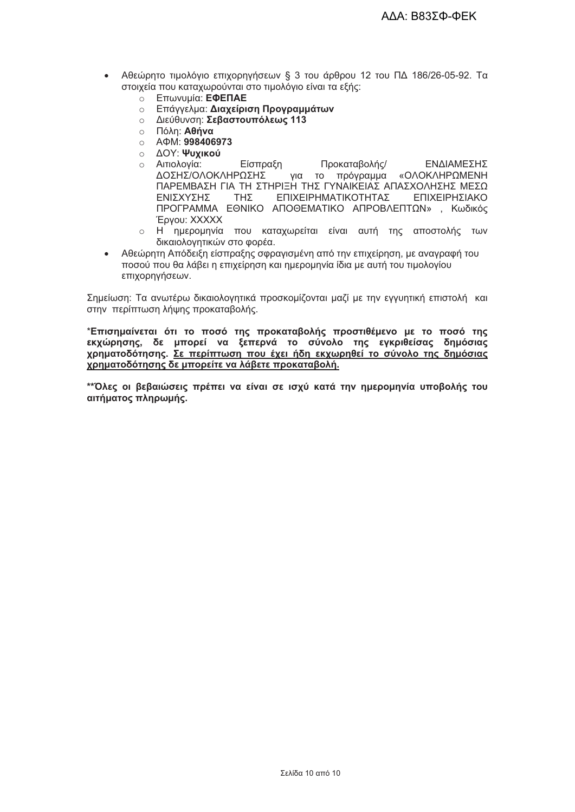- Αθεώρητο τιμολόγιο επιχορηγήσεων § 3 του άρθρου 12 του ΠΔ 186/26-05-92. Τα στοιχεία που καταχωρούνται στο τιμολόγιο είναι τα εξής:
	- **BRANCISCO ETT**WVUµÍQ: E<sup>QENAE</sup>
	- **Επάγγελμα: Διαχείριση Προγραμμάτων**
	- ο Διεύθυνση: Σεβαστουπόλεως 113
	- ο Πόλη: **Αθήνα**
	- $\circ$  A  $\Phi$ M: 998406973
	- **Ο ΔΟΥ: Ψυχικού**
	- ο Αιτιολογία: Είσπραξη Προκαταβολής/ ΕΝΔΙΑΜΕΣΗΣ ΔΟΣΗΣΙΟΛΟΚΛΗΡΟΣΗΣ νια το πρόνραμμα «ΟΛΟΚΛΗΡΩΜΕΝΗ ΠΑΡΕΜΒΑΣΗ ΓΙΑ ΤΗ ΣΤΗΡΙΞΗ ΤΗΣ ΓΥΝΑΙΚΕΙΑΣ ΑΠΑΣΧΟΛΗΣΗΣ ΜΕΣΩ **FNISXYSHS THY** ΕΠΙΧΕΙΡΗΜΑΤΙΚΟΤΗΤΑΣ ΕΠΙΧΕΙΡΗΣΙΑΚΟ ΠΡΟΓΡΑΜΜΑ ΕΘΝΙΚΟ ΑΠΟΘΕΜΑΤΙΚΟ ΑΠΡΟΒΛΕΠΤΟΝ», Κωδικός Epyou: XXXXX
	- ο Η ημερομηνία που καταχωρείται είναι αυτή της αποστολής των δικαιολογητικών στο φορέα.
- Αθεώρητη Απόδειξη είσπραξης σφραγισμένη από την επιχείρηση, με αναγραφή του ποσού που θα λάβει η επιχείρηση και ημερομηνία ίδια με αυτή του τιμολογίου επιχορηνήσεων.

Σημείωση: Τα ανωτέρω δικαιολογητικά προσκομίζονται μαζί με την εγγυητική επιστολή και στην περίπτωση λήψης προκαταβολής.

\*Επισημαίνεται ότι το ποσό της προκαταβολής προστιθέμενο με το ποσό της εκχώρησης, δε μπορεί να ξεπερνά το σύνολο της εγκριθείσας δημόσιας χρηματοδότησης. Σε περίπτωση που έχει ήδη εκχωρηθεί το σύνολο της δημόσιας χρηματοδότησης δε μπορείτε να λάβετε προκαταβολή.

\*\*Όλες οι βεβαιώσεις πρέπει να είναι σε ισχύ κατά την ημερομηνία υποβολής του αιτήματος πληρωμής.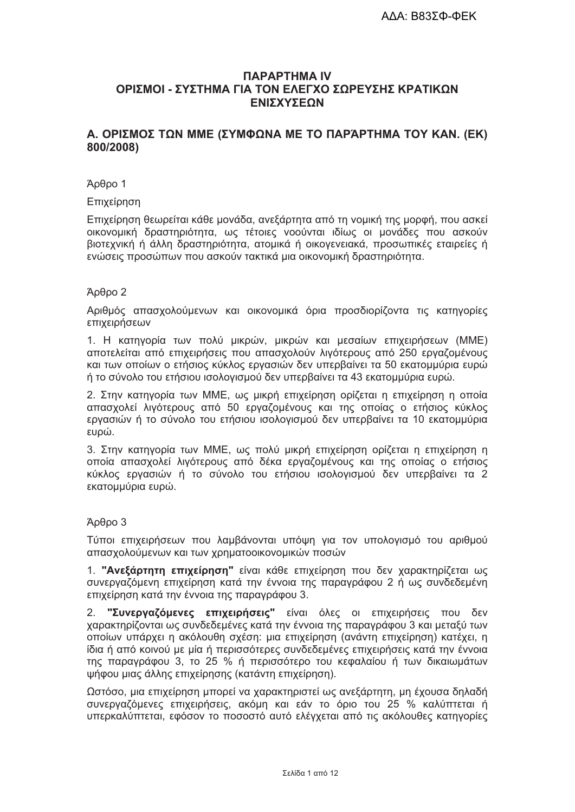# *<u>ITAPAPTHMA</u>* ΟΡΙΣΜΟΙ - ΣΥΣΤΗΜΑ ΓΙΑ ΤΟΝ ΕΛΕΓΧΟ ΣΩΡΕΥΣΗΣ ΚΡΑΤΙΚΩΝ ΕΝΙΣΧΥΣΕΩΝ

# Α. ΟΡΙΣΜΟΣ ΤΩΝ ΜΜΕ (ΣΥΜΦΩΝΑ ΜΕ ΤΟ ΠΑΡΆΡΤΗΜΑ ΤΟΥ ΚΑΝ. (ΕΚ) 800/2008)

#### Άρθρο 1

#### Επιχείρηση

Επιχείρηση θεωρείται κάθε μονάδα, ανεξάρτητα από τη νομική της μορφή, που ασκεί οικονομική δραστηριότητα, ως τέτοιες νοούνται ιδίως οι μονάδες που ασκούν βιοτεχνική ή άλλη δραστηριότητα, ατομικά ή οικογενειακά, προσωπικές εταιρείες ή ενώσεις προσώπων που ασκούν τακτικά μια οικονομική δραστηριότητα.

#### $A<sub>0</sub>θ<sub>00</sub>$  2

Αριθμός απασχολούμενων και οικονομικά όρια προσδιορίζοντα τις κατηγορίες επιχειρήσεων

1. Η κατηγορία των πολύ μικρών, μικρών και μεσαίων επιχειρήσεων (ΜΜΕ) αποτελείται από επιχειρήσεις που απασχολούν λιγότερους από 250 εργαζομένους και των οποίων ο ετήσιος κύκλος εργασιών δεν υπερβαίνει τα 50 εκατομμύρια ευρώ ή το σύνολο του ετήσιου ισολογισμού δεν υπερβαίνει τα 43 εκατομμύρια ευρώ.

2. Στην κατηγορία των ΜΜΕ, ως μικρή επιχείρηση ορίζεται η επιχείρηση η οποία απασχολεί λιγότερους από 50 εργαζομένους και της οποίας ο ετήσιος κύκλος εργασιών ή το σύνολο του ετήσιου ισολογισμού δεν υπερβαίνει τα 10 εκατομμύρια ευρώ.

3. Στην κατηγορία των ΜΜΕ, ως πολύ μικρή επιχείρηση ορίζεται η επιχείρηση η οποία απασχολεί λιγότερους από δέκα εργαζομένους και της οποίας ο ετήσιος κύκλος εργασιών ή το σύνολο του ετήσιου ισολογισμού δεν υπερβαίνει τα 2 εκατομμύρια ευρώ.

#### $A<sub>0</sub>θ<sub>00</sub>$  3

Τύποι επιχειρήσεων που λαμβάνονται υπόψη για τον υπολογισμό του αριθμού απασχολούμενων και των χρηματοοικονομικών ποσών

1. "Ανεξάρτητη επιχείρηση" είναι κάθε επιχείρηση που δεν χαρακτηρίζεται ως συνεργαζόμενη επιχείρηση κατά την έννοια της παραγράφου 2 ή ως συνδεδεμένη επιχείρηση κατά την έννοια της παραγράφου 3.

"Συνεργαζόμενες επιχειρήσεις" είναι όλες οι επιχειρήσεις που δεν  $2<sup>1</sup>$ γαρακτηρίζονται ως συνδεδεμένες κατά την έννοια της παρανράφου 3 και μεταξύ των οποίων υπάρχει η ακόλουθη σχέση: μια επιχείρηση (ανάντη επιχείρηση) κατέχει, η ίδια ή από κοινού με μία ή περισσότερες συνδεδεμένες επιχειρήσεις κατά την έννοια της παραγράφου 3, το 25 % ή περισσότερο του κεφαλαίου ή των δικαιωμάτων ψήφου μιας άλλης επιχείρησης (κατάντη επιχείρηση).

Ωστόσο, μια επιχείρηση μπορεί να χαρακτηριστεί ως ανεξάρτητη, μη έχουσα δηλαδή συνεργαζόμενες επιχειρήσεις, ακόμη και εάν το όριο του 25 % καλύπτεται ή υπερκαλύπτεται, εφόσον το ποσοστό αυτό ελέγχεται από τις ακόλουθες κατηγορίες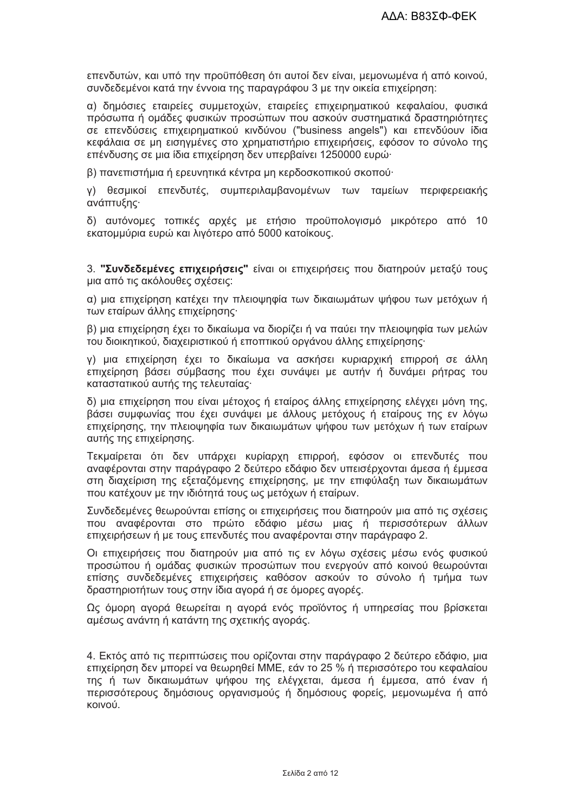επενδυτών, και υπό την προϋπόθεση ότι αυτοί δεν είναι, μεμονωμένα ή από κοινού, συνδεδεμένοι κατά την έννοια της παραγράφου 3 με την οικεία επιχείρηση:

α) δημόσιες εταιρείες συμμετοχών, εταιρείες επιχειρηματικού κεφαλαίου, φυσικά πρόσωπα ή ομάδες φυσικών προσώπων που ασκούν συστηματικά δραστηριότητες σε επενδύσεις επιχειρηματικού κινδύνου ("business angels") και επενδύουν ίδια κεφάλαια σε μη εισηγμένες στο χρηματιστήριο επιχειρήσεις, εφόσον το σύνολο της επένδυσης σε μια ίδια επιχείρηση δεν υπερβαίνει 1250000 ευρώ·

β) πανεπιστήμια ή ερευνητικά κέντρα μη κερδοσκοπικού σκοπού·

γ) θεσμικοί επενδυτές, συμπεριλαμβανομένων των ταμείων περιφερειακής ανάπτυξης·

δ) αυτόνομες τοπικές αρχές με ετήσιο προϋπολογισμό μικρότερο από 10 εκατομμύρια ευρώ και λιγότερο από 5000 κατοίκους.

3. "Συνδεδεμένες επιχειρήσεις" είναι οι επιχειρήσεις που διατηρούν μεταξύ τους μια από τις ακόλουθες σχέσεις:

α) μια επιχείρηση κατέχει την πλειοψηφία των δικαιωμάτων ψήφου των μετόχων ή των εταίρων άλλης επιχείρησης·

β) μια επιχείρηση έχει το δικαίωμα να διορίζει ή να παύει την πλειοψηφία των μελών του διοικητικού. διαχειριστικού ή εποπτικού οργάνου άλλης επιχείρησης·

γ) μια επιχείρηση έχει το δικαίωμα να ασκήσει κυριαρχική επιρροή σε άλλη επιχείρηση βάσει σύμβασης που έχει συνάψει με αυτήν ή δυνάμει ρήτρας του καταστατικού αυτής της τελευταίας·

δ) μια επιχείρηση που είναι μέτοχος ή εταίρος άλλης επιχείρησης ελέγχει μόνη της, βάσει συμφωνίας που έχει συνάψει με άλλους μετόχους ή εταίρους της εν λόγω επιχείρησης, την πλειοψηφία των δικαιωμάτων ψήφου των μετόχων ή των εταίρων αυτής της επιχείρησης.

Τεκμαίρεται ότι δεν υπάρχει κυρίαρχη επιρροή, εφόσον οι επενδυτές που αναφέρονται στην παράγραφο 2 δεύτερο εδάφιο δεν υπεισέρχονται άμεσα ή έμμεσα στη διαχείριση της εξεταζόμενης επιχείρησης, με την επιφύλαξη των δικαιωμάτων που κατέχουν με την ιδιότητά τους ως μετόχων ή εταίρων.

Συνδεδεμένες θεωρούνται επίσης οι επιχειρήσεις που διατηρούν μια από τις σχέσεις που αναφέρονται στο πρώτο εδάφιο μέσω μιας ή περισσότερων άλλων επιχειρήσεων ή με τους επενδυτές που αναφέρονται στην παράνραφο 2.

Οι επιχειρήσεις που διατηρούν μια από τις εν λόγω σχέσεις μέσω ενός φυσικού προσώπου ή ομάδας φυσικών προσώπων που ενερνούν από κοινού θεωρούνται επίσης συνδεδεμένες επιχειρήσεις καθόσον ασκούν το σύνολο ή τμήμα των δραστηριοτήτων τους στην ίδια αγορά ή σε όμορες αγορές.

Ως όμορη αγορά θεωρείται η αγορά ενός προϊόντος ή υπηρεσίας που βρίσκεται αμέσως ανάντη ή κατάντη της σχετικής αγοράς.

4. Εκτός από τις περιπτώσεις που ορίζονται στην παράνραφο 2 δεύτερο εδάφιο, μια επιχείρηση δεν μπορεί να θεωρηθεί ΜΜΕ, εάν το 25 % ή περισσότερο του κεφαλαίου της ή των δικαιωμάτων ψήφου της ελέγχεται, άμεσα ή έμμεσα, από έναν ή περισσότερους δημόσιους οργανισμούς ή δημόσιους φορείς, μεμονωμένα ή από κοινού.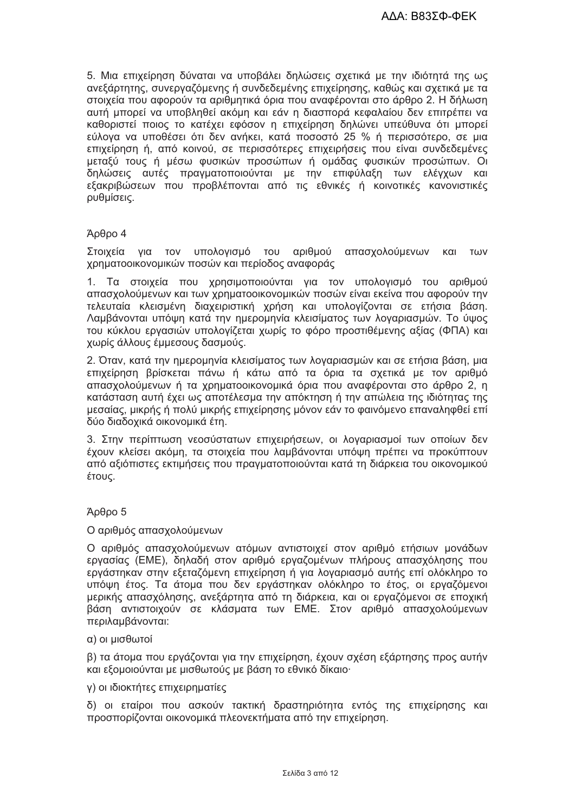5. Μια επιχείρηση δύναται να υποβάλει δηλώσεις σχετικά με την ιδιότητά της ως ανεξάρτητης, συνεργαζόμενης ή συνδεδεμένης επιχείρησης, καθώς και σχετικά με τα στοιχεία που αφορούν τα αριθμητικά όρια που αναφέρονται στο άρθρο 2. Η δήλωση αυτή μπορεί να υποβληθεί ακόμη και εάν η διασπορά κεφαλαίου δεν επιτρέπει να καθοριστεί ποιος το κατέχει εφόσον η επιχείρηση δηλώνει υπεύθυνα ότι μπορεί εύλογα να υποθέσει ότι δεν ανήκει, κατά ποσοστό 25 % ή περισσότερο, σε μια επιχείρηση ή, από κοινού, σε περισσότερες επιχειρήσεις που είναι συνδεδεμένες μεταξύ τους ή μέσω φυσικών προσώπων ή ομάδας φυσικών προσώπων. Οι δηλώσεις αυτές πραγματοποιούνται με την επιφύλαξη των ελέγχων και εξακριβώσεων που προβλέπονται από τις εθνικές ή κοινοτικές κανονιστικές ρυθμίσεις.

#### Άρθρο 4

Στοιχεία για τον υπολογισμό του αριθμού απασχολούμενων και των χρηματοοικονομικών ποσών και περίοδος αναφοράς

 $1<sub>1</sub>$ Τα στοιχεία που χρησιμοποιούνται για τον υπολογισμό του αριθμού απασχολούμενων και των χρηματοοικονομικών ποσών είναι εκείνα που αφορούν την τελευταία κλεισμένη διαχειριστική χρήση και υπολογίζονται σε ετήσια βάση. Λαμβάνονται υπόψη κατά την ημερομηνία κλεισίματος των λογαριασμών. Το ύψος του κύκλου εργασιών υπολογίζεται χωρίς το φόρο προστιθέμενης αξίας (ΦΠΑ) και χωρίς άλλους έμμεσους δασμούς.

2. Όταν, κατά την ημερομηνία κλεισίματος των λογαριασμών και σε ετήσια βάση, μια επιχείρηση βρίσκεται πάνω ή κάτω από τα όρια τα σχετικά με τον αριθμό απασχολούμενων ή τα χρηματοοικονομικά όρια που αναφέρονται στο άρθρο 2, η κατάσταση αυτή έχει ως αποτέλεσμα την απόκτηση ή την απώλεια της ιδιότητας της μεσαίας, μικρής ή πολύ μικρής επιχείρησης μόνον εάν το φαινόμενο επαναληφθεί επί δύο διαδοχικά οικονομικά έτη.

3. Στην περίπτωση νεοσύστατων επιχειρήσεων, οι λογαριασμοί των οποίων δεν έχουν κλείσει ακόμη, τα στοιχεία που λαμβάνονται υπόψη πρέπει να προκύπτουν από αξιόπιστες εκτιμήσεις που πραγματοποιούνται κατά τη διάρκεια του οικονομικού έτους.

## Άρθρο 5

#### Ο αριθμός απασχολούμενων

Ο αριθμός απασχολούμενων ατόμων αντιστοιχεί στον αριθμό ετήσιων μονάδων εργασίας (ΕΜΕ), δηλαδή στον αριθμό εργαζομένων πλήρους απασχόλησης που εργάστηκαν στην εξεταζόμενη επιχείρηση ή για λογαριασμό αυτής επί ολόκληρο το υπόψη έτος. Τα άτομα που δεν εργάστηκαν ολόκληρο το έτος, οι εργαζόμενοι μερικής απασχόλησης, ανεξάρτητα από τη διάρκεια, και οι εργαζόμενοι σε εποχική βάση αντιστοιχούν σε κλάσματα των ΕΜΕ. Στον αριθμό απασχολούμενων περιλαμβάνονται:

#### α) οι μισθωτοί

β) τα άτομα που εργάζονται για την επιχείρηση, έχουν σχέση εξάρτησης προς αυτήν και εξομοιούνται με μισθωτούς με βάση το εθνικό δίκαιο·

#### γ) οι ιδιοκτήτες επιχειρηματίες

δ) οι εταίροι που ασκούν τακτική δραστηριότητα εντός της επιχείρησης και προσπορίζονται οικονομικά πλεονεκτήματα από την επιχείρηση.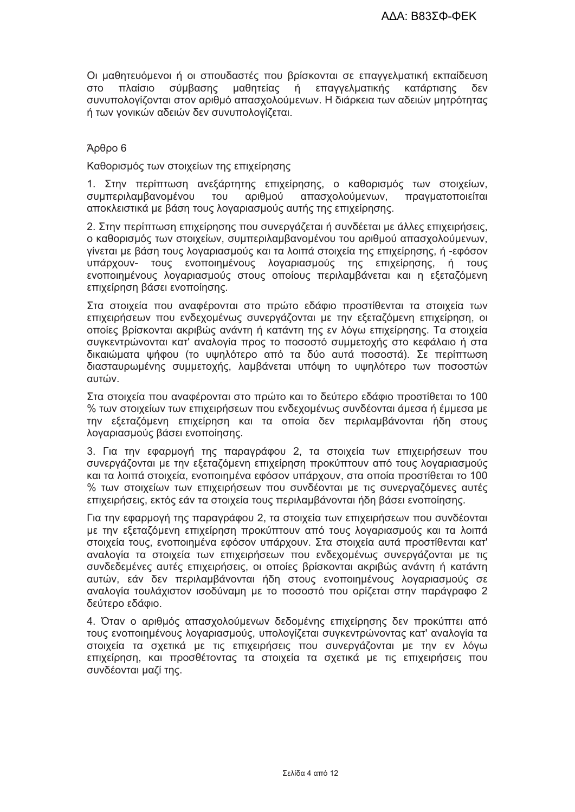Οι μαθητευόμενοι ή οι σπουδαστές που βρίσκονται σε επαγγελματική εκπαίδευση σύμβασης μαθητείας επαγγελματικής δεν **OTO** πλαίσιο ń κατάρτισης συνυπολογίζονται στον αριθμό απασχολούμενων. Η διάρκεια των αδειών μητρότητας ή των γονικών αδειών δεν συνυπολογίζεται.

## Άρθρο 6

Καθορισμός των στοιχείων της επιχείρησης

1. Στην περίπτωση ανεξάρτητης επιχείρησης, ο καθορισμός των στοιχείων, συμπεριλαμβανομένου TOU αριθμού απασχολούμενων. πρανματοποιείται αποκλειστικά με βάση τους λοναριασμούς αυτής της επιχείρησης.

2. Στην περίπτωση επιχείρησης που συνεργάζεται ή συνδέεται με άλλες επιχειρήσεις, ο καθορισμός των στοιχείων, συμπεριλαμβανομένου του αριθμού απασχολούμενων, γίνεται με βάση τους λογαριασμούς και τα λοιπά στοιχεία της επιχείρησης, ή -εφόσον υπάρχουν- τους ενοποιημένους λογαριασμούς της επιχείρησης, ή τους ενοποιημένους λογαριασμούς στους οποίους περιλαμβάνεται και η εξεταζόμενη επιχείρηση βάσει ενοποίησης.

Στα στοιχεία που αναφέρονται στο πρώτο εδάφιο προστίθενται τα στοιχεία των επιχειρήσεων που ενδεχομένως συνεργάζονται με την εξεταζόμενη επιχείρηση, οι οποίες βρίσκονται ακριβώς ανάντη ή κατάντη της εν λόνω επιχείρησης. Τα στοιχεία συγκεντρώνονται κατ' αναλογία προς το ποσοστό συμμετοχής στο κεφάλαιο ή στα δικαιώματα ψήφου (το υψηλότερο από τα δύο αυτά ποσοστά). Σε περίπτωση διασταυρωμένης συμμετοχής, λαμβάνεται υπόψη το υψηλότερο των ποσοστών αυτών.

Στα στοιχεία που αναφέρονται στο πρώτο και το δεύτερο εδάφιο προστίθεται το 100 % των στοιχείων των επιχειρήσεων που ενδεχομένως συνδέονται άμεσα ή έμμεσα με την εξεταζόμενη επιχείρηση και τα οποία δεν περιλαμβάνονται ήδη στους λογαριασμούς βάσει ενοποίησης.

3. Για την εφαρμογή της παραγράφου 2, τα στοιχεία των επιχειρήσεων που συνεργάζονται με την εξεταζόμενη επιχείρηση προκύπτουν από τους λογαριασμούς και τα λοιπά στοιχεία, ενοποιημένα εφόσον υπάρχουν, στα οποία προστίθεται το 100 % των στοιχείων των επιχειρήσεων που συνδέονται με τις συνεργαζόμενες αυτές επιχειρήσεις, εκτός εάν τα στοιχεία τους περιλαμβάνονται ήδη βάσει ενοποίησης.

Για την εφαρμογή της παραγράφου 2, τα στοιχεία των επιχειρήσεων που συνδέονται με την εξεταζόμενη επιχείρηση προκύπτουν από τους λογαριασμούς και τα λοιπά στοιχεία τους, ενοποιημένα εφόσον υπάρχουν. Στα στοιχεία αυτά προστίθενται κατ' αναλονία τα στοιχεία των επιχειρήσεων που ενδεχομένως συνερνάζονται με τις συνδεδεμένες αυτές επιχειρήσεις, οι οποίες βρίσκονται ακριβώς ανάντη ή κατάντη αυτών, εάν δεν περιλαμβάνονται ήδη στους ενοποιημένους λογαριασμούς σε αναλογία τουλάχιστον ισοδύναμη με το ποσοστό που ορίζεται στην παράγραφο 2 δεύτερο εδάφιο.

4. Όταν ο αριθμός απασχολούμενων δεδομένης επιχείρησης δεν προκύπτει από τους ενοποιημένους λογαριασμούς, υπολογίζεται συγκεντρώνοντας κατ' αναλογία τα στοιχεία τα σχετικά με τις επιχειρήσεις που συνεργάζονται με την εν λόγω επιχείρηση, και προσθέτοντας τα στοιχεία τα σχετικά με τις επιχειρήσεις που συνδέονται μαζί της.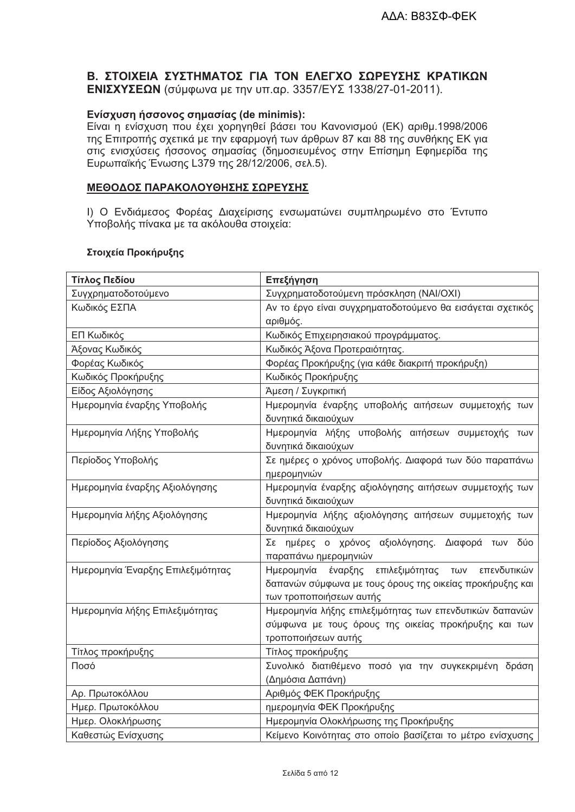# Β. ΣΤΟΙΧΕΙΑ ΣΥΣΤΗΜΑΤΟΣ ΓΙΑ ΤΟΝ ΕΛΕΓΧΟ ΣΩΡΕΥΣΗΣ ΚΡΑΤΙΚΩΝ ΕΝΙΣΧΥΣΕΩΝ (σύμφωνα με την υπ.αρ. 3357/ΕΥΣ 1338/27-01-2011).

# Ενίσχυση ήσσονος σημασίας (de minimis):

Είναι η ενίσχυση που έχει χορηγηθεί βάσει του Κανονισμού (ΕΚ) αριθμ.1998/2006 της Επιτροπής σχετικά με την εφαρμογή των άρθρων 87 και 88 της συνθήκης ΕΚ για στις ενισχύσεις ήσσονος σημασίας (δημοσιευμένος στην Επίσημη Εφημερίδα της Ευρωπαϊκής Ένωσης L379 της 28/12/2006, σελ.5).

## <u>ΜΕΘΟΔΟΣ ΠΑΡΑΚΟΛΟΥΘΗΣΗΣ ΣΩΡΕΥΣΗΣ</u>

Ι) Ο Ενδιάμεσος Φορέας Διαχείρισης ενσωματώνει συμπληρωμένο στο Έντυπο Υποβολής πίνακα με τα ακόλουθα στοιχεία:

## Στοιχεία Προκήρυξης

| Τίτλος Πεδίου                     | Επεξήγηση                                                  |  |  |
|-----------------------------------|------------------------------------------------------------|--|--|
| Συγχρηματοδοτούμενο               | Συγχρηματοδοτούμενη πρόσκληση (ΝΑΙ/ΟΧΙ)                    |  |  |
| Κωδικός ΕΣΠΑ                      | Αν το έργο είναι συγχρηματοδοτούμενο θα εισάγεται σχετικός |  |  |
|                                   | αριθμός.                                                   |  |  |
| ΕΠ Κωδικός                        | Κωδικός Επιχειρησιακού προγράμματος.                       |  |  |
| Άξονας Κωδικός                    | Κωδικός Άξονα Προτεραιότητας.                              |  |  |
| Φορέας Κωδικός                    | Φορέας Προκήρυξης (για κάθε διακριτή προκήρυξη)            |  |  |
| Κωδικός Προκήρυξης                | Κωδικός Προκήρυξης                                         |  |  |
| Είδος Αξιολόγησης                 | Άμεση / Συγκριτική                                         |  |  |
| Ημερομηνία έναρξης Υποβολής       | Ημερομηνία έναρξης υποβολής αιτήσεων συμμετοχής των        |  |  |
|                                   | δυνητικά δικαιούχων                                        |  |  |
| Ημερομηνία Λήξης Υποβολής         | Ημερομηνία λήξης υποβολής αιτήσεων συμμετοχής των          |  |  |
|                                   | δυνητικά δικαιούχων                                        |  |  |
| Περίοδος Υποβολής                 | Σε ημέρες ο χρόνος υποβολής. Διαφορά των δύο παραπάνω      |  |  |
|                                   | ημερομηνιών                                                |  |  |
| Ημερομηνία έναρξης Αξιολόγησης    | Ημερομηνία έναρξης αξιολόγησης αιτήσεων συμμετοχής των     |  |  |
|                                   | δυνητικά δικαιούχων                                        |  |  |
| Ημερομηνία λήξης Αξιολόγησης      | Ημερομηνία λήξης αξιολόγησης αιτήσεων συμμετοχής των       |  |  |
|                                   | δυνητικά δικαιούχων                                        |  |  |
| Περίοδος Αξιολόγησης              | Σε ημέρες ο χρόνος αξιολόγησης. Διαφορά των δύο            |  |  |
|                                   | παραπάνω ημερομηνιών                                       |  |  |
| Ημερομηνία Έναρξης Επιλεξιμότητας | Ημερομηνία έναρξης επιλεξιμότητας των<br>επενδυτικών       |  |  |
|                                   | δαπανών σύμφωνα με τους όρους της οικείας προκήρυξης και   |  |  |
|                                   | των τροποποιήσεων αυτής                                    |  |  |
| Ημερομηνία λήξης Επιλεξιμότητας   | Ημερομηνία λήξης επιλεξιμότητας των επενδυτικών δαπανών    |  |  |
|                                   | σύμφωνα με τους όρους της οικείας προκήρυξης και των       |  |  |
|                                   | τροποποιήσεων αυτής                                        |  |  |
| Τίτλος προκήρυξης                 | Τίτλος προκήρυξης                                          |  |  |
| Ποσό                              | Συνολικό διατιθέμενο ποσό για την συγκεκριμένη δράση       |  |  |
|                                   | (Δημόσια Δαπάνη)                                           |  |  |
| Αρ. Πρωτοκόλλου                   | Αριθμός ΦΕΚ Προκήρυξης                                     |  |  |
| Ημερ. Πρωτοκόλλου                 | ημερομηνία ΦΕΚ Προκήρυξης                                  |  |  |
| Ημερ. Ολοκλήρωσης                 | Ημερομηνία Ολοκλήρωσης της Προκήρυξης                      |  |  |
| Καθεστώς Ενίσχυσης                | Κείμενο Κοινότητας στο οποίο βασίζεται το μέτρο ενίσχυσης  |  |  |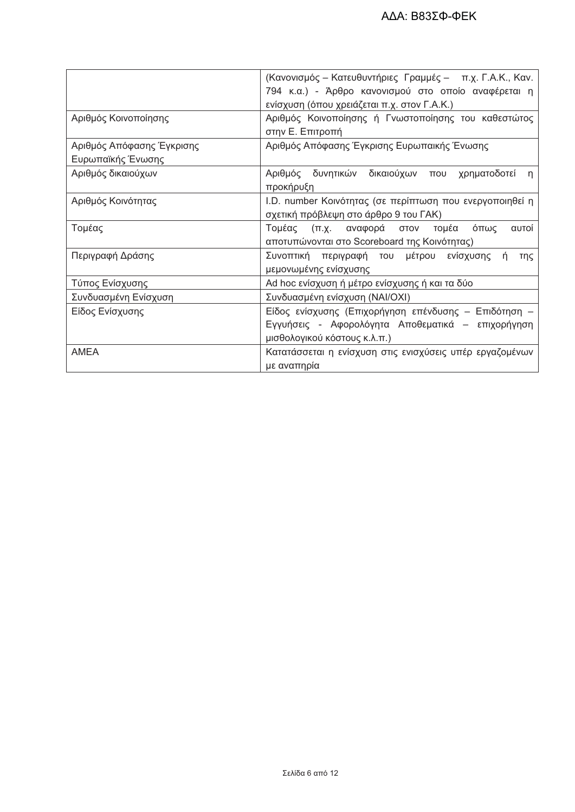|                           | (Κανονισμός - Κατευθυντήριες Γραμμές - π.χ. Γ.Α.Κ., Καν. |  |  |  |
|---------------------------|----------------------------------------------------------|--|--|--|
|                           | 794 κ.α.) - Άρθρο κανονισμού στο οποίο αναφέρεται η      |  |  |  |
|                           | ενίσχυση (όπου χρειάζεται π.χ. στον Γ.Α.Κ.)              |  |  |  |
| Αριθμός Κοινοποίησης      | Αριθμός Κοινοποίησης ή Γνωστοποίησης του καθεστώτος      |  |  |  |
|                           | στην Ε. Επιτροπή                                         |  |  |  |
| Αριθμός Απόφασης Έγκρισης | Αριθμός Απόφασης Έγκρισης Ευρωπαικής Ένωσης              |  |  |  |
| Ευρωπαϊκής Ένωσης         |                                                          |  |  |  |
| Αριθμός δικαιούχων        | δικαιούχων που χρηματοδοτεί<br>Αριθμός δυνητικών<br>n.   |  |  |  |
|                           | προκήρυξη                                                |  |  |  |
| Αριθμός Κοινότητας        | I.D. number Κοινότητας (σε περίπτωση που ενεργοποιηθεί η |  |  |  |
|                           | σχετική πρόβλεψη στο άρθρο 9 του ΓΑΚ)                    |  |  |  |
| Τομέας                    | Τομέας<br>(π.χ. αναφορά στον<br>τομέα<br>όπως<br>αυτοί   |  |  |  |
|                           | αποτυπώνονται στο Scoreboard της Κοινότητας)             |  |  |  |
|                           |                                                          |  |  |  |
| Περιγραφή Δράσης          | Συνοπτική περιγραφή του μέτρου ενίσχυσης ή<br>της        |  |  |  |
|                           | μεμονωμένης ενίσχυσης                                    |  |  |  |
| Τύπος Ενίσχυσης           | Ad hoc ενίσχυση ή μέτρο ενίσχυσης ή και τα δύο           |  |  |  |
| Συνδυασμένη Ενίσχυση      | Συνδυασμένη ενίσχυση (ΝΑΙ/ΟΧΙ)                           |  |  |  |
| Είδος Ενίσχυσης           | Είδος ενίσχυσης (Επιχορήγηση επένδυσης - Επιδότηση -     |  |  |  |
|                           | Εγγυήσεις - Αφορολόγητα Αποθεματικά – επιχορήγηση        |  |  |  |
|                           | μισθολογικού κόστους κ.λ.π.)                             |  |  |  |
| AMEA                      | Κατατάσσεται η ενίσχυση στις ενισχύσεις υπέρ εργαζομένων |  |  |  |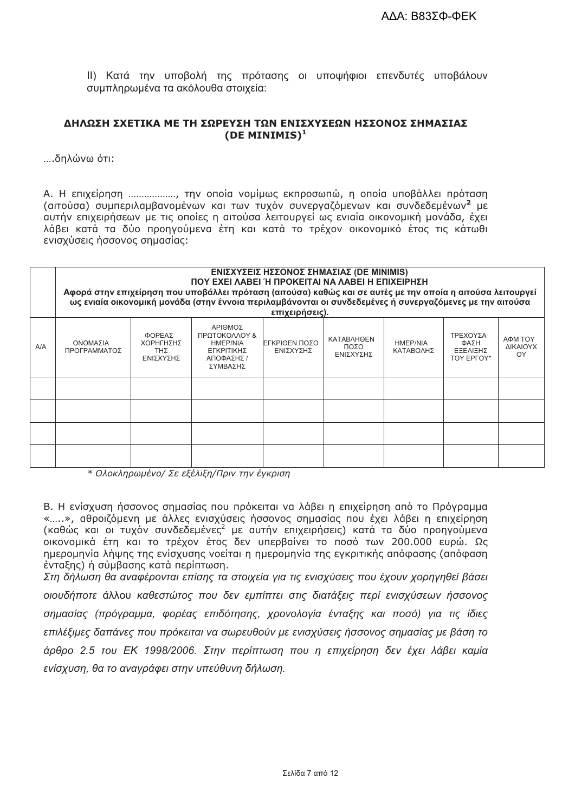ΙΙ) Κατά την υποβολή της πρότασης οι υποψήφιοι επενδυτές υποβάλουν συμπληρωμένα τα ακόλουθα στοιχεία:

#### ΔΗΛΩΣΗ ΣΧΕΤΙΚΑ ΜΕ ΤΗ ΣΩΡΕΥΣΗ ΤΩΝ ΕΝΙΣΧΥΣΕΩΝ ΗΣΣΟΝΟΣ ΣΗΜΑΣΙΑΣ (DE MINIMIS) $<sup>1</sup>$ </sup>

....δηλώνω ότι:

Α. Η επιχείρηση .................., την οποία νομίμως εκπροσωπώ, η οποία υποβάλλει πρόταση (αιτούσα) συμπεριλαμβανομένων και των τυχόν συνεργαζόμενων και συνδεδεμένων<sup>2</sup> με αυτήν επιχειρήσεων με τις οποίες η αιτούσα λειτουργεί ως ενιαία οικονομική μονάδα, έχει λάβει κατά τα δύο προηγούμενα έτη και κατά το τρέχον οικονομικό έτος τις κάτωθι ενισχύσεις ήσσονος σημασίας:

|     | ΕΝΙΣΧΥΣΕΙΣ ΗΣΣΟΝΟΣ ΣΗΜΑΣΙΑΣ (DE MINIMIS)<br>ΠΟΥ ΕΧΕΙ ΛΑΒΕΙ Ή ΠΡΟΚΕΙΤΑΙ ΝΑ ΛΑΒΕΙ Η ΕΠΙΧΕΙΡΗΣΗ<br>Αφορά στην επιχείρηση που υποβάλλει πρόταση (αιτούσα) καθώς και σε αυτές με την οποία η αιτούσα λειτουργεί<br>ως ενιαία οικονομική μονάδα (στην έννοια περιλαμβάνονται οι συνδεδεμένες ή συνεργαζόμενες με την αιτούσα<br>επιχειρήσεις). |                                         |                                                                                     |                             |                                        |                              |                                                   |                           |
|-----|------------------------------------------------------------------------------------------------------------------------------------------------------------------------------------------------------------------------------------------------------------------------------------------------------------------------------------------|-----------------------------------------|-------------------------------------------------------------------------------------|-----------------------------|----------------------------------------|------------------------------|---------------------------------------------------|---------------------------|
| A/A | ΟΝΟΜΑΣΙΑ<br>ΠΡΟΓΡΑΜΜΑΤΟΣ                                                                                                                                                                                                                                                                                                                 | ΦΟΡΕΑΣ<br>ΧΟΡΗΓΗΣΗΣ<br>TΗΣ<br>ΕΝΙΣΧΥΣΗΣ | ΑΡΙΘΜΟΣ<br>ΠΡΩΤΟΚΟΛΛΟΥ &<br><b>HMEP/NIA</b><br>ΕΓΚΡΙΤΙΚΗΣ<br>ΑΠΟΦΑΣΗΣ /<br>ΣΥΜΒΑΣΗΣ | ΙΕΓΚΡΙΘΕΝ ΠΟΣΟ<br>ΕΝΙΣΧΥΣΗΣ | <b>KATABAHOEN</b><br>ΠΟΣΟ<br>ΕΝΙΣΧΥΣΗΣ | <b>HMEP/NIA</b><br>ΚΑΤΑΒΟΛΗΣ | ΤΡΕΧΟΥΣΑ<br>ΦΑΣΗ<br><b>EEEAIEHZ</b><br>TOY EPFOY* | ΑΦΜ ΤΟΥ<br>ΔΙΚΑΙΟΥΧ<br>OY |
|     |                                                                                                                                                                                                                                                                                                                                          |                                         |                                                                                     |                             |                                        |                              |                                                   |                           |
|     |                                                                                                                                                                                                                                                                                                                                          |                                         |                                                                                     |                             |                                        |                              |                                                   |                           |
|     |                                                                                                                                                                                                                                                                                                                                          |                                         |                                                                                     |                             |                                        |                              |                                                   |                           |
|     |                                                                                                                                                                                                                                                                                                                                          |                                         |                                                                                     |                             |                                        |                              |                                                   |                           |

\* Ολοκληρωμένο/ Σε εξέλιξη/Πριν την έγκριση

Β. Η ενίσχυση ήσσονος σημασίας που πρόκειται να λάβει η επιχείρηση από το Πρόγραμμα «.....», αθροιζόμενη με άλλες ενισχύσεις ήσσονος σημασίας που έχει λάβει η επιχείρηση (καθώς και οι τυχόν συνδεδεμένες<sup>2</sup> με αυτήν επιχειρήσεις) κατά τα δύο προηγούμενα<br>οικονομικά έτη και το τρέχον έτος δεν υπερβαίνει το ποσό των 200.000 ευρώ. Ως ημερομηνία λήψης της ενίσχυσης νοείται η ημερομηνία της εγκριτικής απόφασης (απόφαση ένταξης) η σύμβασης κατά περίπτωση.

Στη δήλωση θα αναφέρονται επίσης τα στοιχεία για τις ενισχύσεις που έχουν χορηνηθεί βάσει οιουδήποτε άλλου καθεστώτος που δεν εμπίπτει στις διατάξεις περί ενισχύσεων ήσσονος σημασίας (πρόγραμμα, φορέας επιδότησης, χρονολογία ένταξης και ποσό) για τις ίδιες επιλέξιμες δαπάνες που πρόκειται να σωρευθούν με ενισχύσεις ήσσονος σημασίας με βάση το άρθρο 2.5 του ΕΚ 1998/2006. Στην περίπτωση που η επιχείρηση δεν έχει λάβει καμία ενίσχυση, θα το αναγράφει στην υπεύθυνη δήλωση.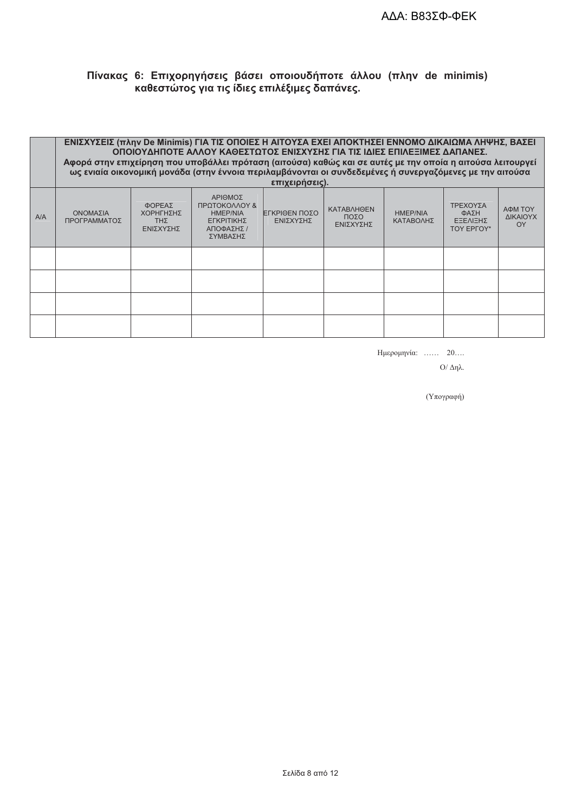# Πίνακας 6: Επιχορηγήσεις βάσει οποιουδήποτε άλλου (πλην de minimis)<br>καθεστώτος για τις ίδιες επιλέξιμες δαπάνες.

|     | ΕΝΙΣΧΥΣΕΙΣ (πλην De Minimis) ΓΙΑ ΤΙΣ ΟΠΟΙΕΣ Η ΑΙΤΟΥΣΑ ΕΧΕΙ ΑΠΟΚΤΗΣΕΙ ΕΝΝΟΜΟ ΔΙΚΑΙΩΜΑ ΛΗΨΗΣ, ΒΑΣΕΙ<br>ΟΠΟΙΟΥΔΗΠΟΤΕ ΑΛΛΟΥ ΚΑΘΕΣΤΩΤΟΣ ΕΝΙΣΧΥΣΗΣ ΓΙΑ ΤΙΣ ΙΔΙΕΣ ΕΠΙΛΕΞΙΜΕΣ ΔΑΠΑΝΕΣ.<br>Αφορά στην επιχείρηση που υποβάλλει πρόταση (αιτούσα) καθώς και σε αυτές με την οποία η αιτούσα λειτουργεί<br>ως ενιαία οικονομική μονάδα (στην έννοια περιλαμβάνονται οι συνδεδεμένες ή συνεργαζόμενες με την αιτούσα<br>επιχειρήσεις). |                                                |                                                                                     |                             |                                        |                              |                                                   |                           |
|-----|----------------------------------------------------------------------------------------------------------------------------------------------------------------------------------------------------------------------------------------------------------------------------------------------------------------------------------------------------------------------------------------------------------------------------|------------------------------------------------|-------------------------------------------------------------------------------------|-----------------------------|----------------------------------------|------------------------------|---------------------------------------------------|---------------------------|
| A/A | ΟΝΟΜΑΣΙΑ<br>ΠΡΟΓΡΑΜΜΑΤΟΣ                                                                                                                                                                                                                                                                                                                                                                                                   | ΦΟΡΕΑΣ<br>ΧΟΡΗΓΗΣΗΣ<br><b>THE</b><br>ΕΝΙΣΧΥΣΗΣ | ΑΡΙΘΜΟΣ<br>ΠΡΩΤΟΚΟΛΛΟΥ &<br><b>HMEP/NIA</b><br>ΕΓΚΡΙΤΙΚΗΣ<br>ΑΠΟΦΑΣΗΣ /<br>ΣΥΜΒΑΣΗΣ | ΙΕΓΚΡΙΘΕΝ ΠΟΣΟ<br>ΕΝΙΣΧΥΣΗΣ | <b>KATABAHOEN</b><br>ΠΟΣΟ<br>ΕΝΙΣΧΥΣΗΣ | <b>HMEP/NIA</b><br>ΚΑΤΑΒΟΛΗΣ | ΤΡΕΧΟΥΣΑ<br>ΦΑΣΗ<br>ΕΞΕΛΙΞΗΣ<br><b>TOY EPFOY*</b> | ΑΦΜ ΤΟΥ<br>ΔΙΚΑΙΟΥΧ<br>OY |
|     |                                                                                                                                                                                                                                                                                                                                                                                                                            |                                                |                                                                                     |                             |                                        |                              |                                                   |                           |
|     |                                                                                                                                                                                                                                                                                                                                                                                                                            |                                                |                                                                                     |                             |                                        |                              |                                                   |                           |
|     |                                                                                                                                                                                                                                                                                                                                                                                                                            |                                                |                                                                                     |                             |                                        |                              |                                                   |                           |
|     |                                                                                                                                                                                                                                                                                                                                                                                                                            |                                                |                                                                                     |                             |                                        |                              |                                                   |                           |

Ημερομηνία: ...... 20....

 $O/$  Δηλ.

(Υπογραφή)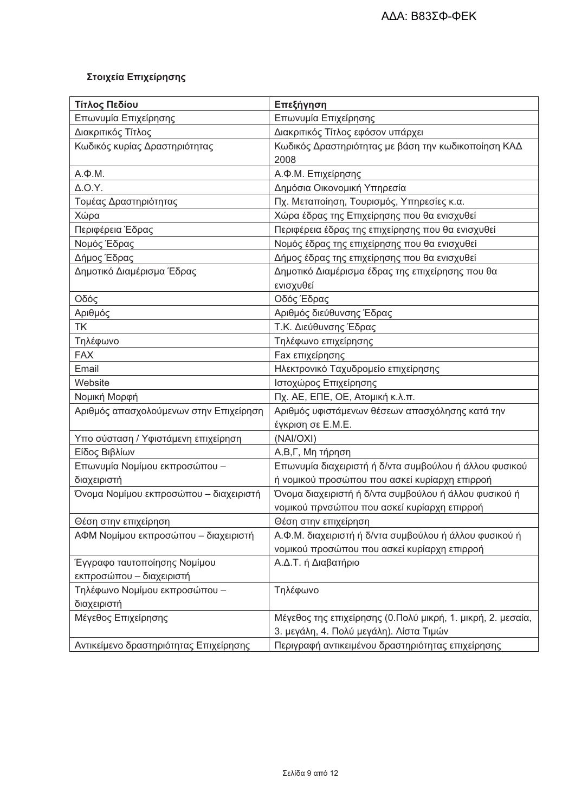# Στοιχεία Επιχείρησης

| Τίτλος Πεδίου                          | Επεξήγηση                                                   |  |  |  |
|----------------------------------------|-------------------------------------------------------------|--|--|--|
| Επωνυμία Επιχείρησης                   | Επωνυμία Επιχείρησης                                        |  |  |  |
| Διακριτικός Τίτλος                     | Διακριτικός Τίτλος εφόσον υπάρχει                           |  |  |  |
| Κωδικός κυρίας Δραστηριότητας          | Κωδικός Δραστηριότητας με βάση την κωδικοποίηση ΚΑΔ         |  |  |  |
|                                        | 2008                                                        |  |  |  |
| $A.\Phi.M.$                            | Α.Φ.Μ. Επιχείρησης                                          |  |  |  |
| $\Delta$ .O.Y.                         | Δημόσια Οικονομική Υπηρεσία                                 |  |  |  |
| Τομέας Δραστηριότητας                  | Πχ. Μεταποίηση, Τουρισμός, Υπηρεσίες κ.α.                   |  |  |  |
| Χώρα                                   | Χώρα έδρας της Επιχείρησης που θα ενισχυθεί                 |  |  |  |
| Περιφέρεια Έδρας                       | Περιφέρεια έδρας της επιχείρησης που θα ενισχυθεί           |  |  |  |
| Νομός Έδρας                            | Νομός έδρας της επιχείρησης που θα ενισχυθεί                |  |  |  |
| Δήμος Έδρας                            | Δήμος έδρας της επιχείρησης που θα ενισχυθεί                |  |  |  |
| Δημοτικό Διαμέρισμα Έδρας              | Δημοτικό Διαμέρισμα έδρας της επιχείρησης που θα            |  |  |  |
|                                        | ενισχυθεί                                                   |  |  |  |
| Οδός                                   | Οδός Έδρας                                                  |  |  |  |
| Αριθμός                                | Αριθμός διεύθυνσης Έδρας                                    |  |  |  |
| <b>TK</b>                              | Τ.Κ. Διεύθυνσης Έδρας                                       |  |  |  |
| Τηλέφωνο                               | Τηλέφωνο επιχείρησης                                        |  |  |  |
| <b>FAX</b>                             | <b>Fax επιχείρησης</b>                                      |  |  |  |
| Email                                  | Ηλεκτρονικό Ταχυδρομείο επιχείρησης                         |  |  |  |
| Website                                | Ιστοχώρος Επιχείρησης                                       |  |  |  |
| Νομική Μορφή                           | Пх. АЕ, ЕПЕ, ОЕ, Атоµкή к.                                  |  |  |  |
| Αριθμός απασχολούμενων στην Επιχείρηση | Αριθμός υφιστάμενων θέσεων απασχόλησης κατά την             |  |  |  |
|                                        | έγκριση σε Ε.Μ.Ε.                                           |  |  |  |
| Υπο σύσταση / Υφιστάμενη επιχείρηση    | (NAI/OXI)                                                   |  |  |  |
| Είδος Βιβλίων                          | Α,Β,Γ, Μη τήρηση                                            |  |  |  |
| Επωνυμία Νομίμου εκπροσώπου -          | Επωνυμία διαχειριστή ή δ/ντα συμβούλου ή άλλου φυσικού      |  |  |  |
| διαχειριστή                            | ή νομικού προσώπου που ασκεί κυρίαρχη επιρροή               |  |  |  |
| Όνομα Νομίμου εκπροσώπου - διαχειριστή | Όνομα διαχειριστή ή δ/ντα συμβούλου ή άλλου φυσικού ή       |  |  |  |
|                                        | νομικού πρνσώπου που ασκεί κυρίαρχη επιρροή                 |  |  |  |
| Θέση στην επιχείρηση                   | Θέση στην επιχείρηση                                        |  |  |  |
| ΑΦΜ Νομίμου εκπροσώπου - διαχειριστή   | Α.Φ.Μ. διαχειριστή ή δ/ντα συμβούλου ή άλλου φυσικού ή      |  |  |  |
|                                        | νομικού προσώπου που ασκεί κυρίαρχη επιρροή                 |  |  |  |
| Έγγραφο ταυτοποίησης Νομίμου           | Α.Δ.Τ. ή Διαβατήριο                                         |  |  |  |
| εκπροσώπου - διαχειριστή               |                                                             |  |  |  |
| Τηλέφωνο Νομίμου εκπροσώπου -          | Τηλέφωνο                                                    |  |  |  |
| διαχειριστή                            |                                                             |  |  |  |
| Μέγεθος Επιχείρησης                    | Μέγεθος της επιχείρησης (0.Πολύ μικρή, 1. μικρή, 2. μεσαία, |  |  |  |
|                                        | 3. μεγάλη, 4. Πολύ μεγάλη). Λίστα Τιμών                     |  |  |  |
| Αντικείμενο δραστηριότητας Επιχείρησης | Περιγραφή αντικειμένου δραστηριότητας επιχείρησης           |  |  |  |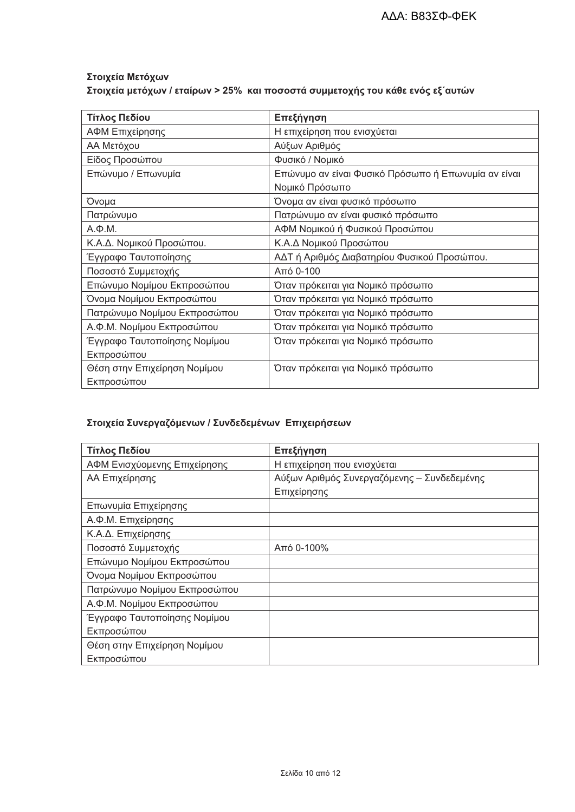## Στοιχεία Μετόχων Στοιχεία μετόχων / εταίρων > 25% και ποσοστά συμμετοχής του κάθε ενός εξ΄ αυτών

| Τίτλος Πεδίου                | Επεξήγηση                                           |
|------------------------------|-----------------------------------------------------|
| ΑΦΜ Επιχείρησης              | Η επιχείρηση που ενισχύεται                         |
| ΑΑ Μετόχου                   | Αύξων Αριθμός                                       |
| Είδος Προσώπου               | Φυσικό / Νομικό                                     |
| Επώνυμο / Επωνυμία           | Επώνυμο αν είναι Φυσικό Πρόσωπο ή Επωνυμία αν είναι |
|                              | Νομικό Πρόσωπο                                      |
| Όνομα                        | Όνομα αν είναι φυσικό πρόσωπο                       |
| Πατρώνυμο                    | Πατρώνυμο αν είναι φυσικό πρόσωπο                   |
| $A.\Phi.M.$                  | ΑΦΜ Νομικού ή Φυσικού Προσώπου                      |
| Κ.Α.Δ. Νομικού Προσώπου.     | Κ.Α.Δ Νομικού Προσώπου                              |
| Έγγραφο Ταυτοποίησης         | ΑΔΤ ή Αριθμός Διαβατηρίου Φυσικού Προσώπου.         |
| Ποσοστό Συμμετοχής           | Από 0-100                                           |
| Επώνυμο Νομίμου Εκπροσώπου   | Όταν πρόκειται για Νομικό πρόσωπο                   |
| Όνομα Νομίμου Εκπροσώπου     | Όταν πρόκειται για Νομικό πρόσωπο                   |
| Πατρώνυμο Νομίμου Εκπροσώπου | Όταν πρόκειται για Νομικό πρόσωπο                   |
| Α.Φ.Μ. Νομίμου Εκπροσώπου    | Όταν πρόκειται για Νομικό πρόσωπο                   |
| Έγγραφο Ταυτοποίησης Νομίμου | Όταν πρόκειται για Νομικό πρόσωπο                   |
| Εκπροσώπου                   |                                                     |
| Θέση στην Επιχείρηση Νομίμου | Όταν πρόκειται για Νομικό πρόσωπο                   |
| Εκπροσώπου                   |                                                     |

## Στοιχεία Συνεργαζόμενων / Συνδεδεμένων Επιχειρήσεων

| Τίτλος Πεδίου                | Επεξήγηση                                   |
|------------------------------|---------------------------------------------|
| ΑΦΜ Ενισχύομενης Επιχείρησης | Η επιχείρηση που ενισχύεται                 |
| ΑΑ Επιχείρησης               | Αύξων Αριθμός Συνεργαζόμενης - Συνδεδεμένης |
|                              | Επιχείρησης                                 |
| Επωνυμία Επιχείρησης         |                                             |
| Α.Φ.Μ. Επιχείρησης           |                                             |
| Κ.Α.Δ. Επιχείρησης           |                                             |
| Ποσοστό Συμμετοχής           | Από 0-100%                                  |
| Επώνυμο Νομίμου Εκπροσώπου   |                                             |
| Όνομα Νομίμου Εκπροσώπου     |                                             |
| Πατρώνυμο Νομίμου Εκπροσώπου |                                             |
| Α.Φ.Μ. Νομίμου Εκπροσώπου    |                                             |
| Έγγραφο Ταυτοποίησης Νομίμου |                                             |
| Εκπροσώπου                   |                                             |
| Θέση στην Επιχείρηση Νομίμου |                                             |
| Εκπροσώπου                   |                                             |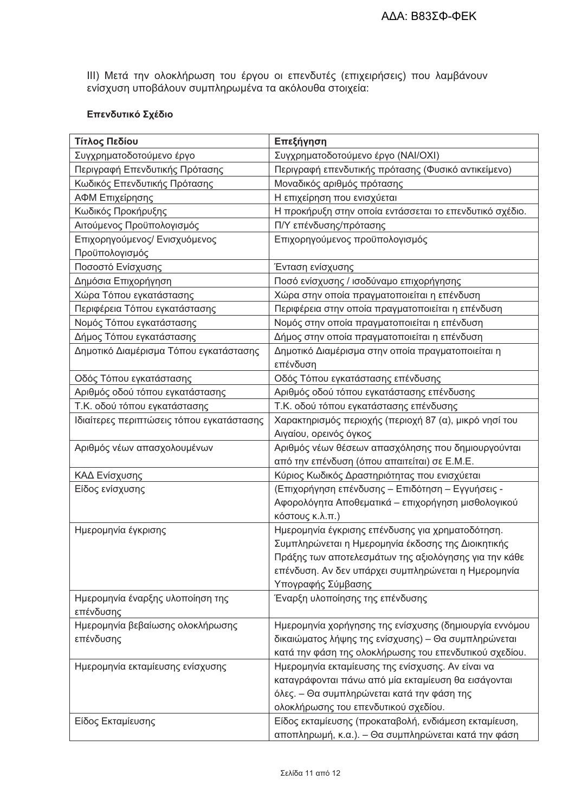ΙΙΙ) Μετά την ολοκλήρωση του έργου οι επενδυτές (επιχειρήσεις) που λαμβάνουν<br>ενίσχυση υποβάλουν συμπληρωμένα τα ακόλουθα στοιχεία:

#### Επενδυτικό Σχέδιο

| Τίτλος Πεδίου                                 | Επεξήγηση                                               |
|-----------------------------------------------|---------------------------------------------------------|
| Συγχρηματοδοτούμενο έργο                      | Συγχρηματοδοτούμενο έργο (ΝΑΙ/ΟΧΙ)                      |
| Περιγραφή Επενδυτικής Πρότασης                | Περιγραφή επενδυτικής πρότασης (Φυσικό αντικείμενο)     |
| Κωδικός Επενδυτικής Πρότασης                  | Μοναδικός αριθμός πρότασης                              |
| ΑΦΜ Επιχείρησης                               | Η επιχείρηση που ενισχύεται                             |
| Κωδικός Προκήρυξης                            | Η προκήρυξη στην οποία εντάσσεται το επενδυτικό σχέδιο. |
| Αιτούμενος Προϋπολογισμός                     | Π/Υ επένδυσης/πρότασης                                  |
| Επιχορηγούμενος/ Ενισχυόμενος                 | Επιχορηγούμενος προϋπολογισμός                          |
| Προϋπολογισμός                                |                                                         |
| Ποσοστό Ενίσχυσης                             | Ένταση ενίσχυσης                                        |
| Δημόσια Επιχορήγηση                           | Ποσό ενίσχυσης / ισοδύναμο επιχορήγησης                 |
| Χώρα Τόπου εγκατάστασης                       | Χώρα στην οποία πραγματοποιείται η επένδυση             |
| Περιφέρεια Τόπου εγκατάστασης                 | Περιφέρεια στην οποία πραγματοποιείται η επένδυση       |
| Νομός Τόπου εγκατάστασης                      | Νομός στην οποία πραγματοποιείται η επένδυση            |
| Δήμος Τόπου εγκατάστασης                      | Δήμος στην οποία πραγματοποιείται η επένδυση            |
| Δημοτικό Διαμέρισμα Τόπου εγκατάστασης        | Δημοτικό Διαμέρισμα στην οποία πραγματοποιείται η       |
|                                               | επένδυση                                                |
| Οδός Τόπου εγκατάστασης                       | Οδός Τόπου εγκατάστασης επένδυσης                       |
| Αριθμός οδού τόπου εγκατάστασης               | Αριθμός οδού τόπου εγκατάστασης επένδυσης               |
| Τ.Κ. οδού τόπου εγκατάστασης                  | Τ.Κ. οδού τόπου εγκατάστασης επένδυσης                  |
| Ιδιαίτερες περιπτώσεις τόπου εγκατάστασης     | Χαρακτηρισμός περιοχής (περιοχή 87 (α), μικρό νησί του  |
|                                               | Αιγαίου, ορεινός όγκος                                  |
| Αριθμός νέων απασχολουμένων                   | Αριθμός νέων θέσεων απασχόλησης που δημιουργούνται      |
|                                               | από την επένδυση (όπου απαιτείται) σε Ε.Μ.Ε.            |
| ΚΑΔ Ενίσχυσης                                 | Κύριος Κωδικός Δραστηριότητας που ενισχύεται            |
| Είδος ενίσχυσης                               | (Επιχορήγηση επένδυσης - Επιδότηση - Εγγυήσεις -        |
|                                               | Αφορολόγητα Αποθεματικά – επιχορήγηση μισθολογικού      |
|                                               | κόστους κ.λ.π.)                                         |
| Ημερομηνία έγκρισης                           | Ημερομηνία έγκρισης επένδυσης για χρηματοδότηση.        |
|                                               | Συμπληρώνεται η Ημερομηνία έκδοσης της Διοικητικής      |
|                                               | Πράξης των αποτελεσμάτων της αξιολόγησης για την κάθε   |
|                                               | επένδυση. Αν δεν υπάρχει συμπληρώνεται η Ημερομηνία     |
|                                               | Υπογραφής Σύμβασης                                      |
| Ημερομηνία έναρξης υλοποίηση της<br>επένδυσης | Έναρξη υλοποίησης της επένδυσης                         |
| Ημερομηνία βεβαίωσης ολοκλήρωσης              | Ημερομηνία χορήγησης της ενίσχυσης (δημιουργία εννόμου  |
| επένδυσης                                     | δικαιώματος λήψης της ενίσχυσης) – Θα συμπληρώνεται     |
|                                               | κατά την φάση της ολοκλήρωσης του επενδυτικού σχεδίου.  |
| Ημερομηνία εκταμίευσης ενίσχυσης              | Ημερομηνία εκταμίευσης της ενίσχυσης. Αν είναι να       |
|                                               | καταγράφονται πάνω από μία εκταμίευση θα εισάγονται     |
|                                               | όλες. – Θα συμπληρώνεται κατά την φάση της              |
|                                               | ολοκλήρωσης του επενδυτικού σχεδίου.                    |
| Είδος Εκταμίευσης                             | Είδος εκταμίευσης (προκαταβολή, ενδιάμεση εκταμίευση,   |
|                                               | αποπληρωμή, κ.α.). – Θα συμπληρώνεται κατά την φάση     |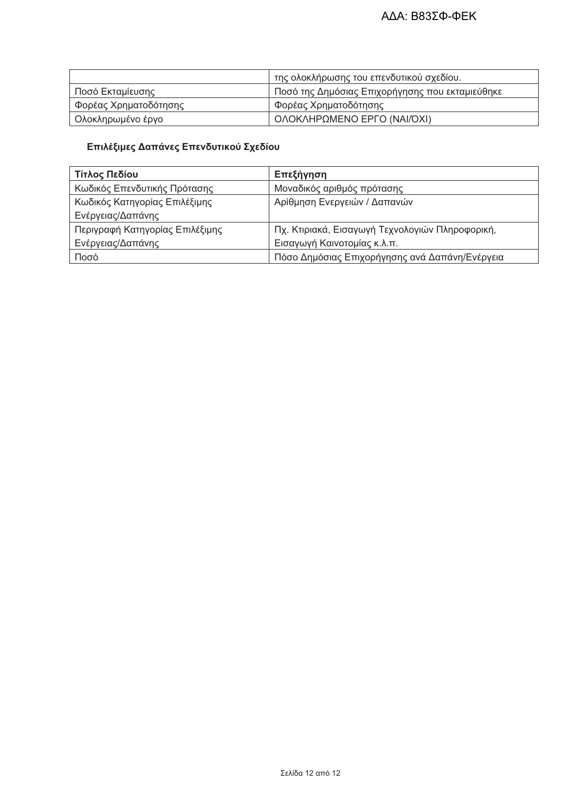|                       | της ολοκλήρωσης του επενδυτικού σχεδίου.        |
|-----------------------|-------------------------------------------------|
| Ποσό Εκταμίευσης      | Ποσό της Δημόσιας Επιχορήγησης που εκταμιεύθηκε |
| Φορέας Χρηματοδότησης | Φορέας Χρηματοδότησης                           |
| ' Ολοκληρωμένο έργο   | ΟΛΟΚΛΗΡΩΜΕΝΟ ΕΡΓΟ (ΝΑΙ/ΌΧΙ)                     |

## Επιλέξιμες Δαπάνες Επενδυτικού Σχεδίου

| Τίτλος Πεδίου                   | Επεξήγηση                                       |
|---------------------------------|-------------------------------------------------|
| Κωδικός Επενδυτικής Πρότασης    | Μοναδικός αριθμός πρότασης                      |
| Κωδικός Κατηγορίας Επιλέξιμης   | Αρίθμηση Ενεργειών / Δαπανών                    |
| Ενέργειας/Δαπάνης               |                                                 |
| Περιγραφή Κατηγορίας Επιλέξιμης | Πχ. Κτιριακά, Εισαγωγή Τεχνολογιών Πληροφορική, |
| Ενέργειας/Δαπάνης               | Εισαγωγή Καινοτομίας κ.λ.π.                     |
| Ποσό                            | Πόσο Δημόσιας Επιχορήγησης ανά Δαπάνη/Ενέργεια  |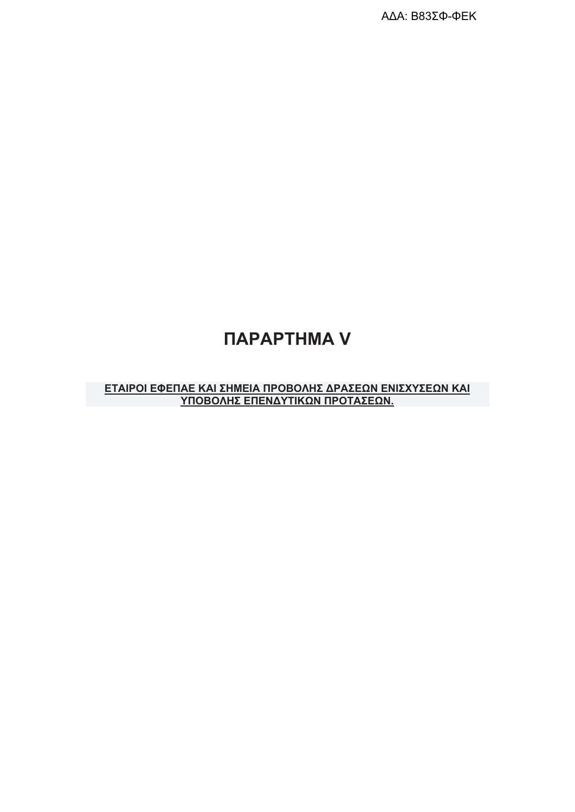ΑΔΑ: Β83ΣΦ-ΦΕΚ

# *<u>ITAPAPTHMA V</u>*

## ΕΤΑΙΡΟΙ ΕΦΕΠΑΕ ΚΑΙ ΣΗΜΕΙΑ ΠΡΟΒΟΛΗΣ ΔΡΑΣΕΩΝ ΕΝΙΣΧΥΣΕΩΝ ΚΑΙ ΥΠΟΒΟΛΗΣ ΕΠΕΝΔΥΤΙΚΩΝ ΠΡΟΤΑΣΕΩΝ.